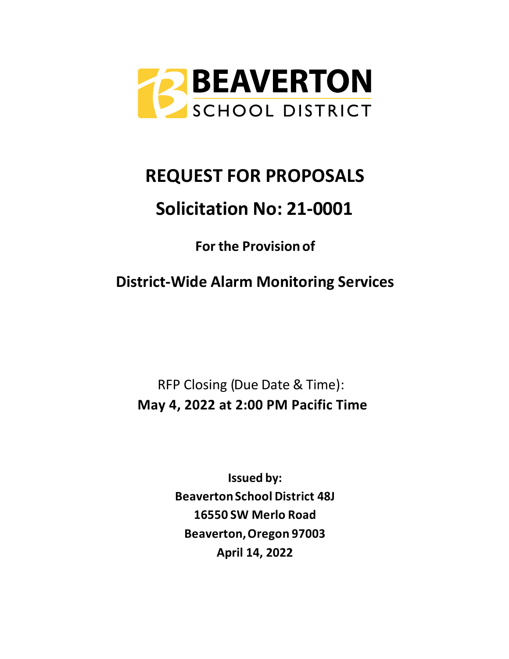

# **REQUEST FOR PROPOSALS**

# **Solicitation No: 21-0001**

**For the Provision of**

**District-Wide Alarm Monitoring Services**

RFP Closing (Due Date & Time): **May 4, 2022 at 2:00 PM Pacific Time**

> **Issued by: BeavertonSchool District 48J 16550 SW Merlo Road Beaverton,Oregon 97003 April 14, 2022**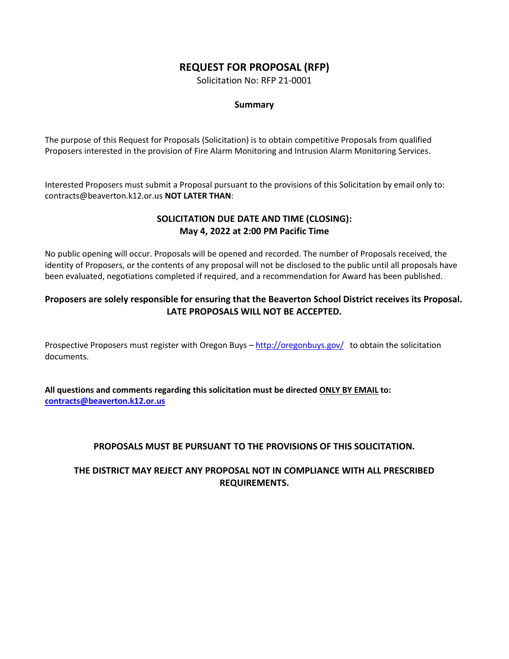# **REQUEST FOR PROPOSAL (RFP)**

Solicitation No: RFP 21-0001

## **Summary**

The purpose of this Request for Proposals (Solicitation) is to obtain competitive Proposals from qualified Proposers interested in the provision of Fire Alarm Monitoring and Intrusion Alarm Monitoring Services.

Interested Proposers must submit a Proposal pursuant to the provisions of this Solicitation by email only to: contracts@beaverton.k12.or.us **NOT LATER THAN**:

## **SOLICITATION DUE DATE AND TIME (CLOSING): May 4, 2022 at 2:00 PM Pacific Time**

No public opening will occur. Proposals will be opened and recorded. The number of Proposals received, the identity of Proposers, or the contents of any proposal will not be disclosed to the public until all proposals have been evaluated, negotiations completed if required, and a recommendation for Award has been published.

## **Proposers are solely responsible for ensuring that the Beaverton School District receives its Proposal. LATE PROPOSALS WILL NOT BE ACCEPTED.**

Prospective Proposers must register with Oregon Buys – <http://oregonbuys.gov/>to obtain the solicitation documents.

**All questions and comments regarding this solicitation must be directed ONLY BY EMAIL to: [contracts@beaverton.k12.or.us](mailto:contracts@beaverton.k12.or.us)**

## **PROPOSALS MUST BE PURSUANT TO THE PROVISIONS OF THIS SOLICITATION.**

## **THE DISTRICT MAY REJECT ANY PROPOSAL NOT IN COMPLIANCE WITH ALL PRESCRIBED REQUIREMENTS.**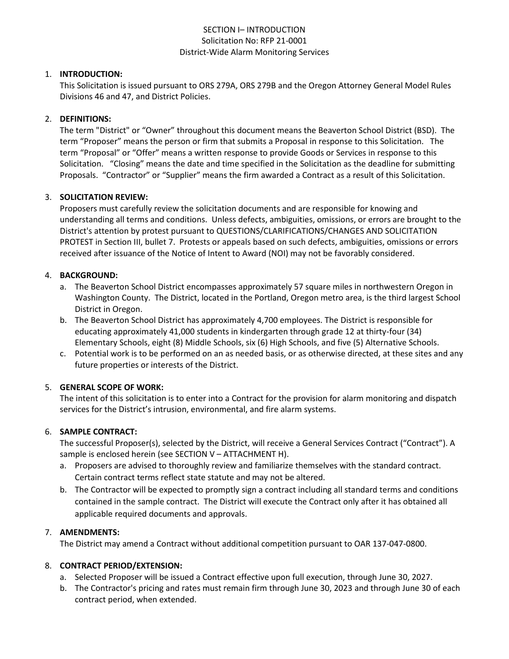## SECTION I– INTRODUCTION Solicitation No: RFP 21-0001 District-Wide Alarm Monitoring Services

#### 1. **INTRODUCTION:**

This Solicitation is issued pursuant to ORS 279A, ORS 279B and the Oregon Attorney General Model Rules Divisions 46 and 47, and District Policies.

#### 2. **DEFINITIONS:**

The term "District" or "Owner" throughout this document means the Beaverton School District (BSD). The term "Proposer" means the person or firm that submits a Proposal in response to this Solicitation. The term "Proposal" or "Offer" means a written response to provide Goods or Services in response to this Solicitation. "Closing" means the date and time specified in the Solicitation as the deadline for submitting Proposals. "Contractor" or "Supplier" means the firm awarded a Contract as a result of this Solicitation.

#### 3. **SOLICITATION REVIEW:**

Proposers must carefully review the solicitation documents and are responsible for knowing and understanding all terms and conditions. Unless defects, ambiguities, omissions, or errors are brought to the District's attention by protest pursuant to QUESTIONS/CLARIFICATIONS/CHANGES AND SOLICITATION PROTEST in Section III, bullet 7. Protests or appeals based on such defects, ambiguities, omissions or errors received after issuance of the Notice of Intent to Award (NOI) may not be favorably considered.

#### 4. **BACKGROUND:**

- a. The Beaverton School District encompasses approximately 57 square miles in northwestern Oregon in Washington County. The District, located in the Portland, Oregon metro area, is the third largest School District in Oregon.
- b. The Beaverton School District has approximately 4,700 employees. The District is responsible for educating approximately 41,000 students in kindergarten through grade 12 at thirty-four (34) Elementary Schools, eight (8) Middle Schools, six (6) High Schools, and five (5) Alternative Schools.
- c. Potential work is to be performed on an as needed basis, or as otherwise directed, at these sites and any future properties or interests of the District.

#### 5. **GENERAL SCOPE OF WORK:**

The intent of this solicitation is to enter into a Contract for the provision for alarm monitoring and dispatch services for the District's intrusion, environmental, and fire alarm systems.

#### 6. **SAMPLE CONTRACT:**

The successful Proposer(s), selected by the District, will receive a General Services Contract ("Contract"). A sample is enclosed herein (see SECTION V – ATTACHMENT H).

- a. Proposers are advised to thoroughly review and familiarize themselves with the standard contract. Certain contract terms reflect state statute and may not be altered.
- b. The Contractor will be expected to promptly sign a contract including all standard terms and conditions contained in the sample contract. The District will execute the Contract only after it has obtained all applicable required documents and approvals.

#### 7. **AMENDMENTS:**

The District may amend a Contract without additional competition pursuant to OAR 137-047-0800.

#### 8. **CONTRACT PERIOD/EXTENSION:**

- a. Selected Proposer will be issued a Contract effective upon full execution, through June 30, 2027.
- b. The Contractor's pricing and rates must remain firm through June 30, 2023 and through June 30 of each contract period, when extended.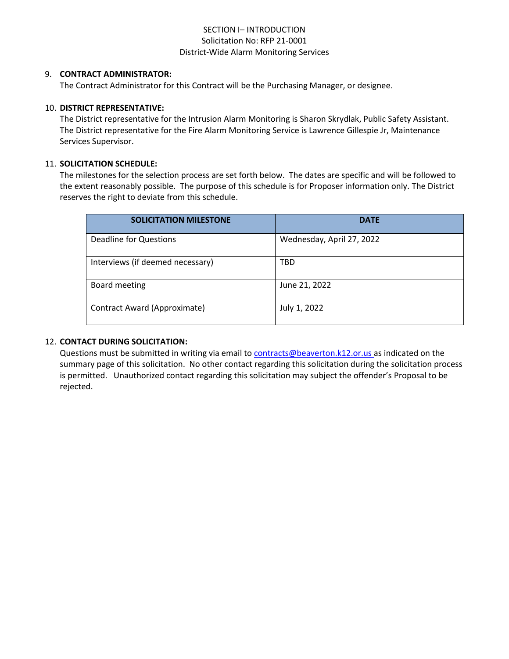## SECTION I– INTRODUCTION Solicitation No: RFP 21-0001 District-Wide Alarm Monitoring Services

#### 9. **CONTRACT ADMINISTRATOR:**

The Contract Administrator for this Contract will be the Purchasing Manager, or designee.

#### 10. **DISTRICT REPRESENTATIVE:**

The District representative for the Intrusion Alarm Monitoring is Sharon Skrydlak, Public Safety Assistant. The District representative for the Fire Alarm Monitoring Service is Lawrence Gillespie Jr, Maintenance Services Supervisor.

#### 11. **SOLICITATION SCHEDULE:**

The milestones for the selection process are set forth below. The dates are specific and will be followed to the extent reasonably possible. The purpose of this schedule is for Proposer information only. The District reserves the right to deviate from this schedule.

| <b>SOLICITATION MILESTONE</b>    | <b>DATE</b>               |
|----------------------------------|---------------------------|
| <b>Deadline for Questions</b>    | Wednesday, April 27, 2022 |
| Interviews (if deemed necessary) | TBD                       |
| Board meeting                    | June 21, 2022             |
| Contract Award (Approximate)     | July 1, 2022              |

#### 12. **CONTACT DURING SOLICITATION:**

Questions must be submitted in writing via email to [contracts@beaverton.k12.or.us](mailto:contracts@beaverton.k12.or.us) as indicated on the summary page of this solicitation. No other contact regarding this solicitation during the solicitation process is permitted. Unauthorized contact regarding this solicitation may subject the offender's Proposal to be rejected.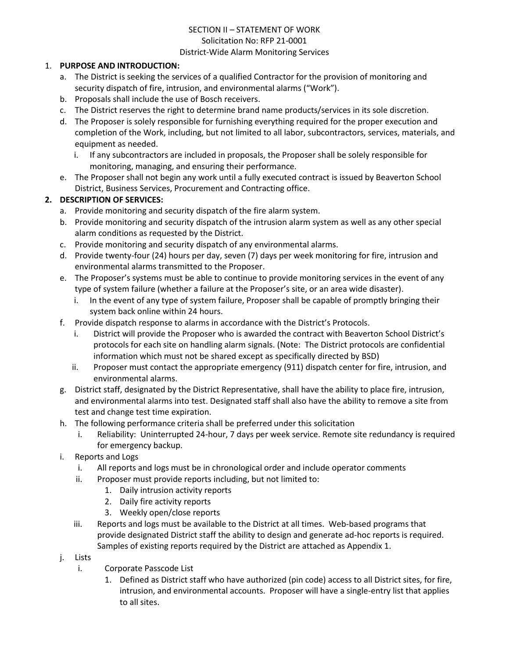# SECTION II – STATEMENT OF WORK Solicitation No: RFP 21-0001

#### District-Wide Alarm Monitoring Services

## 1. **PURPOSE AND INTRODUCTION:**

- a. The District is seeking the services of a qualified Contractor for the provision of monitoring and security dispatch of fire, intrusion, and environmental alarms ("Work").
- b. Proposals shall include the use of Bosch receivers.
- c. The District reserves the right to determine brand name products/services in its sole discretion.
- d. The Proposer is solely responsible for furnishing everything required for the proper execution and completion of the Work, including, but not limited to all labor, subcontractors, services, materials, and equipment as needed.
	- i. If any subcontractors are included in proposals, the Proposer shall be solely responsible for monitoring, managing, and ensuring their performance.
- e. The Proposer shall not begin any work until a fully executed contract is issued by Beaverton School District, Business Services, Procurement and Contracting office.

## **2. DESCRIPTION OF SERVICES:**

- a. Provide monitoring and security dispatch of the fire alarm system.
- b. Provide monitoring and security dispatch of the intrusion alarm system as well as any other special alarm conditions as requested by the District.
- c. Provide monitoring and security dispatch of any environmental alarms.
- d. Provide twenty-four (24) hours per day, seven (7) days per week monitoring for fire, intrusion and environmental alarms transmitted to the Proposer.
- e. The Proposer's systems must be able to continue to provide monitoring services in the event of any type of system failure (whether a failure at the Proposer's site, or an area wide disaster).
	- i. In the event of any type of system failure, Proposer shall be capable of promptly bringing their system back online within 24 hours.
- f. Provide dispatch response to alarms in accordance with the District's Protocols.
	- i. District will provide the Proposer who is awarded the contract with Beaverton School District's protocols for each site on handling alarm signals. (Note: The District protocols are confidential information which must not be shared except as specifically directed by BSD)
	- ii. Proposer must contact the appropriate emergency (911) dispatch center for fire, intrusion, and environmental alarms.
- g. District staff, designated by the District Representative, shall have the ability to place fire, intrusion, and environmental alarms into test. Designated staff shall also have the ability to remove a site from test and change test time expiration.
- h. The following performance criteria shall be preferred under this solicitation
	- i. Reliability: Uninterrupted 24-hour, 7 days per week service. Remote site redundancy is required for emergency backup.
- i. Reports and Logs
	- i. All reports and logs must be in chronological order and include operator comments
	- ii. Proposer must provide reports including, but not limited to:
		- 1. Daily intrusion activity reports
		- 2. Daily fire activity reports
		- 3. Weekly open/close reports
	- iii. Reports and logs must be available to the District at all times. Web-based programs that provide designated District staff the ability to design and generate ad-hoc reports is required. Samples of existing reports required by the District are attached as Appendix 1.
- j. Lists
	- i. Corporate Passcode List
		- 1. Defined as District staff who have authorized (pin code) access to all District sites, for fire, intrusion, and environmental accounts. Proposer will have a single-entry list that applies to all sites.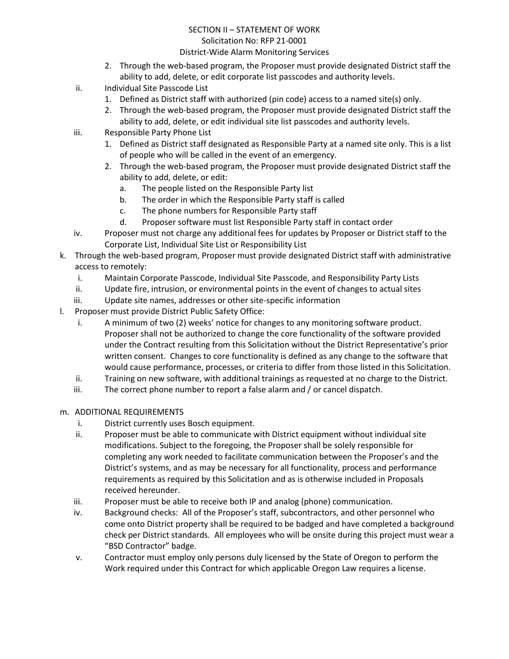# SECTION II – STATEMENT OF WORK Solicitation No: RFP 21-0001

#### District-Wide Alarm Monitoring Services

- 2. Through the web-based program, the Proposer must provide designated District staff the ability to add, delete, or edit corporate list passcodes and authority levels.
- ii. Individual Site Passcode List
	- 1. Defined as District staff with authorized (pin code) access to a named site(s) only.
	- 2. Through the web-based program, the Proposer must provide designated District staff the ability to add, delete, or edit individual site list passcodes and authority levels.
- iii. Responsible Party Phone List
	- 1. Defined as District staff designated as Responsible Party at a named site only. This is a list of people who will be called in the event of an emergency.
	- 2. Through the web-based program, the Proposer must provide designated District staff the ability to add, delete, or edit:
		- a. The people listed on the Responsible Party list
		- b. The order in which the Responsible Party staff is called
		- c. The phone numbers for Responsible Party staff
		- d. Proposer software must list Responsible Party staff in contact order
- iv. Proposer must not charge any additional fees for updates by Proposer or District staff to the Corporate List, Individual Site List or Responsibility List
- k. Through the web-based program, Proposer must provide designated District staff with administrative access to remotely:
	- i. Maintain Corporate Passcode, Individual Site Passcode, and Responsibility Party Lists
	- ii. Update fire, intrusion, or environmental points in the event of changes to actual sites
	- iii. Update site names, addresses or other site-specific information
- l. Proposer must provide District Public Safety Office:
	- i. A minimum of two (2) weeks' notice for changes to any monitoring software product. Proposer shall not be authorized to change the core functionality of the software provided under the Contract resulting from this Solicitation without the District Representative's prior written consent. Changes to core functionality is defined as any change to the software that would cause performance, processes, or criteria to differ from those listed in this Solicitation.
	- ii. Training on new software, with additional trainings as requested at no charge to the District.
	- iii. The correct phone number to report a false alarm and / or cancel dispatch.
- m. ADDITIONAL REQUIREMENTS
	- i. District currently uses Bosch equipment.
	- ii. Proposer must be able to communicate with District equipment without individual site modifications. Subject to the foregoing, the Proposer shall be solely responsible for completing any work needed to facilitate communication between the Proposer's and the District's systems, and as may be necessary for all functionality, process and performance requirements as required by this Solicitation and as is otherwise included in Proposals received hereunder.
	- iii. Proposer must be able to receive both IP and analog (phone) communication.
	- iv. Background checks: All of the Proposer's staff, subcontractors, and other personnel who come onto District property shall be required to be badged and have completed a background check per District standards. All employees who will be onsite during this project must wear a "BSD Contractor" badge.
	- v. Contractor must employ only persons duly licensed by the State of Oregon to perform the Work required under this Contract for which applicable Oregon Law requires a license.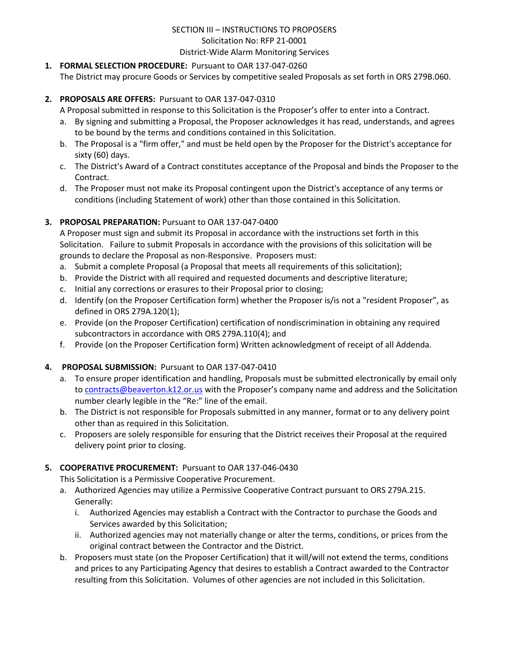## **1. FORMAL SELECTION PROCEDURE:** Pursuant to OAR 137-047-0260

The District may procure Goods or Services by competitive sealed Proposals as set forth in ORS 279B.060.

## **2. PROPOSALS ARE OFFERS:** Pursuant to OAR 137-047-0310

A Proposal submitted in response to this Solicitation is the Proposer's offer to enter into a Contract.

- a. By signing and submitting a Proposal, the Proposer acknowledges it has read, understands, and agrees to be bound by the terms and conditions contained in this Solicitation.
- b. The Proposal is a "firm offer," and must be held open by the Proposer for the District's acceptance for sixty (60) days.
- c. The District's Award of a Contract constitutes acceptance of the Proposal and binds the Proposer to the Contract.
- d. The Proposer must not make its Proposal contingent upon the District's acceptance of any terms or conditions (including Statement of work) other than those contained in this Solicitation.

## **3. PROPOSAL PREPARATION:** Pursuant to OAR 137-047-0400

A Proposer must sign and submit its Proposal in accordance with the instructions set forth in this Solicitation. Failure to submit Proposals in accordance with the provisions of this solicitation will be grounds to declare the Proposal as non-Responsive. Proposers must:

- a. Submit a complete Proposal (a Proposal that meets all requirements of this solicitation);
- b. Provide the District with all required and requested documents and descriptive literature;
- c. Initial any corrections or erasures to their Proposal prior to closing;
- d. Identify (on the Proposer Certification form) whether the Proposer is/is not a "resident Proposer", as defined in ORS 279A.120(1);
- e. Provide (on the Proposer Certification) certification of nondiscrimination in obtaining any required subcontractors in accordance with ORS 279A.110(4); and
- f. Provide (on the Proposer Certification form) Written acknowledgment of receipt of all Addenda.

#### **4. PROPOSAL SUBMISSION:** Pursuant to OAR 137-047-0410

- a. To ensure proper identification and handling, Proposals must be submitted electronically by email only to [contracts@beaverton.k12.or.us](mailto:contracts@beaverton.k12.or.us) with the Proposer's company name and address and the Solicitation number clearly legible in the "Re:" line of the email.
- b. The District is not responsible for Proposals submitted in any manner, format or to any delivery point other than as required in this Solicitation.
- c. Proposers are solely responsible for ensuring that the District receives their Proposal at the required delivery point prior to closing.

## **5. COOPERATIVE PROCUREMENT:** Pursuant to OAR 137-046-0430

This Solicitation is a Permissive Cooperative Procurement.

- a. Authorized Agencies may utilize a Permissive Cooperative Contract pursuant to ORS 279A.215. Generally:
	- i. Authorized Agencies may establish a Contract with the Contractor to purchase the Goods and Services awarded by this Solicitation;
	- ii. Authorized agencies may not materially change or alter the terms, conditions, or prices from the original contract between the Contractor and the District.
- b. Proposers must state (on the Proposer Certification) that it will/will not extend the terms, conditions and prices to any Participating Agency that desires to establish a Contract awarded to the Contractor resulting from this Solicitation. Volumes of other agencies are not included in this Solicitation.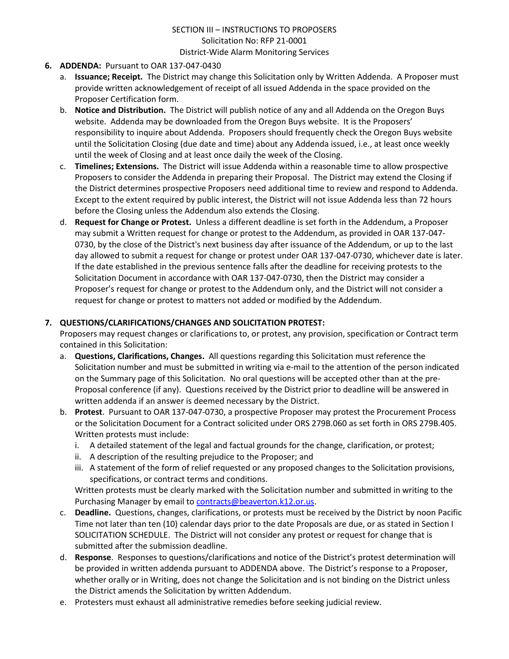- **6. ADDENDA:** Pursuant to OAR 137-047-0430
	- a. **Issuance; Receipt.** The District may change this Solicitation only by Written Addenda. A Proposer must provide written acknowledgement of receipt of all issued Addenda in the space provided on the Proposer Certification form.
	- b. **Notice and Distribution.** The District will publish notice of any and all Addenda on the Oregon Buys website. Addenda may be downloaded from the Oregon Buys website. It is the Proposers' responsibility to inquire about Addenda. Proposers should frequently check the Oregon Buys website until the Solicitation Closing (due date and time) about any Addenda issued, i.e., at least once weekly until the week of Closing and at least once daily the week of the Closing.
	- c. **Timelines; Extensions.** The District will issue Addenda within a reasonable time to allow prospective Proposers to consider the Addenda in preparing their Proposal. The District may extend the Closing if the District determines prospective Proposers need additional time to review and respond to Addenda. Except to the extent required by public interest, the District will not issue Addenda less than 72 hours before the Closing unless the Addendum also extends the Closing.
	- d. **Request for Change or Protest.** Unless a different deadline is set forth in the Addendum, a Proposer may submit a Written request for change or protest to the Addendum, as provided in OAR 137-047- 0730, by the close of the District's next business day after issuance of the Addendum, or up to the last day allowed to submit a request for change or protest under OAR 137-047-0730, whichever date is later. If the date established in the previous sentence falls after the deadline for receiving protests to the Solicitation Document in accordance with OAR 137-047-0730, then the District may consider a Proposer's request for change or protest to the Addendum only, and the District will not consider a request for change or protest to matters not added or modified by the Addendum.

## **7. QUESTIONS/CLARIFICATIONS/CHANGES AND SOLICITATION PROTEST:**

Proposers may request changes or clarifications to, or protest, any provision, specification or Contract term contained in this Solicitation:

- a. **Questions, Clarifications, Changes.** All questions regarding this Solicitation must reference the Solicitation number and must be submitted in writing via e-mail to the attention of the person indicated on the Summary page of this Solicitation. No oral questions will be accepted other than at the pre-Proposal conference (if any). Questions received by the District prior to deadline will be answered in written addenda if an answer is deemed necessary by the District.
- b. **Protest**. Pursuant to OAR 137-047-0730, a prospective Proposer may protest the Procurement Process or the Solicitation Document for a Contract solicited under ORS 279B.060 as set forth in ORS 279B.405. Written protests must include:
	- i. A detailed statement of the legal and factual grounds for the change, clarification, or protest;
	- ii. A description of the resulting prejudice to the Proposer; and
	- iii. A statement of the form of relief requested or any proposed changes to the Solicitation provisions, specifications, or contract terms and conditions.

Written protests must be clearly marked with the Solicitation number and submitted in writing to the Purchasing Manager by email to [contracts@beaverton.k12.or.us.](mailto:contracts@beaverton.k12.or.us)

- c. **Deadline.** Questions, changes, clarifications, or protests must be received by the District by noon Pacific Time not later than ten (10) calendar days prior to the date Proposals are due, or as stated in Section I SOLICITATION SCHEDULE. The District will not consider any protest or request for change that is submitted after the submission deadline.
- d. **Response**. Responses to questions/clarifications and notice of the District's protest determination will be provided in written addenda pursuant to ADDENDA above. The District's response to a Proposer, whether orally or in Writing, does not change the Solicitation and is not binding on the District unless the District amends the Solicitation by written Addendum.
- e. Protesters must exhaust all administrative remedies before seeking judicial review.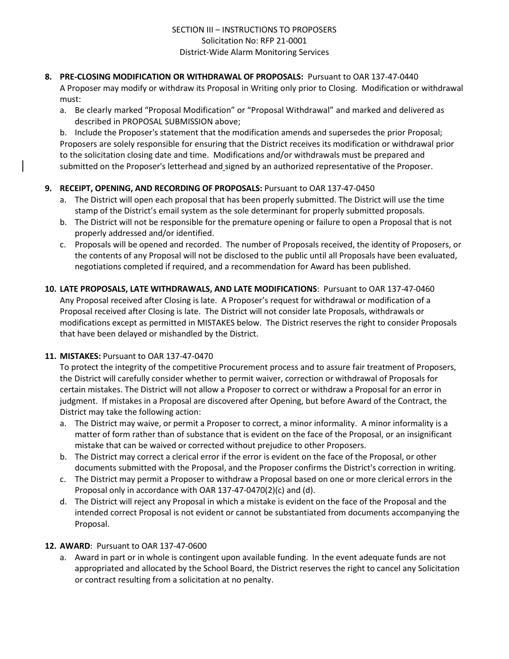#### **8. PRE-CLOSING MODIFICATION OR WITHDRAWAL OF PROPOSALS:** Pursuant to OAR 137-47-0440

A Proposer may modify or withdraw its Proposal in Writing only prior to Closing. Modification or withdrawal must:

a. Be clearly marked "Proposal Modification" or "Proposal Withdrawal" and marked and delivered as described in PROPOSAL SUBMISSION above;

b. Include the Proposer's statement that the modification amends and supersedes the prior Proposal; Proposers are solely responsible for ensuring that the District receives its modification or withdrawal prior to the solicitation closing date and time. Modifications and/or withdrawals must be prepared and submitted on the Proposer's letterhead and signed by an authorized representative of the Proposer.

## **9. RECEIPT, OPENING, AND RECORDING OF PROPOSALS:** Pursuant to OAR 137-47-0450

- a. The District will open each proposal that has been properly submitted. The District will use the time stamp of the District's email system as the sole determinant for properly submitted proposals.
- b. The District will not be responsible for the premature opening or failure to open a Proposal that is not properly addressed and/or identified.
- c. Proposals will be opened and recorded. The number of Proposals received, the identity of Proposers, or the contents of any Proposal will not be disclosed to the public until all Proposals have been evaluated, negotiations completed if required, and a recommendation for Award has been published.
- **10. LATE PROPOSALS, LATE WITHDRAWALS, AND LATE MODIFICATIONS**: Pursuant to OAR 137-47-0460 Any Proposal received after Closing is late. A Proposer's request for withdrawal or modification of a Proposal received after Closing is late. The District will not consider late Proposals, withdrawals or modifications except as permitted in MISTAKES below. The District reserves the right to consider Proposals that have been delayed or mishandled by the District.

## **11. MISTAKES:** Pursuant to OAR 137-47-0470

To protect the integrity of the competitive Procurement process and to assure fair treatment of Proposers, the District will carefully consider whether to permit waiver, correction or withdrawal of Proposals for certain mistakes. The District will not allow a Proposer to correct or withdraw a Proposal for an error in judgment. If mistakes in a Proposal are discovered after Opening, but before Award of the Contract, the District may take the following action:

- a. The District may waive, or permit a Proposer to correct, a minor informality. A minor informality is a matter of form rather than of substance that is evident on the face of the Proposal, or an insignificant mistake that can be waived or corrected without prejudice to other Proposers.
- b. The District may correct a clerical error if the error is evident on the face of the Proposal, or other documents submitted with the Proposal, and the Proposer confirms the District's correction in writing.
- c. The District may permit a Proposer to withdraw a Proposal based on one or more clerical errors in the Proposal only in accordance with OAR 137-47-0470(2)(c) and (d).
- d. The District will reject any Proposal in which a mistake is evident on the face of the Proposal and the intended correct Proposal is not evident or cannot be substantiated from documents accompanying the Proposal.

## **12. AWARD**: Pursuant to OAR 137-47-0600

a. Award in part or in whole is contingent upon available funding. In the event adequate funds are not appropriated and allocated by the School Board, the District reserves the right to cancel any Solicitation or contract resulting from a solicitation at no penalty.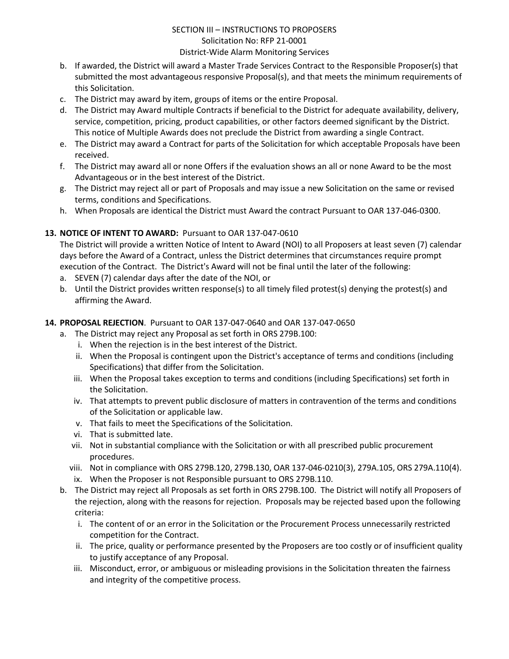- b. If awarded, the District will award a Master Trade Services Contract to the Responsible Proposer(s) that submitted the most advantageous responsive Proposal(s), and that meets the minimum requirements of this Solicitation.
- c. The District may award by item, groups of items or the entire Proposal.
- d. The District may Award multiple Contracts if beneficial to the District for adequate availability, delivery, service, competition, pricing, product capabilities, or other factors deemed significant by the District. This notice of Multiple Awards does not preclude the District from awarding a single Contract.
- e. The District may award a Contract for parts of the Solicitation for which acceptable Proposals have been received.
- f. The District may award all or none Offers if the evaluation shows an all or none Award to be the most Advantageous or in the best interest of the District.
- g. The District may reject all or part of Proposals and may issue a new Solicitation on the same or revised terms, conditions and Specifications.
- h. When Proposals are identical the District must Award the contract Pursuant to OAR 137-046-0300.

## **13. NOTICE OF INTENT TO AWARD:** Pursuant to OAR 137-047-0610

The District will provide a written Notice of Intent to Award (NOI) to all Proposers at least seven (7) calendar days before the Award of a Contract, unless the District determines that circumstances require prompt execution of the Contract. The District's Award will not be final until the later of the following:

- a. SEVEN (7) calendar days after the date of the NOI, or
- b. Until the District provides written response(s) to all timely filed protest(s) denying the protest(s) and affirming the Award.

#### **14. PROPOSAL REJECTION**. Pursuant to OAR 137-047-0640 and OAR 137-047-0650

- a. The District may reject any Proposal as set forth in ORS 279B.100:
	- i. When the rejection is in the best interest of the District.
	- ii. When the Proposal is contingent upon the District's acceptance of terms and conditions (including Specifications) that differ from the Solicitation.
	- iii. When the Proposal takes exception to terms and conditions (including Specifications) set forth in the Solicitation.
	- iv. That attempts to prevent public disclosure of matters in contravention of the terms and conditions of the Solicitation or applicable law.
	- v. That fails to meet the Specifications of the Solicitation.
	- vi. That is submitted late.
	- vii. Not in substantial compliance with the Solicitation or with all prescribed public procurement procedures.
	- viii. Not in compliance with ORS 279B.120, 279B.130, OAR 137-046-0210(3), 279A.105, ORS 279A.110(4). ix. When the Proposer is not Responsible pursuant to ORS 279B.110.
- b. The District may reject all Proposals as set forth in ORS 279B.100. The District will notify all Proposers of the rejection, along with the reasons for rejection. Proposals may be rejected based upon the following criteria:
	- i. The content of or an error in the Solicitation or the Procurement Process unnecessarily restricted competition for the Contract.
	- ii. The price, quality or performance presented by the Proposers are too costly or of insufficient quality to justify acceptance of any Proposal.
	- iii. Misconduct, error, or ambiguous or misleading provisions in the Solicitation threaten the fairness and integrity of the competitive process.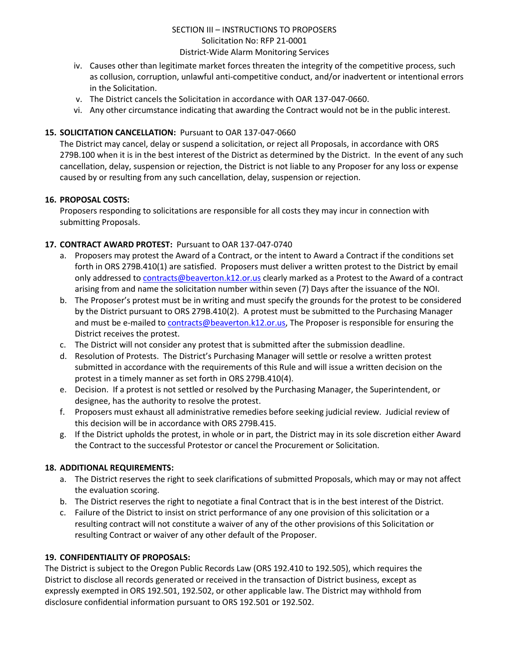- iv. Causes other than legitimate market forces threaten the integrity of the competitive process, such as collusion, corruption, unlawful anti-competitive conduct, and/or inadvertent or intentional errors in the Solicitation.
- v. The District cancels the Solicitation in accordance with OAR 137-047-0660.
- vi. Any other circumstance indicating that awarding the Contract would not be in the public interest.

## **15. SOLICITATION CANCELLATION:** Pursuant to OAR 137-047-0660

The District may cancel, delay or suspend a solicitation, or reject all Proposals, in accordance with ORS 279B.100 when it is in the best interest of the District as determined by the District. In the event of any such cancellation, delay, suspension or rejection, the District is not liable to any Proposer for any loss or expense caused by or resulting from any such cancellation, delay, suspension or rejection.

#### **16. PROPOSAL COSTS:**

Proposers responding to solicitations are responsible for all costs they may incur in connection with submitting Proposals.

#### **17. CONTRACT AWARD PROTEST:** Pursuant to OAR 137-047-0740

- a. Proposers may protest the Award of a Contract, or the intent to Award a Contract if the conditions set forth in ORS 279B.410(1) are satisfied. Proposers must deliver a written protest to the District by email only addressed to [contracts@beaverton.k12.or.us](mailto:contracts@beaverton.k12.or.us) clearly marked as a Protest to the Award of a contract arising from and name the solicitation number within seven (7) Days after the issuance of the NOI.
- b. The Proposer's protest must be in writing and must specify the grounds for the protest to be considered by the District pursuant to ORS 279B.410(2). A protest must be submitted to the Purchasing Manager and must be e-mailed to [contracts@beaverton.k12.or.us,](mailto:contracts@beaverton.k12.or.us) The Proposer is responsible for ensuring the District receives the protest.
- c. The District will not consider any protest that is submitted after the submission deadline.
- d. Resolution of Protests. The District's Purchasing Manager will settle or resolve a written protest submitted in accordance with the requirements of this Rule and will issue a written decision on the protest in a timely manner as set forth in ORS 279B.410(4).
- e. Decision. If a protest is not settled or resolved by the Purchasing Manager, the Superintendent, or designee, has the authority to resolve the protest.
- f. Proposers must exhaust all administrative remedies before seeking judicial review. Judicial review of this decision will be in accordance with ORS 279B.415.
- g. If the District upholds the protest, in whole or in part, the District may in its sole discretion either Award the Contract to the successful Protestor or cancel the Procurement or Solicitation.

## **18. ADDITIONAL REQUIREMENTS:**

- a. The District reserves the right to seek clarifications of submitted Proposals, which may or may not affect the evaluation scoring.
- b. The District reserves the right to negotiate a final Contract that is in the best interest of the District.
- c. Failure of the District to insist on strict performance of any one provision of this solicitation or a resulting contract will not constitute a waiver of any of the other provisions of this Solicitation or resulting Contract or waiver of any other default of the Proposer.

#### **19. CONFIDENTIALITY OF PROPOSALS:**

The District is subject to the Oregon Public Records Law (ORS 192.410 to 192.505), which requires the District to disclose all records generated or received in the transaction of District business, except as expressly exempted in ORS 192.501, 192.502, or other applicable law. The District may withhold from disclosure confidential information pursuant to ORS 192.501 or 192.502.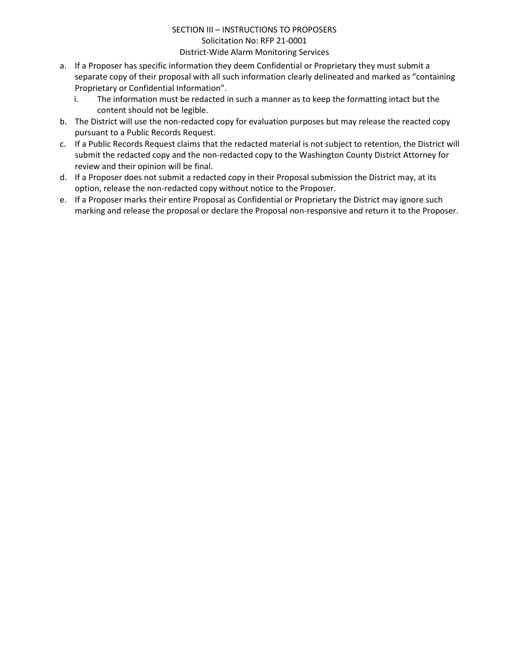- a. If a Proposer has specific information they deem Confidential or Proprietary they must submit a separate copy of their proposal with all such information clearly delineated and marked as "containing Proprietary or Confidential Information".
	- i. The information must be redacted in such a manner as to keep the formatting intact but the content should not be legible.
- b. The District will use the non-redacted copy for evaluation purposes but may release the reacted copy pursuant to a Public Records Request.
- c. If a Public Records Request claims that the redacted material is not subject to retention, the District will submit the redacted copy and the non-redacted copy to the Washington County District Attorney for review and their opinion will be final.
- d. If a Proposer does not submit a redacted copy in their Proposal submission the District may, at its option, release the non-redacted copy without notice to the Proposer.
- e. If a Proposer marks their entire Proposal as Confidential or Proprietary the District may ignore such marking and release the proposal or declare the Proposal non-responsive and return it to the Proposer.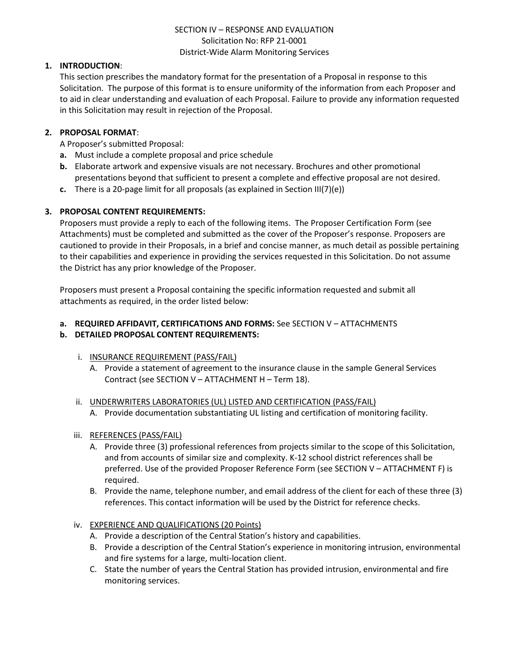## SECTION IV – RESPONSE AND EVALUATION Solicitation No: RFP 21-0001 District-Wide Alarm Monitoring Services

#### **1. INTRODUCTION**:

This section prescribes the mandatory format for the presentation of a Proposal in response to this Solicitation. The purpose of this format is to ensure uniformity of the information from each Proposer and to aid in clear understanding and evaluation of each Proposal. Failure to provide any information requested in this Solicitation may result in rejection of the Proposal.

#### **2. PROPOSAL FORMAT**:

A Proposer's submitted Proposal:

- **a.** Must include a complete proposal and price schedule
- **b.** Elaborate artwork and expensive visuals are not necessary. Brochures and other promotional presentations beyond that sufficient to present a complete and effective proposal are not desired.
- **c.** There is a 20-page limit for all proposals (as explained in Section III(7)(e))

#### **3. PROPOSAL CONTENT REQUIREMENTS:**

Proposers must provide a reply to each of the following items. The Proposer Certification Form (see Attachments) must be completed and submitted as the cover of the Proposer's response. Proposers are cautioned to provide in their Proposals, in a brief and concise manner, as much detail as possible pertaining to their capabilities and experience in providing the services requested in this Solicitation. Do not assume the District has any prior knowledge of the Proposer.

Proposers must present a Proposal containing the specific information requested and submit all attachments as required, in the order listed below:

## **a. REQUIRED AFFIDAVIT, CERTIFICATIONS AND FORMS:** See SECTION V – ATTACHMENTS

## **b. DETAILED PROPOSAL CONTENT REQUIREMENTS:**

- i. INSURANCE REQUIREMENT (PASS/FAIL)
	- A. Provide a statement of agreement to the insurance clause in the sample General Services Contract (see SECTION V – ATTACHMENT H – Term 18).
- ii. UNDERWRITERS LABORATORIES (UL) LISTED AND CERTIFICATION (PASS/FAIL)
	- A. Provide documentation substantiating UL listing and certification of monitoring facility.

#### iii. REFERENCES (PASS/FAIL)

- A. Provide three (3) professional references from projects similar to the scope of this Solicitation, and from accounts of similar size and complexity. K-12 school district references shall be preferred. Use of the provided Proposer Reference Form (see SECTION V – ATTACHMENT F) is required.
- B. Provide the name, telephone number, and email address of the client for each of these three (3) references. This contact information will be used by the District for reference checks.

## iv. EXPERIENCE AND QUALIFICATIONS (20 Points)

- A. Provide a description of the Central Station's history and capabilities.
- B. Provide a description of the Central Station's experience in monitoring intrusion, environmental and fire systems for a large, multi-location client.
- C. State the number of years the Central Station has provided intrusion, environmental and fire monitoring services.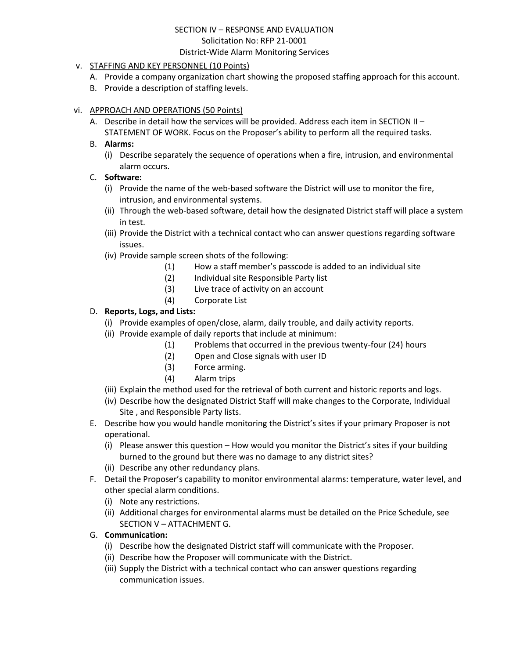## SECTION IV – RESPONSE AND EVALUATION Solicitation No: RFP 21-0001

#### District-Wide Alarm Monitoring Services

## v. STAFFING AND KEY PERSONNEL (10 Points)

- A. Provide a company organization chart showing the proposed staffing approach for this account.
- B. Provide a description of staffing levels.

## vi. APPROACH AND OPERATIONS (50 Points)

A. Describe in detail how the services will be provided. Address each item in SECTION II – STATEMENT OF WORK. Focus on the Proposer's ability to perform all the required tasks.

## B. **Alarms:**

(i) Describe separately the sequence of operations when a fire, intrusion, and environmental alarm occurs.

## C. **Software:**

- (i) Provide the name of the web-based software the District will use to monitor the fire, intrusion, and environmental systems.
- (ii) Through the web-based software, detail how the designated District staff will place a system in test.
- (iii) Provide the District with a technical contact who can answer questions regarding software issues.
- (iv) Provide sample screen shots of the following:
	- (1) How a staff member's passcode is added to an individual site
	- (2) Individual site Responsible Party list
	- (3) Live trace of activity on an account
	- (4) Corporate List

## D. **Reports, Logs, and Lists:**

- (i) Provide examples of open/close, alarm, daily trouble, and daily activity reports.
- (ii) Provide example of daily reports that include at minimum:
	- (1) Problems that occurred in the previous twenty-four (24) hours
	- (2) Open and Close signals with user ID
	- (3) Force arming.
	- (4) Alarm trips
- (iii) Explain the method used for the retrieval of both current and historic reports and logs.
- (iv) Describe how the designated District Staff will make changes to the Corporate, Individual Site , and Responsible Party lists.
- E. Describe how you would handle monitoring the District's sites if your primary Proposer is not operational.
	- (i) Please answer this question How would you monitor the District's sites if your building burned to the ground but there was no damage to any district sites?
	- (ii) Describe any other redundancy plans.
- F. Detail the Proposer's capability to monitor environmental alarms: temperature, water level, and other special alarm conditions.
	- (i) Note any restrictions.
	- (ii) Additional charges for environmental alarms must be detailed on the Price Schedule, see SECTION V – ATTACHMENT G.

## G. **Communication:**

- (i) Describe how the designated District staff will communicate with the Proposer.
- (ii) Describe how the Proposer will communicate with the District.
- (iii) Supply the District with a technical contact who can answer questions regarding communication issues.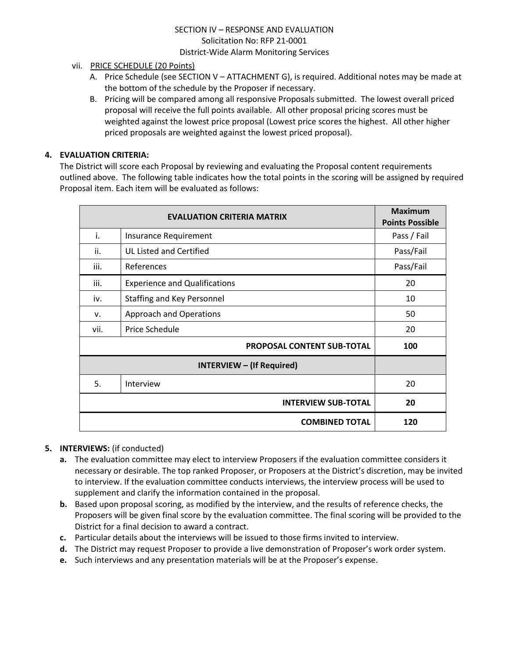## SECTION IV – RESPONSE AND EVALUATION Solicitation No: RFP 21-0001 District-Wide Alarm Monitoring Services

## vii. PRICE SCHEDULE (20 Points)

- A. Price Schedule (see SECTION V ATTACHMENT G), is required. Additional notes may be made at the bottom of the schedule by the Proposer if necessary.
- B. Pricing will be compared among all responsive Proposals submitted. The lowest overall priced proposal will receive the full points available. All other proposal pricing scores must be weighted against the lowest price proposal (Lowest price scores the highest. All other higher priced proposals are weighted against the lowest priced proposal).

## **4. EVALUATION CRITERIA:**

The District will score each Proposal by reviewing and evaluating the Proposal content requirements outlined above. The following table indicates how the total points in the scoring will be assigned by required Proposal item. Each item will be evaluated as follows:

| <b>EVALUATION CRITERIA MATRIX</b> |                                      | <b>Maximum</b><br><b>Points Possible</b> |
|-----------------------------------|--------------------------------------|------------------------------------------|
| i.                                | Insurance Requirement                | Pass / Fail                              |
| ii.                               | <b>UL Listed and Certified</b>       | Pass/Fail                                |
| iii.                              | References                           | Pass/Fail                                |
| iii.                              | <b>Experience and Qualifications</b> | 20                                       |
| iv.                               | Staffing and Key Personnel           | 10                                       |
| v.                                | Approach and Operations              | 50                                       |
| vii.                              | Price Schedule                       | 20                                       |
|                                   | PROPOSAL CONTENT SUB-TOTAL           | 100                                      |
|                                   |                                      |                                          |
| 5.                                | Interview                            | 20                                       |
|                                   | <b>INTERVIEW SUB-TOTAL</b>           | 20                                       |
|                                   | <b>COMBINED TOTAL</b>                | 120                                      |

## **5. INTERVIEWS:** (if conducted)

- **a.** The evaluation committee may elect to interview Proposers if the evaluation committee considers it necessary or desirable. The top ranked Proposer, or Proposers at the District's discretion, may be invited to interview. If the evaluation committee conducts interviews, the interview process will be used to supplement and clarify the information contained in the proposal.
- **b.** Based upon proposal scoring, as modified by the interview, and the results of reference checks, the Proposers will be given final score by the evaluation committee. The final scoring will be provided to the District for a final decision to award a contract.
- **c.** Particular details about the interviews will be issued to those firms invited to interview.
- **d.** The District may request Proposer to provide a live demonstration of Proposer's work order system.
- **e.** Such interviews and any presentation materials will be at the Proposer's expense.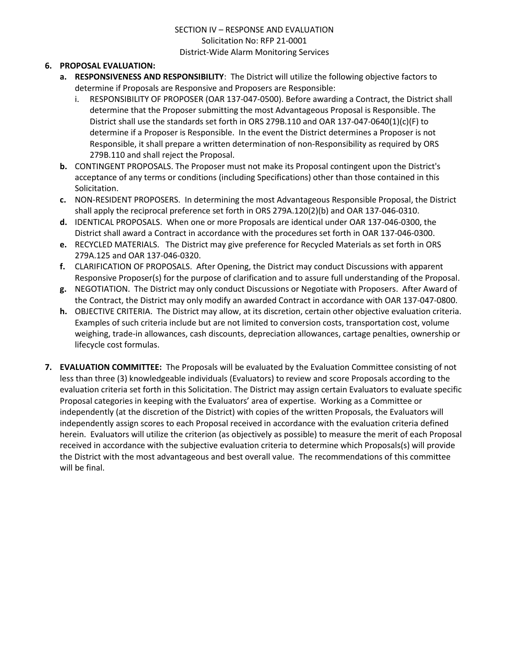## SECTION IV – RESPONSE AND EVALUATION Solicitation No: RFP 21-0001 District-Wide Alarm Monitoring Services

## **6. PROPOSAL EVALUATION:**

- **a. RESPONSIVENESS AND RESPONSIBILITY**: The District will utilize the following objective factors to determine if Proposals are Responsive and Proposers are Responsible:
	- i. RESPONSIBILITY OF PROPOSER (OAR 137-047-0500). Before awarding a Contract, the District shall determine that the Proposer submitting the most Advantageous Proposal is Responsible. The District shall use the standards set forth in ORS 279B.110 and OAR 137-047-0640(1)(c)(F) to determine if a Proposer is Responsible. In the event the District determines a Proposer is not Responsible, it shall prepare a written determination of non-Responsibility as required by ORS 279B.110 and shall reject the Proposal.
- **b.** CONTINGENT PROPOSALS. The Proposer must not make its Proposal contingent upon the District's acceptance of any terms or conditions (including Specifications) other than those contained in this Solicitation.
- **c.** NON-RESIDENT PROPOSERS. In determining the most Advantageous Responsible Proposal, the District shall apply the reciprocal preference set forth in ORS 279A.120(2)(b) and OAR 137-046-0310.
- **d.** IDENTICAL PROPOSALS. When one or more Proposals are identical under OAR 137-046-0300, the District shall award a Contract in accordance with the procedures set forth in OAR 137-046-0300.
- **e.** RECYCLED MATERIALS. The District may give preference for Recycled Materials as set forth in ORS 279A.125 and OAR 137-046-0320.
- **f.** CLARIFICATION OF PROPOSALS. After Opening, the District may conduct Discussions with apparent Responsive Proposer(s) for the purpose of clarification and to assure full understanding of the Proposal.
- **g.** NEGOTIATION. The District may only conduct Discussions or Negotiate with Proposers. After Award of the Contract, the District may only modify an awarded Contract in accordance with OAR 137-047-0800.
- **h.** OBJECTIVE CRITERIA. The District may allow, at its discretion, certain other objective evaluation criteria. Examples of such criteria include but are not limited to conversion costs, transportation cost, volume weighing, trade-in allowances, cash discounts, depreciation allowances, cartage penalties, ownership or lifecycle cost formulas.
- **7. EVALUATION COMMITTEE:** The Proposals will be evaluated by the Evaluation Committee consisting of not less than three (3) knowledgeable individuals (Evaluators) to review and score Proposals according to the evaluation criteria set forth in this Solicitation. The District may assign certain Evaluators to evaluate specific Proposal categories in keeping with the Evaluators' area of expertise. Working as a Committee or independently (at the discretion of the District) with copies of the written Proposals, the Evaluators will independently assign scores to each Proposal received in accordance with the evaluation criteria defined herein. Evaluators will utilize the criterion (as objectively as possible) to measure the merit of each Proposal received in accordance with the subjective evaluation criteria to determine which Proposals(s) will provide the District with the most advantageous and best overall value. The recommendations of this committee will be final.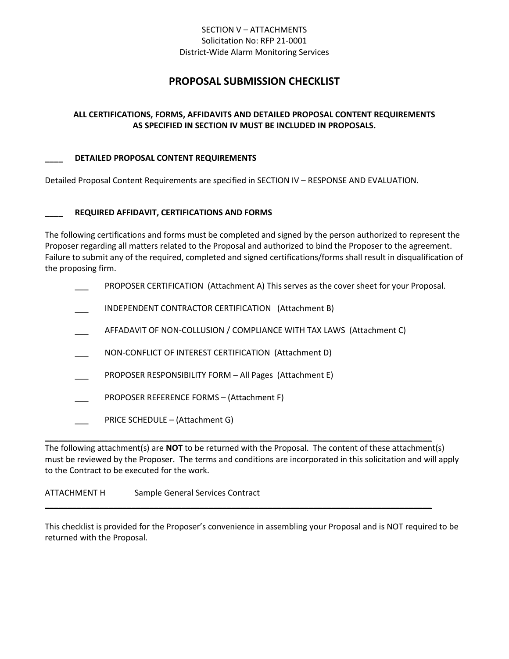## SECTION V – ATTACHMENTS Solicitation No: RFP 21-0001 District-Wide Alarm Monitoring Services

# **PROPOSAL SUBMISSION CHECKLIST**

## **ALL CERTIFICATIONS, FORMS, AFFIDAVITS AND DETAILED PROPOSAL CONTENT REQUIREMENTS AS SPECIFIED IN SECTION IV MUST BE INCLUDED IN PROPOSALS.**

#### **\_\_\_\_ DETAILED PROPOSAL CONTENT REQUIREMENTS**

Detailed Proposal Content Requirements are specified in SECTION IV – RESPONSE AND EVALUATION.

#### **\_\_\_\_ REQUIRED AFFIDAVIT, CERTIFICATIONS AND FORMS**

The following certifications and forms must be completed and signed by the person authorized to represent the Proposer regarding all matters related to the Proposal and authorized to bind the Proposer to the agreement. Failure to submit any of the required, completed and signed certifications/forms shall result in disqualification of the proposing firm.

- PROPOSER CERTIFICATION (Attachment A) This serves as the cover sheet for your Proposal.
- INDEPENDENT CONTRACTOR CERTIFICATION (Attachment B)
- AFFADAVIT OF NON-COLLUSION / COMPLIANCE WITH TAX LAWS (Attachment C)
- NON-CONFLICT OF INTEREST CERTIFICATION (Attachment D)
- PROPOSER RESPONSIBILITY FORM All Pages (Attachment E)
- PROPOSER REFERENCE FORMS (Attachment F)
- PRICE SCHEDULE (Attachment G)

The following attachment(s) are **NOT** to be returned with the Proposal. The content of these attachment(s) must be reviewed by the Proposer. The terms and conditions are incorporated in this solicitation and will apply to the Contract to be executed for the work.

**\_\_\_\_\_\_\_\_\_\_\_\_\_\_\_\_\_\_\_\_\_\_\_\_\_\_\_\_\_\_\_\_\_\_\_\_\_\_\_\_\_\_\_\_\_\_\_\_\_\_\_\_\_\_\_\_\_\_\_\_\_\_\_\_\_\_\_\_\_\_\_\_\_\_\_\_\_\_\_\_\_\_\_\_\_**

**\_\_\_\_\_\_\_\_\_\_\_\_\_\_\_\_\_\_\_\_\_\_\_\_\_\_\_\_\_\_\_\_\_\_\_\_\_\_\_\_\_\_\_\_\_\_\_\_\_\_\_\_\_\_\_\_\_\_\_\_\_\_\_\_\_\_\_\_\_\_\_\_\_\_\_\_\_\_\_\_\_\_\_\_\_**

#### ATTACHMENT H Sample General Services Contract

This checklist is provided for the Proposer's convenience in assembling your Proposal and is NOT required to be returned with the Proposal.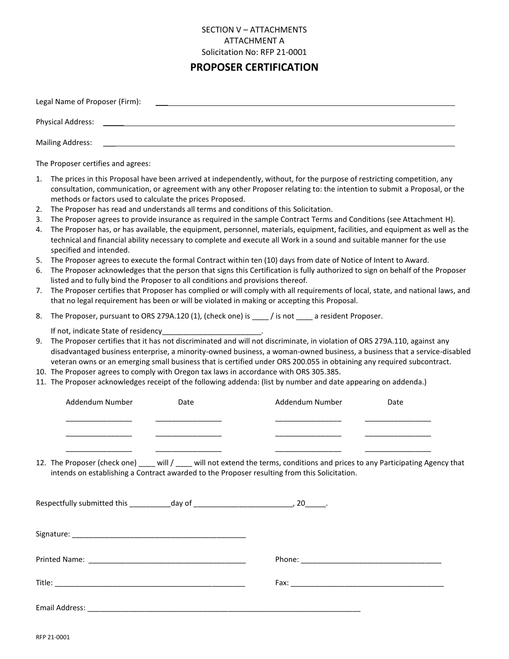# **PROPOSER CERTIFICATION**

|                                        | Legal Name of Proposer (Firm):                                                                                                                                          |      |                                                                                                                                                                                                                                                                                                                                                                                                                                                                                                                                                                                                                                                                                                                                                                                                                                                                                                                                                                                                                                                                                                                                                                                                                      |      |  |
|----------------------------------------|-------------------------------------------------------------------------------------------------------------------------------------------------------------------------|------|----------------------------------------------------------------------------------------------------------------------------------------------------------------------------------------------------------------------------------------------------------------------------------------------------------------------------------------------------------------------------------------------------------------------------------------------------------------------------------------------------------------------------------------------------------------------------------------------------------------------------------------------------------------------------------------------------------------------------------------------------------------------------------------------------------------------------------------------------------------------------------------------------------------------------------------------------------------------------------------------------------------------------------------------------------------------------------------------------------------------------------------------------------------------------------------------------------------------|------|--|
|                                        | <b>Physical Address:</b>                                                                                                                                                |      |                                                                                                                                                                                                                                                                                                                                                                                                                                                                                                                                                                                                                                                                                                                                                                                                                                                                                                                                                                                                                                                                                                                                                                                                                      |      |  |
|                                        | <b>Mailing Address:</b>                                                                                                                                                 |      |                                                                                                                                                                                                                                                                                                                                                                                                                                                                                                                                                                                                                                                                                                                                                                                                                                                                                                                                                                                                                                                                                                                                                                                                                      |      |  |
|                                        | The Proposer certifies and agrees:                                                                                                                                      |      |                                                                                                                                                                                                                                                                                                                                                                                                                                                                                                                                                                                                                                                                                                                                                                                                                                                                                                                                                                                                                                                                                                                                                                                                                      |      |  |
| 1.<br>2.<br>3.<br>4.<br>5.<br>6.<br>7. | methods or factors used to calculate the prices Proposed.<br>specified and intended.<br>listed and to fully bind the Proposer to all conditions and provisions thereof. |      | The prices in this Proposal have been arrived at independently, without, for the purpose of restricting competition, any<br>consultation, communication, or agreement with any other Proposer relating to: the intention to submit a Proposal, or the<br>The Proposer has read and understands all terms and conditions of this Solicitation.<br>The Proposer agrees to provide insurance as required in the sample Contract Terms and Conditions (see Attachment H).<br>The Proposer has, or has available, the equipment, personnel, materials, equipment, facilities, and equipment as well as the<br>technical and financial ability necessary to complete and execute all Work in a sound and suitable manner for the use<br>The Proposer agrees to execute the formal Contract within ten (10) days from date of Notice of Intent to Award.<br>The Proposer acknowledges that the person that signs this Certification is fully authorized to sign on behalf of the Proposer<br>The Proposer certifies that Proposer has complied or will comply with all requirements of local, state, and national laws, and<br>that no legal requirement has been or will be violated in making or accepting this Proposal. |      |  |
| 8.                                     |                                                                                                                                                                         |      | The Proposer, pursuant to ORS 279A.120 (1), (check one) is ______/ is not _____ a resident Proposer.                                                                                                                                                                                                                                                                                                                                                                                                                                                                                                                                                                                                                                                                                                                                                                                                                                                                                                                                                                                                                                                                                                                 |      |  |
| 9.                                     | If not, indicate State of residency_                                                                                                                                    |      | The Proposer certifies that it has not discriminated and will not discriminate, in violation of ORS 279A.110, against any<br>disadvantaged business enterprise, a minority-owned business, a woman-owned business, a business that a service-disabled<br>veteran owns or an emerging small business that is certified under ORS 200.055 in obtaining any required subcontract.<br>10. The Proposer agrees to comply with Oregon tax laws in accordance with ORS 305.385.<br>11. The Proposer acknowledges receipt of the following addenda: (list by number and date appearing on addenda.)                                                                                                                                                                                                                                                                                                                                                                                                                                                                                                                                                                                                                          |      |  |
|                                        | Addendum Number                                                                                                                                                         | Date | Addendum Number                                                                                                                                                                                                                                                                                                                                                                                                                                                                                                                                                                                                                                                                                                                                                                                                                                                                                                                                                                                                                                                                                                                                                                                                      | Date |  |
|                                        |                                                                                                                                                                         |      | 12. The Proposer (check one) ___ will / ___ will not extend the terms, conditions and prices to any Participating Agency that<br>intends on establishing a Contract awarded to the Proposer resulting from this Solicitation.                                                                                                                                                                                                                                                                                                                                                                                                                                                                                                                                                                                                                                                                                                                                                                                                                                                                                                                                                                                        |      |  |
|                                        | Respectfully submitted this _____________ day of ________________________________, 20______.                                                                            |      |                                                                                                                                                                                                                                                                                                                                                                                                                                                                                                                                                                                                                                                                                                                                                                                                                                                                                                                                                                                                                                                                                                                                                                                                                      |      |  |
|                                        |                                                                                                                                                                         |      |                                                                                                                                                                                                                                                                                                                                                                                                                                                                                                                                                                                                                                                                                                                                                                                                                                                                                                                                                                                                                                                                                                                                                                                                                      |      |  |
|                                        |                                                                                                                                                                         |      |                                                                                                                                                                                                                                                                                                                                                                                                                                                                                                                                                                                                                                                                                                                                                                                                                                                                                                                                                                                                                                                                                                                                                                                                                      |      |  |
|                                        |                                                                                                                                                                         |      |                                                                                                                                                                                                                                                                                                                                                                                                                                                                                                                                                                                                                                                                                                                                                                                                                                                                                                                                                                                                                                                                                                                                                                                                                      |      |  |
|                                        |                                                                                                                                                                         |      |                                                                                                                                                                                                                                                                                                                                                                                                                                                                                                                                                                                                                                                                                                                                                                                                                                                                                                                                                                                                                                                                                                                                                                                                                      |      |  |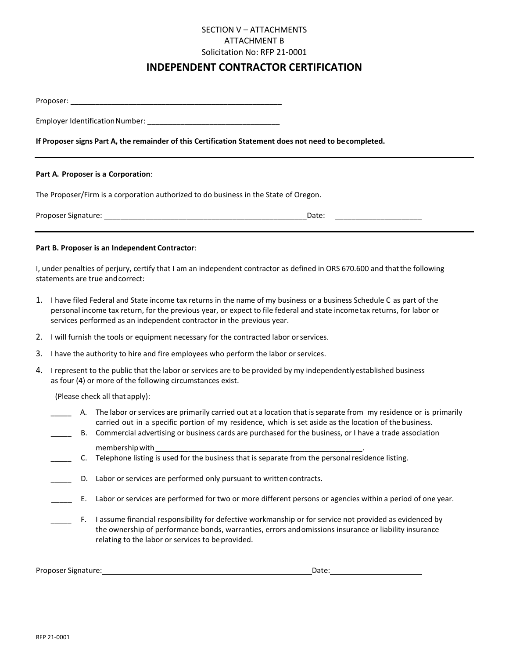# **INDEPENDENT CONTRACTOR CERTIFICATION**

Proposer:

Employer Identification Number: **Employer** Identification Number:

#### **If Proposer signs Part A, the remainder of this Certification Statement does not need to becompleted.**

#### **Part A. Proposer is a Corporation**:

The Proposer/Firm is a corporation authorized to do business in the State of Oregon.

Proposer Signature: \_\_\_\_\_\_\_\_\_\_\_\_\_\_\_\_\_\_\_\_\_\_\_\_\_\_\_\_\_\_\_\_\_\_\_\_\_\_\_\_\_\_\_\_\_\_\_\_\_Date: \_\_\_\_\_\_\_\_\_\_\_\_\_\_\_\_\_\_\_\_\_

#### **Part B. Proposer is an Independent Contractor**:

I, under penalties of perjury, certify that I am an independent contractor as defined in ORS 670.600 and thatthe following statements are true andcorrect:

- 1. I have filed Federal and State income tax returns in the name of my business or a business Schedule C as part of the personal income tax return, for the previous year, or expect to file federal and state incometax returns, for labor or services performed as an independent contractor in the previous year.
- 2. I will furnish the tools or equipment necessary for the contracted labor orservices.
- 3. I have the authority to hire and fire employees who perform the labor or services.
- 4. I represent to the public that the labor or services are to be provided by my independentlyestablished business as four (4) or more of the following circumstances exist.

(Please check all that apply):

|  | A. The labor or services are primarily carried out at a location that is separate from my residence or is primarily |
|--|---------------------------------------------------------------------------------------------------------------------|
|  | carried out in a specific portion of my residence, which is set aside as the location of the business.              |

- B. Commercial advertising or business cards are purchased for the business, or I have a trade association membership with
- \_\_\_\_\_ C. Telephone listing is used for the business that is separate from the personalresidence listing.
- D. Labor or services are performed only pursuant to written contracts.
- \_\_\_\_\_ E. Labor or services are performed for two or more different persons or agencies within a period of one year.
	- F. I assume financial responsibility for defective workmanship or for service not provided as evidenced by the ownership of performance bonds, warranties, errors andomissions insurance or liability insurance relating to the labor or services to be provided.

Proposer Signature: \_\_\_\_\_\_\_\_\_\_\_\_\_\_\_\_\_\_\_\_\_\_\_\_\_\_\_\_\_\_\_\_\_\_\_\_\_\_\_\_\_\_\_\_\_Date: \_\_\_\_\_\_\_\_\_\_\_\_\_\_\_\_\_\_\_\_\_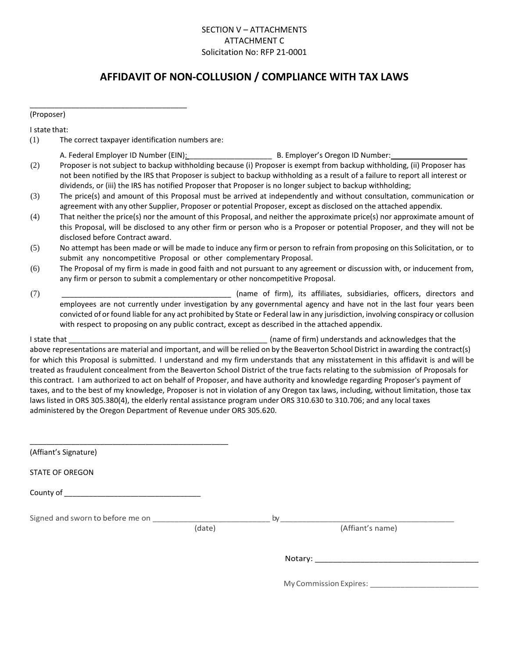# **AFFIDAVIT OF NON-COLLUSION / COMPLIANCE WITH TAX LAWS**

(Proposer)

I state that:

(1) The correct taxpayer identification numbers are:

\_\_\_\_\_\_\_\_\_\_\_\_\_\_\_\_\_\_\_\_\_\_\_\_\_\_\_\_\_\_\_\_\_\_\_\_\_\_

|     | A. Federal Employer ID Number (EIN):                                                                                           | B. Employer's Oregon ID Number: |
|-----|--------------------------------------------------------------------------------------------------------------------------------|---------------------------------|
| (2) | Proposer is not subject to backup withholding because (i) Proposer is exempt from backup withholding, (ii) Proposer has        |                                 |
|     | not been notified by the IRS that Proposer is subject to backup withholding as a result of a failure to report all interest or |                                 |
|     | dividends, or (iii) the IRS has notified Proposer that Proposer is no longer subject to backup withholding;                    |                                 |

- (3) The price(s) and amount of this Proposal must be arrived at independently and without consultation, communication or agreement with any other Supplier, Proposer or potential Proposer, except as disclosed on the attached appendix.
- (4) That neither the price(s) nor the amount of this Proposal, and neither the approximate price(s) nor approximate amount of this Proposal, will be disclosed to any other firm or person who is a Proposer or potential Proposer, and they will not be disclosed before Contract award.
- (5) No attempt has been made or will be made to induce any firm or person to refrain from proposing on this Solicitation, or to submit any noncompetitive Proposal or other complementary Proposal.
- (6) The Proposal of my firm is made in good faith and not pursuant to any agreement or discussion with, or inducement from, any firm or person to submit a complementary or other noncompetitive Proposal.
- (7) \_\_\_\_\_\_\_\_\_\_\_\_\_\_\_\_\_\_\_\_\_\_\_\_\_\_\_\_\_\_\_\_\_\_\_\_\_\_\_\_\_ (name of firm), its affiliates, subsidiaries, officers, directors and employees are not currently under investigation by any governmental agency and have not in the last four years been convicted of orfound liable for any act prohibited by State or Federal law in any jurisdiction, involving conspiracy or collusion with respect to proposing on any public contract, except as described in the attached appendix.

I state that \_\_\_\_\_\_\_\_\_\_\_\_\_\_\_\_\_\_\_\_\_\_\_\_\_\_\_\_\_\_\_\_\_\_\_\_\_\_\_\_\_\_\_\_\_\_\_\_ (name of firm) understands and acknowledges that the above representations are material and important, and will be relied on by the Beaverton School District in awarding the contract(s) for which this Proposal is submitted. I understand and my firm understands that any misstatement in this affidavit is and will be treated as fraudulent concealment from the Beaverton School District of the true facts relating to the submission of Proposals for this contract. I am authorized to act on behalf of Proposer, and have authority and knowledge regarding Proposer's payment of taxes, and to the best of my knowledge, Proposer is not in violation of any Oregon tax laws, including, without limitation, those tax laws listed in ORS 305.380(4), the elderly rental assistance program under ORS 310.630 to 310.706; and any local taxes administered by the Oregon Department of Revenue under ORS 305.620.

| (Affiant's Signature)  |        |                        |  |
|------------------------|--------|------------------------|--|
| <b>STATE OF OREGON</b> |        |                        |  |
|                        |        |                        |  |
|                        | (date) | (Affiant's name)       |  |
|                        |        |                        |  |
|                        |        | My Commission Expires: |  |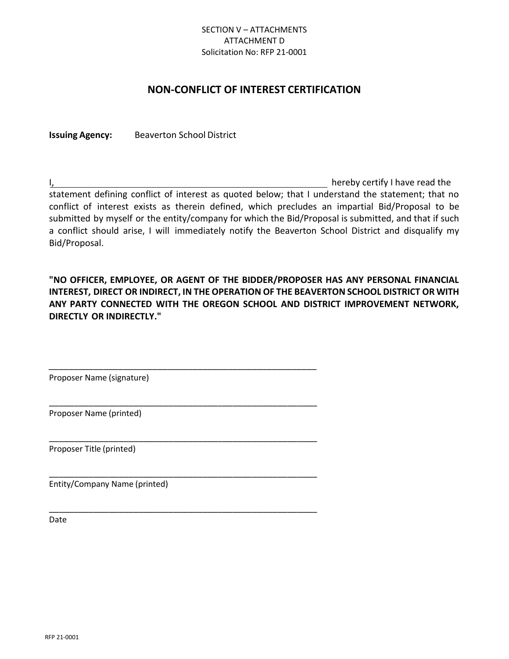# **NON-CONFLICT OF INTEREST CERTIFICATION**

**Issuing Agency:** Beaverton School District

I, hereby certify I have read the statement defining conflict of interest as quoted below; that I understand the statement; that no conflict of interest exists as therein defined, which precludes an impartial Bid/Proposal to be submitted by myself or the entity/company for which the Bid/Proposal is submitted, and that if such a conflict should arise, I will immediately notify the Beaverton School District and disqualify my Bid/Proposal.

**"NO OFFICER, EMPLOYEE, OR AGENT OF THE BIDDER/PROPOSER HAS ANY PERSONAL FINANCIAL INTEREST, DIRECT OR INDIRECT, IN THE OPERATION OF THE BEAVERTON SCHOOL DISTRICT OR WITH ANY PARTY CONNECTED WITH THE OREGON SCHOOL AND DISTRICT IMPROVEMENT NETWORK, DIRECTLY OR INDIRECTLY."**

Proposer Name (signature)

\_\_\_\_\_\_\_\_\_\_\_\_\_\_\_\_\_\_\_\_\_\_\_\_\_\_\_\_\_\_\_\_\_\_\_\_\_\_\_\_\_\_\_\_\_\_\_\_\_\_\_\_\_\_

\_\_\_\_\_\_\_\_\_\_\_\_\_\_\_\_\_\_\_\_\_\_\_\_\_\_\_\_\_\_\_\_\_\_\_\_\_\_\_\_\_\_\_\_\_\_\_\_\_\_\_\_\_\_

\_\_\_\_\_\_\_\_\_\_\_\_\_\_\_\_\_\_\_\_\_\_\_\_\_\_\_\_\_\_\_\_\_\_\_\_\_\_\_\_\_\_\_\_\_\_\_\_\_\_\_\_\_\_

\_\_\_\_\_\_\_\_\_\_\_\_\_\_\_\_\_\_\_\_\_\_\_\_\_\_\_\_\_\_\_\_\_\_\_\_\_\_\_\_\_\_\_\_\_\_\_\_\_\_\_\_\_\_

\_\_\_\_\_\_\_\_\_\_\_\_\_\_\_\_\_\_\_\_\_\_\_\_\_\_\_\_\_\_\_\_\_\_\_\_\_\_\_\_\_\_\_\_\_\_\_\_\_\_\_\_\_\_

Proposer Name (printed)

Proposer Title (printed)

Entity/Company Name (printed)

Date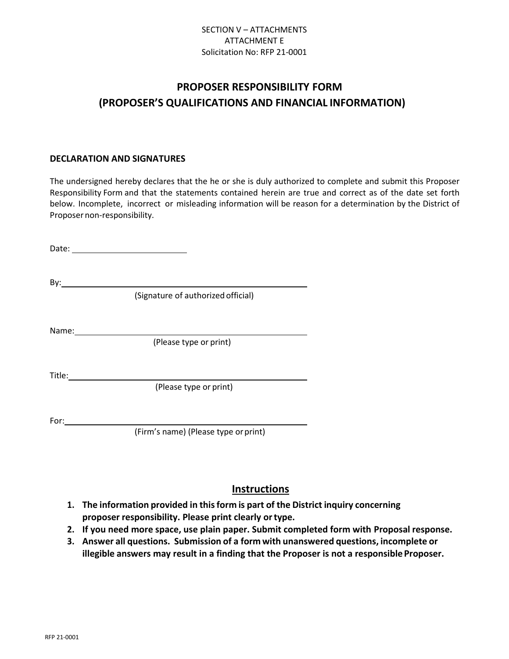# **PROPOSER RESPONSIBILITY FORM (PROPOSER'S QUALIFICATIONS AND FINANCIAL INFORMATION)**

#### **DECLARATION AND SIGNATURES**

The undersigned hereby declares that the he or she is duly authorized to complete and submit this Proposer Responsibility Form and that the statements contained herein are true and correct as of the date set forth below. Incomplete, incorrect or misleading information will be reason for a determination by the District of Proposer non-responsibility.

Date: By: (Signature of authorized official) Name: (Please type or print) Title: The contract of the contract of the contract of the contract of the contract of the contract of the contract of the contract of the contract of the contract of the contract of the contract of the contract of the con (Please type or print) For:

(Firm's name) (Please type orprint)

# **Instructions**

- **1. The information provided in thisform is part of the District inquiry concerning proposer responsibility. Please print clearly ortype.**
- **2. If you need more space, use plain paper. Submit completed form with Proposal response.**
- **3. Answer all questions. Submission of a form with unanswered questions, incomplete or illegible** answers may result in a finding that the Proposer is not a responsible Proposer.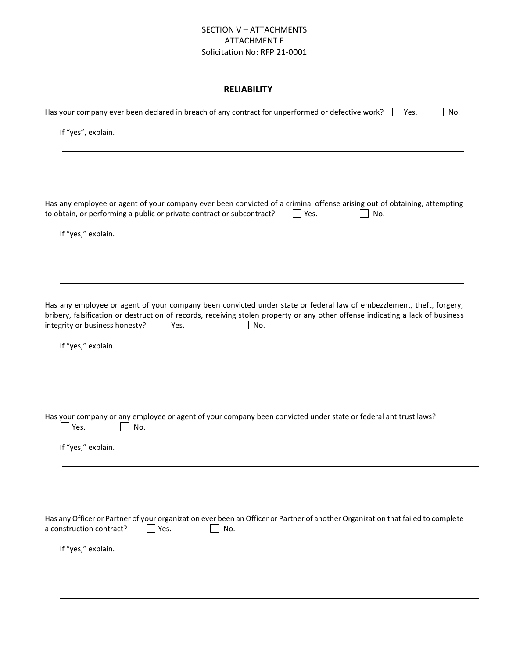#### **RELIABILITY**

| Has your company ever been declared in breach of any contract for unperformed or defective work? $\Box$ Yes.<br>No.                                                                                                                                                                                            |
|----------------------------------------------------------------------------------------------------------------------------------------------------------------------------------------------------------------------------------------------------------------------------------------------------------------|
| If "yes", explain.                                                                                                                                                                                                                                                                                             |
|                                                                                                                                                                                                                                                                                                                |
|                                                                                                                                                                                                                                                                                                                |
|                                                                                                                                                                                                                                                                                                                |
| Has any employee or agent of your company ever been convicted of a criminal offense arising out of obtaining, attempting<br>to obtain, or performing a public or private contract or subcontract?<br>Yes.<br>No.                                                                                               |
| If "yes," explain.                                                                                                                                                                                                                                                                                             |
|                                                                                                                                                                                                                                                                                                                |
|                                                                                                                                                                                                                                                                                                                |
|                                                                                                                                                                                                                                                                                                                |
| Has any employee or agent of your company been convicted under state or federal law of embezzlement, theft, forgery,<br>bribery, falsification or destruction of records, receiving stolen property or any other offense indicating a lack of business<br>integrity or business honesty?<br>$\Box$ Yes.<br>No. |
| If "yes," explain.                                                                                                                                                                                                                                                                                             |
|                                                                                                                                                                                                                                                                                                                |
|                                                                                                                                                                                                                                                                                                                |
|                                                                                                                                                                                                                                                                                                                |
| Has your company or any employee or agent of your company been convicted under state or federal antitrust laws?<br>$\Box$ Yes.<br>No.                                                                                                                                                                          |
| If "yes," explain.                                                                                                                                                                                                                                                                                             |
|                                                                                                                                                                                                                                                                                                                |
|                                                                                                                                                                                                                                                                                                                |
|                                                                                                                                                                                                                                                                                                                |
| Has any Officer or Partner of your organization ever been an Officer or Partner of another Organization that failed to complete<br>Yes.<br>a construction contract?<br>No.                                                                                                                                     |
| If "yes," explain.                                                                                                                                                                                                                                                                                             |
|                                                                                                                                                                                                                                                                                                                |
|                                                                                                                                                                                                                                                                                                                |
|                                                                                                                                                                                                                                                                                                                |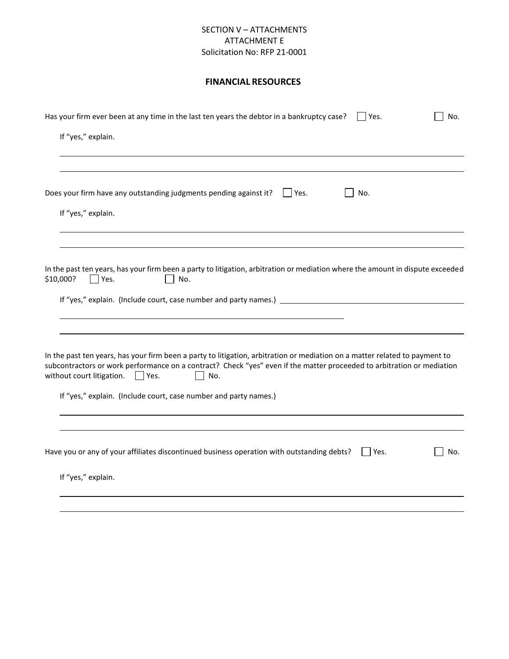## **FINANCIAL RESOURCES**

| If "yes," explain.<br>Does your firm have any outstanding judgments pending against it?<br>$ $   Yes.<br>No.<br>If "yes," explain.<br>In the past ten years, has your firm been a party to litigation, arbitration or mediation where the amount in dispute exceeded<br>\$10,000?<br>$ $ Yes.<br>No.<br>If "yes," explain. (Include court, case number and party names.) ___________________________________<br>In the past ten years, has your firm been a party to litigation, arbitration or mediation on a matter related to payment to<br>subcontractors or work performance on a contract? Check "yes" even if the matter proceeded to arbitration or mediation<br>without court litigation. $\Box$ Yes.<br>No.<br>If "yes," explain. (Include court, case number and party names.) |
|-------------------------------------------------------------------------------------------------------------------------------------------------------------------------------------------------------------------------------------------------------------------------------------------------------------------------------------------------------------------------------------------------------------------------------------------------------------------------------------------------------------------------------------------------------------------------------------------------------------------------------------------------------------------------------------------------------------------------------------------------------------------------------------------|
|                                                                                                                                                                                                                                                                                                                                                                                                                                                                                                                                                                                                                                                                                                                                                                                           |
|                                                                                                                                                                                                                                                                                                                                                                                                                                                                                                                                                                                                                                                                                                                                                                                           |
|                                                                                                                                                                                                                                                                                                                                                                                                                                                                                                                                                                                                                                                                                                                                                                                           |
|                                                                                                                                                                                                                                                                                                                                                                                                                                                                                                                                                                                                                                                                                                                                                                                           |
|                                                                                                                                                                                                                                                                                                                                                                                                                                                                                                                                                                                                                                                                                                                                                                                           |
|                                                                                                                                                                                                                                                                                                                                                                                                                                                                                                                                                                                                                                                                                                                                                                                           |
|                                                                                                                                                                                                                                                                                                                                                                                                                                                                                                                                                                                                                                                                                                                                                                                           |
|                                                                                                                                                                                                                                                                                                                                                                                                                                                                                                                                                                                                                                                                                                                                                                                           |
|                                                                                                                                                                                                                                                                                                                                                                                                                                                                                                                                                                                                                                                                                                                                                                                           |
|                                                                                                                                                                                                                                                                                                                                                                                                                                                                                                                                                                                                                                                                                                                                                                                           |
|                                                                                                                                                                                                                                                                                                                                                                                                                                                                                                                                                                                                                                                                                                                                                                                           |
| Have you or any of your affiliates discontinued business operation with outstanding debts?<br>$\vert$   Yes.<br>No.                                                                                                                                                                                                                                                                                                                                                                                                                                                                                                                                                                                                                                                                       |
| If "yes," explain.                                                                                                                                                                                                                                                                                                                                                                                                                                                                                                                                                                                                                                                                                                                                                                        |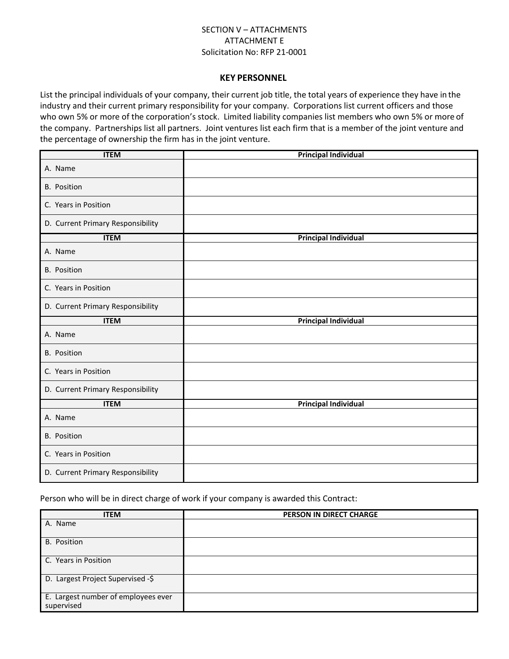#### **KEY PERSONNEL**

List the principal individuals of your company, their current job title, the total years of experience they have in the industry and their current primary responsibility for your company. Corporations list current officers and those who own 5% or more of the corporation's stock. Limited liability companies list members who own 5% or more of the company. Partnerships list all partners. Joint ventures list each firm that is a member of the joint venture and the percentage of ownership the firm has in the joint venture.

| <b>ITEM</b>                       | <b>Principal Individual</b> |
|-----------------------------------|-----------------------------|
| A. Name                           |                             |
| <b>B.</b> Position                |                             |
| C. Years in Position              |                             |
| D. Current Primary Responsibility |                             |
| <b>ITEM</b>                       | <b>Principal Individual</b> |
| A. Name                           |                             |
| <b>B.</b> Position                |                             |
| C. Years in Position              |                             |
| D. Current Primary Responsibility |                             |
| <b>ITEM</b>                       | <b>Principal Individual</b> |
| A. Name                           |                             |
| <b>B.</b> Position                |                             |
| C. Years in Position              |                             |
| D. Current Primary Responsibility |                             |
| <b>ITEM</b>                       | <b>Principal Individual</b> |
| A. Name                           |                             |
| <b>B.</b> Position                |                             |
| C. Years in Position              |                             |
| D. Current Primary Responsibility |                             |

Person who will be in direct charge of work if your company is awarded this Contract:

| <b>ITEM</b>                                       | PERSON IN DIRECT CHARGE |
|---------------------------------------------------|-------------------------|
| A. Name                                           |                         |
| <b>B.</b> Position                                |                         |
| C. Years in Position                              |                         |
| D. Largest Project Supervised -\$                 |                         |
| E. Largest number of employees ever<br>supervised |                         |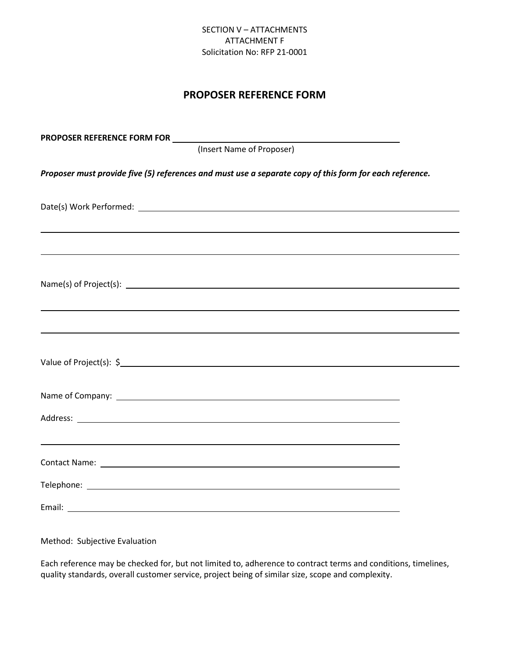# **PROPOSER REFERENCE FORM**

| (Insert Name of Proposer)                                                                               |
|---------------------------------------------------------------------------------------------------------|
| Proposer must provide five (5) references and must use a separate copy of this form for each reference. |
|                                                                                                         |
|                                                                                                         |
|                                                                                                         |
|                                                                                                         |
| Value of Project(s): \$                                                                                 |
|                                                                                                         |
|                                                                                                         |
| ,我们也不会有什么。""我们的人,我们也不会有什么?""我们的人,我们也不会有什么?""我们的人,我们也不会有什么?""我们的人,我们也不会有什么?""我们的人                        |
|                                                                                                         |
|                                                                                                         |

Method: Subjective Evaluation

Each reference may be checked for, but not limited to, adherence to contract terms and conditions, timelines, quality standards, overall customer service, project being of similar size, scope and complexity.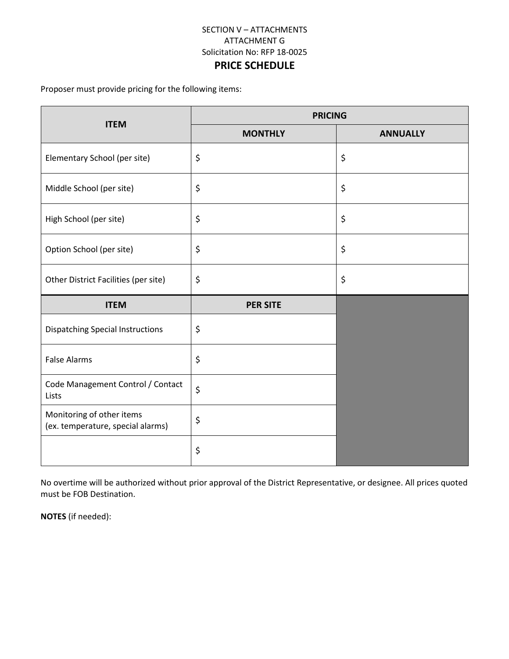# **PRICE SCHEDULE**

Proposer must provide pricing for the following items:

| <b>ITEM</b>                                                    | <b>PRICING</b>  |                 |
|----------------------------------------------------------------|-----------------|-----------------|
|                                                                | <b>MONTHLY</b>  | <b>ANNUALLY</b> |
| Elementary School (per site)                                   | \$              | \$              |
| Middle School (per site)                                       | \$              | \$              |
| High School (per site)                                         | \$              | \$              |
| Option School (per site)                                       | \$              | \$              |
| Other District Facilities (per site)                           | \$              | \$              |
| <b>ITEM</b>                                                    | <b>PER SITE</b> |                 |
| <b>Dispatching Special Instructions</b>                        | \$              |                 |
| <b>False Alarms</b>                                            | $\zeta$         |                 |
| Code Management Control / Contact<br>Lists                     | \$              |                 |
| Monitoring of other items<br>(ex. temperature, special alarms) | \$              |                 |
|                                                                | \$              |                 |

No overtime will be authorized without prior approval of the District Representative, or designee. All prices quoted must be FOB Destination.

**NOTES** (if needed):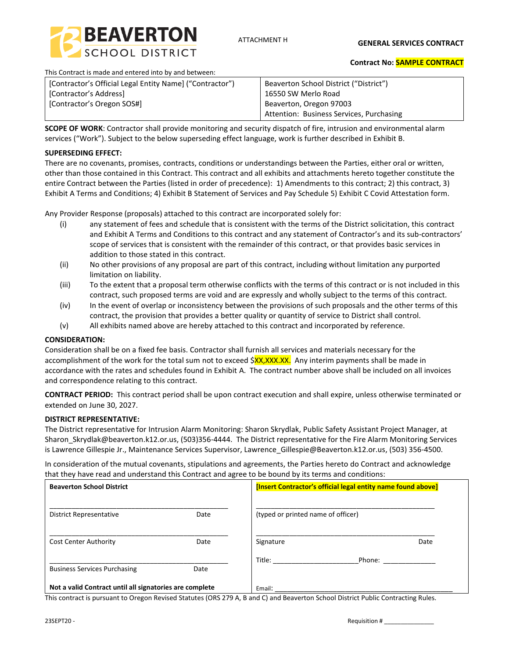

ATTACHMENT H

**GENERAL SERVICES CONTRACT** 

This Contract is made and entered into by and between:

#### **Contract No: SAMPLE CONTRACT**

| [Contractor's Official Legal Entity Name] ("Contractor") | Beaverton School District ("District")   |
|----------------------------------------------------------|------------------------------------------|
| [Contractor's Address]                                   | 16550 SW Merlo Road                      |
| [Contractor's Oregon SOS#]                               | Beaverton, Oregon 97003                  |
|                                                          | Attention: Business Services, Purchasing |

**SCOPE OF WORK**: Contractor shall provide monitoring and security dispatch of fire, intrusion and environmental alarm services ("Work"). Subject to the below superseding effect language, work is further described in Exhibit B.

#### **SUPERSEDING EFFECT:**

There are no covenants, promises, contracts, conditions or understandings between the Parties, either oral or written, other than those contained in this Contract. This contract and all exhibits and attachments hereto together constitute the entire Contract between the Parties (listed in order of precedence): 1) Amendments to this contract; 2) this contract, 3) Exhibit A Terms and Conditions; 4) Exhibit B Statement of Services and Pay Schedule 5) Exhibit C Covid Attestation form.

Any Provider Response (proposals) attached to this contract are incorporated solely for:

- (i) any statement of fees and schedule that is consistent with the terms of the District solicitation, this contract and Exhibit A Terms and Conditions to this contract and any statement of Contractor's and its sub-contractors' scope of services that is consistent with the remainder of this contract, or that provides basic services in addition to those stated in this contract.
- (ii) No other provisions of any proposal are part of this contract, including without limitation any purported limitation on liability.
- (iii) To the extent that a proposal term otherwise conflicts with the terms of this contract or is not included in this contract, such proposed terms are void and are expressly and wholly subject to the terms of this contract.
- (iv) In the event of overlap or inconsistency between the provisions of such proposals and the other terms of this contract, the provision that provides a better quality or quantity of service to District shall control.
- (v) All exhibits named above are hereby attached to this contract and incorporated by reference.

#### **CONSIDERATION:**

Consideration shall be on a fixed fee basis. Contractor shall furnish all services and materials necessary for the accomplishment of the work for the total sum not to exceed \$XX,XXX.XX. Any interim payments shall be made in accordance with the rates and schedules found in Exhibit A. The contract number above shall be included on all invoices and correspondence relating to this contract.

**CONTRACT PERIOD:** This contract period shall be upon contract execution and shall expire, unless otherwise terminated or extended on June 30, 2027.

#### **DISTRICT REPRESENTATIVE:**

The District representative for Intrusion Alarm Monitoring: Sharon Skrydlak, Public Safety Assistant Project Manager, at Sharon\_Skrydlak@beaverton.k12.or.us, (503)356-4444. The District representative for the Fire Alarm Monitoring Services is Lawrence Gillespie Jr., Maintenance Services Supervisor, Lawrence\_Gillespie@Beaverton.k12.or.us, (503) 356-4500.

In consideration of the mutual covenants, stipulations and agreements, the Parties hereto do Contract and acknowledge that they have read and understand this Contract and agree to be bound by its terms and conditions:

| <b>Beaverton School District</b>                        |      | [Insert Contractor's official legal entity name found above] |  |
|---------------------------------------------------------|------|--------------------------------------------------------------|--|
| <b>District Representative</b>                          | Date | (typed or printed name of officer)                           |  |
| <b>Cost Center Authority</b>                            | Date | Signature<br>Date                                            |  |
| <b>Business Services Purchasing</b>                     | Date | Title:<br>Phone:                                             |  |
| Not a valid Contract until all signatories are complete |      | Email:                                                       |  |

This contract is pursuant to Oregon Revised Statutes (ORS 279 A, B and C) and Beaverton School District Public Contracting Rules.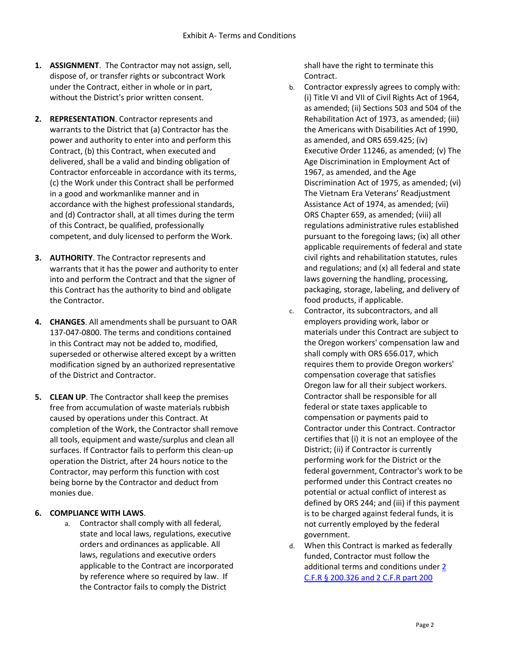- **1. ASSIGNMENT**. The Contractor may not assign, sell, dispose of, or transfer rights or subcontract Work under the Contract, either in whole or in part, without the District's prior written consent.
- **2. REPRESENTATION**. Contractor represents and warrants to the District that (a) Contractor has the power and authority to enter into and perform this Contract, (b) this Contract, when executed and delivered, shall be a valid and binding obligation of Contractor enforceable in accordance with its terms, (c) the Work under this Contract shall be performed in a good and workmanlike manner and in accordance with the highest professional standards, and (d) Contractor shall, at all times during the term of this Contract, be qualified, professionally competent, and duly licensed to perform the Work.
- **3. AUTHORITY**. The Contractor represents and warrants that it has the power and authority to enter into and perform the Contract and that the signer of this Contract has the authority to bind and obligate the Contractor.
- **4. CHANGES**. All amendments shall be pursuant to OAR 137-047-0800. The terms and conditions contained in this Contract may not be added to, modified, superseded or otherwise altered except by a written modification signed by an authorized representative of the District and Contractor.
- **5. CLEAN UP**. The Contractor shall keep the premises free from accumulation of waste materials rubbish caused by operations under this Contract. At completion of the Work, the Contractor shall remove all tools, equipment and waste/surplus and clean all surfaces. If Contractor fails to perform this clean-up operation the District, after 24 hours notice to the Contractor, may perform this function with cost being borne by the Contractor and deduct from monies due.

#### **6. COMPLIANCE WITH LAWS**.

a. Contractor shall comply with all federal, state and local laws, regulations, executive orders and ordinances as applicable. All laws, regulations and executive orders applicable to the Contract are incorporated by reference where so required by law. If the Contractor fails to comply the District

shall have the right to terminate this Contract.

- b. Contractor expressly agrees to comply with: (i) Title VI and VII of Civil Rights Act of 1964, as amended; (ii) Sections 503 and 504 of the Rehabilitation Act of 1973, as amended; (iii) the Americans with Disabilities Act of 1990, as amended, and ORS 659.425; (iv) Executive Order 11246, as amended; (v) The Age Discrimination in Employment Act of 1967, as amended, and the Age Discrimination Act of 1975, as amended; (vi) The Vietnam Era Veterans' Readjustment Assistance Act of 1974, as amended; (vii) ORS Chapter 659, as amended; (viii) all regulations administrative rules established pursuant to the foregoing laws; (ix) all other applicable requirements of federal and state civil rights and rehabilitation statutes, rules and regulations; and (x) all federal and state laws governing the handling, processing, packaging, storage, labeling, and delivery of food products, if applicable.
- c. Contractor, its subcontractors, and all employers providing work, labor or materials under this Contract are subject to the Oregon workers' compensation law and shall comply with ORS 656.017, which requires them to provide Oregon workers' compensation coverage that satisfies Oregon law for all their subject workers. Contractor shall be responsible for all federal or state taxes applicable to compensation or payments paid to Contractor under this Contract. Contractor certifies that (i) it is not an employee of the District; (ii) if Contractor is currently performing work for the District or the federal government, Contractor's work to be performed under this Contract creates no potential or actual conflict of interest as defined by ORS 244; and (iii) if this payment is to be charged against federal funds, it is not currently employed by the federal government.
- d. When this Contract is marked as federally funded, Contractor must follow the additional terms and conditions unde[r 2](https://resources.finalsite.net/images/v1568918708/beavertonk12orus/smyhfa6hbabpr5n9gsuh/GrantsRequiredFederalTCContractClauses2CFR200326and2CFRPart200AppendixII.pdf)  [C.F.R § 200.326 and 2 C.F.R part 200](https://resources.finalsite.net/images/v1568918708/beavertonk12orus/smyhfa6hbabpr5n9gsuh/GrantsRequiredFederalTCContractClauses2CFR200326and2CFRPart200AppendixII.pdf)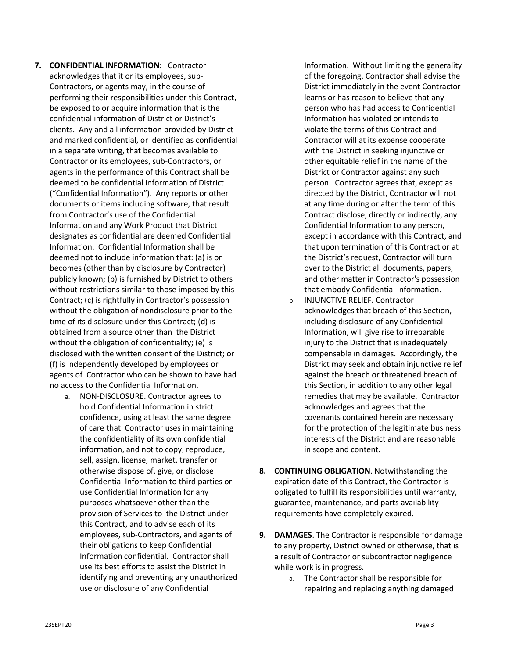- **7. CONFIDENTIAL INFORMATION:** Contractor acknowledges that it or its employees, sub-Contractors, or agents may, in the course of performing their responsibilities under this Contract, be exposed to or acquire information that is the confidential information of District or District's clients. Any and all information provided by District and marked confidential, or identified as confidential in a separate writing, that becomes available to Contractor or its employees, sub-Contractors, or agents in the performance of this Contract shall be deemed to be confidential information of District ("Confidential Information"). Any reports or other documents or items including software, that result from Contractor's use of the Confidential Information and any Work Product that District designates as confidential are deemed Confidential Information. Confidential Information shall be deemed not to include information that: (a) is or becomes (other than by disclosure by Contractor) publicly known; (b) is furnished by District to others without restrictions similar to those imposed by this Contract; (c) is rightfully in Contractor's possession without the obligation of nondisclosure prior to the time of its disclosure under this Contract; (d) is obtained from a source other than the District without the obligation of confidentiality; (e) is disclosed with the written consent of the District; or (f) is independently developed by employees or agents of Contractor who can be shown to have had no access to the Confidential Information.
	- a. NON-DISCLOSURE. Contractor agrees to hold Confidential Information in strict confidence, using at least the same degree of care that Contractor uses in maintaining the confidentiality of its own confidential information, and not to copy, reproduce, sell, assign, license, market, transfer or otherwise dispose of, give, or disclose Confidential Information to third parties or use Confidential Information for any purposes whatsoever other than the provision of Services to the District under this Contract, and to advise each of its employees, sub-Contractors, and agents of their obligations to keep Confidential Information confidential. Contractor shall use its best efforts to assist the District in identifying and preventing any unauthorized use or disclosure of any Confidential

Information. Without limiting the generality of the foregoing, Contractor shall advise the District immediately in the event Contractor learns or has reason to believe that any person who has had access to Confidential Information has violated or intends to violate the terms of this Contract and Contractor will at its expense cooperate with the District in seeking injunctive or other equitable relief in the name of the District or Contractor against any such person. Contractor agrees that, except as directed by the District, Contractor will not at any time during or after the term of this Contract disclose, directly or indirectly, any Confidential Information to any person, except in accordance with this Contract, and that upon termination of this Contract or at the District's request, Contractor will turn over to the District all documents, papers, and other matter in Contractor's possession that embody Confidential Information.

- b. INJUNCTIVE RELIEF. Contractor acknowledges that breach of this Section, including disclosure of any Confidential Information, will give rise to irreparable injury to the District that is inadequately compensable in damages. Accordingly, the District may seek and obtain injunctive relief against the breach or threatened breach of this Section, in addition to any other legal remedies that may be available. Contractor acknowledges and agrees that the covenants contained herein are necessary for the protection of the legitimate business interests of the District and are reasonable in scope and content.
- **8. CONTINUING OBLIGATION**. Notwithstanding the expiration date of this Contract, the Contractor is obligated to fulfill its responsibilities until warranty, guarantee, maintenance, and parts availability requirements have completely expired.
- **9. DAMAGES**. The Contractor is responsible for damage to any property, District owned or otherwise, that is a result of Contractor or subcontractor negligence while work is in progress.
	- a. The Contractor shall be responsible for repairing and replacing anything damaged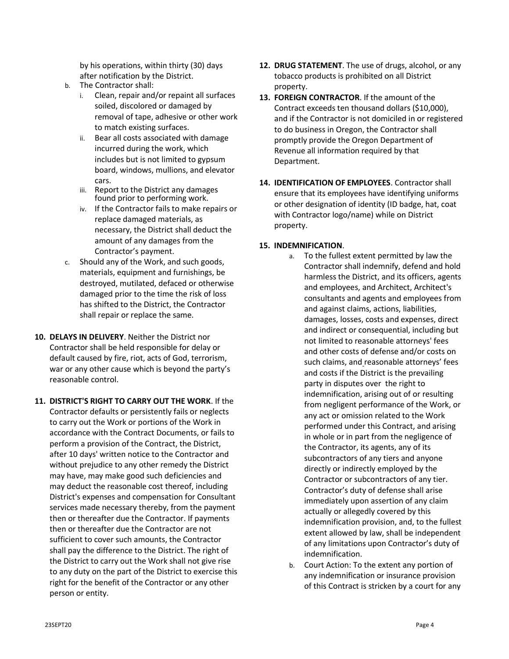by his operations, within thirty (30) days after notification by the District.

- b. The Contractor shall:
	- i. Clean, repair and/or repaint all surfaces soiled, discolored or damaged by removal of tape, adhesive or other work to match existing surfaces.
	- ii. Bear all costs associated with damage incurred during the work, which includes but is not limited to gypsum board, windows, mullions, and elevator cars.
	- iii. Report to the District any damages found prior to performing work.
	- iv. If the Contractor fails to make repairs or replace damaged materials, as necessary, the District shall deduct the amount of any damages from the Contractor's payment.
- c. Should any of the Work, and such goods, materials, equipment and furnishings, be destroyed, mutilated, defaced or otherwise damaged prior to the time the risk of loss has shifted to the District, the Contractor shall repair or replace the same.
- **10. DELAYS IN DELIVERY**. Neither the District nor Contractor shall be held responsible for delay or default caused by fire, riot, acts of God, terrorism, war or any other cause which is beyond the party's reasonable control.
- **11. DISTRICT'S RIGHT TO CARRY OUT THE WORK**. If the Contractor defaults or persistently fails or neglects to carry out the Work or portions of the Work in accordance with the Contract Documents, or fails to perform a provision of the Contract, the District, after 10 days' written notice to the Contractor and without prejudice to any other remedy the District may have, may make good such deficiencies and may deduct the reasonable cost thereof, including District's expenses and compensation for Consultant services made necessary thereby, from the payment then or thereafter due the Contractor. If payments then or thereafter due the Contractor are not sufficient to cover such amounts, the Contractor shall pay the difference to the District. The right of the District to carry out the Work shall not give rise to any duty on the part of the District to exercise this right for the benefit of the Contractor or any other person or entity.
- **12. DRUG STATEMENT**. The use of drugs, alcohol, or any tobacco products is prohibited on all District property.
- **13. FOREIGN CONTRACTOR**. If the amount of the Contract exceeds ten thousand dollars (\$10,000), and if the Contractor is not domiciled in or registered to do business in Oregon, the Contractor shall promptly provide the Oregon Department of Revenue all information required by that Department.
- **14. IDENTIFICATION OF EMPLOYEES**. Contractor shall ensure that its employees have identifying uniforms or other designation of identity (ID badge, hat, coat with Contractor logo/name) while on District property.

#### **15. INDEMNIFICATION**.

- a. To the fullest extent permitted by law the Contractor shall indemnify, defend and hold harmless the District, and its officers, agents and employees, and Architect, Architect's consultants and agents and employees from and against claims, actions, liabilities, damages, losses, costs and expenses, direct and indirect or consequential, including but not limited to reasonable attorneys' fees and other costs of defense and/or costs on such claims, and reasonable attorneys' fees and costs if the District is the prevailing party in disputes over the right to indemnification, arising out of or resulting from negligent performance of the Work, or any act or omission related to the Work performed under this Contract, and arising in whole or in part from the negligence of the Contractor, its agents, any of its subcontractors of any tiers and anyone directly or indirectly employed by the Contractor or subcontractors of any tier. Contractor's duty of defense shall arise immediately upon assertion of any claim actually or allegedly covered by this indemnification provision, and, to the fullest extent allowed by law, shall be independent of any limitations upon Contractor's duty of indemnification.
- b. Court Action: To the extent any portion of any indemnification or insurance provision of this Contract is stricken by a court for any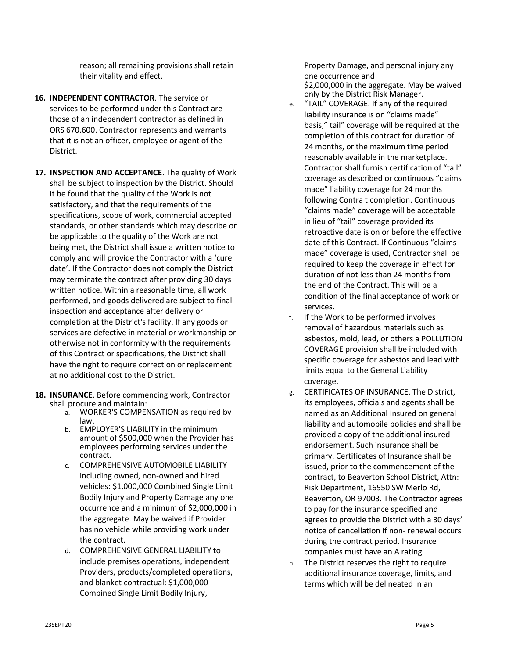reason; all remaining provisions shall retain their vitality and effect.

- **16. INDEPENDENT CONTRACTOR**. The service or services to be performed under this Contract are those of an independent contractor as defined in ORS 670.600. Contractor represents and warrants that it is not an officer, employee or agent of the District.
- **17. INSPECTION AND ACCEPTANCE**. The quality of Work shall be subject to inspection by the District. Should it be found that the quality of the Work is not satisfactory, and that the requirements of the specifications, scope of work, commercial accepted standards, or other standards which may describe or be applicable to the quality of the Work are not being met, the District shall issue a written notice to comply and will provide the Contractor with a 'cure date'. If the Contractor does not comply the District may terminate the contract after providing 30 days written notice. Within a reasonable time, all work performed, and goods delivered are subject to final inspection and acceptance after delivery or completion at the District's facility. If any goods or services are defective in material or workmanship or otherwise not in conformity with the requirements of this Contract or specifications, the District shall have the right to require correction or replacement at no additional cost to the District.
- **18. INSURANCE**. Before commencing work, Contractor shall procure and maintain:
	- a. WORKER'S COMPENSATION as required by law.
	- b. EMPLOYER'S LIABILITY in the minimum amount of \$500,000 when the Provider has employees performing services under the contract.
	- c. COMPREHENSIVE AUTOMOBILE LIABILITY including owned, non-owned and hired vehicles: \$1,000,000 Combined Single Limit Bodily Injury and Property Damage any one occurrence and a minimum of \$2,000,000 in the aggregate. May be waived if Provider has no vehicle while providing work under the contract.
	- d. COMPREHENSIVE GENERAL LIABILITY to include premises operations, independent Providers, products/completed operations, and blanket contractual: \$1,000,000 Combined Single Limit Bodily Injury,

Property Damage, and personal injury any one occurrence and \$2,000,000 in the aggregate. May be waived only by the District Risk Manager.

- e. "TAIL" COVERAGE. If any of the required liability insurance is on "claims made" basis," tail" coverage will be required at the completion of this contract for duration of 24 months, or the maximum time period reasonably available in the marketplace. Contractor shall furnish certification of "tail" coverage as described or continuous "claims made" liability coverage for 24 months following Contra t completion. Continuous "claims made" coverage will be acceptable in lieu of "tail" coverage provided its retroactive date is on or before the effective date of this Contract. If Continuous "claims made" coverage is used, Contractor shall be required to keep the coverage in effect for duration of not less than 24 months from the end of the Contract. This will be a condition of the final acceptance of work or services.
- f. If the Work to be performed involves removal of hazardous materials such as asbestos, mold, lead, or others a POLLUTION COVERAGE provision shall be included with specific coverage for asbestos and lead with limits equal to the General Liability coverage.
- g. CERTIFICATES OF INSURANCE. The District, its employees, officials and agents shall be named as an Additional Insured on general liability and automobile policies and shall be provided a copy of the additional insured endorsement. Such insurance shall be primary. Certificates of Insurance shall be issued, prior to the commencement of the contract, to Beaverton School District, Attn: Risk Department, 16550 SW Merlo Rd, Beaverton, OR 97003. The Contractor agrees to pay for the insurance specified and agrees to provide the District with a 30 days' notice of cancellation if non- renewal occurs during the contract period. Insurance companies must have an A rating.
- h. The District reserves the right to require additional insurance coverage, limits, and terms which will be delineated in an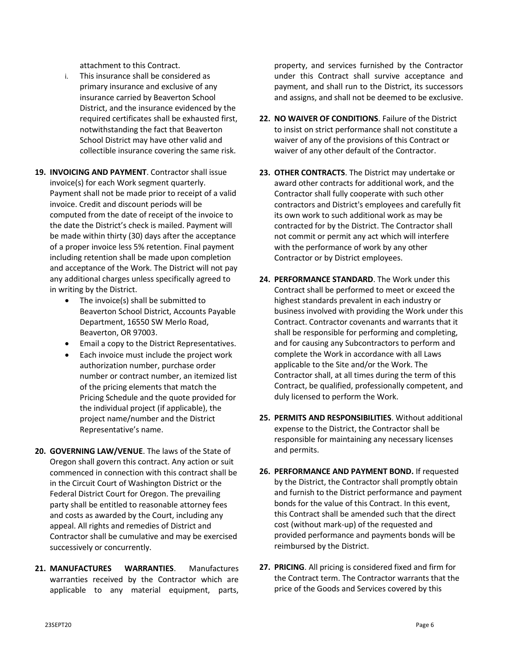attachment to this Contract.

- i. This insurance shall be considered as primary insurance and exclusive of any insurance carried by Beaverton School District, and the insurance evidenced by the required certificates shall be exhausted first, notwithstanding the fact that Beaverton School District may have other valid and collectible insurance covering the same risk.
- **19. INVOICING AND PAYMENT**. Contractor shall issue invoice(s) for each Work segment quarterly. Payment shall not be made prior to receipt of a valid invoice. Credit and discount periods will be computed from the date of receipt of the invoice to the date the District's check is mailed. Payment will be made within thirty (30) days after the acceptance of a proper invoice less 5% retention. Final payment including retention shall be made upon completion and acceptance of the Work. The District will not pay any additional charges unless specifically agreed to in writing by the District.
	- The invoice(s) shall be submitted to Beaverton School District, Accounts Payable Department, 16550 SW Merlo Road, Beaverton, OR 97003.
	- Email a copy to the District Representatives.
	- Each invoice must include the project work authorization number, purchase order number or contract number, an itemized list of the pricing elements that match the Pricing Schedule and the quote provided for the individual project (if applicable), the project name/number and the District Representative's name.
- **20. GOVERNING LAW/VENUE**. The laws of the State of Oregon shall govern this contract. Any action or suit commenced in connection with this contract shall be in the Circuit Court of Washington District or the Federal District Court for Oregon. The prevailing party shall be entitled to reasonable attorney fees and costs as awarded by the Court, including any appeal. All rights and remedies of District and Contractor shall be cumulative and may be exercised successively or concurrently.
- **21. MANUFACTURES WARRANTIES**. Manufactures warranties received by the Contractor which are applicable to any material equipment, parts,

property, and services furnished by the Contractor under this Contract shall survive acceptance and payment, and shall run to the District, its successors and assigns, and shall not be deemed to be exclusive.

- **22. NO WAIVER OF CONDITIONS**. Failure of the District to insist on strict performance shall not constitute a waiver of any of the provisions of this Contract or waiver of any other default of the Contractor.
- **23. OTHER CONTRACTS**. The District may undertake or award other contracts for additional work, and the Contractor shall fully cooperate with such other contractors and District's employees and carefully fit its own work to such additional work as may be contracted for by the District. The Contractor shall not commit or permit any act which will interfere with the performance of work by any other Contractor or by District employees.
- **24. PERFORMANCE STANDARD**. The Work under this Contract shall be performed to meet or exceed the highest standards prevalent in each industry or business involved with providing the Work under this Contract. Contractor covenants and warrants that it shall be responsible for performing and completing, and for causing any Subcontractors to perform and complete the Work in accordance with all Laws applicable to the Site and/or the Work. The Contractor shall, at all times during the term of this Contract, be qualified, professionally competent, and duly licensed to perform the Work.
- **25. PERMITS AND RESPONSIBILITIES**. Without additional expense to the District, the Contractor shall be responsible for maintaining any necessary licenses and permits.
- **26. PERFORMANCE AND PAYMENT BOND.** If requested by the District, the Contractor shall promptly obtain and furnish to the District performance and payment bonds for the value of this Contract. In this event, this Contract shall be amended such that the direct cost (without mark-up) of the requested and provided performance and payments bonds will be reimbursed by the District.
- **27. PRICING**. All pricing is considered fixed and firm for the Contract term. The Contractor warrants that the price of the Goods and Services covered by this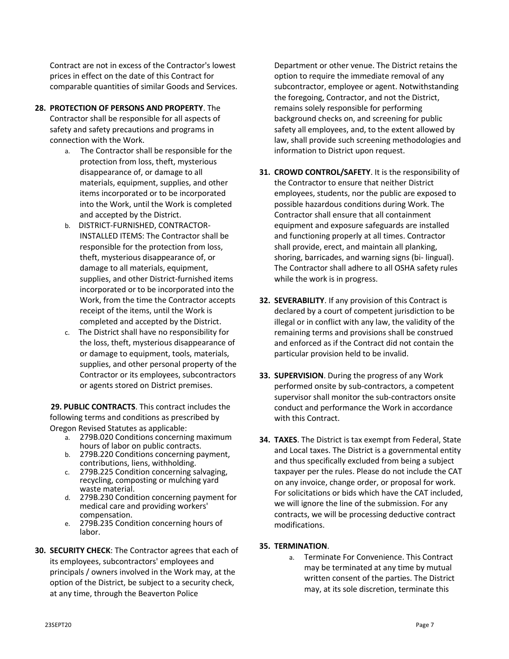Contract are not in excess of the Contractor's lowest prices in effect on the date of this Contract for comparable quantities of similar Goods and Services.

- **28. PROTECTION OF PERSONS AND PROPERTY**. The Contractor shall be responsible for all aspects of safety and safety precautions and programs in connection with the Work.
	- a. The Contractor shall be responsible for the protection from loss, theft, mysterious disappearance of, or damage to all materials, equipment, supplies, and other items incorporated or to be incorporated into the Work, until the Work is completed and accepted by the District.
	- b. DISTRICT-FURNISHED, CONTRACTOR-INSTALLED ITEMS: The Contractor shall be responsible for the protection from loss, theft, mysterious disappearance of, or damage to all materials, equipment, supplies, and other District-furnished items incorporated or to be incorporated into the Work, from the time the Contractor accepts receipt of the items, until the Work is completed and accepted by the District.
	- c. The District shall have no responsibility for the loss, theft, mysterious disappearance of or damage to equipment, tools, materials, supplies, and other personal property of the Contractor or its employees, subcontractors or agents stored on District premises.

**29. PUBLIC CONTRACTS**. This contract includes the following terms and conditions as prescribed by Oregon Revised Statutes as applicable:

- a. 279B.020 Conditions concerning maximum hours of labor on public contracts.
- b. 279B.220 Conditions concerning payment, contributions, liens, withholding.
- c. 279B.225 Condition concerning salvaging, recycling, composting or mulching yard waste material.
- d. 279B.230 Condition concerning payment for medical care and providing workers' compensation.
- e. 279B.235 Condition concerning hours of labor.
- **30. SECURITY CHECK**: The Contractor agrees that each of its employees, subcontractors' employees and principals / owners involved in the Work may, at the option of the District, be subject to a security check, at any time, through the Beaverton Police

Department or other venue. The District retains the option to require the immediate removal of any subcontractor, employee or agent. Notwithstanding the foregoing, Contractor, and not the District, remains solely responsible for performing background checks on, and screening for public safety all employees, and, to the extent allowed by law, shall provide such screening methodologies and information to District upon request.

- **31. CROWD CONTROL/SAFETY**. It is the responsibility of the Contractor to ensure that neither District employees, students, nor the public are exposed to possible hazardous conditions during Work. The Contractor shall ensure that all containment equipment and exposure safeguards are installed and functioning properly at all times. Contractor shall provide, erect, and maintain all planking, shoring, barricades, and warning signs (bi- lingual). The Contractor shall adhere to all OSHA safety rules while the work is in progress.
- **32. SEVERABILITY**. If any provision of this Contract is declared by a court of competent jurisdiction to be illegal or in conflict with any law, the validity of the remaining terms and provisions shall be construed and enforced as if the Contract did not contain the particular provision held to be invalid.
- **33. SUPERVISION**. During the progress of any Work performed onsite by sub-contractors, a competent supervisor shall monitor the sub-contractors onsite conduct and performance the Work in accordance with this Contract.
- **34. TAXES**. The District is tax exempt from Federal, State and Local taxes. The District is a governmental entity and thus specifically excluded from being a subject taxpayer per the rules. Please do not include the CAT on any invoice, change order, or proposal for work. For solicitations or bids which have the CAT included, we will ignore the line of the submission. For any contracts, we will be processing deductive contract modifications.

## **35. TERMINATION**.

a. Terminate For Convenience. This Contract may be terminated at any time by mutual written consent of the parties. The District may, at its sole discretion, terminate this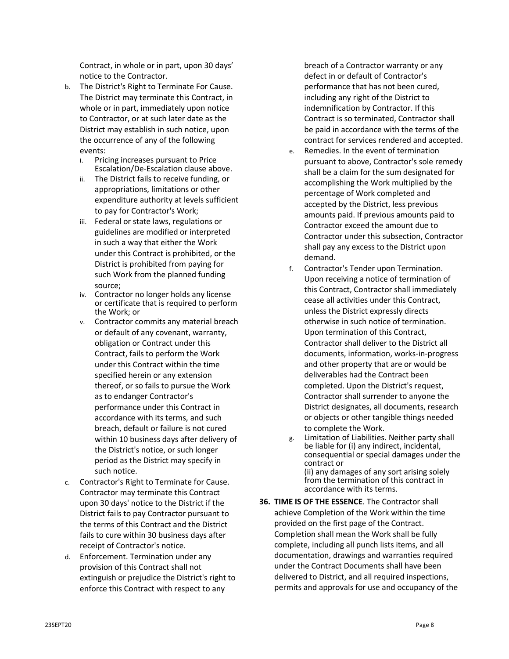Contract, in whole or in part, upon 30 days' notice to the Contractor.

- b. The District's Right to Terminate For Cause. The District may terminate this Contract, in whole or in part, immediately upon notice to Contractor, or at such later date as the District may establish in such notice, upon the occurrence of any of the following events:
	- i. Pricing increases pursuant to Price Escalation/De-Escalation clause above.
	- ii. The District fails to receive funding, or appropriations, limitations or other expenditure authority at levels sufficient to pay for Contractor's Work;
	- iii. Federal or state laws, regulations or guidelines are modified or interpreted in such a way that either the Work under this Contract is prohibited, or the District is prohibited from paying for such Work from the planned funding source;
	- iv. Contractor no longer holds any license or certificate that is required to perform the Work; or
	- v. Contractor commits any material breach or default of any covenant, warranty, obligation or Contract under this Contract, fails to perform the Work under this Contract within the time specified herein or any extension thereof, or so fails to pursue the Work as to endanger Contractor's performance under this Contract in accordance with its terms, and such breach, default or failure is not cured within 10 business days after delivery of the District's notice, or such longer period as the District may specify in such notice.
- c. Contractor's Right to Terminate for Cause. Contractor may terminate this Contract upon 30 days' notice to the District if the District fails to pay Contractor pursuant to the terms of this Contract and the District fails to cure within 30 business days after receipt of Contractor's notice.
- d. Enforcement. Termination under any provision of this Contract shall not extinguish or prejudice the District's right to enforce this Contract with respect to any

breach of a Contractor warranty or any defect in or default of Contractor's performance that has not been cured, including any right of the District to indemnification by Contractor. If this Contract is so terminated, Contractor shall be paid in accordance with the terms of the contract for services rendered and accepted.

- e. Remedies. In the event of termination pursuant to above, Contractor's sole remedy shall be a claim for the sum designated for accomplishing the Work multiplied by the percentage of Work completed and accepted by the District, less previous amounts paid. If previous amounts paid to Contractor exceed the amount due to Contractor under this subsection, Contractor shall pay any excess to the District upon demand.
- f. Contractor's Tender upon Termination. Upon receiving a notice of termination of this Contract, Contractor shall immediately cease all activities under this Contract, unless the District expressly directs otherwise in such notice of termination. Upon termination of this Contract, Contractor shall deliver to the District all documents, information, works-in-progress and other property that are or would be deliverables had the Contract been completed. Upon the District's request, Contractor shall surrender to anyone the District designates, all documents, research or objects or other tangible things needed to complete the Work.
- g. Limitation of Liabilities. Neither party shall be liable for (i) any indirect, incidental, consequential or special damages under the contract or (ii) any damages of any sort arising solely from the termination of this contract in accordance with its terms.
- **36. TIME IS OF THE ESSENCE**. The Contractor shall achieve Completion of the Work within the time provided on the first page of the Contract. Completion shall mean the Work shall be fully complete, including all punch lists items, and all documentation, drawings and warranties required under the Contract Documents shall have been delivered to District, and all required inspections, permits and approvals for use and occupancy of the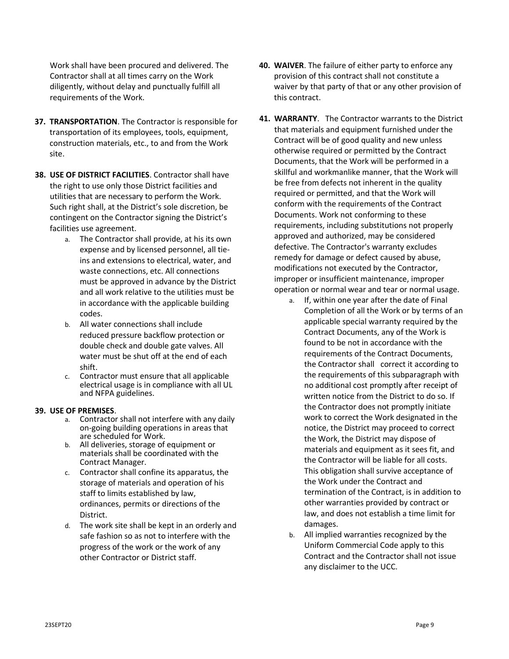Work shall have been procured and delivered. The Contractor shall at all times carry on the Work diligently, without delay and punctually fulfill all requirements of the Work.

- **37. TRANSPORTATION**. The Contractor is responsible for transportation of its employees, tools, equipment, construction materials, etc., to and from the Work site.
- **38. USE OF DISTRICT FACILITIES**. Contractor shall have the right to use only those District facilities and utilities that are necessary to perform the Work. Such right shall, at the District's sole discretion, be contingent on the Contractor signing the District's facilities use agreement.
	- a. The Contractor shall provide, at his its own expense and by licensed personnel, all tieins and extensions to electrical, water, and waste connections, etc. All connections must be approved in advance by the District and all work relative to the utilities must be in accordance with the applicable building codes.
	- b. All water connections shall include reduced pressure backflow protection or double check and double gate valves. All water must be shut off at the end of each shift.
	- c. Contractor must ensure that all applicable electrical usage is in compliance with all UL and NFPA guidelines.

#### **39. USE OF PREMISES**.

- a. Contractor shall not interfere with any daily on-going building operations in areas that are scheduled for Work.
- b. All deliveries, storage of equipment or materials shall be coordinated with the Contract Manager.
- c. Contractor shall confine its apparatus, the storage of materials and operation of his staff to limits established by law, ordinances, permits or directions of the District.
- d. The work site shall be kept in an orderly and safe fashion so as not to interfere with the progress of the work or the work of any other Contractor or District staff.
- **40. WAIVER**. The failure of either party to enforce any provision of this contract shall not constitute a waiver by that party of that or any other provision of this contract.
- **41. WARRANTY**. The Contractor warrants to the District that materials and equipment furnished under the Contract will be of good quality and new unless otherwise required or permitted by the Contract Documents, that the Work will be performed in a skillful and workmanlike manner, that the Work will be free from defects not inherent in the quality required or permitted, and that the Work will conform with the requirements of the Contract Documents. Work not conforming to these requirements, including substitutions not properly approved and authorized, may be considered defective. The Contractor's warranty excludes remedy for damage or defect caused by abuse, modifications not executed by the Contractor, improper or insufficient maintenance, improper operation or normal wear and tear or normal usage.
	- a. If, within one year after the date of Final Completion of all the Work or by terms of an applicable special warranty required by the Contract Documents, any of the Work is found to be not in accordance with the requirements of the Contract Documents, the Contractor shall correct it according to the requirements of this subparagraph with no additional cost promptly after receipt of written notice from the District to do so. If the Contractor does not promptly initiate work to correct the Work designated in the notice, the District may proceed to correct the Work, the District may dispose of materials and equipment as it sees fit, and the Contractor will be liable for all costs. This obligation shall survive acceptance of the Work under the Contract and termination of the Contract, is in addition to other warranties provided by contract or law, and does not establish a time limit for damages.
	- b. All implied warranties recognized by the Uniform Commercial Code apply to this Contract and the Contractor shall not issue any disclaimer to the UCC.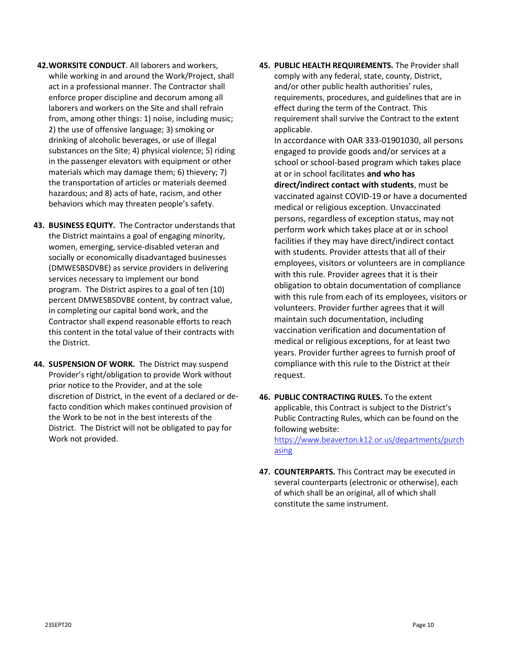- **42.WORKSITE CONDUCT**. All laborers and workers, while working in and around the Work/Project, shall act in a professional manner. The Contractor shall enforce proper discipline and decorum among all laborers and workers on the Site and shall refrain from, among other things: 1) noise, including music; 2) the use of offensive language; 3) smoking or drinking of alcoholic beverages, or use of illegal substances on the Site; 4) physical violence; 5) riding in the passenger elevators with equipment or other materials which may damage them; 6) thievery; 7) the transportation of articles or materials deemed hazardous; and 8) acts of hate, racism, and other behaviors which may threaten people's safety.
- **43. BUSINESS EQUITY.** The Contractor understands that the District maintains a goal of engaging minority, women, emerging, service-disabled veteran and socially or economically disadvantaged businesses (DMWESBSDVBE) as service providers in delivering services necessary to implement our bond program. The District aspires to a goal of ten (10) percent DMWESBSDVBE content, by contract value, in completing our capital bond work, and the Contractor shall expend reasonable efforts to reach this content in the total value of their contracts with the District.
- **44. SUSPENSION OF WORK.** The District may suspend Provider's right/obligation to provide Work without prior notice to the Provider, and at the sole discretion of District, in the event of a declared or defacto condition which makes continued provision of the Work to be not in the best interests of the District. The District will not be obligated to pay for Work not provided.

**45. PUBLIC HEALTH REQUIREMENTS.** The Provider shall comply with any federal, state, county, District, and/or other public health authorities' rules, requirements, procedures, and guidelines that are in effect during the term of the Contract. This requirement shall survive the Contract to the extent applicable.

In accordance with OAR 333-01901030, all persons engaged to provide goods and/or services at a school or school-based program which takes place at or in school facilitates **and who has direct/indirect contact with students**, must be vaccinated against COVID-19 or have a documented medical or religious exception. Unvaccinated persons, regardless of exception status, may not perform work which takes place at or in school facilities if they may have direct/indirect contact with students. Provider attests that all of their employees, visitors or volunteers are in compliance with this rule. Provider agrees that it is their obligation to obtain documentation of compliance with this rule from each of its employees, visitors or volunteers. Provider further agrees that it will maintain such documentation, including vaccination verification and documentation of medical or religious exceptions, for at least two years. Provider further agrees to furnish proof of compliance with this rule to the District at their request.

- **46. PUBLIC CONTRACTING RULES.** To the extent applicable, this Contract is subject to the District's Public Contracting Rules, which can be found on the following website: [https://www.beaverton.k12.or.us/departments/purch](https://www.beaverton.k12.or.us/departments/purchasing) [asing](https://www.beaverton.k12.or.us/departments/purchasing)
- **47. COUNTERPARTS.** This Contract may be executed in several counterparts (electronic or otherwise), each of which shall be an original, all of which shall constitute the same instrument.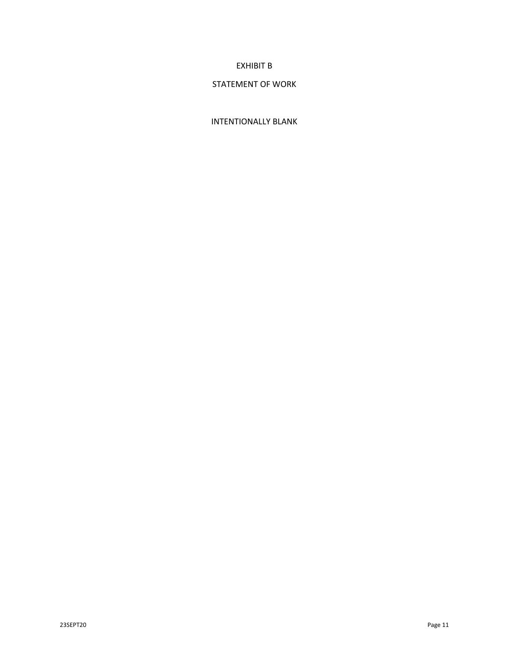# EXHIBIT B

# STATEMENT OF WORK

# INTENTIONALLY BLANK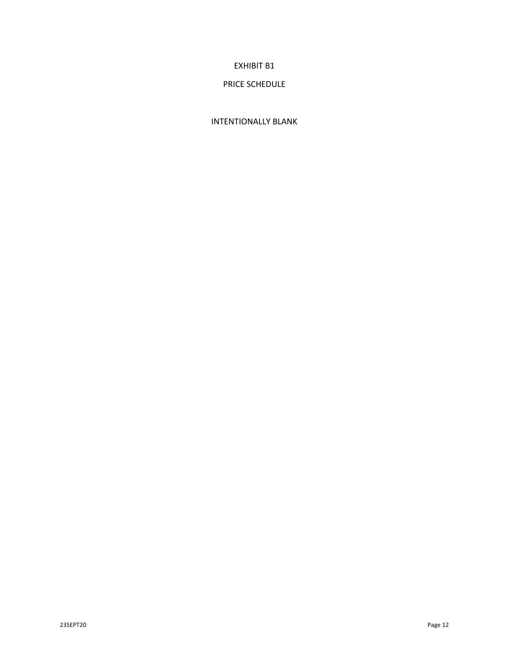# EXHIBIT B1

# PRICE SCHEDULE

# INTENTIONALLY BLANK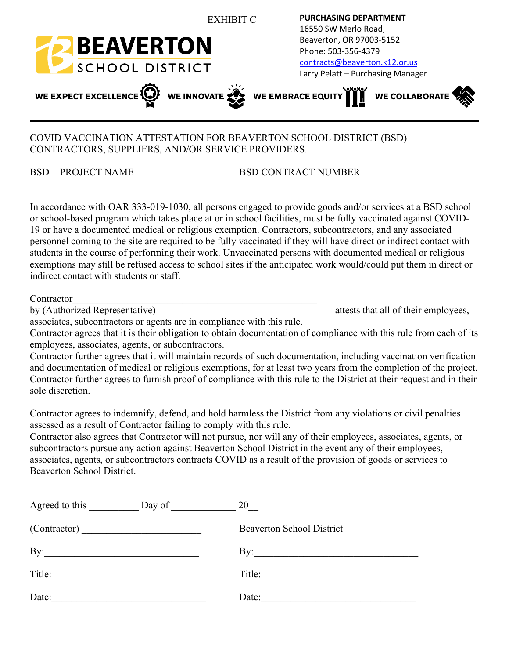

# COVID VACCINATION ATTESTATION FOR BEAVERTON SCHOOL DISTRICT (BSD) CONTRACTORS, SUPPLIERS, AND/OR SERVICE PROVIDERS.

BSD PROJECT NAME\_\_\_\_\_\_\_\_\_\_\_\_\_\_\_\_\_\_\_\_ BSD CONTRACT NUMBER\_\_\_\_\_\_\_\_\_\_\_\_\_\_

In accordance with OAR 333-019-1030, all persons engaged to provide goods and/or services at a BSD school or school-based program which takes place at or in school facilities, must be fully vaccinated against COVID-19 or have a documented medical or religious exemption. Contractors, subcontractors, and any associated personnel coming to the site are required to be fully vaccinated if they will have direct or indirect contact with students in the course of performing their work. Unvaccinated persons with documented medical or religious exemptions may still be refused access to school sites if the anticipated work would/could put them in direct or indirect contact with students or staff.

Contractor

by (Authorized Representative) attests that all of their employees,

associates, subcontractors or agents are in compliance with this rule.

Contractor agrees that it is their obligation to obtain documentation of compliance with this rule from each of its employees, associates, agents, or subcontractors.

Contractor further agrees that it will maintain records of such documentation, including vaccination verification and documentation of medical or religious exemptions, for at least two years from the completion of the project. Contractor further agrees to furnish proof of compliance with this rule to the District at their request and in their sole discretion.

Contractor agrees to indemnify, defend, and hold harmless the District from any violations or civil penalties assessed as a result of Contractor failing to comply with this rule.

Contractor also agrees that Contractor will not pursue, nor will any of their employees, associates, agents, or subcontractors pursue any action against Beaverton School District in the event any of their employees, associates, agents, or subcontractors contracts COVID as a result of the provision of goods or services to Beaverton School District.

| Agreed to this<br>Day of                                                                         | 20                               |
|--------------------------------------------------------------------------------------------------|----------------------------------|
|                                                                                                  | <b>Beaverton School District</b> |
| By:<br>the control of the control of the control of the control of the control of the control of | By:                              |
| Title:                                                                                           | Title:                           |
| Date:                                                                                            | Date:                            |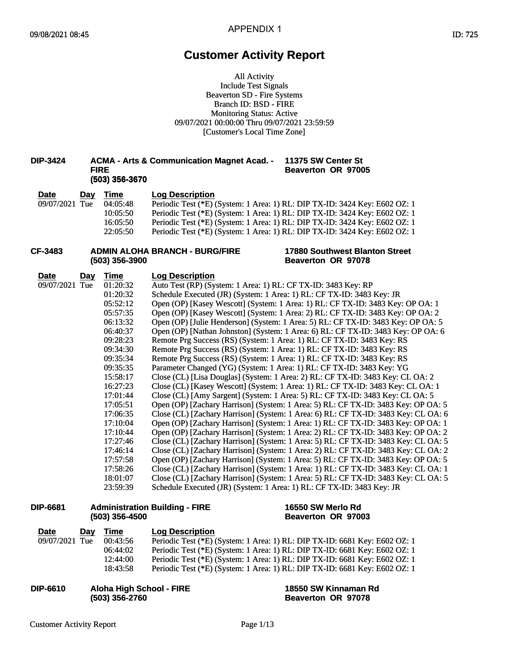# **Customer Activity Report**

All Activity Include Test Signals Beaverton SD - Fire Systems Branch ID: BSD - FIRE Monitoring Status: Active 09/07/2021 00:00:00 Thru 09/07/2021 23:59:59 [Customer's Local Time Zone]

# Monitoring Status: Activ<br>09/07/2021 00:00:00 Thru 09/07/20<br>Customer's Local Time Zo<br>**DIP-3424** ACMA - Arts & Communication Magnet Acad. - <br>Be<br>Be **FIRE**<br>(503) 356-3670 **(2008 - Arts & Communder)<br>FIRE<br>(503) 356-3670<br>v Time Log De: 11375 SW Center St Beaverton OR 97005**

| <b>Date</b>    | Day | <b>Time</b>      | <b>Log Description</b>                |                                                                            |
|----------------|-----|------------------|---------------------------------------|----------------------------------------------------------------------------|
| 09/07/2021 Tue |     | 04:05:48         |                                       | Periodic Test (*E) (System: 1 Area: 1) RL: DIP TX-ID: 3424 Key: E602 OZ: 1 |
|                |     | 10:05:50         |                                       | Periodic Test (*E) (System: 1 Area: 1) RL: DIP TX-ID: 3424 Key: E602 OZ: 1 |
|                |     | 16:05:50         |                                       | Periodic Test (*E) (System: 1 Area: 1) RL: DIP TX-ID: 3424 Key: E602 OZ: 1 |
|                |     | 22:05:50         |                                       | Periodic Test (*E) (System: 1 Area: 1) RL: DIP TX-ID: 3424 Key: E602 OZ: 1 |
| CF-3483        |     | $(503)$ 356-3900 | <b>ADMIN ALOHA BRANCH - BURG/FIRE</b> | <b>17880 Southwest Blanton Street</b><br>Beaverton OR 97078                |

# **ADMIN ALOHA BRANCH - BURG/FIRE**<br>(503) 356-3900<br>... Time

#### **17880 Southwest Blanton Street Beaverton OR 97078**

| <b>Date</b>    | Day | Time           | <b>Log Description</b>                                                             |  |
|----------------|-----|----------------|------------------------------------------------------------------------------------|--|
| 09/07/2021 Tue |     | 01:20:32       | Auto Test (RP) (System: 1 Area: 1) RL: CF TX-ID: 3483 Key: RP                      |  |
|                |     | 01:20:32       | Schedule Executed (JR) (System: 1 Area: 1) RL: CF TX-ID: 3483 Key: JR              |  |
|                |     | 05:52:12       | Open (OP) [Kasey Wescott] (System: 1 Area: 1) RL: CF TX-ID: 3483 Key: OP OA: 1     |  |
|                |     | 05:57:35       | Open (OP) [Kasey Wescott] (System: 1 Area: 2) RL: CF TX-ID: 3483 Key: OP OA: 2     |  |
|                |     | 06:13:32       | Open (OP) [Julie Henderson] (System: 1 Area: 5) RL: CF TX-ID: 3483 Key: OP OA: 5   |  |
|                |     | 06:40:37       | Open (OP) [Nathan Johnston] (System: 1 Area: 6) RL: CF TX-ID: 3483 Key: OP OA: 6   |  |
|                |     | 09:28:23       | Remote Prg Success (RS) (System: 1 Area: 1) RL: CF TX-ID: 3483 Key: RS             |  |
|                |     | 09:34:30       | Remote Prg Success (RS) (System: 1 Area: 1) RL: CF TX-ID: 3483 Key: RS             |  |
|                |     | 09:35:34       | Remote Prg Success (RS) (System: 1 Area: 1) RL: CF TX-ID: 3483 Key: RS             |  |
|                |     | 09:35:35       | Parameter Changed (YG) (System: 1 Area: 1) RL: CF TX-ID: 3483 Key: YG              |  |
|                |     | 15:58:17       | Close (CL) [Lisa Douglas] (System: 1 Area: 2) RL: CF TX-ID: 3483 Key: CL OA: 2     |  |
|                |     | 16:27:23       | Close (CL) [Kasey Wescott] (System: 1 Area: 1) RL: CF TX-ID: 3483 Key: CL OA: 1    |  |
|                |     | 17:01:44       | Close (CL) [Amy Sargent] (System: 1 Area: 5) RL: CF TX-ID: 3483 Key: CL OA: 5      |  |
|                |     | 17:05:51       | Open (OP) [Zachary Harrison] (System: 1 Area: 5) RL: CF TX-ID: 3483 Key: OP OA: 5  |  |
|                |     | 17:06:35       | Close (CL) [Zachary Harrison] (System: 1 Area: 6) RL: CF TX-ID: 3483 Key: CL OA: 6 |  |
|                |     | 17:10:04       | Open (OP) [Zachary Harrison] (System: 1 Area: 1) RL: CF TX-ID: 3483 Key: OP OA: 1  |  |
|                |     | 17:10:44       | Open (OP) [Zachary Harrison] (System: 1 Area: 2) RL: CF TX-ID: 3483 Key: OP OA: 2  |  |
|                |     | 17:27:46       | Close (CL) [Zachary Harrison] (System: 1 Area: 5) RL: CF TX-ID: 3483 Key: CL OA: 5 |  |
|                |     | 17:46:14       | Close (CL) [Zachary Harrison] (System: 1 Area: 2) RL: CF TX-ID: 3483 Key: CL OA: 2 |  |
|                |     | 17:57:58       | Open (OP) [Zachary Harrison] (System: 1 Area: 5) RL: CF TX-ID: 3483 Key: OP OA: 5  |  |
|                |     | 17:58:26       | Close (CL) [Zachary Harrison] (System: 1 Area: 1) RL: CF TX-ID: 3483 Key: CL OA: 1 |  |
|                |     | 18:01:07       | Close (CL) [Zachary Harrison] (System: 1 Area: 5) RL: CF TX-ID: 3483 Key: CL OA: 5 |  |
|                |     | 23:59:39       | Schedule Executed (JR) (System: 1 Area: 1) RL: CF TX-ID: 3483 Key: JR              |  |
| DIP-6681       |     | (503) 356-4500 | <b>Administration Building - FIRE</b><br>16550 SW Merlo Rd<br>Beaverton OR 97003   |  |
|                |     |                |                                                                                    |  |

# **Administration Building - FIRE**<br>(503) 356-4500

#### **16550 SW Merlo Rd Beaverton OR 97003**

| <b>Date</b>     | Day | Time           | <b>Log Description</b>                                                        |  |
|-----------------|-----|----------------|-------------------------------------------------------------------------------|--|
| 09/07/2021 Tue  |     | 00:43:56       | Periodic Test (*E) (System: 1 Area: 1) RL: DIP TX-ID: 6681 Key: E602 OZ: 1    |  |
|                 |     | 06:44:02       | Periodic Test (*E) (System: 1 Area: 1) RL: DIP TX-ID: 6681 Key: E602 OZ: 1    |  |
|                 |     | 12:44:00       | Periodic Test (*E) (System: 1 Area: 1) RL: DIP TX-ID: 6681 Key: E602 OZ: 1    |  |
|                 |     | 18:43:58       | Periodic Test (*E) (System: 1 Area: 1) RL: DIP TX-ID: 6681 Key: E602 OZ: 1    |  |
| <b>DIP-6610</b> |     | (503) 356-2760 | <b>Aloha High School - FIRE</b><br>18550 SW Kinnaman Rd<br>Beaverton OR 97078 |  |
|                 |     |                |                                                                               |  |

```
(503) 356-2760
```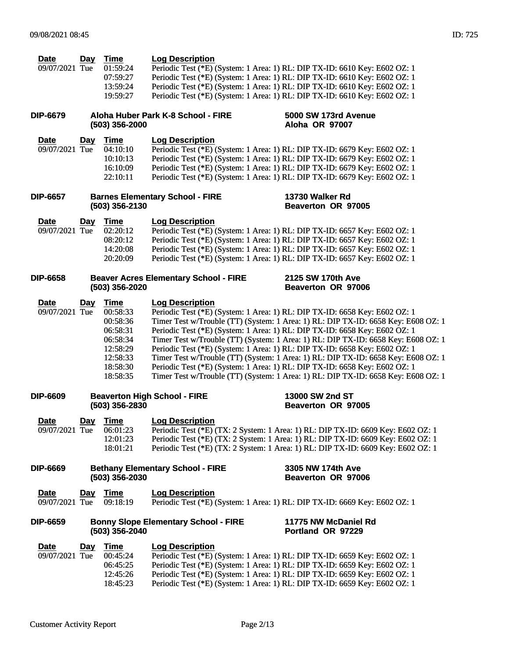| <b>Date</b>    | Dav | Time     | <b>Log Description</b>                                                     |
|----------------|-----|----------|----------------------------------------------------------------------------|
| 09/07/2021 Tue |     | 01:59:24 | Periodic Test (*E) (System: 1 Area: 1) RL: DIP TX-ID: 6610 Key: E602 OZ: 1 |
|                |     | 07:59:27 | Periodic Test (*E) (System: 1 Area: 1) RL: DIP TX-ID: 6610 Key: E602 OZ: 1 |
|                |     | 13:59:24 | Periodic Test (*E) (System: 1 Area: 1) RL: DIP TX-ID: 6610 Key: E602 OZ: 1 |
|                |     | 19:59:27 | Periodic Test (*E) (System: 1 Area: 1) RL: DIP TX-ID: 6610 Key: E602 OZ: 1 |

#### **DIP-6679 Aloha Huber Park K-8 School - FIRE (503) 356-2000**

#### **5000 SW 173rd Avenue Aloha OR 97007**

**13730 Walker Rd Beaverton OR 97005**

| <b>Date</b>    | Dav | Time     | <b>Log Description</b>                                                     |
|----------------|-----|----------|----------------------------------------------------------------------------|
| 09/07/2021 Tue |     | 04:10:10 | Periodic Test (*E) (System: 1 Area: 1) RL: DIP TX-ID: 6679 Key: E602 OZ: 1 |
|                |     | 10:10:13 | Periodic Test (*E) (System: 1 Area: 1) RL: DIP TX-ID: 6679 Key: E602 OZ: 1 |
|                |     | 16:10:09 | Periodic Test (*E) (System: 1 Area: 1) RL: DIP TX-ID: 6679 Key: E602 OZ: 1 |
|                |     | 22:10:11 | Periodic Test (*E) (System: 1 Area: 1) RL: DIP TX-ID: 6679 Key: E602 OZ: 1 |

#### **DIP-6657 Barnes Elementary School - FIRE (503) 356-2130**

| <b>Date</b>             | Day | Time     | <b>Log Description</b>                                                     |
|-------------------------|-----|----------|----------------------------------------------------------------------------|
| 09/07/2021 Tue 02:20:12 |     |          | Periodic Test (*E) (System: 1 Area: 1) RL: DIP TX-ID: 6657 Key: E602 OZ: 1 |
|                         |     | 08:20:12 | Periodic Test (*E) (System: 1 Area: 1) RL: DIP TX-ID: 6657 Key: E602 OZ: 1 |
|                         |     | 14:20:08 | Periodic Test (*E) (System: 1 Area: 1) RL: DIP TX-ID: 6657 Key: E602 OZ: 1 |
|                         |     | 20:20:09 | Periodic Test (*E) (System: 1 Area: 1) RL: DIP TX-ID: 6657 Key: E602 OZ: 1 |

| DIP-6658 | <b>Beaver Acres Elementary School - FIRE</b> | 2125 SW 170th Ave  |
|----------|----------------------------------------------|--------------------|
|          | (503) 356-2020                               | Beaverton OR 97006 |

| Time     | <b>Log Description</b>                                                            |
|----------|-----------------------------------------------------------------------------------|
| 00:58:33 | Periodic Test (*E) (System: 1 Area: 1) RL: DIP TX-ID: 6658 Key: E602 OZ: 1        |
| 00:58:36 | Timer Test w/Trouble (TT) (System: 1 Area: 1) RL: DIP TX-ID: 6658 Key: E608 OZ: 1 |
| 06:58:31 | Periodic Test (*E) (System: 1 Area: 1) RL: DIP TX-ID: 6658 Key: E602 OZ: 1        |
| 06:58:34 | Timer Test w/Trouble (TT) (System: 1 Area: 1) RL: DIP TX-ID: 6658 Key: E608 OZ: 1 |
| 12:58:29 | Periodic Test (*E) (System: 1 Area: 1) RL: DIP TX-ID: 6658 Key: E602 OZ: 1        |
| 12:58:33 | Timer Test w/Trouble (TT) (System: 1 Area: 1) RL: DIP TX-ID: 6658 Key: E608 OZ: 1 |
| 18:58:30 | Periodic Test (*E) (System: 1 Area: 1) RL: DIP TX-ID: 6658 Key: E602 OZ: 1        |
| 18:58:35 | Timer Test w/Trouble (TT) (System: 1 Area: 1) RL: DIP TX-ID: 6658 Key: E608 OZ: 1 |
|          |                                                                                   |

| <b>Beaverton High School - FIRE</b><br><b>DIP-6609</b><br>(503) 356-2830 |     |          | 13000 SW 2nd ST<br>Beaverton OR 97005                                            |
|--------------------------------------------------------------------------|-----|----------|----------------------------------------------------------------------------------|
| <b>Date</b>                                                              | Dav | Time     | <b>Log Description</b>                                                           |
| 09/07/2021 Tue                                                           |     | 06:01:23 | Periodic Test (*E) (TX: 2 System: 1 Area: 1) RL: DIP TX-ID: 6609 Key: E602 OZ: 1 |
|                                                                          |     | 12:01:23 | Periodic Test (*E) (TX: 2 System: 1 Area: 1) RL: DIP TX-ID: 6609 Key: E602 OZ: 1 |
|                                                                          |     | 18:01:21 | Periodic Test (*E) (TX: 2 System: 1 Area: 1) RL: DIP TX-ID: 6609 Key: E602 OZ: 1 |

| DIP-6669 | <b>Bethany Elementary School - FIRE</b><br>$(503)$ 356-2030 | 3305 NW 174th Ave<br>Beaverton OR 97006 |  |
|----------|-------------------------------------------------------------|-----------------------------------------|--|
|          |                                                             |                                         |  |

**Date Day Time Log Description**<br>09/07/2021 Tue 09:18:19 Periodic Test (\*E) (

Periodic Test (\*E) (System: 1 Area: 1) RL: DIP TX-ID: 6669 Key: E602 OZ: 1

#### **DIP-6659 Bonny Slope Elementary School - FIRE (503) 356-2040 11775 NW McDaniel Rd Portland OR 97229**

| <b>Date</b>    | Day | Time     | <b>Log Description</b>                                                     |
|----------------|-----|----------|----------------------------------------------------------------------------|
| 09/07/2021 Tue |     | 00:45:24 | Periodic Test (*E) (System: 1 Area: 1) RL: DIP TX-ID: 6659 Key: E602 OZ: 1 |
|                |     | 06:45:25 | Periodic Test (*E) (System: 1 Area: 1) RL: DIP TX-ID: 6659 Key: E602 OZ: 1 |
|                |     | 12:45:26 | Periodic Test (*E) (System: 1 Area: 1) RL: DIP TX-ID: 6659 Key: E602 OZ: 1 |
|                |     | 18:45:23 | Periodic Test (*E) (System: 1 Area: 1) RL: DIP TX-ID: 6659 Key: E602 OZ: 1 |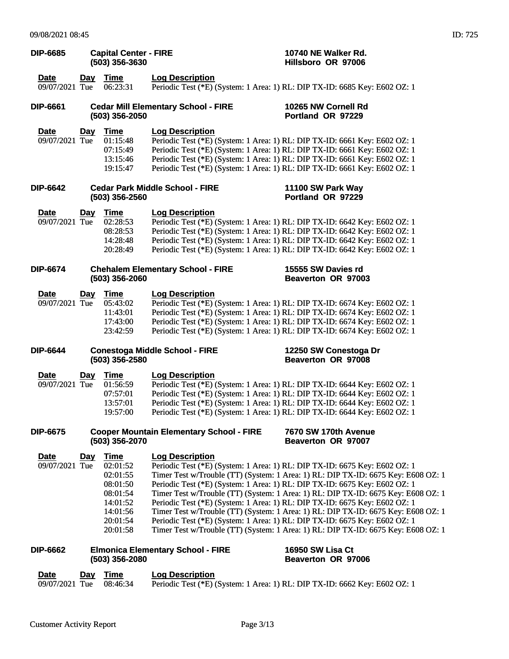| <b>DIP-6685</b>               |            | <b>Capital Center - FIRE</b><br>(503) 356-3630                                                              |                                                                                                      | 10740 NE Walker Rd.<br>Hillsboro OR 97006                                                                                                                                                                                                                                                                                                                                                                                                                                                                                                                                                  |
|-------------------------------|------------|-------------------------------------------------------------------------------------------------------------|------------------------------------------------------------------------------------------------------|--------------------------------------------------------------------------------------------------------------------------------------------------------------------------------------------------------------------------------------------------------------------------------------------------------------------------------------------------------------------------------------------------------------------------------------------------------------------------------------------------------------------------------------------------------------------------------------------|
| <b>Date</b><br>09/07/2021 Tue | <u>Day</u> | <b>Time</b><br>06:23:31                                                                                     | <b>Log Description</b>                                                                               | Periodic Test (*E) (System: 1 Area: 1) RL: DIP TX-ID: 6685 Key: E602 OZ: 1                                                                                                                                                                                                                                                                                                                                                                                                                                                                                                                 |
| <b>DIP-6661</b>               |            | (503) 356-2050                                                                                              | <b>Cedar Mill Elementary School - FIRE</b>                                                           | 10265 NW Cornell Rd<br>Portland OR 97229                                                                                                                                                                                                                                                                                                                                                                                                                                                                                                                                                   |
| <b>Date</b><br>09/07/2021 Tue | Day        | <b>Time</b><br>01:15:48<br>07:15:49<br>13:15:46<br>19:15:47                                                 | <b>Log Description</b>                                                                               | Periodic Test (*E) (System: 1 Area: 1) RL: DIP TX-ID: 6661 Key: E602 OZ: 1<br>Periodic Test (*E) (System: 1 Area: 1) RL: DIP TX-ID: 6661 Key: E602 OZ: 1<br>Periodic Test (*E) (System: 1 Area: 1) RL: DIP TX-ID: 6661 Key: E602 OZ: 1<br>Periodic Test (*E) (System: 1 Area: 1) RL: DIP TX-ID: 6661 Key: E602 OZ: 1                                                                                                                                                                                                                                                                       |
| <b>DIP-6642</b>               |            | $(503)$ 356-2560                                                                                            | <b>Cedar Park Middle School - FIRE</b>                                                               | 11100 SW Park Way<br>Portland OR 97229                                                                                                                                                                                                                                                                                                                                                                                                                                                                                                                                                     |
| <b>Date</b><br>09/07/2021 Tue | <u>Day</u> | <b>Time</b><br>02:28:53<br>08:28:53<br>14:28:48<br>20:28:49                                                 | <b>Log Description</b>                                                                               | Periodic Test (*E) (System: 1 Area: 1) RL: DIP TX-ID: 6642 Key: E602 OZ: 1<br>Periodic Test (*E) (System: 1 Area: 1) RL: DIP TX-ID: 6642 Key: E602 OZ: 1<br>Periodic Test (*E) (System: 1 Area: 1) RL: DIP TX-ID: 6642 Key: E602 OZ: 1<br>Periodic Test (*E) (System: 1 Area: 1) RL: DIP TX-ID: 6642 Key: E602 OZ: 1                                                                                                                                                                                                                                                                       |
| <b>DIP-6674</b>               |            | (503) 356-2060                                                                                              | <b>Chehalem Elementary School - FIRE</b>                                                             | 15555 SW Davies rd<br>Beaverton OR 97003                                                                                                                                                                                                                                                                                                                                                                                                                                                                                                                                                   |
| <b>Date</b><br>09/07/2021 Tue | <u>Day</u> | <b>Time</b><br>05:43:02<br>11:43:01<br>17:43:00<br>23:42:59                                                 | <b>Log Description</b>                                                                               | Periodic Test (*E) (System: 1 Area: 1) RL: DIP TX-ID: 6674 Key: E602 OZ: 1<br>Periodic Test (*E) (System: 1 Area: 1) RL: DIP TX-ID: 6674 Key: E602 OZ: 1<br>Periodic Test (*E) (System: 1 Area: 1) RL: DIP TX-ID: 6674 Key: E602 OZ: 1<br>Periodic Test (*E) (System: 1 Area: 1) RL: DIP TX-ID: 6674 Key: E602 OZ: 1                                                                                                                                                                                                                                                                       |
| <b>DIP-6644</b>               |            | (503) 356-2580                                                                                              | <b>Conestoga Middle School - FIRE</b>                                                                | 12250 SW Conestoga Dr<br>Beaverton OR 97008                                                                                                                                                                                                                                                                                                                                                                                                                                                                                                                                                |
| <u>Date</u><br>09/07/2021 Tue | $Day$      | <b>Time</b><br>01:56:59                                                                                     | <b>Log Description</b><br>Periodic Test (*E) (System: 1 Area: 1) RL: DIP TX-ID: 6644 Key: E602 OZ: 1 |                                                                                                                                                                                                                                                                                                                                                                                                                                                                                                                                                                                            |
|                               |            | 07:57:01<br>13:57:01<br>19:57:00                                                                            |                                                                                                      | Periodic Test (*E) (System: 1 Area: 1) RL: DIP TX-ID: 6644 Key: E602 OZ: 1<br>Periodic Test (*E) (System: 1 Area: 1) RL: DIP TX-ID: 6644 Key: E602 OZ: 1<br>Periodic Test (*E) (System: 1 Area: 1) RL: DIP TX-ID: 6644 Key: E602 OZ: 1                                                                                                                                                                                                                                                                                                                                                     |
| <b>DIP-6675</b>               |            | (503) 356-2070                                                                                              | <b>Cooper Mountain Elementary School - FIRE</b>                                                      | 7670 SW 170th Avenue<br>Beaverton OR 97007                                                                                                                                                                                                                                                                                                                                                                                                                                                                                                                                                 |
| <b>Date</b><br>09/07/2021 Tue | <u>Day</u> | <b>Time</b><br>02:01:52<br>02:01:55<br>08:01:50<br>08:01:54<br>14:01:52<br>14:01:56<br>20:01:54<br>20:01:58 | <b>Log Description</b><br>Periodic Test (*E) (System: 1 Area: 1) RL: DIP TX-ID: 6675 Key: E602 OZ: 1 | Periodic Test (*E) (System: 1 Area: 1) RL: DIP TX-ID: 6675 Key: E602 OZ: 1<br>Timer Test w/Trouble (TT) (System: 1 Area: 1) RL: DIP TX-ID: 6675 Key: E608 OZ: 1<br>Periodic Test (*E) (System: 1 Area: 1) RL: DIP TX-ID: 6675 Key: E602 OZ: 1<br>Timer Test w/Trouble (TT) (System: 1 Area: 1) RL: DIP TX-ID: 6675 Key: E608 OZ: 1<br>Timer Test w/Trouble (TT) (System: 1 Area: 1) RL: DIP TX-ID: 6675 Key: E608 OZ: 1<br>Periodic Test (*E) (System: 1 Area: 1) RL: DIP TX-ID: 6675 Key: E602 OZ: 1<br>Timer Test w/Trouble (TT) (System: 1 Area: 1) RL: DIP TX-ID: 6675 Key: E608 OZ: 1 |
| <b>DIP-6662</b>               |            | (503) 356-2080                                                                                              | <b>Elmonica Elementary School - FIRE</b>                                                             | 16950 SW Lisa Ct<br>Beaverton OR 97006                                                                                                                                                                                                                                                                                                                                                                                                                                                                                                                                                     |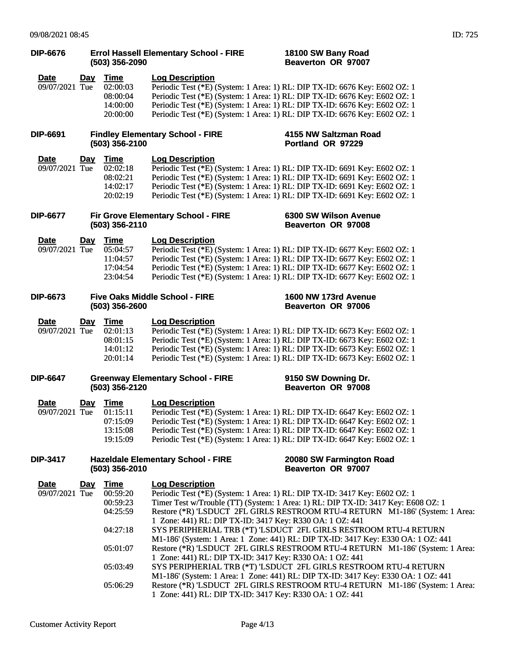| <b>DIP-6676</b>               |            | (503) 356-2090                                                               | <b>Errol Hassell Elementary School - FIRE</b>                                                                                                  | 18100 SW Bany Road<br>Beaverton OR 97007                                                                                                                                                                                                                                                                                                                                                                                                                                                                                                                       |  |
|-------------------------------|------------|------------------------------------------------------------------------------|------------------------------------------------------------------------------------------------------------------------------------------------|----------------------------------------------------------------------------------------------------------------------------------------------------------------------------------------------------------------------------------------------------------------------------------------------------------------------------------------------------------------------------------------------------------------------------------------------------------------------------------------------------------------------------------------------------------------|--|
| <b>Date</b><br>09/07/2021 Tue | <u>Day</u> | <u>Time</u><br>02:00:03<br>08:00:04<br>14:00:00<br>20:00:00                  | <b>Log Description</b>                                                                                                                         | Periodic Test (*E) (System: 1 Area: 1) RL: DIP TX-ID: 6676 Key: E602 OZ: 1<br>Periodic Test (*E) (System: 1 Area: 1) RL: DIP TX-ID: 6676 Key: E602 OZ: 1<br>Periodic Test (*E) (System: 1 Area: 1) RL: DIP TX-ID: 6676 Key: E602 OZ: 1<br>Periodic Test (*E) (System: 1 Area: 1) RL: DIP TX-ID: 6676 Key: E602 OZ: 1                                                                                                                                                                                                                                           |  |
| <b>DIP-6691</b>               |            | (503) 356-2100                                                               | <b>Findley Elementary School - FIRE</b>                                                                                                        | 4155 NW Saltzman Road<br>Portland OR 97229                                                                                                                                                                                                                                                                                                                                                                                                                                                                                                                     |  |
| <b>Date</b><br>09/07/2021 Tue | <u>Day</u> | Time<br>02:02:18<br>08:02:21<br>14:02:17<br>20:02:19                         | <b>Log Description</b>                                                                                                                         | Periodic Test (*E) (System: 1 Area: 1) RL: DIP TX-ID: 6691 Key: E602 OZ: 1<br>Periodic Test (*E) (System: 1 Area: 1) RL: DIP TX-ID: 6691 Key: E602 OZ: 1<br>Periodic Test (*E) (System: 1 Area: 1) RL: DIP TX-ID: 6691 Key: E602 OZ: 1<br>Periodic Test (*E) (System: 1 Area: 1) RL: DIP TX-ID: 6691 Key: E602 OZ: 1                                                                                                                                                                                                                                           |  |
| <b>DIP-6677</b>               |            | (503) 356-2110                                                               | Fir Grove Elementary School - FIRE                                                                                                             | 6300 SW Wilson Avenue<br>Beaverton OR 97008                                                                                                                                                                                                                                                                                                                                                                                                                                                                                                                    |  |
| <b>Date</b><br>09/07/2021 Tue | <u>Day</u> | <u>Time</u><br>05:04:57<br>11:04:57<br>17:04:54<br>23:04:54                  | <b>Log Description</b>                                                                                                                         | Periodic Test (*E) (System: 1 Area: 1) RL: DIP TX-ID: 6677 Key: E602 OZ: 1<br>Periodic Test (*E) (System: 1 Area: 1) RL: DIP TX-ID: 6677 Key: E602 OZ: 1<br>Periodic Test (*E) (System: 1 Area: 1) RL: DIP TX-ID: 6677 Key: E602 OZ: 1<br>Periodic Test (*E) (System: 1 Area: 1) RL: DIP TX-ID: 6677 Key: E602 OZ: 1                                                                                                                                                                                                                                           |  |
| <b>DIP-6673</b>               |            | (503) 356-2600                                                               | <b>Five Oaks Middle School - FIRE</b>                                                                                                          | 1600 NW 173rd Avenue<br><b>Beaverton OR 97006</b>                                                                                                                                                                                                                                                                                                                                                                                                                                                                                                              |  |
| <b>Date</b><br>09/07/2021 Tue | <u>Day</u> | <u>Time</u><br>02:01:13<br>08:01:15<br>14:01:12<br>20:01:14                  | <b>Log Description</b>                                                                                                                         | Periodic Test (*E) (System: 1 Area: 1) RL: DIP TX-ID: 6673 Key: E602 OZ: 1<br>Periodic Test (*E) (System: 1 Area: 1) RL: DIP TX-ID: 6673 Key: E602 OZ: 1<br>Periodic Test (*E) (System: 1 Area: 1) RL: DIP TX-ID: 6673 Key: E602 OZ: 1<br>Periodic Test (*E) (System: 1 Area: 1) RL: DIP TX-ID: 6673 Key: E602 OZ: 1                                                                                                                                                                                                                                           |  |
| <b>DIP-6647</b>               |            | (503) 356-2120                                                               | <b>Greenway Elementary School - FIRE</b>                                                                                                       | 9150 SW Downing Dr.<br>Beaverton OR 97008                                                                                                                                                                                                                                                                                                                                                                                                                                                                                                                      |  |
| <b>Date</b><br>09/07/2021 Tue |            | Day Time<br>01:15:11<br>07:15:09<br>13:15:08<br>19:15:09                     | <b>Log Description</b>                                                                                                                         | Periodic Test (*E) (System: 1 Area: 1) RL: DIP TX-ID: 6647 Key: E602 OZ: 1<br>Periodic Test (*E) (System: 1 Area: 1) RL: DIP TX-ID: 6647 Key: E602 OZ: 1<br>Periodic Test (*E) (System: 1 Area: 1) RL: DIP TX-ID: 6647 Key: E602 OZ: 1<br>Periodic Test (*E) (System: 1 Area: 1) RL: DIP TX-ID: 6647 Key: E602 OZ: 1                                                                                                                                                                                                                                           |  |
| <b>DIP-3417</b>               |            | (503) 356-2010                                                               | <b>Hazeldale Elementary School - FIRE</b>                                                                                                      | 20080 SW Farmington Road<br>Beaverton OR 97007                                                                                                                                                                                                                                                                                                                                                                                                                                                                                                                 |  |
| Date<br>09/07/2021 Tue        | Day        | Time<br>00:59:20<br>00:59:23<br>04:25:59<br>04:27:18<br>05:01:07<br>05:03:49 | <b>Log Description</b><br>1 Zone: 441) RL: DIP TX-ID: 3417 Key: R330 OA: 1 OZ: 441<br>1 Zone: 441) RL: DIP TX-ID: 3417 Key: R330 OA: 1 OZ: 441 | Periodic Test (*E) (System: 1 Area: 1) RL: DIP TX-ID: 3417 Key: E602 OZ: 1<br>Timer Test w/Trouble (TT) (System: 1 Area: 1) RL: DIP TX-ID: 3417 Key: E608 OZ: 1<br>Restore (*R) 'LSDUCT 2FL GIRLS RESTROOM RTU-4 RETURN M1-186' (System: 1 Area:<br>SYS PERIPHERIAL TRB (*T) 'LSDUCT 2FL GIRLS RESTROOM RTU-4 RETURN<br>M1-186' (System: 1 Area: 1 Zone: 441) RL: DIP TX-ID: 3417 Key: E330 OA: 1 OZ: 441<br>Restore (*R) 'LSDUCT 2FL GIRLS RESTROOM RTU-4 RETURN M1-186' (System: 1 Area:<br>SYS PERIPHERIAL TRB (*T) 'LSDUCT 2FL GIRLS RESTROOM RTU-4 RETURN |  |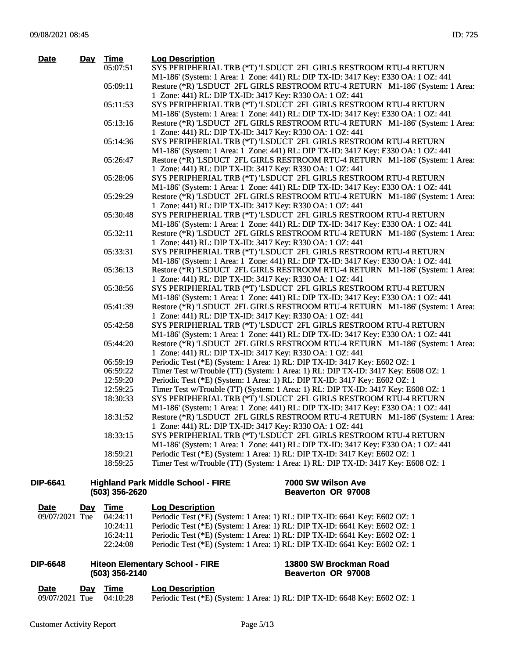| <b>Date</b> | Day Time | <b>Log Description</b>                                                            |
|-------------|----------|-----------------------------------------------------------------------------------|
|             | 05:07:51 | SYS PERIPHERIAL TRB (*T) 'LSDUCT 2FL GIRLS RESTROOM RTU-4 RETURN                  |
|             |          | M1-186' (System: 1 Area: 1 Zone: 441) RL: DIP TX-ID: 3417 Key: E330 OA: 1 OZ: 441 |
|             | 05:09:11 | Restore (*R) 'LSDUCT 2FL GIRLS RESTROOM RTU-4 RETURN M1-186' (System: 1 Area:     |
|             |          | 1 Zone: 441) RL: DIP TX-ID: 3417 Key: R330 OA: 1 OZ: 441                          |
|             | 05:11:53 | SYS PERIPHERIAL TRB (*T) 'LSDUCT 2FL GIRLS RESTROOM RTU-4 RETURN                  |
|             |          | M1-186' (System: 1 Area: 1 Zone: 441) RL: DIP TX-ID: 3417 Key: E330 OA: 1 OZ: 441 |
|             | 05:13:16 | Restore (*R) 'LSDUCT 2FL GIRLS RESTROOM RTU-4 RETURN M1-186' (System: 1 Area:     |
|             |          | 1 Zone: 441) RL: DIP TX-ID: 3417 Key: R330 OA: 1 OZ: 441                          |
|             | 05:14:36 | SYS PERIPHERIAL TRB (*T) 'LSDUCT 2FL GIRLS RESTROOM RTU-4 RETURN                  |
|             |          | M1-186' (System: 1 Area: 1 Zone: 441) RL: DIP TX-ID: 3417 Key: E330 OA: 1 OZ: 441 |
|             | 05:26:47 | Restore (*R) 'LSDUCT 2FL GIRLS RESTROOM RTU-4 RETURN M1-186' (System: 1 Area:     |
|             |          | 1 Zone: 441) RL: DIP TX-ID: 3417 Key: R330 OA: 1 OZ: 441                          |
|             | 05:28:06 | SYS PERIPHERIAL TRB (*T) 'LSDUCT 2FL GIRLS RESTROOM RTU-4 RETURN                  |
|             |          | M1-186' (System: 1 Area: 1 Zone: 441) RL: DIP TX-ID: 3417 Key: E330 OA: 1 OZ: 441 |
|             | 05:29:29 | Restore (*R) 'LSDUCT 2FL GIRLS RESTROOM RTU-4 RETURN M1-186' (System: 1 Area:     |
|             |          | 1 Zone: 441) RL: DIP TX-ID: 3417 Key: R330 OA: 1 OZ: 441                          |
|             | 05:30:48 | SYS PERIPHERIAL TRB (*T) 'LSDUCT 2FL GIRLS RESTROOM RTU-4 RETURN                  |
|             |          | M1-186' (System: 1 Area: 1 Zone: 441) RL: DIP TX-ID: 3417 Key: E330 OA: 1 OZ: 441 |
|             | 05:32:11 | Restore (*R) 'LSDUCT 2FL GIRLS RESTROOM RTU-4 RETURN M1-186' (System: 1 Area:     |
|             |          | 1 Zone: 441) RL: DIP TX-ID: 3417 Key: R330 OA: 1 OZ: 441                          |
|             | 05:33:31 | SYS PERIPHERIAL TRB (*T) 'LSDUCT 2FL GIRLS RESTROOM RTU-4 RETURN                  |
|             |          | M1-186' (System: 1 Area: 1 Zone: 441) RL: DIP TX-ID: 3417 Key: E330 OA: 1 OZ: 441 |
|             | 05:36:13 | Restore (*R) 'LSDUCT 2FL GIRLS RESTROOM RTU-4 RETURN M1-186' (System: 1 Area:     |
|             |          | 1 Zone: 441) RL: DIP TX-ID: 3417 Key: R330 OA: 1 OZ: 441                          |
|             | 05:38:56 | SYS PERIPHERIAL TRB (*T) 'LSDUCT 2FL GIRLS RESTROOM RTU-4 RETURN                  |
|             |          | M1-186' (System: 1 Area: 1 Zone: 441) RL: DIP TX-ID: 3417 Key: E330 OA: 1 OZ: 441 |
|             | 05:41:39 | Restore (*R) 'LSDUCT 2FL GIRLS RESTROOM RTU-4 RETURN M1-186' (System: 1 Area:     |
|             |          | 1 Zone: 441) RL: DIP TX-ID: 3417 Key: R330 OA: 1 OZ: 441                          |
|             | 05:42:58 | SYS PERIPHERIAL TRB (*T) 'LSDUCT 2FL GIRLS RESTROOM RTU-4 RETURN                  |
|             |          | M1-186' (System: 1 Area: 1 Zone: 441) RL: DIP TX-ID: 3417 Key: E330 OA: 1 OZ: 441 |
|             | 05:44:20 | Restore (*R) 'LSDUCT 2FL GIRLS RESTROOM RTU-4 RETURN M1-186' (System: 1 Area:     |
|             |          | 1 Zone: 441) RL: DIP TX-ID: 3417 Key: R330 OA: 1 OZ: 441                          |
|             | 06:59:19 | Periodic Test (*E) (System: 1 Area: 1) RL: DIP TX-ID: 3417 Key: E602 OZ: 1        |
|             | 06:59:22 | Timer Test w/Trouble (TT) (System: 1 Area: 1) RL: DIP TX-ID: 3417 Key: E608 OZ: 1 |
|             | 12:59:20 | Periodic Test (*E) (System: 1 Area: 1) RL: DIP TX-ID: 3417 Key: E602 OZ: 1        |
|             | 12:59:25 | Timer Test w/Trouble (TT) (System: 1 Area: 1) RL: DIP TX-ID: 3417 Key: E608 OZ: 1 |
|             | 18:30:33 | SYS PERIPHERIAL TRB (*T) 'LSDUCT 2FL GIRLS RESTROOM RTU-4 RETURN                  |
|             |          | M1-186' (System: 1 Area: 1 Zone: 441) RL: DIP TX-ID: 3417 Key: E330 OA: 1 OZ: 441 |
|             | 18:31:52 | Restore (*R) 'LSDUCT 2FL GIRLS RESTROOM RTU-4 RETURN M1-186' (System: 1 Area:     |
|             |          | 1 Zone: 441) RL: DIP TX-ID: 3417 Key: R330 OA: 1 OZ: 441                          |
|             | 18:33:15 | SYS PERIPHERIAL TRB (*T) 'LSDUCT 2FL GIRLS RESTROOM RTU-4 RETURN                  |
|             |          | M1-186' (System: 1 Area: 1 Zone: 441) RL: DIP TX-ID: 3417 Key: E330 OA: 1 OZ: 441 |
|             | 18:59:21 | Periodic Test (*E) (System: 1 Area: 1) RL: DIP TX-ID: 3417 Key: E602 OZ: 1        |
|             | 18:59:25 | Timer Test w/Trouble (TT) (System: 1 Area: 1) RL: DIP TX-ID: 3417 Key: E608 OZ: 1 |
|             |          |                                                                                   |

| <b>DIP-6641</b> | <b>Highland Park Middle School - FIRE</b> | 7000 SW Wilson Ave |  |  |
|-----------------|-------------------------------------------|--------------------|--|--|
|                 | $(503)$ 356-2620                          | Beaverton OR 97008 |  |  |

| <u>Date</u>    | Day | Time     | <b>Log Description</b>                                                       |
|----------------|-----|----------|------------------------------------------------------------------------------|
| 09/07/2021 Tue |     | 04:24:11 | Periodic Test (*E) (System: 1 Area: 1) RL: DIP TX-ID: 6641 Key: E602 OZ: 1   |
|                |     | 10:24:11 | Periodic Test $(*E)$ (System: 1 Area: 1) RL: DIP TX-ID: 6641 Key: E602 OZ: 1 |
|                |     | 16:24:11 | Periodic Test (*E) (System: 1 Area: 1) RL: DIP TX-ID: 6641 Key: E602 OZ: 1   |
|                |     | 22:24:08 | Periodic Test (*E) (System: 1 Area: 1) RL: DIP TX-ID: 6641 Key: E602 OZ: 1   |

| <b>DIP-6648</b><br><b>Hiteon Elementary School - FIRE</b><br>$(503)$ 356-2140 |     |          |                        | 13800 SW Brockman Road<br>Beaverton OR 97008                               |
|-------------------------------------------------------------------------------|-----|----------|------------------------|----------------------------------------------------------------------------|
| Date                                                                          | Dav | Time     | <b>Log Description</b> |                                                                            |
| 09/07/2021 Tue                                                                |     | 04:10:28 |                        | Periodic Test (*E) (System: 1 Area: 1) RL: DIP TX-ID: 6648 Key: E602 OZ: 1 |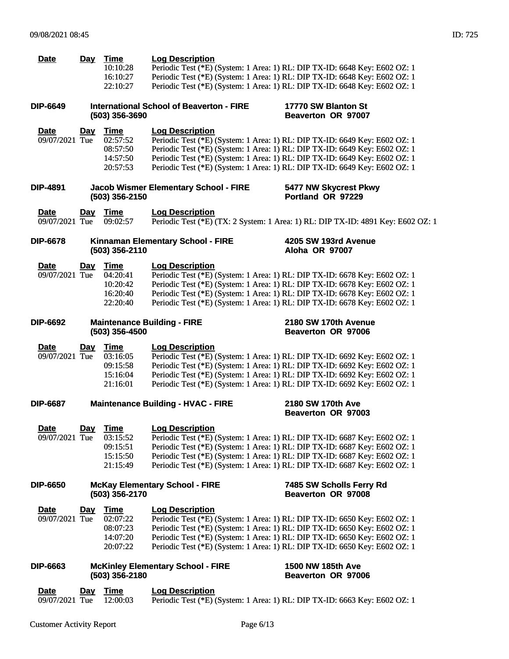| <b>Date</b>                   | <u>Day</u> | <b>Time</b><br>10:10:28<br>16:10:27<br>22:10:27             | <b>Log Description</b><br>Periodic Test (*E) (System: 1 Area: 1) RL: DIP TX-ID: 6648 Key: E602 OZ: 1<br>Periodic Test (*E) (System: 1 Area: 1) RL: DIP TX-ID: 6648 Key: E602 OZ: 1<br>Periodic Test (*E) (System: 1 Area: 1) RL: DIP TX-ID: 6648 Key: E602 OZ: 1                                                                               |                                                                                  |
|-------------------------------|------------|-------------------------------------------------------------|------------------------------------------------------------------------------------------------------------------------------------------------------------------------------------------------------------------------------------------------------------------------------------------------------------------------------------------------|----------------------------------------------------------------------------------|
| DIP-6649                      |            | (503) 356-3690                                              | <b>International School of Beaverton - FIRE</b>                                                                                                                                                                                                                                                                                                | 17770 SW Blanton St<br>Beaverton OR 97007                                        |
| <b>Date</b><br>09/07/2021 Tue | <u>Day</u> | Time<br>02:57:52<br>08:57:50<br>14:57:50<br>20:57:53        | <b>Log Description</b><br>Periodic Test (*E) (System: 1 Area: 1) RL: DIP TX-ID: 6649 Key: E602 OZ: 1<br>Periodic Test (*E) (System: 1 Area: 1) RL: DIP TX-ID: 6649 Key: E602 OZ: 1<br>Periodic Test (*E) (System: 1 Area: 1) RL: DIP TX-ID: 6649 Key: E602 OZ: 1<br>Periodic Test (*E) (System: 1 Area: 1) RL: DIP TX-ID: 6649 Key: E602 OZ: 1 |                                                                                  |
| DIP-4891                      |            | (503) 356-2150                                              | <b>Jacob Wismer Elementary School - FIRE</b>                                                                                                                                                                                                                                                                                                   | 5477 NW Skycrest Pkwy<br>Portland OR 97229                                       |
| <u>Date</u><br>09/07/2021 Tue | <u>Day</u> | <u>Time</u><br>09:02:57                                     | <b>Log Description</b>                                                                                                                                                                                                                                                                                                                         | Periodic Test (*E) (TX: 2 System: 1 Area: 1) RL: DIP TX-ID: 4891 Key: E602 OZ: 1 |
| <b>DIP-6678</b>               |            | (503) 356-2110                                              | Kinnaman Elementary School - FIRE                                                                                                                                                                                                                                                                                                              | 4205 SW 193rd Avenue<br>Aloha OR 97007                                           |
| <b>Date</b><br>09/07/2021 Tue | <u>Day</u> | <u>Time</u><br>04:20:41<br>10:20:42<br>16:20:40<br>22:20:40 | <b>Log Description</b><br>Periodic Test (*E) (System: 1 Area: 1) RL: DIP TX-ID: 6678 Key: E602 OZ: 1<br>Periodic Test (*E) (System: 1 Area: 1) RL: DIP TX-ID: 6678 Key: E602 OZ: 1<br>Periodic Test (*E) (System: 1 Area: 1) RL: DIP TX-ID: 6678 Key: E602 OZ: 1<br>Periodic Test (*E) (System: 1 Area: 1) RL: DIP TX-ID: 6678 Key: E602 OZ: 1 |                                                                                  |
| DIP-6692                      |            | (503) 356-4500                                              | <b>Maintenance Building - FIRE</b>                                                                                                                                                                                                                                                                                                             | 2180 SW 170th Avenue<br>Beaverton OR 97006                                       |
| <b>Date</b><br>09/07/2021 Tue | <u>Day</u> | <u>Time</u><br>03:16:05<br>09:15:58<br>15:16:04<br>21:16:01 | <b>Log Description</b><br>Periodic Test (*E) (System: 1 Area: 1) RL: DIP TX-ID: 6692 Key: E602 OZ: 1<br>Periodic Test (*E) (System: 1 Area: 1) RL: DIP TX-ID: 6692 Key: E602 OZ: 1<br>Periodic Test (*E) (System: 1 Area: 1) RL: DIP TX-ID: 6692 Key: E602 OZ: 1<br>Periodic Test (*E) (System: 1 Area: 1) RL: DIP TX-ID: 6692 Key: E602 OZ: 1 |                                                                                  |
| <b>DIP-6687</b>               |            |                                                             | <b>Maintenance Building - HVAC - FIRE</b>                                                                                                                                                                                                                                                                                                      | 2180 SW 170th Ave<br>Beaverton OR 97003                                          |
| Date<br>09/07/2021 Tue        | <u>Day</u> | <b>Time</b><br>03:15:52<br>09:15:51<br>15:15:50<br>21:15:49 | <b>Log Description</b><br>Periodic Test (*E) (System: 1 Area: 1) RL: DIP TX-ID: 6687 Key: E602 OZ: 1<br>Periodic Test (*E) (System: 1 Area: 1) RL: DIP TX-ID: 6687 Key: E602 OZ: 1<br>Periodic Test (*E) (System: 1 Area: 1) RL: DIP TX-ID: 6687 Key: E602 OZ: 1<br>Periodic Test (*E) (System: 1 Area: 1) RL: DIP TX-ID: 6687 Key: E602 OZ: 1 |                                                                                  |
| DIP-6650                      |            | (503) 356-2170                                              | <b>McKay Elementary School - FIRE</b>                                                                                                                                                                                                                                                                                                          | 7485 SW Scholls Ferry Rd<br>Beaverton OR 97008                                   |
| <b>Date</b><br>09/07/2021 Tue | <u>Day</u> | <b>Time</b><br>02:07:22<br>08:07:23<br>14:07:20<br>20:07:22 | <b>Log Description</b><br>Periodic Test (*E) (System: 1 Area: 1) RL: DIP TX-ID: 6650 Key: E602 OZ: 1<br>Periodic Test (*E) (System: 1 Area: 1) RL: DIP TX-ID: 6650 Key: E602 OZ: 1<br>Periodic Test (*E) (System: 1 Area: 1) RL: DIP TX-ID: 6650 Key: E602 OZ: 1<br>Periodic Test (*E) (System: 1 Area: 1) RL: DIP TX-ID: 6650 Key: E602 OZ: 1 |                                                                                  |
| DIP-6663                      |            | (503) 356-2180                                              | <b>McKinley Elementary School - FIRE</b>                                                                                                                                                                                                                                                                                                       | 1500 NW 185th Ave<br><b>Beaverton OR 97006</b>                                   |
| <b>Date</b><br>09/07/2021 Tue | <u>Day</u> | <b>Time</b><br>12:00:03                                     | <b>Log Description</b><br>Periodic Test (*E) (System: 1 Area: 1) RL: DIP TX-ID: 6663 Key: E602 OZ: 1                                                                                                                                                                                                                                           |                                                                                  |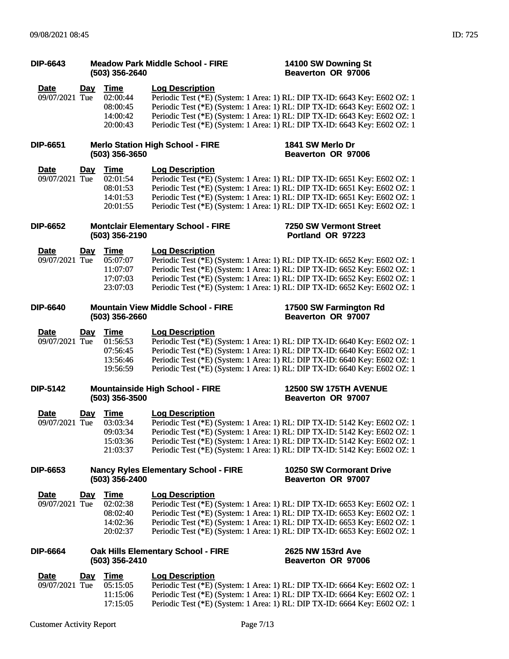| <b>DIP-6643</b>               | <b>Meadow Park Middle School - FIRE</b><br>(503) 356-2640 |                                                             |                                             | 14100 SW Downing St<br>Beaverton OR 97006                                                                                                                                                                                                                                                                            |
|-------------------------------|-----------------------------------------------------------|-------------------------------------------------------------|---------------------------------------------|----------------------------------------------------------------------------------------------------------------------------------------------------------------------------------------------------------------------------------------------------------------------------------------------------------------------|
| <b>Date</b><br>09/07/2021 Tue | <u>Day</u>                                                | <b>Time</b><br>02:00:44<br>08:00:45<br>14:00:42<br>20:00:43 | <b>Log Description</b>                      | Periodic Test (*E) (System: 1 Area: 1) RL: DIP TX-ID: 6643 Key: E602 OZ: 1<br>Periodic Test (*E) (System: 1 Area: 1) RL: DIP TX-ID: 6643 Key: E602 OZ: 1<br>Periodic Test (*E) (System: 1 Area: 1) RL: DIP TX-ID: 6643 Key: E602 OZ: 1<br>Periodic Test (*E) (System: 1 Area: 1) RL: DIP TX-ID: 6643 Key: E602 OZ: 1 |
| <b>DIP-6651</b>               |                                                           | (503) 356-3650                                              | <b>Merlo Station High School - FIRE</b>     | 1841 SW Merlo Dr<br>Beaverton OR 97006                                                                                                                                                                                                                                                                               |
| Date<br>09/07/2021 Tue        | <u>Day</u>                                                | <b>Time</b><br>02:01:54<br>08:01:53<br>14:01:53<br>20:01:55 | <b>Log Description</b>                      | Periodic Test (*E) (System: 1 Area: 1) RL: DIP TX-ID: 6651 Key: E602 OZ: 1<br>Periodic Test (*E) (System: 1 Area: 1) RL: DIP TX-ID: 6651 Key: E602 OZ: 1<br>Periodic Test (*E) (System: 1 Area: 1) RL: DIP TX-ID: 6651 Key: E602 OZ: 1<br>Periodic Test (*E) (System: 1 Area: 1) RL: DIP TX-ID: 6651 Key: E602 OZ: 1 |
| <b>DIP-6652</b>               |                                                           | (503) 356-2190                                              | <b>Montclair Elementary School - FIRE</b>   | 7250 SW Vermont Street<br>Portland OR 97223                                                                                                                                                                                                                                                                          |
| <u>Date</u><br>09/07/2021 Tue | <u>Day</u>                                                | <b>Time</b><br>05:07:07<br>11:07:07<br>17:07:03<br>23:07:03 | <b>Log Description</b>                      | Periodic Test (*E) (System: 1 Area: 1) RL: DIP TX-ID: 6652 Key: E602 OZ: 1<br>Periodic Test (*E) (System: 1 Area: 1) RL: DIP TX-ID: 6652 Key: E602 OZ: 1<br>Periodic Test (*E) (System: 1 Area: 1) RL: DIP TX-ID: 6652 Key: E602 OZ: 1<br>Periodic Test (*E) (System: 1 Area: 1) RL: DIP TX-ID: 6652 Key: E602 OZ: 1 |
| <b>DIP-6640</b>               |                                                           | (503) 356-2660                                              | <b>Mountain View Middle School - FIRE</b>   | 17500 SW Farmington Rd<br>Beaverton OR 97007                                                                                                                                                                                                                                                                         |
| <b>Date</b><br>09/07/2021 Tue | <u>Day</u>                                                | <b>Time</b><br>01:56:53<br>07:56:45<br>13:56:46<br>19:56:59 | <b>Log Description</b>                      | Periodic Test (*E) (System: 1 Area: 1) RL: DIP TX-ID: 6640 Key: E602 OZ: 1<br>Periodic Test (*E) (System: 1 Area: 1) RL: DIP TX-ID: 6640 Key: E602 OZ: 1<br>Periodic Test (*E) (System: 1 Area: 1) RL: DIP TX-ID: 6640 Key: E602 OZ: 1<br>Periodic Test (*E) (System: 1 Area: 1) RL: DIP TX-ID: 6640 Key: E602 OZ: 1 |
| <b>DIP-5142</b>               |                                                           | (503) 356-3500                                              | <b>Mountainside High School - FIRE</b>      | <b>12500 SW 175TH AVENUE</b><br>Beaverton OR 97007                                                                                                                                                                                                                                                                   |
| <b>Date</b><br>09/07/2021 Tue | <u>Day</u>                                                | Time<br>03:03:34<br>09:03:34<br>15:03:36<br>21:03:37        | <b>Log Description</b>                      | Periodic Test (*E) (System: 1 Area: 1) RL: DIP TX-ID: 5142 Key: E602 OZ: 1<br>Periodic Test (*E) (System: 1 Area: 1) RL: DIP TX-ID: 5142 Key: E602 OZ: 1<br>Periodic Test (*E) (System: 1 Area: 1) RL: DIP TX-ID: 5142 Key: E602 OZ: 1<br>Periodic Test (*E) (System: 1 Area: 1) RL: DIP TX-ID: 5142 Key: E602 OZ: 1 |
| <b>DIP-6653</b>               |                                                           | (503) 356-2400                                              | <b>Nancy Ryles Elementary School - FIRE</b> | 10250 SW Cormorant Drive<br>Beaverton OR 97007                                                                                                                                                                                                                                                                       |
| Date<br>09/07/2021 Tue        | <u>Day</u>                                                | <b>Time</b><br>02:02:38<br>08:02:40<br>14:02:36<br>20:02:37 | <b>Log Description</b>                      | Periodic Test (*E) (System: 1 Area: 1) RL: DIP TX-ID: 6653 Key: E602 OZ: 1<br>Periodic Test (*E) (System: 1 Area: 1) RL: DIP TX-ID: 6653 Key: E602 OZ: 1<br>Periodic Test (*E) (System: 1 Area: 1) RL: DIP TX-ID: 6653 Key: E602 OZ: 1<br>Periodic Test (*E) (System: 1 Area: 1) RL: DIP TX-ID: 6653 Key: E602 OZ: 1 |
| <b>DIP-6664</b>               |                                                           | (503) 356-2410                                              | Oak Hills Elementary School - FIRE          | 2625 NW 153rd Ave<br>Beaverton OR 97006                                                                                                                                                                                                                                                                              |
| <b>Date</b><br>09/07/2021 Tue | <u>Day</u>                                                | <b>Time</b><br>05:15:05<br>11:15:06                         | <b>Log Description</b>                      | Periodic Test (*E) (System: 1 Area: 1) RL: DIP TX-ID: 6664 Key: E602 OZ: 1<br>Periodic Test (*E) (System: 1 Area: 1) RL: DIP TX-ID: 6664 Key: E602 OZ: 1                                                                                                                                                             |

17:15:05 Periodic Test (\*E) (System: 1 Area: 1) RL: DIP TX-ID: 6664 Key: E602 OZ: 1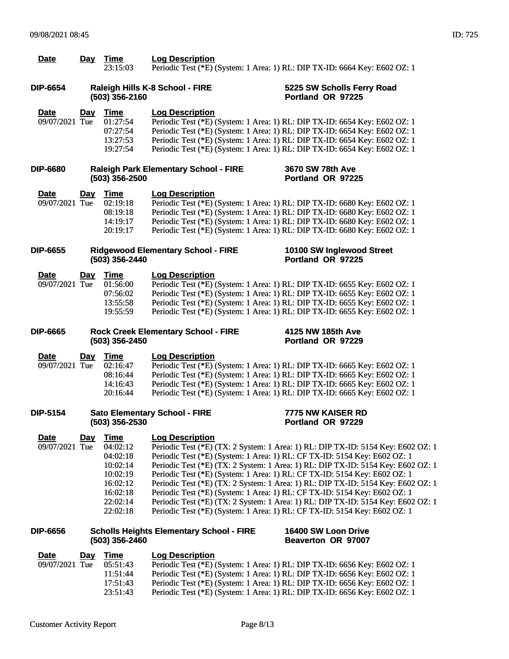| <b>Date</b>                   | Day        | Time<br>23:15:03                                                                                            | <b>Log Description</b><br>Periodic Test (*E) (System: 1 Area: 1) RL: DIP TX-ID: 6664 Key: E602 OZ: 1                                                                                                                                                                                                                                           |                                                                                                                                                                                                                                                                                                                                              |
|-------------------------------|------------|-------------------------------------------------------------------------------------------------------------|------------------------------------------------------------------------------------------------------------------------------------------------------------------------------------------------------------------------------------------------------------------------------------------------------------------------------------------------|----------------------------------------------------------------------------------------------------------------------------------------------------------------------------------------------------------------------------------------------------------------------------------------------------------------------------------------------|
| <b>DIP-6654</b>               |            | (503) 356-2160                                                                                              | Raleigh Hills K-8 School - FIRE                                                                                                                                                                                                                                                                                                                | 5225 SW Scholls Ferry Road<br>Portland OR 97225                                                                                                                                                                                                                                                                                              |
| <b>Date</b><br>09/07/2021 Tue | Day        | <b>Time</b><br>01:27:54<br>07:27:54<br>13:27:53<br>19:27:54                                                 | <b>Log Description</b><br>Periodic Test (*E) (System: 1 Area: 1) RL: DIP TX-ID: 6654 Key: E602 OZ: 1<br>Periodic Test (*E) (System: 1 Area: 1) RL: DIP TX-ID: 6654 Key: E602 OZ: 1<br>Periodic Test (*E) (System: 1 Area: 1) RL: DIP TX-ID: 6654 Key: E602 OZ: 1<br>Periodic Test (*E) (System: 1 Area: 1) RL: DIP TX-ID: 6654 Key: E602 OZ: 1 |                                                                                                                                                                                                                                                                                                                                              |
| <b>DIP-6680</b>               |            | (503) 356-2500                                                                                              | <b>Raleigh Park Elementary School - FIRE</b>                                                                                                                                                                                                                                                                                                   | 3670 SW 78th Ave<br>Portland OR 97225                                                                                                                                                                                                                                                                                                        |
| <u>Date</u><br>09/07/2021 Tue | <u>Day</u> | <u>Time</u><br>02:19:18<br>08:19:18<br>14:19:17<br>20:19:17                                                 | <b>Log Description</b><br>Periodic Test (*E) (System: 1 Area: 1) RL: DIP TX-ID: 6680 Key: E602 OZ: 1<br>Periodic Test (*E) (System: 1 Area: 1) RL: DIP TX-ID: 6680 Key: E602 OZ: 1<br>Periodic Test (*E) (System: 1 Area: 1) RL: DIP TX-ID: 6680 Key: E602 OZ: 1<br>Periodic Test (*E) (System: 1 Area: 1) RL: DIP TX-ID: 6680 Key: E602 OZ: 1 |                                                                                                                                                                                                                                                                                                                                              |
| <b>DIP-6655</b>               |            | (503) 356-2440                                                                                              | <b>Ridgewood Elementary School - FIRE</b>                                                                                                                                                                                                                                                                                                      | 10100 SW Inglewood Street<br>Portland OR 97225                                                                                                                                                                                                                                                                                               |
| <b>Date</b><br>09/07/2021 Tue | <u>Day</u> | Time<br>01:56:00<br>07:56:02<br>13:55:58<br>19:55:59                                                        | <b>Log Description</b><br>Periodic Test (*E) (System: 1 Area: 1) RL: DIP TX-ID: 6655 Key: E602 OZ: 1<br>Periodic Test (*E) (System: 1 Area: 1) RL: DIP TX-ID: 6655 Key: E602 OZ: 1<br>Periodic Test (*E) (System: 1 Area: 1) RL: DIP TX-ID: 6655 Key: E602 OZ: 1<br>Periodic Test (*E) (System: 1 Area: 1) RL: DIP TX-ID: 6655 Key: E602 OZ: 1 |                                                                                                                                                                                                                                                                                                                                              |
| <b>DIP-6665</b>               |            | (503) 356-2450                                                                                              | <b>Rock Creek Elementary School - FIRE</b>                                                                                                                                                                                                                                                                                                     | 4125 NW 185th Ave<br>Portland OR 97229                                                                                                                                                                                                                                                                                                       |
| <b>Date</b><br>09/07/2021 Tue | <u>Day</u> | <b>Time</b><br>02:16:47<br>08:16:44<br>14:16:43<br>20:16:44                                                 | <b>Log Description</b><br>Periodic Test (*E) (System: 1 Area: 1) RL: DIP TX-ID: 6665 Key: E602 OZ: 1<br>Periodic Test (*E) (System: 1 Area: 1) RL: DIP TX-ID: 6665 Key: E602 OZ: 1<br>Periodic Test (*E) (System: 1 Area: 1) RL: DIP TX-ID: 6665 Key: E602 OZ: 1<br>Periodic Test (*E) (System: 1 Area: 1) RL: DIP TX-ID: 6665 Key: E602 OZ: 1 |                                                                                                                                                                                                                                                                                                                                              |
| <b>DIP-5154</b>               |            | (503) 356-2530                                                                                              | <b>Sato Elementary School - FIRE</b>                                                                                                                                                                                                                                                                                                           | 7775 NW KAISER RD<br>Portland OR 97229                                                                                                                                                                                                                                                                                                       |
| <b>Date</b><br>09/07/2021 Tue | Day        | <b>Time</b><br>04:02:12<br>04:02:18<br>10:02:14<br>10:02:19<br>16:02:12<br>16:02:18<br>22:02:14<br>22:02:18 | <b>Log Description</b><br>Periodic Test (*E) (System: 1 Area: 1) RL: CF TX-ID: 5154 Key: E602 OZ: 1<br>Periodic Test (*E) (System: 1 Area: 1) RL: CF TX-ID: 5154 Key: E602 OZ: 1<br>Periodic Test (*E) (System: 1 Area: 1) RL: CF TX-ID: 5154 Key: E602 OZ: 1<br>Periodic Test (*E) (System: 1 Area: 1) RL: CF TX-ID: 5154 Key: E602 OZ: 1     | Periodic Test (*E) (TX: 2 System: 1 Area: 1) RL: DIP TX-ID: 5154 Key: E602 OZ: 1<br>Periodic Test (*E) (TX: 2 System: 1 Area: 1) RL: DIP TX-ID: 5154 Key: E602 OZ: 1<br>Periodic Test (*E) (TX: 2 System: 1 Area: 1) RL: DIP TX-ID: 5154 Key: E602 OZ: 1<br>Periodic Test (*E) (TX: 2 System: 1 Area: 1) RL: DIP TX-ID: 5154 Key: E602 OZ: 1 |
| <b>DIP-6656</b>               |            | (503) 356-2460                                                                                              | <b>Scholls Heights Elementary School - FIRE</b>                                                                                                                                                                                                                                                                                                | 16400 SW Loon Drive<br>Beaverton OR 97007                                                                                                                                                                                                                                                                                                    |
| <b>Date</b><br>09/07/2021 Tue | <b>Day</b> | <b>Time</b><br>05:51:43<br>11:51:44                                                                         | <b>Log Description</b><br>Periodic Test (*E) (System: 1 Area: 1) RL: DIP TX-ID: 6656 Key: E602 OZ: 1<br>Periodic Test (*E) (System: 1 Area: 1) RL: DIP TX-ID: 6656 Key: E602 OZ: 1                                                                                                                                                             |                                                                                                                                                                                                                                                                                                                                              |

17:51:43 Periodic Test (\*E) (System: 1 Area: 1) RL: DIP TX-ID: 6656 Key: E602 OZ: 1 23:51:43 Periodic Test (\*E) (System: 1 Area: 1) RL: DIP TX-ID: 6656 Key: E602 OZ: 1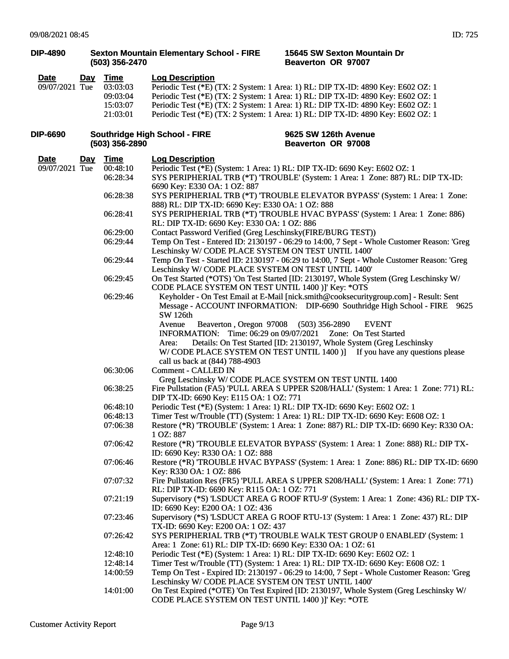| <b>DIP-4890</b>               |            | (503) 356-2470                                           | <b>Sexton Mountain Elementary School - FIRE</b><br>15645 SW Sexton Mountain Dr<br>Beaverton OR 97007                                                                                                                                                                                                                                                                                                                                                                                                                |
|-------------------------------|------------|----------------------------------------------------------|---------------------------------------------------------------------------------------------------------------------------------------------------------------------------------------------------------------------------------------------------------------------------------------------------------------------------------------------------------------------------------------------------------------------------------------------------------------------------------------------------------------------|
| <b>Date</b><br>09/07/2021 Tue |            | Day Time<br>03:03:03<br>09:03:04<br>15:03:07<br>21:03:01 | <b>Log Description</b><br>Periodic Test (*E) (TX: 2 System: 1 Area: 1) RL: DIP TX-ID: 4890 Key: E602 OZ: 1<br>Periodic Test (*E) (TX: 2 System: 1 Area: 1) RL: DIP TX-ID: 4890 Key: E602 OZ: 1<br>Periodic Test (*E) (TX: 2 System: 1 Area: 1) RL: DIP TX-ID: 4890 Key: E602 OZ: 1<br>Periodic Test (*E) (TX: 2 System: 1 Area: 1) RL: DIP TX-ID: 4890 Key: E602 OZ: 1                                                                                                                                              |
| <b>DIP-6690</b>               |            | (503) 356-2890                                           | <b>Southridge High School - FIRE</b><br>9625 SW 126th Avenue<br>Beaverton OR 97008                                                                                                                                                                                                                                                                                                                                                                                                                                  |
| <b>Date</b><br>09/07/2021 Tue | <u>Day</u> | <b>Time</b><br>00:48:10<br>06:28:34                      | <b>Log Description</b><br>Periodic Test (*E) (System: 1 Area: 1) RL: DIP TX-ID: 6690 Key: E602 OZ: 1<br>SYS PERIPHERIAL TRB (*T) 'TROUBLE' (System: 1 Area: 1 Zone: 887) RL: DIP TX-ID:                                                                                                                                                                                                                                                                                                                             |
|                               |            | 06:28:38                                                 | 6690 Key: E330 OA: 1 OZ: 887<br>SYS PERIPHERIAL TRB (*T) 'TROUBLE ELEVATOR BYPASS' (System: 1 Area: 1 Zone:<br>888) RL: DIP TX-ID: 6690 Key: E330 OA: 1 OZ: 888                                                                                                                                                                                                                                                                                                                                                     |
|                               |            | 06:28:41                                                 | SYS PERIPHERIAL TRB (*T) 'TROUBLE HVAC BYPASS' (System: 1 Area: 1 Zone: 886)<br>RL: DIP TX-ID: 6690 Key: E330 OA: 1 OZ: 886                                                                                                                                                                                                                                                                                                                                                                                         |
|                               |            | 06:29:00                                                 | Contact Password Verified (Greg Leschinsky(FIRE/BURG TEST))                                                                                                                                                                                                                                                                                                                                                                                                                                                         |
|                               |            | 06:29:44                                                 | Temp On Test - Entered ID: 2130197 - 06:29 to 14:00, 7 Sept - Whole Customer Reason: 'Greg                                                                                                                                                                                                                                                                                                                                                                                                                          |
|                               |            |                                                          | Leschinsky W/CODE PLACE SYSTEM ON TEST UNTIL 1400'                                                                                                                                                                                                                                                                                                                                                                                                                                                                  |
|                               |            | 06:29:44                                                 | Temp On Test - Started ID: 2130197 - 06:29 to 14:00, 7 Sept - Whole Customer Reason: 'Greg<br>Leschinsky W/CODE PLACE SYSTEM ON TEST UNTIL 1400'                                                                                                                                                                                                                                                                                                                                                                    |
|                               |            | 06:29:45                                                 | On Test Started (*OTS) 'On Test Started [ID: 2130197, Whole System (Greg Leschinsky W/<br>CODE PLACE SYSTEM ON TEST UNTIL 1400 )]' Key: *OTS                                                                                                                                                                                                                                                                                                                                                                        |
|                               |            | 06:29:46                                                 | Keyholder - On Test Email at E-Mail [nick.smith@cooksecuritygroup.com] - Result: Sent<br>Message - ACCOUNT INFORMATION: DIP-6690 Southridge High School - FIRE 9625<br>SW 126th<br>Beaverton, Oregon 97008 (503) 356-2890<br><b>EVENT</b><br>Avenue<br>INFORMATION: Time: 06:29 on 09/07/2021 Zone: On Test Started<br>Details: On Test Started [ID: 2130197, Whole System (Greg Leschinsky<br>Area:<br>W/CODE PLACE SYSTEM ON TEST UNTIL 1400)] If you have any questions please<br>call us back at (844) 788-4903 |
|                               |            | 06:30:06                                                 | <b>Comment - CALLED IN</b><br>Greg Leschinsky W/CODE PLACE SYSTEM ON TEST UNTIL 1400                                                                                                                                                                                                                                                                                                                                                                                                                                |
|                               |            | 06:38:25                                                 | Fire Pullstation (FA5) 'PULL AREA S UPPER S208/HALL' (System: 1 Area: 1 Zone: 771) RL:<br>DIP TX-ID: 6690 Key: E115 OA: 1 OZ: 771                                                                                                                                                                                                                                                                                                                                                                                   |
|                               |            | 06:48:10                                                 | Periodic Test (*E) (System: 1 Area: 1) RL: DIP TX-ID: 6690 Key: E602 OZ: 1                                                                                                                                                                                                                                                                                                                                                                                                                                          |
|                               |            | 06:48:13                                                 | Timer Test w/Trouble (TT) (System: 1 Area: 1) RL: DIP TX-ID: 6690 Key: E608 OZ: 1                                                                                                                                                                                                                                                                                                                                                                                                                                   |
|                               |            | 07:06:38                                                 | Restore (*R) 'TROUBLE' (System: 1 Area: 1 Zone: 887) RL: DIP TX-ID: 6690 Key: R330 OA:<br>1 OZ: 887                                                                                                                                                                                                                                                                                                                                                                                                                 |
|                               |            | 07:06:42                                                 | Restore (*R) 'TROUBLE ELEVATOR BYPASS' (System: 1 Area: 1 Zone: 888) RL: DIP TX-<br>ID: 6690 Key: R330 OA: 1 OZ: 888                                                                                                                                                                                                                                                                                                                                                                                                |
|                               |            | 07:06:46                                                 | Restore (*R) 'TROUBLE HVAC BYPASS' (System: 1 Area: 1 Zone: 886) RL: DIP TX-ID: 6690<br>Key: R330 OA: 1 OZ: 886                                                                                                                                                                                                                                                                                                                                                                                                     |
|                               |            | 07:07:32                                                 | Fire Pullstation Res (FR5) 'PULL AREA S UPPER S208/HALL' (System: 1 Area: 1 Zone: 771)<br>RL: DIP TX-ID: 6690 Key: R115 OA: 1 OZ: 771                                                                                                                                                                                                                                                                                                                                                                               |
|                               |            | 07:21:19                                                 | Supervisory (*S) 'LSDUCT AREA G ROOF RTU-9' (System: 1 Area: 1 Zone: 436) RL: DIP TX-<br>ID: 6690 Key: E200 OA: 1 OZ: 436                                                                                                                                                                                                                                                                                                                                                                                           |
|                               |            | 07:23:46                                                 | Supervisory (*S) 'LSDUCT AREA G ROOF RTU-13' (System: 1 Area: 1 Zone: 437) RL: DIP<br>TX-ID: 6690 Key: E200 OA: 1 OZ: 437                                                                                                                                                                                                                                                                                                                                                                                           |
|                               |            | 07:26:42                                                 | SYS PERIPHERIAL TRB (*T) 'TROUBLE WALK TEST GROUP 0 ENABLED' (System: 1<br>Area: 1 Zone: 61) RL: DIP TX-ID: 6690 Key: E330 OA: 1 OZ: 61                                                                                                                                                                                                                                                                                                                                                                             |
|                               |            | 12:48:10                                                 | Periodic Test (*E) (System: 1 Area: 1) RL: DIP TX-ID: 6690 Key: E602 OZ: 1                                                                                                                                                                                                                                                                                                                                                                                                                                          |
|                               |            | 12:48:14                                                 | Timer Test w/Trouble (TT) (System: 1 Area: 1) RL: DIP TX-ID: 6690 Key: E608 OZ: 1                                                                                                                                                                                                                                                                                                                                                                                                                                   |
|                               |            | 14:00:59                                                 | Temp On Test - Expired ID: 2130197 - 06:29 to 14:00, 7 Sept - Whole Customer Reason: 'Greg<br>Leschinsky W/CODE PLACE SYSTEM ON TEST UNTIL 1400'                                                                                                                                                                                                                                                                                                                                                                    |
|                               |            | 14:01:00                                                 | On Test Expired (*OTE) 'On Test Expired [ID: 2130197, Whole System (Greg Leschinsky W/<br>CODE PLACE SYSTEM ON TEST UNTIL 1400 )]' Key: *OTE                                                                                                                                                                                                                                                                                                                                                                        |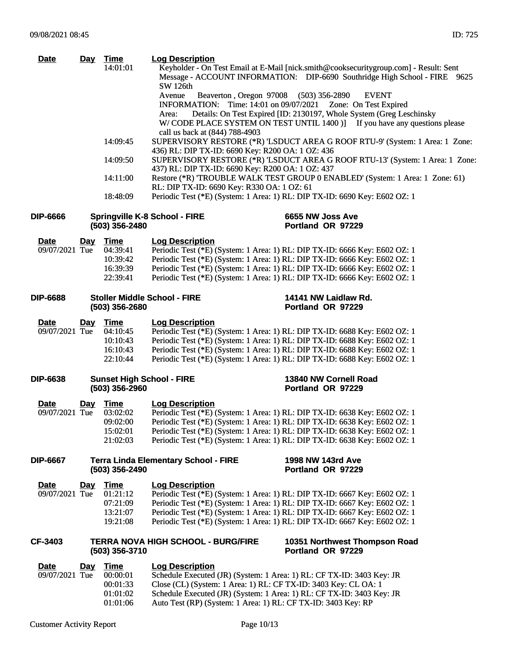| Date            | <u>Day</u> | <b>Time</b><br>14:01:01                            | <b>Log Description</b><br>Keyholder - On Test Email at E-Mail [nick.smith@cooksecuritygroup.com] - Result: Sent<br>Message - ACCOUNT INFORMATION: DIP-6690 Southridge High School - FIRE 9625 |
|-----------------|------------|----------------------------------------------------|-----------------------------------------------------------------------------------------------------------------------------------------------------------------------------------------------|
|                 |            |                                                    | <b>SW 126th</b><br>Beaverton, Oregon 97008 (503) 356-2890<br>Avenue<br><b>EVENT</b>                                                                                                           |
|                 |            |                                                    | <b>INFORMATION:</b> Time: 14:01 on 09/07/2021<br>Zone: On Test Expired                                                                                                                        |
|                 |            |                                                    | Details: On Test Expired [ID: 2130197, Whole System (Greg Leschinsky<br>Area:                                                                                                                 |
|                 |            |                                                    | W/CODE PLACE SYSTEM ON TEST UNTIL 1400 )] If you have any questions please<br>call us back at (844) 788-4903                                                                                  |
|                 |            | 14:09:45                                           | SUPERVISORY RESTORE (*R) 'LSDUCT AREA G ROOF RTU-9' (System: 1 Area: 1 Zone:                                                                                                                  |
|                 |            | 14:09:50                                           | 436) RL: DIP TX-ID: 6690 Key: R200 OA: 1 OZ: 436<br>SUPERVISORY RESTORE (*R) 'LSDUCT AREA G ROOF RTU-13' (System: 1 Area: 1 Zone:<br>437) RL: DIP TX-ID: 6690 Key: R200 OA: 1 OZ: 437         |
|                 |            | 14:11:00                                           | Restore (*R) 'TROUBLE WALK TEST GROUP 0 ENABLED' (System: 1 Area: 1 Zone: 61)<br>RL: DIP TX-ID: 6690 Key: R330 OA: 1 OZ: 61                                                                   |
|                 |            | 18:48:09                                           | Periodic Test (*E) (System: 1 Area: 1) RL: DIP TX-ID: 6690 Key: E602 OZ: 1                                                                                                                    |
| DIP-6666        |            | (503) 356-2480                                     | <b>Springville K-8 School - FIRE</b><br>6655 NW Joss Ave<br>Portland OR 97229                                                                                                                 |
| <b>Date</b>     | <u>Day</u> | Time                                               | <b>Log Description</b>                                                                                                                                                                        |
| 09/07/2021 Tue  |            | 04:39:41                                           | Periodic Test (*E) (System: 1 Area: 1) RL: DIP TX-ID: 6666 Key: E602 OZ: 1                                                                                                                    |
|                 |            | 10:39:42                                           | Periodic Test (*E) (System: 1 Area: 1) RL: DIP TX-ID: 6666 Key: E602 OZ: 1                                                                                                                    |
|                 |            | 16:39:39                                           | Periodic Test (*E) (System: 1 Area: 1) RL: DIP TX-ID: 6666 Key: E602 OZ: 1                                                                                                                    |
|                 |            | 22:39:41                                           | Periodic Test (*E) (System: 1 Area: 1) RL: DIP TX-ID: 6666 Key: E602 OZ: 1                                                                                                                    |
| <b>DIP-6688</b> |            |                                                    | <b>Stoller Middle School - FIRE</b><br>14141 NW Laidlaw Rd.                                                                                                                                   |
|                 |            | (503) 356-2680                                     | Portland OR 97229                                                                                                                                                                             |
| <b>Date</b>     | <u>Day</u> | <u>Time</u>                                        | <b>Log Description</b>                                                                                                                                                                        |
| 09/07/2021 Tue  |            | 04:10:45                                           | Periodic Test (*E) (System: 1 Area: 1) RL: DIP TX-ID: 6688 Key: E602 OZ: 1                                                                                                                    |
|                 |            | 10:10:43                                           | Periodic Test (*E) (System: 1 Area: 1) RL: DIP TX-ID: 6688 Key: E602 OZ: 1                                                                                                                    |
|                 |            | 16:10:43                                           | Periodic Test (*E) (System: 1 Area: 1) RL: DIP TX-ID: 6688 Key: E602 OZ: 1                                                                                                                    |
|                 |            | 22:10:44                                           | Periodic Test (*E) (System: 1 Area: 1) RL: DIP TX-ID: 6688 Key: E602 OZ: 1                                                                                                                    |
| <b>DIP-6638</b> |            | <b>Sunset High School - FIRE</b><br>(503) 356-2960 | 13840 NW Cornell Road<br>Portland OR 97229                                                                                                                                                    |
| <b>Date</b>     | <u>Day</u> | <b>Time</b>                                        | <b>Log Description</b>                                                                                                                                                                        |
| 09/07/2021 Tue  |            | 03:02:02                                           | Periodic Test (*E) (System: 1 Area: 1) RL: DIP TX-ID: 6638 Key: E602 OZ: 1                                                                                                                    |
|                 |            | 09:02:00                                           | Periodic Test (*E) (System: 1 Area: 1) RL: DIP TX-ID: 6638 Key: E602 OZ: 1                                                                                                                    |
|                 |            | 15:02:01                                           | Periodic Test (*E) (System: 1 Area: 1) RL: DIP TX-ID: 6638 Key: E602 OZ: 1                                                                                                                    |
|                 |            | 21:02:03                                           | Periodic Test (*E) (System: 1 Area: 1) RL: DIP TX-ID: 6638 Key: E602 OZ: 1                                                                                                                    |
| <b>DIP-6667</b> |            |                                                    | 1998 NW 143rd Ave<br><b>Terra Linda Elementary School - FIRE</b>                                                                                                                              |
|                 |            | (503) 356-2490                                     | Portland OR 97229                                                                                                                                                                             |
| <b>Date</b>     | <u>Day</u> | <b>Time</b>                                        | <b>Log Description</b>                                                                                                                                                                        |
| 09/07/2021 Tue  |            | 01:21:12                                           | Periodic Test (*E) (System: 1 Area: 1) RL: DIP TX-ID: 6667 Key: E602 OZ: 1                                                                                                                    |
|                 |            | 07:21:09                                           | Periodic Test (*E) (System: 1 Area: 1) RL: DIP TX-ID: 6667 Key: E602 OZ: 1                                                                                                                    |
|                 |            | 13:21:07<br>19:21:08                               | Periodic Test (*E) (System: 1 Area: 1) RL: DIP TX-ID: 6667 Key: E602 OZ: 1<br>Periodic Test (*E) (System: 1 Area: 1) RL: DIP TX-ID: 6667 Key: E602 OZ: 1                                      |
|                 |            |                                                    |                                                                                                                                                                                               |
| CF-3403         |            | (503) 356-3710                                     | <b>TERRA NOVA HIGH SCHOOL - BURG/FIRE</b><br>10351 Northwest Thompson Road<br>Portland OR 97229                                                                                               |
| <b>Date</b>     | Day        | Time                                               | <b>Log Description</b>                                                                                                                                                                        |
| 09/07/2021 Tue  |            | 00:00:01                                           | Schedule Executed (JR) (System: 1 Area: 1) RL: CF TX-ID: 3403 Key: JR                                                                                                                         |
|                 |            | 00:01:33                                           | Close (CL) (System: 1 Area: 1) RL: CF TX-ID: 3403 Key: CL OA: 1                                                                                                                               |
|                 |            | 01:01:02                                           | Schedule Executed (JR) (System: 1 Area: 1) RL: CF TX-ID: 3403 Key: JR                                                                                                                         |
|                 |            | 01:01:06                                           | Auto Test (RP) (System: 1 Area: 1) RL: CF TX-ID: 3403 Key: RP                                                                                                                                 |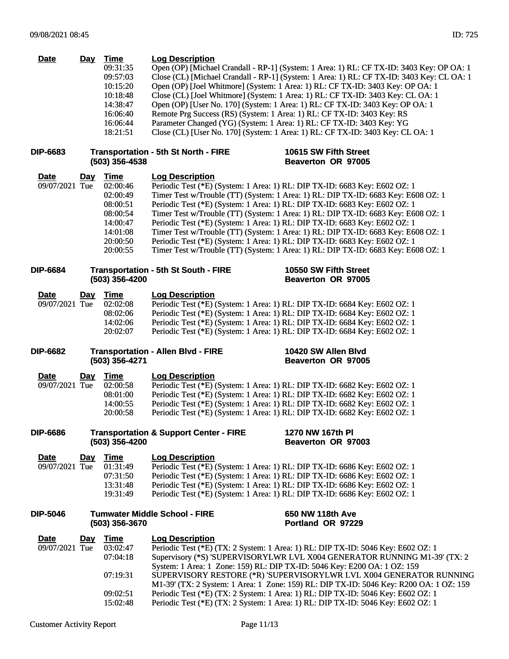| <b>Date</b>     |            | Day Time       | <b>Log Description</b>                                                                     |
|-----------------|------------|----------------|--------------------------------------------------------------------------------------------|
|                 |            | 09:31:35       | Open (OP) [Michael Crandall - RP-1] (System: 1 Area: 1) RL: CF TX-ID: 3403 Key: OP OA: 1   |
|                 |            | 09:57:03       | Close (CL) [Michael Crandall - RP-1] (System: 1 Area: 1) RL: CF TX-ID: 3403 Key: CL OA: 1  |
|                 |            | 10:15:20       | Open (OP) [Joel Whitmore] (System: 1 Area: 1) RL: CF TX-ID: 3403 Key: OP OA: 1             |
|                 |            | 10:18:48       | Close (CL) [Joel Whitmore] (System: 1 Area: 1) RL: CF TX-ID: 3403 Key: CL OA: 1            |
|                 |            | 14:38:47       | Open (OP) [User No. 170] (System: 1 Area: 1) RL: CF TX-ID: 3403 Key: OP OA: 1              |
|                 |            | 16:06:40       | Remote Prg Success (RS) (System: 1 Area: 1) RL: CF TX-ID: 3403 Key: RS                     |
|                 |            | 16:06:44       | Parameter Changed (YG) (System: 1 Area: 1) RL: CF TX-ID: 3403 Key: YG                      |
|                 |            | 18:21:51       | Close (CL) [User No. 170] (System: 1 Area: 1) RL: CF TX-ID: 3403 Key: CL OA: 1             |
| <b>DIP-6683</b> |            |                | 10615 SW Fifth Street<br><b>Transportation - 5th St North - FIRE</b>                       |
|                 |            | (503) 356-4538 | Beaverton OR 97005                                                                         |
| <b>Date</b>     | <u>Day</u> | <b>Time</b>    | <b>Log Description</b>                                                                     |
| 09/07/2021 Tue  |            | 02:00:46       | Periodic Test (*E) (System: 1 Area: 1) RL: DIP TX-ID: 6683 Key: E602 OZ: 1                 |
|                 |            | 02:00:49       | Timer Test w/Trouble (TT) (System: 1 Area: 1) RL: DIP TX-ID: 6683 Key: E608 OZ: 1          |
|                 |            | 08:00:51       | Periodic Test (*E) (System: 1 Area: 1) RL: DIP TX-ID: 6683 Key: E602 OZ: 1                 |
|                 |            | 08:00:54       | Timer Test w/Trouble (TT) (System: 1 Area: 1) RL: DIP TX-ID: 6683 Key: E608 OZ: 1          |
|                 |            | 14:00:47       | Periodic Test (*E) (System: 1 Area: 1) RL: DIP TX-ID: 6683 Key: E602 OZ: 1                 |
|                 |            | 14:01:08       | Timer Test w/Trouble (TT) (System: 1 Area: 1) RL: DIP TX-ID: 6683 Key: E608 OZ: 1          |
|                 |            | 20:00:50       | Periodic Test (*E) (System: 1 Area: 1) RL: DIP TX-ID: 6683 Key: E602 OZ: 1                 |
|                 |            | 20:00:55       | Timer Test w/Trouble (TT) (System: 1 Area: 1) RL: DIP TX-ID: 6683 Key: E608 OZ: 1          |
|                 |            |                |                                                                                            |
| <b>DIP-6684</b> |            | (503) 356-4200 | <b>Transportation - 5th St South - FIRE</b><br>10550 SW Fifth Street<br>Beaverton OR 97005 |
|                 |            |                |                                                                                            |
| Date            | Day        | <b>Time</b>    | <b>Log Description</b>                                                                     |
| 09/07/2021 Tue  |            | 02:02:08       | Periodic Test (*E) (System: 1 Area: 1) RL: DIP TX-ID: 6684 Key: E602 OZ: 1                 |
|                 |            | 08:02:06       | Periodic Test (*E) (System: 1 Area: 1) RL: DIP TX-ID: 6684 Key: E602 OZ: 1                 |
|                 |            | 14:02:06       | Periodic Test (*E) (System: 1 Area: 1) RL: DIP TX-ID: 6684 Key: E602 OZ: 1                 |
|                 |            | 20:02:07       | Periodic Test (*E) (System: 1 Area: 1) RL: DIP TX-ID: 6684 Key: E602 OZ: 1                 |
| <b>DIP-6682</b> |            |                | <b>Transportation - Allen Blvd - FIRE</b><br>10420 SW Allen Blvd                           |
|                 |            | (503) 356-4271 | <b>Beaverton OR 97005</b>                                                                  |
| Date            | <u>Day</u> | <u>Time</u>    | <b>Log Description</b>                                                                     |
| 09/07/2021 Tue  |            | 02:00:58       | Periodic Test (*E) (System: 1 Area: 1) RL: DIP TX-ID: 6682 Key: E602 OZ: 1                 |
|                 |            | 08:01:00       | Periodic Test (*E) (System: 1 Area: 1) RL: DIP TX-ID: 6682 Key: E602 OZ: 1                 |
|                 |            | 14:00:55       | Periodic Test (*E) (System: 1 Area: 1) RL: DIP TX-ID: 6682 Key: E602 OZ: 1                 |
|                 |            | 20:00:58       | Periodic Test (*E) (System: 1 Area: 1) RL: DIP TX-ID: 6682 Key: E602 OZ: 1                 |
|                 |            |                |                                                                                            |
| <b>DIP-6686</b> |            |                | <b>Transportation &amp; Support Center - FIRE</b><br>1270 NW 167th PI                      |
|                 |            | (503) 356-4200 | Beaverton OR 97003                                                                         |
| Date            | Day        | <b>Time</b>    | <b>Log Description</b>                                                                     |
| 09/07/2021 Tue  |            | 01:31:49       | Periodic Test (*E) (System: 1 Area: 1) RL: DIP TX-ID: 6686 Key: E602 OZ: 1                 |
|                 |            | 07:31:50       | Periodic Test (*E) (System: 1 Area: 1) RL: DIP TX-ID: 6686 Key: E602 OZ: 1                 |
|                 |            | 13:31:48       | Periodic Test (*E) (System: 1 Area: 1) RL: DIP TX-ID: 6686 Key: E602 OZ: 1                 |
|                 |            | 19:31:49       | Periodic Test (*E) (System: 1 Area: 1) RL: DIP TX-ID: 6686 Key: E602 OZ: 1                 |
|                 |            |                |                                                                                            |
| <b>DIP-5046</b> |            | (503) 356-3670 | <b>Tumwater Middle School - FIRE</b><br>650 NW 118th Ave<br>Portland OR 97229              |
|                 |            |                |                                                                                            |
| <b>Date</b>     | <u>Day</u> | <b>Time</b>    | <b>Log Description</b>                                                                     |
| 09/07/2021 Tue  |            | 03:02:47       | Periodic Test (*E) (TX: 2 System: 1 Area: 1) RL: DIP TX-ID: 5046 Key: E602 OZ: 1           |
|                 |            | 07:04:18       | Supervisory (*S) 'SUPERVISORYLWR LVL X004 GENERATOR RUNNING M1-39' (TX: 2                  |
|                 |            |                | System: 1 Area: 1 Zone: 159) RL: DIP TX-ID: 5046 Key: E200 OA: 1 OZ: 159                   |
|                 |            | 07:19:31       | SUPERVISORY RESTORE (*R) 'SUPERVISORYLWR LVL X004 GENERATOR RUNNING                        |
|                 |            |                | M1-39' (TX: 2 System: 1 Area: 1 Zone: 159) RL: DIP TX-ID: 5046 Key: R200 OA: 1 OZ: 159     |
|                 |            | 09:02:51       | Periodic Test (*E) (TX: 2 System: 1 Area: 1) RL: DIP TX-ID: 5046 Key: E602 OZ: 1           |
|                 |            | 15:02:48       | Periodic Test (*E) (TX: 2 System: 1 Area: 1) RL: DIP TX-ID: 5046 Key: E602 OZ: 1           |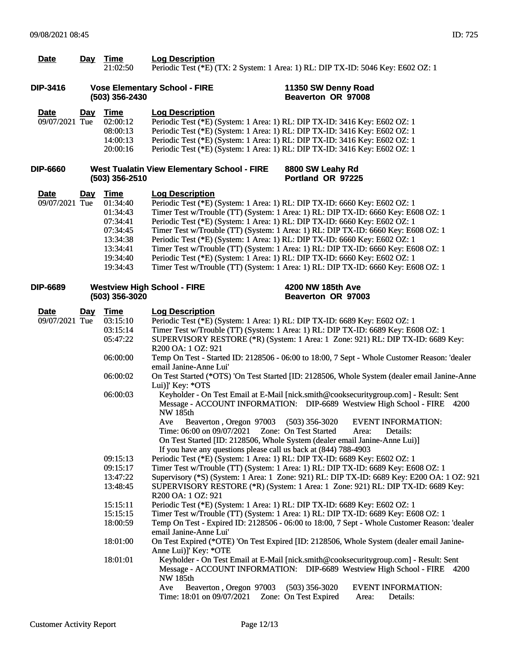| <b>Date</b>                   |            | Day Time<br>21:02:50                                                                                                                                                                            | <b>Log Description</b>                                                                                                                                                                                                                                                                                                                                                                                                                                                                                                                                                                                                                                                                              | Periodic Test (*E) (TX: 2 System: 1 Area: 1) RL: DIP TX-ID: 5046 Key: E602 OZ: 1                                                                                                                                                                                                                                                                                                                                                                                                                                                                                                                                                                                                                                                                                                                                                                                                                                                                                                                                                                                                                                                                                                                                                                                                                                                                                                                                                                                                                                         |
|-------------------------------|------------|-------------------------------------------------------------------------------------------------------------------------------------------------------------------------------------------------|-----------------------------------------------------------------------------------------------------------------------------------------------------------------------------------------------------------------------------------------------------------------------------------------------------------------------------------------------------------------------------------------------------------------------------------------------------------------------------------------------------------------------------------------------------------------------------------------------------------------------------------------------------------------------------------------------------|--------------------------------------------------------------------------------------------------------------------------------------------------------------------------------------------------------------------------------------------------------------------------------------------------------------------------------------------------------------------------------------------------------------------------------------------------------------------------------------------------------------------------------------------------------------------------------------------------------------------------------------------------------------------------------------------------------------------------------------------------------------------------------------------------------------------------------------------------------------------------------------------------------------------------------------------------------------------------------------------------------------------------------------------------------------------------------------------------------------------------------------------------------------------------------------------------------------------------------------------------------------------------------------------------------------------------------------------------------------------------------------------------------------------------------------------------------------------------------------------------------------------------|
| DIP-3416                      |            | (503) 356-2430                                                                                                                                                                                  | <b>Vose Elementary School - FIRE</b>                                                                                                                                                                                                                                                                                                                                                                                                                                                                                                                                                                                                                                                                | 11350 SW Denny Road<br>Beaverton OR 97008                                                                                                                                                                                                                                                                                                                                                                                                                                                                                                                                                                                                                                                                                                                                                                                                                                                                                                                                                                                                                                                                                                                                                                                                                                                                                                                                                                                                                                                                                |
| <b>Date</b><br>09/07/2021 Tue | <u>Day</u> | <b>Time</b><br>02:00:12<br>08:00:13<br>14:00:13<br>20:00:16                                                                                                                                     | <b>Log Description</b><br>Periodic Test (*E) (System: 1 Area: 1) RL: DIP TX-ID: 3416 Key: E602 OZ: 1<br>Periodic Test (*E) (System: 1 Area: 1) RL: DIP TX-ID: 3416 Key: E602 OZ: 1<br>Periodic Test (*E) (System: 1 Area: 1) RL: DIP TX-ID: 3416 Key: E602 OZ: 1<br>Periodic Test (*E) (System: 1 Area: 1) RL: DIP TX-ID: 3416 Key: E602 OZ: 1                                                                                                                                                                                                                                                                                                                                                      |                                                                                                                                                                                                                                                                                                                                                                                                                                                                                                                                                                                                                                                                                                                                                                                                                                                                                                                                                                                                                                                                                                                                                                                                                                                                                                                                                                                                                                                                                                                          |
| <b>DIP-6660</b>               |            | (503) 356-2510                                                                                                                                                                                  | <b>West Tualatin View Elementary School - FIRE</b>                                                                                                                                                                                                                                                                                                                                                                                                                                                                                                                                                                                                                                                  | 8800 SW Leahy Rd<br>Portland OR 97225                                                                                                                                                                                                                                                                                                                                                                                                                                                                                                                                                                                                                                                                                                                                                                                                                                                                                                                                                                                                                                                                                                                                                                                                                                                                                                                                                                                                                                                                                    |
| <b>Date</b><br>09/07/2021 Tue | <u>Day</u> | <b>Time</b><br>01:34:40<br>01:34:43<br>07:34:41<br>07:34:45<br>13:34:38<br>13:34:41<br>19:34:40<br>19:34:43                                                                                     | <b>Log Description</b><br>Periodic Test (*E) (System: 1 Area: 1) RL: DIP TX-ID: 6660 Key: E602 OZ: 1<br>Periodic Test (*E) (System: 1 Area: 1) RL: DIP TX-ID: 6660 Key: E602 OZ: 1<br>Periodic Test (*E) (System: 1 Area: 1) RL: DIP TX-ID: 6660 Key: E602 OZ: 1<br>Periodic Test (*E) (System: 1 Area: 1) RL: DIP TX-ID: 6660 Key: E602 OZ: 1                                                                                                                                                                                                                                                                                                                                                      | Timer Test w/Trouble (TT) (System: 1 Area: 1) RL: DIP TX-ID: 6660 Key: E608 OZ: 1<br>Timer Test w/Trouble (TT) (System: 1 Area: 1) RL: DIP TX-ID: 6660 Key: E608 OZ: 1<br>Timer Test w/Trouble (TT) (System: 1 Area: 1) RL: DIP TX-ID: 6660 Key: E608 OZ: 1<br>Timer Test w/Trouble (TT) (System: 1 Area: 1) RL: DIP TX-ID: 6660 Key: E608 OZ: 1                                                                                                                                                                                                                                                                                                                                                                                                                                                                                                                                                                                                                                                                                                                                                                                                                                                                                                                                                                                                                                                                                                                                                                         |
| DIP-6689                      |            | (503) 356-3020                                                                                                                                                                                  | <b>Westview High School - FIRE</b>                                                                                                                                                                                                                                                                                                                                                                                                                                                                                                                                                                                                                                                                  | 4200 NW 185th Ave<br><b>Beaverton OR 97003</b>                                                                                                                                                                                                                                                                                                                                                                                                                                                                                                                                                                                                                                                                                                                                                                                                                                                                                                                                                                                                                                                                                                                                                                                                                                                                                                                                                                                                                                                                           |
| <b>Date</b><br>09/07/2021 Tue | <u>Day</u> | <b>Time</b><br>03:15:10<br>03:15:14<br>05:47:22<br>06:00:00<br>06:00:02<br>06:00:03<br>09:15:13<br>09:15:17<br>13:47:22<br>13:48:45<br>15:15:11<br>15:15:15<br>18:00:59<br>18:01:00<br>18:01:01 | <b>Log Description</b><br>Periodic Test (*E) (System: 1 Area: 1) RL: DIP TX-ID: 6689 Key: E602 OZ: 1<br>R <sub>200</sub> OA: 1 OZ: 921<br>email Janine-Anne Lui'<br>Lui)]' Key: *OTS<br><b>NW 185th</b><br>Beaverton, Oregon 97003<br>Ave<br>Time: 06:00 on 09/07/2021  Zone: On Test Started<br>If you have any questions please call us back at (844) 788-4903<br>Periodic Test (*E) (System: 1 Area: 1) RL: DIP TX-ID: 6689 Key: E602 OZ: 1<br>R <sub>200</sub> OA: 1 OZ: 921<br>Periodic Test (*E) (System: 1 Area: 1) RL: DIP TX-ID: 6689 Key: E602 OZ: 1<br>email Janine-Anne Lui'<br>Anne Lui)]' Key: *OTE<br><b>NW 185th</b><br>Beaverton, Oregon 97003<br>Ave<br>Time: 18:01 on 09/07/2021 | Timer Test w/Trouble (TT) (System: 1 Area: 1) RL: DIP TX-ID: 6689 Key: E608 OZ: 1<br>SUPERVISORY RESTORE (*R) (System: 1 Area: 1 Zone: 921) RL: DIP TX-ID: 6689 Key:<br>Temp On Test - Started ID: 2128506 - 06:00 to 18:00, 7 Sept - Whole Customer Reason: 'dealer<br>On Test Started (*OTS) 'On Test Started [ID: 2128506, Whole System (dealer email Janine-Anne<br>Keyholder - On Test Email at E-Mail [nick.smith@cooksecuritygroup.com] - Result: Sent<br>Message - ACCOUNT INFORMATION: DIP-6689 Westview High School - FIRE 4200<br>$(503)$ 356-3020<br><b>EVENT INFORMATION:</b><br>Details:<br>Area:<br>On Test Started [ID: 2128506, Whole System (dealer email Janine-Anne Lui)]<br>Timer Test w/Trouble (TT) (System: 1 Area: 1) RL: DIP TX-ID: 6689 Key: E608 OZ: 1<br>Supervisory (*S) (System: 1 Area: 1 Zone: 921) RL: DIP TX-ID: 6689 Key: E200 OA: 1 OZ: 921<br>SUPERVISORY RESTORE (*R) (System: 1 Area: 1 Zone: 921) RL: DIP TX-ID: 6689 Key:<br>Timer Test w/Trouble (TT) (System: 1 Area: 1) RL: DIP TX-ID: 6689 Key: E608 OZ: 1<br>Temp On Test - Expired ID: 2128506 - 06:00 to 18:00, 7 Sept - Whole Customer Reason: 'dealer<br>On Test Expired (*OTE) 'On Test Expired [ID: 2128506, Whole System (dealer email Janine-<br>Keyholder - On Test Email at E-Mail [nick.smith@cooksecuritygroup.com] - Result: Sent<br>Message - ACCOUNT INFORMATION: DIP-6689 Westview High School - FIRE 4200<br>$(503)$ 356-3020<br><b>EVENT INFORMATION:</b><br>Zone: On Test Expired<br>Details:<br>Area: |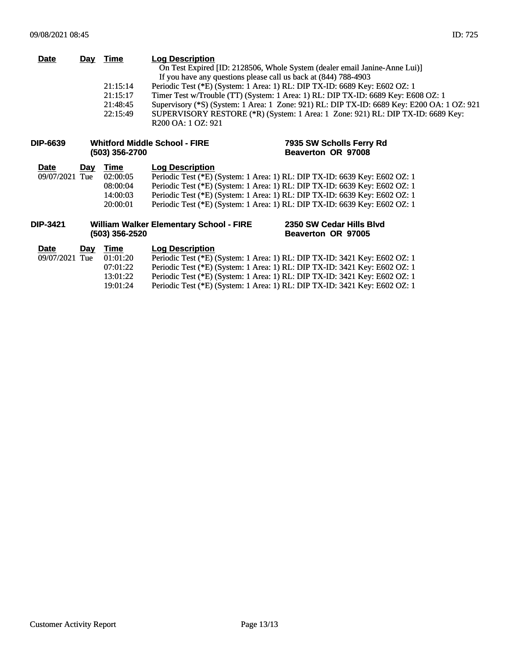| <b>Date</b> | Day | Time<br>21:15:14<br>21:15:17<br>21:48:45<br>22:15:49 | <b>Log Description</b><br>If you have any questions please call us back at (844) 788-4903<br>R <sub>200</sub> OA: 1 OZ: 921 | On Test Expired [ID: 2128506, Whole System (dealer email Janine-Anne Lui)]<br>Periodic Test (*E) (System: 1 Area: 1) RL: DIP TX-ID: 6689 Key: E602 OZ: 1<br>Timer Test w/Trouble (TT) (System: 1 Area: 1) RL: DIP TX-ID: 6689 Key: E608 OZ: 1<br>Supervisory (*S) (System: 1 Area: 1 Zone: 921) RL: DIP TX-ID: 6689 Key: E200 OA: 1 OZ: 921<br>SUPERVISORY RESTORE (*R) (System: 1 Area: 1 Zone: 921) RL: DIP TX-ID: 6689 Key: |
|-------------|-----|------------------------------------------------------|-----------------------------------------------------------------------------------------------------------------------------|--------------------------------------------------------------------------------------------------------------------------------------------------------------------------------------------------------------------------------------------------------------------------------------------------------------------------------------------------------------------------------------------------------------------------------|
| DIP-6639    |     | (503) 356-2700                                       | <b>Whitford Middle School - FIRE</b>                                                                                        | 7935 SW Scholls Ferry Rd<br>Beaverton OR 97008                                                                                                                                                                                                                                                                                                                                                                                 |
| <b>Date</b> | Dav | Time                                                 | <b>Log Description</b>                                                                                                      |                                                                                                                                                                                                                                                                                                                                                                                                                                |

**2350 SW Cedar Hills Blvd Beaverton OR 97005**

| $-$            | $-0.7$ | .        | LVY PVJVIINIVII                                                            |
|----------------|--------|----------|----------------------------------------------------------------------------|
| 09/07/2021 Tue |        | 02:00:05 | Periodic Test (*E) (System: 1 Area: 1) RL: DIP TX-ID: 6639 Key: E602 OZ: 1 |
|                |        | 08:00:04 | Periodic Test (*E) (System: 1 Area: 1) RL: DIP TX-ID: 6639 Key: E602 OZ: 1 |
|                |        | 14:00:03 | Periodic Test (*E) (System: 1 Area: 1) RL: DIP TX-ID: 6639 Key: E602 OZ: 1 |
|                |        | 20:00:01 | Periodic Test (*E) (System: 1 Area: 1) RL: DIP TX-ID: 6639 Key: E602 OZ: 1 |

#### **DIP-3421 William Walker Elementary School - FIRE (503) 356-2520**

## **Date Day Time Log Description**<br>09/07/2021 Tue 01:01:20 Periodic Test (\*E) (  $\overline{01:01:20}$  Periodic Test (\*E) (System: 1 Area: 1) RL: DIP TX-ID: 3421 Key: E602 OZ: 1<br>07:01:22 Periodic Test (\*E) (System: 1 Area: 1) RL: DIP TX-ID: 3421 Key: E602 OZ: 1 07:01:22 Periodic Test (\*E) (System: 1 Area: 1) RL: DIP TX-ID: 3421 Key: E602 OZ: 1 13:01:22 Periodic Test (\*E) (System: 1 Area: 1) RL: DIP TX-ID: 3421 Key: E602 OZ: 1 19:01:24 Periodic Test (\*E) (System: 1 Area: 1) RL: DIP TX-ID: 3421 Key: E602 OZ: 1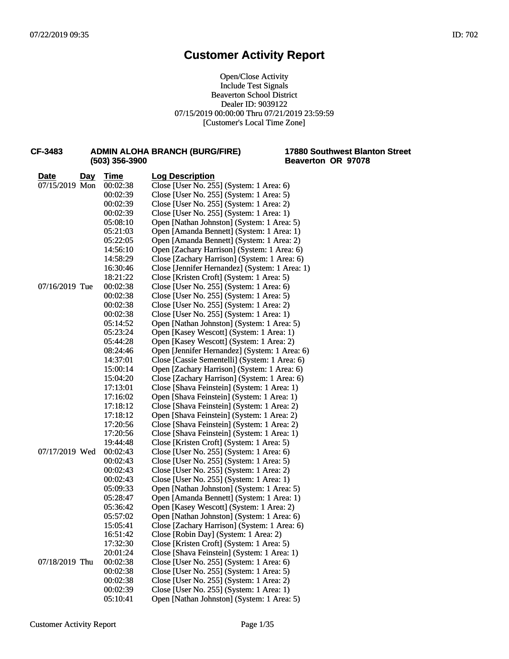Open/Close Activity Include Test Signals Beaverton School District Dealer ID: 9039122 07/15/2019 00:00:00 Thru 07/21/2019 23:59:59 [Customer's Local Time Zone]

| CF-3483        |            | (503) 356-3900 | <b>ADMIN ALOHA BRANCH (BURG/FIRE)</b>          | <b>17880 Soutl</b><br><b>Beaverton</b> |
|----------------|------------|----------------|------------------------------------------------|----------------------------------------|
| Date           | <u>Day</u> | <u>Time</u>    | <b>Log Description</b>                         |                                        |
| 07/15/2019 Mon |            | 00:02:38       | Close [User No. 255] (System: 1 Area: 6)       |                                        |
|                |            | 00:02:39       | Close [User No. 255] (System: 1 Area: 5)       |                                        |
|                |            | 00:02:39       | Close [User No. 255] (System: 1 Area: 2)       |                                        |
|                |            | 00:02:39       | Close [User No. 255] (System: 1 Area: 1)       |                                        |
|                |            | 05:08:10       | Open [Nathan Johnston] (System: 1 Area: 5)     |                                        |
|                |            | 05:21:03       | Open [Amanda Bennett] (System: 1 Area: 1)      |                                        |
|                |            | 05:22:05       | Open [Amanda Bennett] (System: 1 Area: 2)      |                                        |
|                |            | 14:56:10       | Open [Zachary Harrison] (System: 1 Area: 6)    |                                        |
|                |            | 14:58:29       | Close [Zachary Harrison] (System: 1 Area: 6)   |                                        |
|                |            | 16:30:46       | Close [Jennifer Hernandez] (System: 1 Area: 1) |                                        |
|                |            | 18:21:22       | Close [Kristen Croft] (System: 1 Area: 5)      |                                        |
| 07/16/2019 Tue |            | 00:02:38       | Close [User No. 255] (System: 1 Area: 6)       |                                        |
|                |            | 00:02:38       | Close [User No. 255] (System: 1 Area: 5)       |                                        |
|                |            | 00:02:38       | Close [User No. 255] (System: 1 Area: 2)       |                                        |
|                |            | 00:02:38       | Close [User No. 255] (System: 1 Area: 1)       |                                        |
|                |            | 05:14:52       | Open [Nathan Johnston] (System: 1 Area: 5)     |                                        |
|                |            | 05:23:24       | Open [Kasey Wescott] (System: 1 Area: 1)       |                                        |
|                |            | 05:44:28       | Open [Kasey Wescott] (System: 1 Area: 2)       |                                        |
|                |            | 08:24:46       | Open [Jennifer Hernandez] (System: 1 Area: 6)  |                                        |
|                |            | 14:37:01       | Close [Cassie Sementelli] (System: 1 Area: 6)  |                                        |
|                |            | 15:00:14       | Open [Zachary Harrison] (System: 1 Area: 6)    |                                        |
|                |            | 15:04:20       | Close [Zachary Harrison] (System: 1 Area: 6)   |                                        |
|                |            | 17:13:01       | Close [Shava Feinstein] (System: 1 Area: 1)    |                                        |
|                |            | 17:16:02       | Open [Shava Feinstein] (System: 1 Area: 1)     |                                        |
|                |            | 17:18:12       | Close [Shava Feinstein] (System: 1 Area: 2)    |                                        |
|                |            | 17:18:12       | Open [Shava Feinstein] (System: 1 Area: 2)     |                                        |
|                |            | 17:20:56       | Close [Shava Feinstein] (System: 1 Area: 2)    |                                        |
|                |            | 17:20:56       | Close [Shava Feinstein] (System: 1 Area: 1)    |                                        |
|                |            | 19:44:48       | Close [Kristen Croft] (System: 1 Area: 5)      |                                        |
| 07/17/2019 Wed |            | 00:02:43       | Close [User No. 255] (System: 1 Area: 6)       |                                        |
|                |            | 00:02:43       | Close [User No. 255] (System: 1 Area: 5)       |                                        |
|                |            | 00:02:43       | Close [User No. 255] (System: 1 Area: 2)       |                                        |
|                |            | 00:02:43       | Close [User No. 255] (System: 1 Area: 1)       |                                        |
|                |            | 05:09:33       | Open [Nathan Johnston] (System: 1 Area: 5)     |                                        |
|                |            | 05:28:47       | Open [Amanda Bennett] (System: 1 Area: 1)      |                                        |
|                |            | 05:36:42       | Open [Kasey Wescott] (System: 1 Area: 2)       |                                        |
|                |            | 05:57:02       | Open [Nathan Johnston] (System: 1 Area: 6)     |                                        |
|                |            | 15:05:41       | Close [Zachary Harrison] (System: 1 Area: 6)   |                                        |
|                |            | 16:51:42       | Close [Robin Day] (System: 1 Area: 2)          |                                        |
|                |            | 17:32:30       | Close [Kristen Croft] (System: 1 Area: 5)      |                                        |
|                |            | 20:01:24       | Close [Shava Feinstein] (System: 1 Area: 1)    |                                        |
| 07/18/2019 Thu |            | 00:02:38       | Close [User No. 255] (System: 1 Area: 6)       |                                        |
|                |            | 00:02:38       | Close [User No. 255] (System: 1 Area: 5)       |                                        |
|                |            | 00:02:38       | Close [User No. 255] (System: 1 Area: 2)       |                                        |
|                |            | 00:02:39       | Close [User No. 255] (System: 1 Area: 1)       |                                        |
|                |            | 05:10:41       | Open [Nathan Johnston] (System: 1 Area: 5)     |                                        |
|                |            |                |                                                |                                        |

## Customer Activity Report Page 1/35

#### **17880 Southwest Blanton Street Beaverton OR 97078**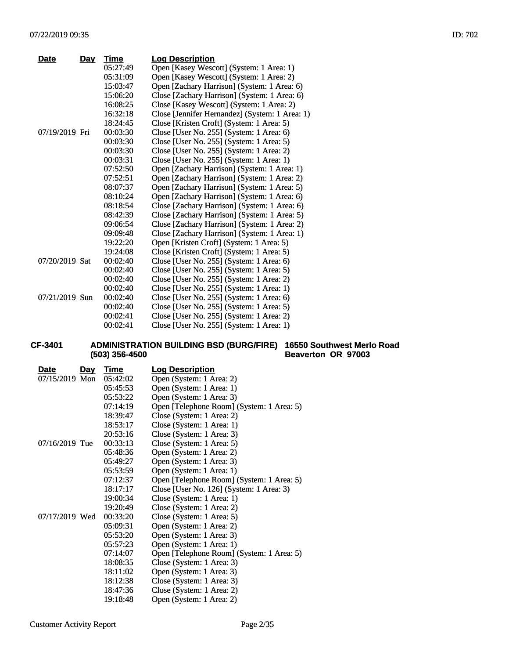| Date           | <u>Day</u> | Time     | <b>Log Description</b>                         |
|----------------|------------|----------|------------------------------------------------|
|                |            | 05:27:49 | Open [Kasey Wescott] (System: 1 Area: 1)       |
|                |            | 05:31:09 | Open [Kasey Wescott] (System: 1 Area: 2)       |
|                |            | 15:03:47 | Open [Zachary Harrison] (System: 1 Area: 6)    |
|                |            | 15:06:20 | Close [Zachary Harrison] (System: 1 Area: 6)   |
|                |            | 16:08:25 | Close [Kasey Wescott] (System: 1 Area: 2)      |
|                |            | 16:32:18 | Close [Jennifer Hernandez] (System: 1 Area: 1) |
|                |            | 18:24:45 | Close [Kristen Croft] (System: 1 Area: 5)      |
| 07/19/2019 Fri |            | 00:03:30 | Close [User No. 255] (System: 1 Area: 6)       |
|                |            | 00:03:30 | Close [User No. 255] (System: 1 Area: 5)       |
|                |            | 00:03:30 | Close [User No. 255] (System: 1 Area: 2)       |
|                |            | 00:03:31 | Close [User No. 255] (System: 1 Area: 1)       |
|                |            | 07:52:50 | Open [Zachary Harrison] (System: 1 Area: 1)    |
|                |            | 07:52:51 | Open [Zachary Harrison] (System: 1 Area: 2)    |
|                |            | 08:07:37 | Open [Zachary Harrison] (System: 1 Area: 5)    |
|                |            | 08:10:24 | Open [Zachary Harrison] (System: 1 Area: 6)    |
|                |            | 08:18:54 | Close [Zachary Harrison] (System: 1 Area: 6)   |
|                |            | 08:42:39 | Close [Zachary Harrison] (System: 1 Area: 5)   |
|                |            | 09:06:54 | Close [Zachary Harrison] (System: 1 Area: 2)   |
|                |            | 09:09:48 | Close [Zachary Harrison] (System: 1 Area: 1)   |
|                |            | 19:22:20 | Open [Kristen Croft] (System: 1 Area: 5)       |
|                |            | 19:24:08 | Close [Kristen Croft] (System: 1 Area: 5)      |
| 07/20/2019 Sat |            | 00:02:40 | Close [User No. 255] (System: 1 Area: 6)       |
|                |            | 00:02:40 | Close [User No. 255] (System: 1 Area: 5)       |
|                |            | 00:02:40 | Close [User No. 255] (System: 1 Area: 2)       |
|                |            | 00:02:40 | Close [User No. 255] (System: 1 Area: 1)       |
| 07/21/2019 Sun |            | 00:02:40 | Close [User No. 255] (System: 1 Area: 6)       |
|                |            | 00:02:40 | Close [User No. 255] (System: 1 Area: 5)       |
|                |            | 00:02:41 | Close [User No. 255] (System: 1 Area: 2)       |
|                |            | 00:02:41 | Close [User No. 255] (System: 1 Area: 1)       |

#### **CF-3401 ADMINISTRATION BUILDING BSD (BURG/FIRE) (503) 356-4500 16550 Southwest Merlo Road Beaverton OR 97003**

| <b>Date</b>      | <u>Day</u> | <u>Time</u> | <b>Log Description</b>                    |
|------------------|------------|-------------|-------------------------------------------|
| 07/15/2019 Mon   |            | 05:42:02    | Open (System: 1 Area: 2)                  |
|                  |            | 05:45:53    | Open (System: 1 Area: 1)                  |
|                  |            | 05:53:22    | Open (System: 1 Area: 3)                  |
|                  |            | 07:14:19    | Open [Telephone Room] (System: 1 Area: 5) |
|                  |            | 18:39:47    | Close (System: 1 Area: 2)                 |
|                  |            | 18:53:17    | Close (System: 1 Area: 1)                 |
|                  |            | 20:53:16    | Close (System: 1 Area: 3)                 |
| $07/16/2019$ Tue |            | 00:33:13    | Close (System: 1 Area: 5)                 |
|                  |            | 05:48:36    | Open (System: 1 Area: 2)                  |
|                  |            | 05:49:27    | Open (System: 1 Area: 3)                  |
|                  |            | 05:53:59    | Open (System: 1 Area: 1)                  |
|                  |            | 07:12:37    | Open [Telephone Room] (System: 1 Area: 5) |
|                  |            | 18:17:17    | Close [User No. 126] (System: 1 Area: 3)  |
|                  |            | 19:00:34    | Close (System: 1 Area: 1)                 |
|                  |            | 19:20:49    | Close (System: 1 Area: 2)                 |
| 07/17/2019 Wed   |            | 00:33:20    | Close (System: 1 Area: 5)                 |
|                  |            | 05:09:31    | Open (System: 1 Area: 2)                  |
|                  |            | 05:53:20    | Open (System: 1 Area: 3)                  |
|                  |            | 05:57:23    | Open (System: 1 Area: 1)                  |
|                  |            | 07:14:07    | Open [Telephone Room] (System: 1 Area: 5) |
|                  |            | 18:08:35    | Close (System: 1 Area: 3)                 |
|                  |            | 18:11:02    | Open (System: 1 Area: 3)                  |
|                  |            | 18:12:38    | Close (System: 1 Area: 3)                 |
|                  |            | 18:47:36    | Close (System: 1 Area: 2)                 |
|                  |            | 19:18:48    | Open (System: 1 Area: 2)                  |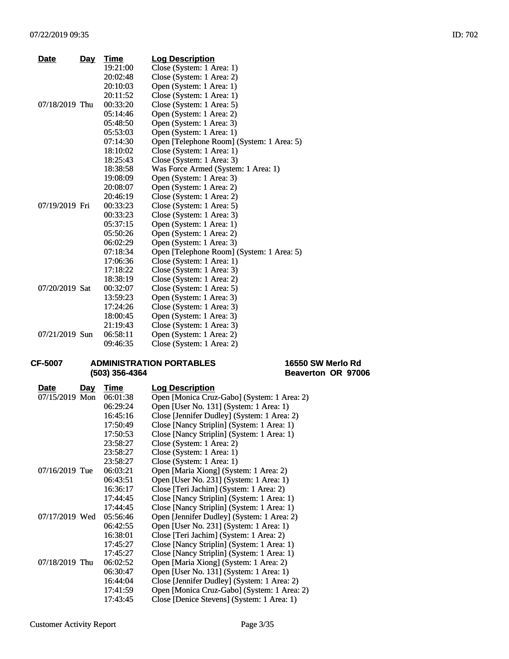| <b>Date</b>    | <u>Day</u> | <b>Time</b> | <b>Log Description</b>                    |
|----------------|------------|-------------|-------------------------------------------|
|                |            | 19:21:00    | Close (System: 1 Area: 1)                 |
|                |            | 20:02:48    | Close (System: 1 Area: 2)                 |
|                |            | 20:10:03    | Open (System: 1 Area: 1)                  |
|                |            | 20:11:52    | Close (System: 1 Area: 1)                 |
| 07/18/2019 Thu |            | 00:33:20    | Close (System: 1 Area: 5)                 |
|                |            | 05:14:46    | Open (System: 1 Area: 2)                  |
|                |            | 05:48:50    | Open (System: 1 Area: 3)                  |
|                |            | 05:53:03    | Open (System: 1 Area: 1)                  |
|                |            | 07:14:30    | Open [Telephone Room] (System: 1 Area: 5) |
|                |            | 18:10:02    | Close (System: 1 Area: 1)                 |
|                |            | 18:25:43    | Close (System: 1 Area: 3)                 |
|                |            | 18:38:58    | Was Force Armed (System: 1 Area: 1)       |
|                |            | 19:08:09    | Open (System: 1 Area: 3)                  |
|                |            | 20:08:07    | Open (System: 1 Area: 2)                  |
|                |            | 20:46:19    | Close (System: 1 Area: 2)                 |
| 07/19/2019 Fri |            | 00:33:23    | Close (System: 1 Area: 5)                 |
|                |            | 00:33:23    | Close (System: 1 Area: 3)                 |
|                |            | 05:37:15    | Open (System: 1 Area: 1)                  |
|                |            | 05:50:26    | Open (System: 1 Area: 2)                  |
|                |            | 06:02:29    | Open (System: 1 Area: 3)                  |
|                |            | 07:18:34    | Open [Telephone Room] (System: 1 Area: 5) |
|                |            | 17:06:36    | Close (System: 1 Area: 1)                 |
|                |            | 17:18:22    | Close (System: 1 Area: 3)                 |
|                |            | 18:38:19    | Close (System: 1 Area: 2)                 |
| 07/20/2019 Sat |            | 00:32:07    | Close (System: 1 Area: 5)                 |
|                |            | 13:59:23    | Open (System: 1 Area: 3)                  |
|                |            | 17:24:26    | Close (System: 1 Area: 3)                 |
|                |            | 18:00:45    | Open (System: 1 Area: 3)                  |
|                |            | 21:19:43    | Close (System: 1 Area: 3)                 |
| 07/21/2019 Sun |            | 06:58:11    | Open (System: 1 Area: 2)                  |
|                |            | 09:46:35    | Close (System: 1 Area: 2)                 |

#### **CF-5007 ADMINISTRATION PORTABLES (503) 356-4364**

**16550 SW Merlo Rd Beaverton OR 97006**

| <b>Date</b>    | <u>Day</u> | Time     | <b>Log Description</b>                      |
|----------------|------------|----------|---------------------------------------------|
| 07/15/2019 Mon |            | 06:01:38 | Open [Monica Cruz-Gabo] (System: 1 Area: 2) |
|                |            | 06:29:24 | Open [User No. 131] (System: 1 Area: 1)     |
|                |            | 16:45:16 | Close [Jennifer Dudley] (System: 1 Area: 2) |
|                |            | 17:50:49 | Close [Nancy Striplin] (System: 1 Area: 1)  |
|                |            | 17:50:53 | Close [Nancy Striplin] (System: 1 Area: 1)  |
|                |            | 23:58:27 | Close (System: 1 Area: 2)                   |
|                |            | 23:58:27 | Close (System: 1 Area: 1)                   |
|                |            | 23:58:27 | Close (System: 1 Area: 1)                   |
| 07/16/2019 Tue |            | 06:03:21 | Open [Maria Xiong] (System: 1 Area: 2)      |
|                |            | 06:43:51 | Open [User No. 231] (System: 1 Area: 1)     |
|                |            | 16:36:17 | Close [Teri Jachim] (System: 1 Area: 2)     |
|                |            | 17:44:45 | Close [Nancy Striplin] (System: 1 Area: 1)  |
|                |            | 17:44:45 | Close [Nancy Striplin] (System: 1 Area: 1)  |
| 07/17/2019 Wed |            | 05:56:46 | Open [Jennifer Dudley] (System: 1 Area: 2)  |
|                |            | 06:42:55 | Open [User No. 231] (System: 1 Area: 1)     |
|                |            | 16:38:01 | Close [Teri Jachim] (System: 1 Area: 2)     |
|                |            | 17:45:27 | Close [Nancy Striplin] (System: 1 Area: 1)  |
|                |            | 17:45:27 | Close [Nancy Striplin] (System: 1 Area: 1)  |
| 07/18/2019 Thu |            | 06:02:52 | Open [Maria Xiong] (System: 1 Area: 2)      |
|                |            | 06:30:47 | Open [User No. 131] (System: 1 Area: 1)     |
|                |            | 16:44:04 | Close [Jennifer Dudley] (System: 1 Area: 2) |
|                |            | 17:41:59 | Open [Monica Cruz-Gabo] (System: 1 Area: 2) |
|                |            | 17:43:45 | Close [Denice Stevens] (System: 1 Area: 1)  |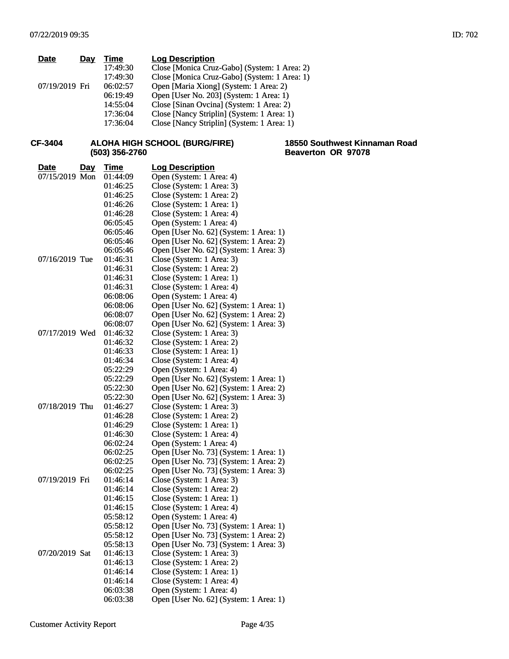| <b>Date</b>    | Day        | <b>Time</b>    | <b>Log Description</b>                       |                                                     |
|----------------|------------|----------------|----------------------------------------------|-----------------------------------------------------|
|                |            | 17:49:30       | Close [Monica Cruz-Gabo] (System: 1 Area: 2) |                                                     |
|                |            | 17:49:30       | Close [Monica Cruz-Gabo] (System: 1 Area: 1) |                                                     |
| 07/19/2019 Fri |            | 06:02:57       | Open [Maria Xiong] (System: 1 Area: 2)       |                                                     |
|                |            | 06:19:49       | Open [User No. 203] (System: 1 Area: 1)      |                                                     |
|                |            | 14:55:04       | Close [Sinan Ovcina] (System: 1 Area: 2)     |                                                     |
|                |            | 17:36:04       | Close [Nancy Striplin] (System: 1 Area: 1)   |                                                     |
|                |            | 17:36:04       | Close [Nancy Striplin] (System: 1 Area: 1)   |                                                     |
|                |            |                |                                              |                                                     |
|                |            |                |                                              |                                                     |
| CF-3404        |            |                | <b>ALOHA HIGH SCHOOL (BURG/FIRE)</b>         | 18550 Southwest Kinnaman Road<br>Beaverton OR 97078 |
|                |            | (503) 356-2760 |                                              |                                                     |
| <b>Date</b>    | <u>Day</u> | <b>Time</b>    | <b>Log Description</b>                       |                                                     |
| 07/15/2019 Mon |            | 01:44:09       | Open (System: 1 Area: 4)                     |                                                     |
|                |            | 01:46:25       | Close (System: 1 Area: 3)                    |                                                     |
|                |            | 01:46:25       | Close (System: 1 Area: 2)                    |                                                     |
|                |            | 01:46:26       | Close (System: 1 Area: 1)                    |                                                     |
|                |            | 01:46:28       | Close (System: 1 Area: 4)                    |                                                     |
|                |            | 06:05:45       | Open (System: 1 Area: 4)                     |                                                     |
|                |            | 06:05:46       | Open [User No. 62] (System: 1 Area: 1)       |                                                     |
|                |            | 06:05:46       | Open [User No. 62] (System: 1 Area: 2)       |                                                     |
|                |            | 06:05:46       | Open [User No. 62] (System: 1 Area: 3)       |                                                     |
| 07/16/2019 Tue |            | 01:46:31       | Close (System: 1 Area: 3)                    |                                                     |
|                |            | 01:46:31       | Close (System: 1 Area: 2)                    |                                                     |
|                |            | 01:46:31       | Close (System: 1 Area: 1)                    |                                                     |
|                |            |                | Close (System: 1 Area: 4)                    |                                                     |
|                |            | 01:46:31       |                                              |                                                     |
|                |            | 06:08:06       | Open (System: 1 Area: 4)                     |                                                     |
|                |            | 06:08:06       | Open [User No. 62] (System: 1 Area: 1)       |                                                     |
|                |            | 06:08:07       | Open [User No. 62] (System: 1 Area: 2)       |                                                     |
|                |            | 06:08:07       | Open [User No. 62] (System: 1 Area: 3)       |                                                     |
| 07/17/2019 Wed |            | 01:46:32       | Close (System: 1 Area: 3)                    |                                                     |
|                |            | 01:46:32       | Close (System: 1 Area: 2)                    |                                                     |
|                |            | 01:46:33       | Close (System: 1 Area: 1)                    |                                                     |
|                |            | 01:46:34       | Close (System: 1 Area: 4)                    |                                                     |
|                |            | 05:22:29       | Open (System: 1 Area: 4)                     |                                                     |
|                |            | 05:22:29       | Open [User No. 62] (System: 1 Area: 1)       |                                                     |
|                |            | 05:22:30       | Open [User No. 62] (System: 1 Area: 2)       |                                                     |
|                |            | 05:22:30       | Open [User No. 62] (System: 1 Area: 3)       |                                                     |
| 07/18/2019 Thu |            | 01:46:27       | Close (System: 1 Area: 3)                    |                                                     |
|                |            | 01:46:28       | Close (System: 1 Area: 2)                    |                                                     |
|                |            | 01:46:29       | Close (System: 1 Area: 1)                    |                                                     |
|                |            | 01:46:30       | Close (System: 1 Area: 4)                    |                                                     |
|                |            | 06:02:24       | Open (System: 1 Area: 4)                     |                                                     |
|                |            | 06:02:25       | Open [User No. 73] (System: 1 Area: 1)       |                                                     |
|                |            | 06:02:25       | Open [User No. 73] (System: 1 Area: 2)       |                                                     |
|                |            | 06:02:25       | Open [User No. 73] (System: 1 Area: 3)       |                                                     |
| 07/19/2019 Fri |            | 01:46:14       | Close (System: 1 Area: 3)                    |                                                     |
|                |            | 01:46:14       | Close (System: 1 Area: 2)                    |                                                     |
|                |            | 01:46:15       | Close (System: 1 Area: 1)                    |                                                     |
|                |            | 01:46:15       | Close (System: 1 Area: 4)                    |                                                     |
|                |            | 05:58:12       | Open (System: 1 Area: 4)                     |                                                     |
|                |            | 05:58:12       | Open [User No. 73] (System: 1 Area: 1)       |                                                     |
|                |            | 05:58:12       | Open [User No. 73] (System: 1 Area: 2)       |                                                     |
|                |            | 05:58:13       | Open [User No. 73] (System: 1 Area: 3)       |                                                     |
| 07/20/2019 Sat |            | 01:46:13       | Close (System: 1 Area: 3)                    |                                                     |
|                |            | 01:46:13       | Close (System: 1 Area: 2)                    |                                                     |
|                |            | 01:46:14       | Close (System: 1 Area: 1)                    |                                                     |
|                |            | 01:46:14       | Close (System: 1 Area: 4)                    |                                                     |
|                |            | 06:03:38       | Open (System: 1 Area: 4)                     |                                                     |
|                |            | 06:03:38       | Open [User No. 62] (System: 1 Area: 1)       |                                                     |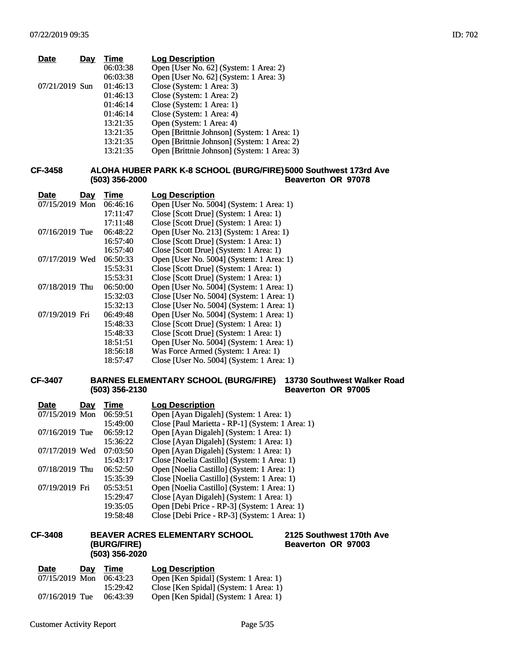| <b>Date</b>    | Day | Time     | <b>Log Description</b>                      |
|----------------|-----|----------|---------------------------------------------|
|                |     | 06:03:38 | Open [User No. 62] (System: 1 Area: 2)      |
|                |     | 06:03:38 | Open [User No. 62] (System: 1 Area: 3)      |
| 07/21/2019 Sun |     | 01:46:13 | Close (System: 1 Area: 3)                   |
|                |     | 01:46:13 | Close (System: 1 Area: 2)                   |
|                |     | 01:46:14 | Close (System: 1 Area: 1)                   |
|                |     | 01:46:14 | Close (System: 1 Area: 4)                   |
|                |     | 13:21:35 | Open (System: 1 Area: 4)                    |
|                |     | 13:21:35 | Open [Brittnie Johnson] (System: 1 Area: 1) |
|                |     | 13:21:35 | Open [Brittnie Johnson] (System: 1 Area: 2) |
|                |     | 13:21:35 | Open [Brittnie Johnson] (System: 1 Area: 3) |
|                |     |          |                                             |

#### **CF-3458 ALOHA HUBER PARK K-8 SCHOOL (BURG/FIRE) 5000 Southwest 173rd Ave (503) 356-2000 Beaverton OR 97078**

| Date             | Day | Time     | <b>Log Description</b>                    |
|------------------|-----|----------|-------------------------------------------|
| 07/15/2019 Mon   |     | 06:46:16 | Open [User No. 5004] (System: 1 Area: 1)  |
|                  |     | 17:11:47 | Close [Scott Drue] (System: 1 Area: 1)    |
|                  |     | 17:11:48 | Close [Scott Drue] (System: 1 Area: 1)    |
| $07/16/2019$ Tue |     | 06:48:22 | Open [User No. 213] (System: 1 Area: 1)   |
|                  |     | 16:57:40 | Close [Scott Drue] (System: 1 Area: 1)    |
|                  |     | 16:57:40 | Close [Scott Drue] (System: 1 Area: 1)    |
| 07/17/2019 Wed   |     | 06:50:33 | Open [User No. 5004] (System: 1 Area: 1)  |
|                  |     | 15:53:31 | Close [Scott Drue] (System: 1 Area: 1)    |
|                  |     | 15:53:31 | Close [Scott Drue] (System: 1 Area: 1)    |
| 07/18/2019 Thu   |     | 06:50:00 | Open [User No. 5004] (System: 1 Area: 1)  |
|                  |     | 15:32:03 | Close [User No. 5004] (System: 1 Area: 1) |
|                  |     | 15:32:13 | Close [User No. 5004] (System: 1 Area: 1) |
| 07/19/2019 Fri   |     | 06:49:48 | Open [User No. 5004] (System: 1 Area: 1)  |
|                  |     | 15:48:33 | Close [Scott Drue] (System: 1 Area: 1)    |
|                  |     | 15:48:33 | Close [Scott Drue] (System: 1 Area: 1)    |
|                  |     | 18:51:51 | Open [User No. 5004] (System: 1 Area: 1)  |
|                  |     | 18:56:18 | Was Force Armed (System: 1 Area: 1)       |
|                  |     | 18:57:47 | Close [User No. 5004] (System: 1 Area: 1) |

#### **CF-3407 BARNES ELEMENTARY SCHOOL (BURG/FIRE) 13730 Southwest Walker Road (503) 356-2130 Beaverton OR 97005**

| <b>Date</b>    | Day | Time     | <b>Log Description</b>                           |
|----------------|-----|----------|--------------------------------------------------|
| 07/15/2019 Mon |     | 06:59:51 | Open [Ayan Digaleh] (System: 1 Area: 1)          |
|                |     | 15:49:00 | Close [Paul Marietta - RP-1] (System: 1 Area: 1) |
| 07/16/2019 Tue |     | 06:59:12 | Open [Ayan Digaleh] (System: 1 Area: 1)          |
|                |     | 15:36:22 | Close [Ayan Digaleh] (System: 1 Area: 1)         |
| 07/17/2019 Wed |     | 07:03:50 | Open [Ayan Digaleh] (System: 1 Area: 1)          |
|                |     | 15:43:17 | Close [Noelia Castillo] (System: 1 Area: 1)      |
| 07/18/2019 Thu |     | 06:52:50 | Open [Noelia Castillo] (System: 1 Area: 1)       |
|                |     | 15:35:39 | Close [Noelia Castillo] (System: 1 Area: 1)      |
| 07/19/2019 Fri |     | 05:53:51 | Open [Noelia Castillo] (System: 1 Area: 1)       |
|                |     | 15:29:47 | Close [Ayan Digaleh] (System: 1 Area: 1)         |
|                |     | 19:35:05 | Open [Debi Price - RP-3] (System: 1 Area: 1)     |
|                |     | 19:58:48 | Close [Debi Price - RP-3] (System: 1 Area: 1)    |

#### **CF-3408 BEAVER ACRES ELEMENTARY SCHOOL (BURG/FIRE) (503) 356-2020**

## **<u>Date</u> Day Time Log Description**<br>07/15/2019 Mon 06:43:23 Open [Ken Spidal] 06:43:23 Open [Ken Spidal] (System: 1 Area: 1)<br>15:29:42 Close [Ken Spidal] (System: 1 Area: 1) 15:29:42 Close [Ken Spidal] (System: 1 Area: 1)<br>07/16/2019 Tue 06:43:39 Open [Ken Spidal] (System: 1 Area: 1) Open [Ken Spidal] (System: 1 Area: 1)

#### **2125 Southwest 170th Ave Beaverton OR 97003**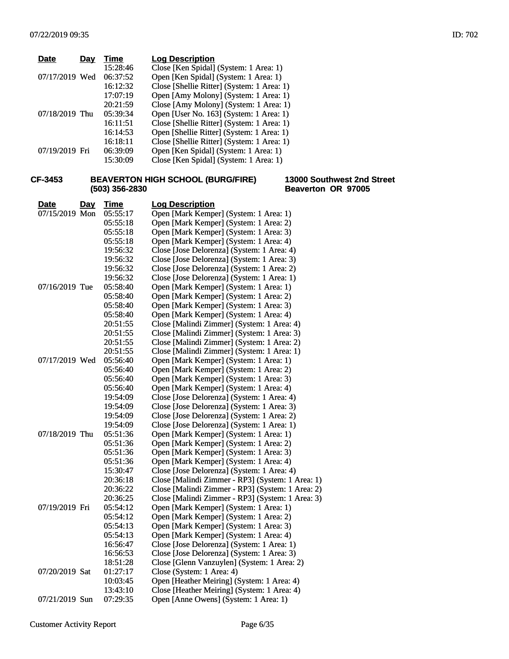| <b>Date</b>    | Day | Time     | <b>Log Description</b>                     |
|----------------|-----|----------|--------------------------------------------|
|                |     | 15:28:46 | Close [Ken Spidal] (System: 1 Area: 1)     |
| 07/17/2019 Wed |     | 06:37:52 | Open [Ken Spidal] (System: 1 Area: 1)      |
|                |     | 16:12:32 | Close [Shellie Ritter] (System: 1 Area: 1) |
|                |     | 17:07:19 | Open [Amy Molony] (System: 1 Area: 1)      |
|                |     | 20:21:59 | Close [Amy Molony] (System: 1 Area: 1)     |
| 07/18/2019 Thu |     | 05:39:34 | Open [User No. 163] (System: 1 Area: 1)    |
|                |     | 16:11:51 | Close [Shellie Ritter] (System: 1 Area: 1) |
|                |     | 16:14:53 | Open [Shellie Ritter] (System: 1 Area: 1)  |
|                |     | 16:18:11 | Close [Shellie Ritter] (System: 1 Area: 1) |
| 07/19/2019 Fri |     | 06:39:09 | Open [Ken Spidal] (System: 1 Area: 1)      |
|                |     | 15:30:09 | Close [Ken Spidal] (System: 1 Area: 1)     |

#### **CF-3453 BEAVERTON HIGH SCHOOL (BURG/FIRE) (503) 356-2830**

#### **13000 Southwest 2nd Street Beaverton OR 97005**

| <b>Date</b><br>Day | <b>Time</b> | <b>Log Description</b>                           |
|--------------------|-------------|--------------------------------------------------|
| 07/15/2019 Mon     | 05:55:17    | Open [Mark Kemper] (System: 1 Area: 1)           |
|                    | 05:55:18    | Open [Mark Kemper] (System: 1 Area: 2)           |
|                    | 05:55:18    | Open [Mark Kemper] (System: 1 Area: 3)           |
|                    | 05:55:18    | Open [Mark Kemper] (System: 1 Area: 4)           |
|                    | 19:56:32    | Close [Jose Delorenza] (System: 1 Area: 4)       |
|                    | 19:56:32    | Close [Jose Delorenza] (System: 1 Area: 3)       |
|                    | 19:56:32    | Close [Jose Delorenza] (System: 1 Area: 2)       |
|                    | 19:56:32    | Close [Jose Delorenza] (System: 1 Area: 1)       |
| 07/16/2019 Tue     | 05:58:40    | Open [Mark Kemper] (System: 1 Area: 1)           |
|                    | 05:58:40    | Open [Mark Kemper] (System: 1 Area: 2)           |
|                    | 05:58:40    | Open [Mark Kemper] (System: 1 Area: 3)           |
|                    | 05:58:40    | Open [Mark Kemper] (System: 1 Area: 4)           |
|                    | 20:51:55    | Close [Malindi Zimmer] (System: 1 Area: 4)       |
|                    | 20:51:55    | Close [Malindi Zimmer] (System: 1 Area: 3)       |
|                    | 20:51:55    | Close [Malindi Zimmer] (System: 1 Area: 2)       |
|                    | 20:51:55    | Close [Malindi Zimmer] (System: 1 Area: 1)       |
| 07/17/2019 Wed     | 05:56:40    | Open [Mark Kemper] (System: 1 Area: 1)           |
|                    | 05:56:40    | Open [Mark Kemper] (System: 1 Area: 2)           |
|                    | 05:56:40    | Open [Mark Kemper] (System: 1 Area: 3)           |
|                    | 05:56:40    | Open [Mark Kemper] (System: 1 Area: 4)           |
|                    | 19:54:09    | Close [Jose Delorenza] (System: 1 Area: 4)       |
|                    | 19:54:09    | Close [Jose Delorenza] (System: 1 Area: 3)       |
|                    | 19:54:09    | Close [Jose Delorenza] (System: 1 Area: 2)       |
|                    | 19:54:09    | Close [Jose Delorenza] (System: 1 Area: 1)       |
| 07/18/2019 Thu     | 05:51:36    | Open [Mark Kemper] (System: 1 Area: 1)           |
|                    | 05:51:36    | Open [Mark Kemper] (System: 1 Area: 2)           |
|                    | 05:51:36    | Open [Mark Kemper] (System: 1 Area: 3)           |
|                    | 05:51:36    | Open [Mark Kemper] (System: 1 Area: 4)           |
|                    | 15:30:47    | Close [Jose Delorenza] (System: 1 Area: 4)       |
|                    | 20:36:18    | Close [Malindi Zimmer - RP3] (System: 1 Area: 1) |
|                    | 20:36:22    | Close [Malindi Zimmer - RP3] (System: 1 Area: 2) |
|                    | 20:36:25    | Close [Malindi Zimmer - RP3] (System: 1 Area: 3) |
| 07/19/2019 Fri     | 05:54:12    | Open [Mark Kemper] (System: 1 Area: 1)           |
|                    | 05:54:12    | Open [Mark Kemper] (System: 1 Area: 2)           |
|                    | 05:54:13    | Open [Mark Kemper] (System: 1 Area: 3)           |
|                    | 05:54:13    | Open [Mark Kemper] (System: 1 Area: 4)           |
|                    | 16:56:47    | Close [Jose Delorenza] (System: 1 Area: 1)       |
|                    | 16:56:53    | Close [Jose Delorenza] (System: 1 Area: 3)       |
|                    | 18:51:28    | Close [Glenn Vanzuylen] (System: 1 Area: 2)      |
| 07/20/2019 Sat     | 01:27:17    | Close (System: 1 Area: 4)                        |
|                    | 10:03:45    | Open [Heather Meiring] (System: 1 Area: 4)       |
|                    | 13:43:10    | Close [Heather Meiring] (System: 1 Area: 4)      |
| 07/21/2019 Sun     | 07:29:35    | Open [Anne Owens] (System: 1 Area: 1)            |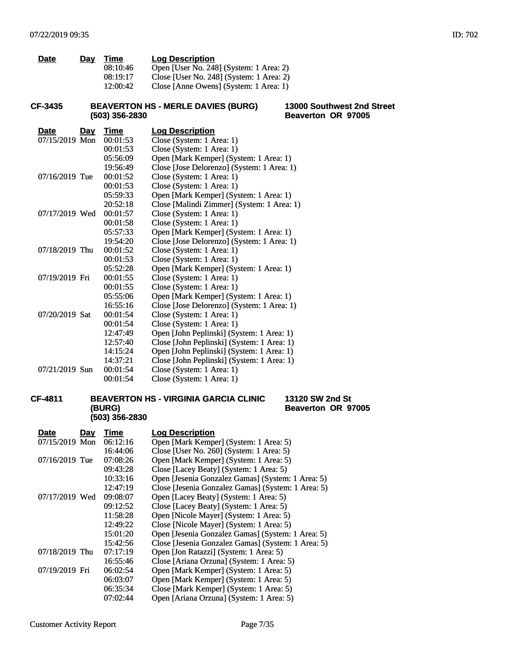| Time     | <b>Log Description</b>                   |
|----------|------------------------------------------|
| 08:10:46 | Open [User No. 248] (System: 1 Area: 2)  |
| 08:19:17 | Close [User No. 248] (System: 1 Area: 2) |
| 12:00:42 | Close [Anne Owens] (System: 1 Area: 1)   |
|          |                                          |
|          | Day                                      |

#### **CF-3435 BEAVERTON HS - MERLE DAVIES (BURG) (503) 356-2830**

**13000 Southwest 2nd Street Beaverton OR 97005**

**13120 SW 2nd St Beaverton OR 97005**

| <b>Date</b>    | <u>Day</u> | Time     | <b>Log Description</b>                     |
|----------------|------------|----------|--------------------------------------------|
| 07/15/2019 Mon |            | 00:01:53 | Close (System: 1 Area: 1)                  |
|                |            | 00:01:53 | Close (System: 1 Area: 1)                  |
|                |            | 05:56:09 | Open [Mark Kemper] (System: 1 Area: 1)     |
|                |            | 19:56:49 | Close [Jose Delorenzo] (System: 1 Area: 1) |
| 07/16/2019 Tue |            | 00:01:52 | Close (System: 1 Area: 1)                  |
|                |            | 00:01:53 | Close (System: 1 Area: 1)                  |
|                |            | 05:59:33 | Open [Mark Kemper] (System: 1 Area: 1)     |
|                |            | 20:52:18 | Close [Malindi Zimmer] (System: 1 Area: 1) |
| 07/17/2019 Wed |            | 00:01:57 | Close (System: 1 Area: 1)                  |
|                |            | 00:01:58 | Close (System: 1 Area: 1)                  |
|                |            | 05:57:33 | Open [Mark Kemper] (System: 1 Area: 1)     |
|                |            | 19:54:20 | Close [Jose Delorenzo] (System: 1 Area: 1) |
| 07/18/2019 Thu |            | 00:01:52 | Close (System: 1 Area: 1)                  |
|                |            | 00:01:53 | Close (System: 1 Area: 1)                  |
|                |            | 05:52:28 | Open [Mark Kemper] (System: 1 Area: 1)     |
| 07/19/2019 Fri |            | 00:01:55 | Close (System: 1 Area: 1)                  |
|                |            | 00:01:55 | Close (System: 1 Area: 1)                  |
|                |            | 05:55:06 | Open [Mark Kemper] (System: 1 Area: 1)     |
|                |            | 16:55:16 | Close [Jose Delorenzo] (System: 1 Area: 1) |
| 07/20/2019 Sat |            | 00:01:54 | Close (System: 1 Area: 1)                  |
|                |            | 00:01:54 | Close (System: 1 Area: 1)                  |
|                |            | 12:47:49 | Open [John Peplinski] (System: 1 Area: 1)  |
|                |            | 12:57:40 | Close [John Peplinski] (System: 1 Area: 1) |
|                |            | 14:15:24 | Open [John Peplinski] (System: 1 Area: 1)  |
|                |            | 14:37:21 | Close [John Peplinski] (System: 1 Area: 1) |
| 07/21/2019 Sun |            | 00:01:54 | Close (System: 1 Area: 1)                  |
|                |            | 00:01:54 | Close (System: 1 Area: 1)                  |

#### **CF-4811 BEAVERTON HS - VIRGINIA GARCIA CLINIC (BURG) (503) 356-2830**

**Date Day Time Log Description** 07/15/2019 Mon 06:12:16 Open [Mark Kemper] (System: 1 Area: 5) 16:44:06 Close [User No. 260] (System: 1 Area: 5) 07/16/2019 Tue 07:08:26 Open [Mark Kemper] (System: 1 Area: 5) 09:43:28 Close [Lacey Beaty] (System: 1 Area: 5) 10:33:16 Open [Jesenia Gonzalez Gamas] (System: 1 Area: 5) 12:47:19 Close [Jesenia Gonzalez Gamas] (System: 1 Area: 5) 07/17/2019 Wed 09:08:07 Open [Lacey Beaty] (System: 1 Area: 5) 09:12:52 Close [Lacey Beaty] (System: 1 Area: 5) 11:58:28 Open [Nicole Mayer] (System: 1 Area: 5) 12:49:22 Close [Nicole Mayer] (System: 1 Area: 5) 15:01:20 Open [Jesenia Gonzalez Gamas] (System: 1 Area: 5) 15:42:56 Close [Jesenia Gonzalez Gamas] (System: 1 Area: 5) 07/18/2019 Thu 07:17:19 Open [Jon Ratazzi] (System: 1 Area: 5) 16:55:46 Close [Ariana Orzuna] (System: 1 Area: 5) 07/19/2019 Fri 06:02:54 Open [Mark Kemper] (System: 1 Area: 5) 06:03:07 Open [Mark Kemper] (System: 1 Area: 5) 06:35:34 Close [Mark Kemper] (System: 1 Area: 5) 07:02:44 Open [Ariana Orzuna] (System: 1 Area: 5)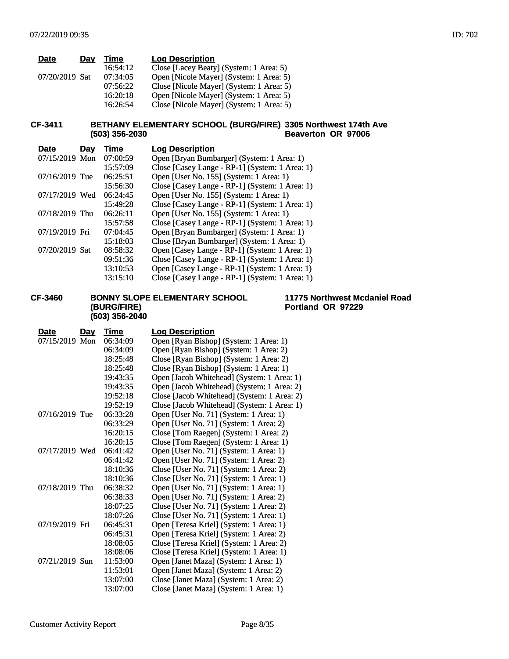| <b>Date</b>    | Day | Time     | <b>Log Description</b>                   |
|----------------|-----|----------|------------------------------------------|
|                |     | 16:54:12 | Close [Lacey Beaty] (System: 1 Area: 5)  |
| 07/20/2019 Sat |     | 07:34:05 | Open [Nicole Mayer] (System: 1 Area: 5)  |
|                |     | 07:56:22 | Close [Nicole Mayer] (System: 1 Area: 5) |
|                |     | 16:20:18 | Open [Nicole Mayer] (System: 1 Area: 5)  |
|                |     | 16:26:54 | Close [Nicole Mayer] (System: 1 Area: 5) |

#### **CF-3411 BETHANY ELEMENTARY SCHOOL (BURG/FIRE) 3305 Northwest 174th Ave (503) 356-2030 Beaverton OR 97006**

| <b>Date</b><br>Day | Time     | <b>Log Description</b>                         |
|--------------------|----------|------------------------------------------------|
| 07/15/2019 Mon     | 07:00:59 | Open [Bryan Bumbarger] (System: 1 Area: 1)     |
|                    | 15:57:09 | Close [Casey Lange - RP-1] (System: 1 Area: 1) |
| 07/16/2019 Tue     | 06:25:51 | Open [User No. 155] (System: 1 Area: 1)        |
|                    | 15:56:30 | Close [Casey Lange - RP-1] (System: 1 Area: 1) |
| 07/17/2019 Wed     | 06:24:45 | Open [User No. 155] (System: 1 Area: 1)        |
|                    | 15:49:28 | Close [Casey Lange - RP-1] (System: 1 Area: 1) |
| 07/18/2019 Thu     | 06:26:11 | Open [User No. 155] (System: 1 Area: 1)        |
|                    | 15:57:58 | Close [Casey Lange - RP-1] (System: 1 Area: 1) |
| 07/19/2019 Fri     | 07:04:45 | Open [Bryan Bumbarger] (System: 1 Area: 1)     |
|                    | 15:18:03 | Close [Bryan Bumbarger] (System: 1 Area: 1)    |
| 07/20/2019 Sat     | 08:58:32 | Open [Casey Lange - RP-1] (System: 1 Area: 1)  |
|                    | 09:51:36 | Close [Casey Lange - RP-1] (System: 1 Area: 1) |
|                    | 13:10:53 | Open [Casey Lange - RP-1] (System: 1 Area: 1)  |
|                    | 13:15:10 | Close [Casey Lange - RP-1] (System: 1 Area: 1) |

#### **CF-3460 BONNY SLOPE ELEMENTARY SCHOOL (BURG/FIRE) (503) 356-2040**

#### **Date Day Time Log Description** 07/15/2019 Mon 06:34:09 Open [Ryan Bishop] (System: 1 Area: 1) 06:34:09 Open [Ryan Bishop] (System: 1 Area: 2) 18:25:48 Close [Ryan Bishop] (System: 1 Area: 2) 18:25:48 Close [Ryan Bishop] (System: 1 Area: 1) 19:43:35 Open [Jacob Whitehead] (System: 1 Area: 1) 19:43:35 Open [Jacob Whitehead] (System: 1 Area: 2) 19:52:18 Close [Jacob Whitehead] (System: 1 Area: 2) 19:52:19 Close [Jacob Whitehead] (System: 1 Area: 1) 07/16/2019 Tue 06:33:28 Open [User No. 71] (System: 1 Area: 1) 06:33:29 Open [User No. 71] (System: 1 Area: 2) 16:20:15 Close [Tom Raegen] (System: 1 Area: 2) 16:20:15 Close [Tom Raegen] (System: 1 Area: 1) 07/17/2019 Wed 06:41:42 Open [User No. 71] (System: 1 Area: 1) 06:41:42 Open [User No. 71] (System: 1 Area: 2) 18:10:36 Close [User No. 71] (System: 1 Area: 2) 18:10:36 Close [User No. 71] (System: 1 Area: 1) 07/18/2019 Thu 06:38:32 Open [User No. 71] (System: 1 Area: 1) 06:38:33 Open [User No. 71] (System: 1 Area: 2) 18:07:25 Close [User No. 71] (System: 1 Area: 2) 18:07:26 Close [User No. 71] (System: 1 Area: 1) 07/19/2019 Fri 06:45:31 Open [Teresa Kriel] (System: 1 Area: 1) 06:45:31 Open [Teresa Kriel] (System: 1 Area: 2) 18:08:05 Close [Teresa Kriel] (System: 1 Area: 2) 18:08:06 Close [Teresa Kriel] (System: 1 Area: 1) 07/21/2019 Sun 11:53:00 Open [Janet Maza] (System: 1 Area: 1) 11:53:01 Open [Janet Maza] (System: 1 Area: 2) 13:07:00 Close [Janet Maza] (System: 1 Area: 2) 13:07:00 Close [Janet Maza] (System: 1 Area: 1)

**11775 Northwest Mcdaniel Road**

**Portland OR 97229**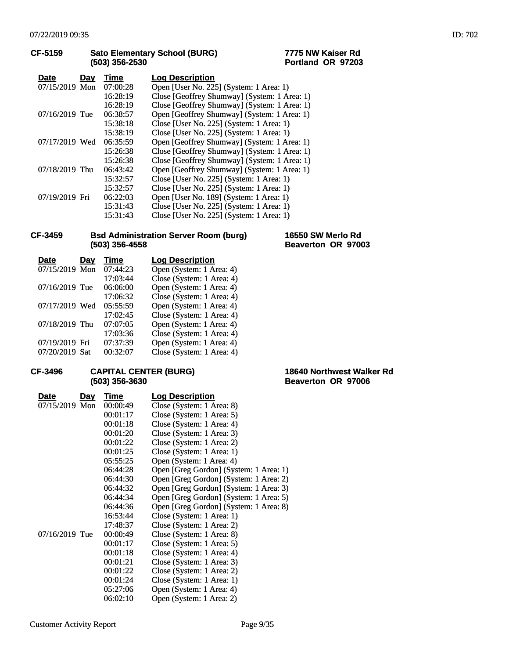| CF-5159        |     | (503) 356-2530 | 7775 NW Kaiser Rd<br><b>Sato Elementary School (BURG)</b><br>Portland OR 97203 |
|----------------|-----|----------------|--------------------------------------------------------------------------------|
| <b>Date</b>    | Day | Time           | <b>Log Description</b>                                                         |
| 07/15/2019 Mon |     | 07:00:28       | Open [User No. 225] (System: 1 Area: 1)                                        |
|                |     | 16:28:19       | Close [Geoffrey Shumway] (System: 1 Area: 1)                                   |
|                |     | 16:28:19       | Close [Geoffrey Shumway] (System: 1 Area: 1)                                   |
| 07/16/2019 Tue |     | 06:38:57       | Open [Geoffrey Shumway] (System: 1 Area: 1)                                    |
|                |     | 15:38:18       | Close [User No. 225] (System: 1 Area: 1)                                       |
|                |     | 15:38:19       | Close [User No. 225] (System: 1 Area: 1)                                       |
| 07/17/2019 Wed |     | 06:35:59       | Open [Geoffrey Shumway] (System: 1 Area: 1)                                    |
|                |     | 15:26:38       | Close [Geoffrey Shumway] (System: 1 Area: 1)                                   |
|                |     | 15:26:38       | Close [Geoffrey Shumway] (System: 1 Area: 1)                                   |
| 07/18/2019 Thu |     | 06:43:42       | Open [Geoffrey Shumway] (System: 1 Area: 1)                                    |
|                |     | 15:32:57       | Close [User No. 225] (System: 1 Area: 1)                                       |
|                |     | 15:32:57       | Close [User No. 225] (System: 1 Area: 1)                                       |
| 07/19/2019 Fri |     | 06:22:03       | Open [User No. 189] (System: 1 Area: 1)                                        |
|                |     | 15:31:43       | Close [User No. 225] (System: 1 Area: 1)                                       |
|                |     | 15:31:43       | Close [User No. 225] (System: 1 Area: 1)                                       |

#### **CF-3459 Bsd Administration Server Room (burg) (503) 356-4558**

**16550 SW Merlo Rd Beaverton OR 97003**

| Date           | Dav | Time     | <b>Log Description</b>    |
|----------------|-----|----------|---------------------------|
| 07/15/2019 Mon |     | 07:44:23 | Open (System: 1 Area: 4)  |
|                |     | 17:03:44 | Close (System: 1 Area: 4) |
| 07/16/2019 Tue |     | 06:06:00 | Open (System: 1 Area: 4)  |
|                |     | 17:06:32 | Close (System: 1 Area: 4) |
| 07/17/2019 Wed |     | 05:55:59 | Open (System: 1 Area: 4)  |
|                |     | 17:02:45 | Close (System: 1 Area: 4) |
| 07/18/2019 Thu |     | 07:07:05 | Open (System: 1 Area: 4)  |
|                |     | 17:03:36 | Close (System: 1 Area: 4) |
| 07/19/2019 Fri |     | 07:37:39 | Open (System: 1 Area: 4)  |
| 07/20/2019 Sat |     | 00:32:07 | Close (System: 1 Area: 4) |

## **CF-3496 CAPITAL CENTER (BURG) (503) 356-3630**

| Date           | <u>Day</u> | Time     | <b>Log Description</b>                 |
|----------------|------------|----------|----------------------------------------|
| 07/15/2019 Mon |            | 00:00:49 | Close (System: 1 Area: 8)              |
|                |            | 00:01:17 | Close (System: 1 Area: 5)              |
|                |            | 00:01:18 | Close (System: 1 Area: 4)              |
|                |            | 00:01:20 | Close (System: 1 Area: 3)              |
|                |            | 00:01:22 | Close (System: 1 Area: 2)              |
|                |            | 00:01:25 | Close (System: 1 Area: 1)              |
|                |            | 05:55:25 | Open (System: 1 Area: 4)               |
|                |            | 06:44:28 | Open [Greg Gordon] (System: 1 Area: 1) |
|                |            | 06:44:30 | Open [Greg Gordon] (System: 1 Area: 2) |
|                |            | 06:44:32 | Open [Greg Gordon] (System: 1 Area: 3) |
|                |            | 06:44:34 | Open [Greg Gordon] (System: 1 Area: 5) |
|                |            | 06:44:36 | Open [Greg Gordon] (System: 1 Area: 8) |
|                |            | 16:53:44 | Close (System: 1 Area: 1)              |
|                |            | 17:48:37 | Close (System: 1 Area: 2)              |
| 07/16/2019 Tue |            | 00:00:49 | Close (System: 1 Area: 8)              |
|                |            | 00:01:17 | Close (System: 1 Area: 5)              |
|                |            | 00:01:18 | Close (System: 1 Area: 4)              |
|                |            | 00:01:21 | Close (System: 1 Area: 3)              |
|                |            | 00:01:22 | Close (System: 1 Area: 2)              |
|                |            | 00:01:24 | Close (System: 1 Area: 1)              |
|                |            | 05:27:06 | Open (System: 1 Area: 4)               |
|                |            | 06:02:10 | Open (System: 1 Area: 2)               |

**18640 Northwest Walker Rd Beaverton OR 97006**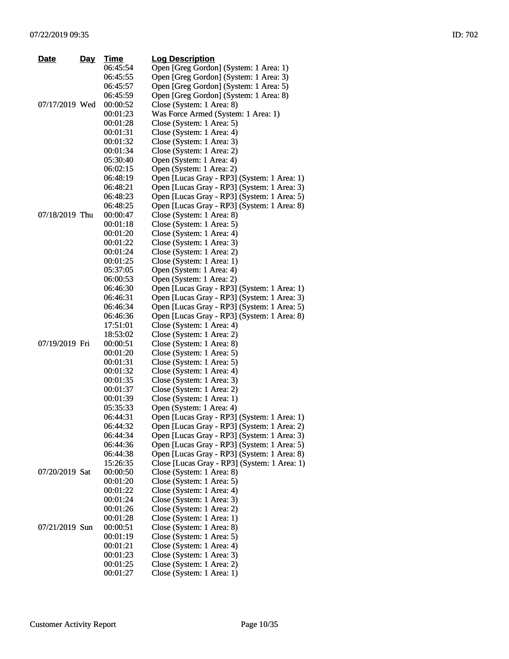| <b>Date</b>    | Day | <b>Time</b> | <b>Log Description</b>                       |
|----------------|-----|-------------|----------------------------------------------|
|                |     | 06:45:54    | Open [Greg Gordon] (System: 1 Area: 1)       |
|                |     | 06:45:55    | Open [Greg Gordon] (System: 1 Area: 3)       |
|                |     | 06:45:57    | Open [Greg Gordon] (System: 1 Area: 5)       |
|                |     | 06:45:59    | Open [Greg Gordon] (System: 1 Area: 8)       |
| 07/17/2019 Wed |     | 00:00:52    | Close (System: 1 Area: 8)                    |
|                |     | 00:01:23    | Was Force Armed (System: 1 Area: 1)          |
|                |     | 00:01:28    | Close (System: 1 Area: 5)                    |
|                |     | 00:01:31    | Close (System: 1 Area: 4)                    |
|                |     | 00:01:32    | Close (System: 1 Area: 3)                    |
|                |     | 00:01:34    | Close (System: 1 Area: 2)                    |
|                |     | 05:30:40    | Open (System: 1 Area: 4)                     |
|                |     | 06:02:15    | Open (System: 1 Area: 2)                     |
|                |     | 06:48:19    | Open [Lucas Gray - RP3] (System: 1 Area: 1)  |
|                |     | 06:48:21    | Open [Lucas Gray - RP3] (System: 1 Area: 3)  |
|                |     | 06:48:23    | Open [Lucas Gray - RP3] (System: 1 Area: 5)  |
|                |     | 06:48:25    | Open [Lucas Gray - RP3] (System: 1 Area: 8)  |
| 07/18/2019 Thu |     | 00:00:47    | Close (System: 1 Area: 8)                    |
|                |     | 00:01:18    | Close (System: 1 Area: 5)                    |
|                |     | 00:01:20    | Close (System: 1 Area: 4)                    |
|                |     | 00:01:22    | Close (System: 1 Area: 3)                    |
|                |     | 00:01:24    | Close (System: 1 Area: 2)                    |
|                |     | 00:01:25    | Close (System: 1 Area: 1)                    |
|                |     | 05:37:05    | Open (System: 1 Area: 4)                     |
|                |     | 06:00:53    | Open (System: 1 Area: 2)                     |
|                |     | 06:46:30    | Open [Lucas Gray - RP3] (System: 1 Area: 1)  |
|                |     | 06:46:31    | Open [Lucas Gray - RP3] (System: 1 Area: 3)  |
|                |     | 06:46:34    | Open [Lucas Gray - RP3] (System: 1 Area: 5)  |
|                |     | 06:46:36    | Open [Lucas Gray - RP3] (System: 1 Area: 8)  |
|                |     | 17:51:01    | Close (System: 1 Area: 4)                    |
|                |     | 18:53:02    | Close (System: 1 Area: 2)                    |
| 07/19/2019 Fri |     | 00:00:51    | Close (System: 1 Area: 8)                    |
|                |     | 00:01:20    | Close (System: 1 Area: 5)                    |
|                |     | 00:01:31    | Close (System: 1 Area: 5)                    |
|                |     | 00:01:32    | Close (System: 1 Area: 4)                    |
|                |     | 00:01:35    | Close (System: 1 Area: 3)                    |
|                |     | 00:01:37    | Close (System: 1 Area: 2)                    |
|                |     | 00:01:39    | Close (System: 1 Area: 1)                    |
|                |     | 05:35:33    | Open (System: 1 Area: 4)                     |
|                |     | 06:44:31    | Open [Lucas Gray - RP3] (System: 1 Area: 1)  |
|                |     | 06:44:32    | Open [Lucas Gray - RP3] (System: 1 Area: 2)  |
|                |     | 06:44:34    | Open [Lucas Gray - RP3] (System: 1 Area: 3)  |
|                |     | 06:44:36    | Open [Lucas Gray - RP3] (System: 1 Area: 5)  |
|                |     | 06:44:38    | Open [Lucas Gray - RP3] (System: 1 Area: 8)  |
|                |     | 15:26:35    | Close [Lucas Gray - RP3] (System: 1 Area: 1) |
| 07/20/2019 Sat |     | 00:00:50    | Close (System: 1 Area: 8)                    |
|                |     | 00:01:20    | Close (System: 1 Area: 5)                    |
|                |     | 00:01:22    | Close (System: 1 Area: 4)                    |
|                |     | 00:01:24    | Close (System: 1 Area: 3)                    |
|                |     | 00:01:26    | Close (System: 1 Area: 2)                    |
|                |     | 00:01:28    | Close (System: 1 Area: 1)                    |
| 07/21/2019 Sun |     | 00:00:51    | Close (System: 1 Area: 8)                    |
|                |     | 00:01:19    | Close (System: 1 Area: 5)                    |
|                |     | 00:01:21    | Close (System: 1 Area: 4)                    |
|                |     | 00:01:23    | Close (System: 1 Area: 3)                    |
|                |     | 00:01:25    | Close (System: 1 Area: 2)                    |
|                |     | 00:01:27    | Close (System: 1 Area: 1)                    |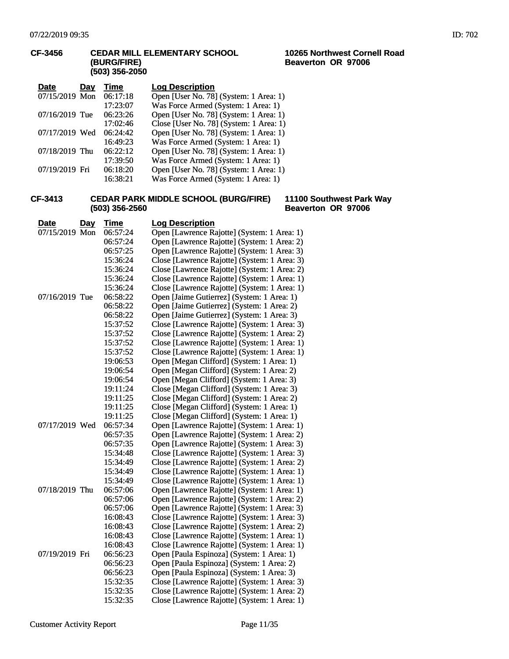#### **CF-3456 CEDAR MILL ELEMENTARY SCHOOL (BURG/FIRE) (503) 356-2050**

| <b>Date</b>    | Day | Time     | <b>Log Description</b>                  |
|----------------|-----|----------|-----------------------------------------|
| 07/15/2019 Mon |     | 06:17:18 | Open [User No. 78] (System: 1 Area: 1)  |
|                |     | 17:23:07 | Was Force Armed (System: 1 Area: 1)     |
| 07/16/2019 Tue |     | 06:23:26 | Open [User No. 78] (System: 1 Area: 1)  |
|                |     | 17:02:46 | Close [User No. 78] (System: 1 Area: 1) |
| 07/17/2019 Wed |     | 06:24:42 | Open [User No. 78] (System: 1 Area: 1)  |
|                |     | 16:49:23 | Was Force Armed (System: 1 Area: 1)     |
| 07/18/2019 Thu |     | 06:22:12 | Open [User No. 78] (System: 1 Area: 1)  |
|                |     | 17:39:50 | Was Force Armed (System: 1 Area: 1)     |
| 07/19/2019 Fri |     | 06:18:20 | Open [User No. 78] (System: 1 Area: 1)  |
|                |     | 16:38:21 | Was Force Armed (System: 1 Area: 1)     |

#### **CF-3413 CEDAR PARK MIDDLE SCHOOL (BURG/FIRE) (503) 356-2560**

#### **Date Day Time Log Description** 07/15/2019 Mon 06:57:24 Open [Lawrence Rajotte] (System: 1 Area: 1) 06:57:24 Open [Lawrence Rajotte] (System: 1 Area: 2) 06:57:25 Open [Lawrence Rajotte] (System: 1 Area: 3)<br>15:36:24 Close [Lawrence Rajotte] (System: 1 Area: 3) Close [Lawrence Rajotte] (System: 1 Area: 3) 15:36:24 Close [Lawrence Rajotte] (System: 1 Area: 2) 15:36:24 Close [Lawrence Rajotte] (System: 1 Area: 1) 15:36:24 Close [Lawrence Rajotte] (System: 1 Area: 1) 07/16/2019 Tue 06:58:22 Open [Jaime Gutierrez] (System: 1 Area: 1)<br>06:58:22 Open [Jaime Gutierrez] (System: 1 Area: 2) 06:58:22 Open [Jaime Gutierrez] (System: 1 Area: 2)<br>06:58:22 Open [Jaime Gutierrez] (System: 1 Area: 3) Open [Jaime Gutierrez] (System: 1 Area: 3) 15:37:52 Close [Lawrence Rajotte] (System: 1 Area: 3) 15:37:52 Close [Lawrence Rajotte] (System: 1 Area: 2) 15:37:52 Close [Lawrence Rajotte] (System: 1 Area: 1) 15:37:52 Close [Lawrence Rajotte] (System: 1 Area: 1)<br>19:06:53 Open [Megan Clifford] (System: 1 Area: 1) 19:06:53 Open [Megan Clifford] (System: 1 Area: 1)<br>19:06:54 Open [Megan Clifford] (System: 1 Area: 2) Open [Megan Clifford] (System: 1 Area: 2) 19:06:54 Open [Megan Clifford] (System: 1 Area: 3) 19:11:24 Close [Megan Clifford] (System: 1 Area: 3) 19:11:25 Close [Megan Clifford] (System: 1 Area: 2)<br>19:11:25 Close [Megan Clifford] (System: 1 Area: 1) Close [Megan Clifford] (System: 1 Area: 1) 19:11:25 Close [Megan Clifford] (System: 1 Area: 1)<br>19:11:25 Open [Lawrence Rajotte] (System: 1 Area: 1) Open [Lawrence Rajotte] (System: 1 Area: 1) 06:57:35 Open [Lawrence Rajotte] (System: 1 Area: 2) 06:57:35 Open [Lawrence Rajotte] (System: 1 Area: 3) 15:34:48 Close [Lawrence Rajotte] (System: 1 Area: 3) 15:34:49 Close [Lawrence Rajotte] (System: 1 Area: 2) 15:34:49 Close [Lawrence Rajotte] (System: 1 Area: 1) 15:34:49 Close [Lawrence Rajotte] (System: 1 Area: 1) 07/18/2019 Thu 06:57:06 Open [Lawrence Rajotte] (System: 1 Area: 1) 06:57:06 Open [Lawrence Rajotte] (System: 1 Area: 2)<br>06:57:06 Open [Lawrence Rajotte] (System: 1 Area: 3) Open [Lawrence Rajotte] (System: 1 Area: 3) 16:08:43 Close [Lawrence Rajotte] (System: 1 Area: 3) 16:08:43 Close [Lawrence Rajotte] (System: 1 Area: 2) 16:08:43 Close [Lawrence Rajotte] (System: 1 Area: 1)<br>16:08:43 Close [Lawrence Rajotte] (System: 1 Area: 1) Close [Lawrence Rajotte] (System: 1 Area: 1) 07/19/2019 Fri 06:56:23 Open [Paula Espinoza] (System: 1 Area: 1) 06:56:23 Open [Paula Espinoza] (System: 1 Area: 2) 06:56:23 Open [Paula Espinoza] (System: 1 Area: 3) 15:32:35 Close [Lawrence Rajotte] (System: 1 Area: 3) 15:32:35 Close [Lawrence Rajotte] (System: 1 Area: 2) 15:32:35 Close [Lawrence Rajotte] (System: 1 Area: 1)

# **Beaverton OR 97006**

**11100 Southwest Park Way**

**10265 Northwest Cornell Road**

**Beaverton OR 97006**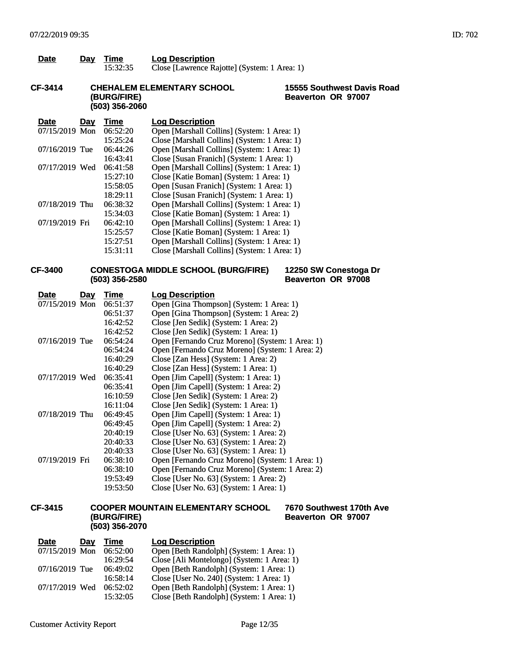| <b>Date</b> | Dav | Time     | <b>Log Description</b>                       |
|-------------|-----|----------|----------------------------------------------|
|             |     | 15:32:35 | Close [Lawrence Rajotte] (System: 1 Area: 1) |

#### **CF-3414 CHEHALEM ELEMENTARY SCHOOL (BURG/FIRE) (503) 356-2060**

#### **15555 Southwest Davis Road Beaverton OR 97007**

| <b>Date</b><br>Day | Time     | <b>Log Description</b>                       |
|--------------------|----------|----------------------------------------------|
| 07/15/2019 Mon     | 06:52:20 | Open [Marshall Collins] (System: 1 Area: 1)  |
|                    | 15:25:24 | Close [Marshall Collins] (System: 1 Area: 1) |
| 07/16/2019 Tue     | 06:44:26 | Open [Marshall Collins] (System: 1 Area: 1)  |
|                    | 16:43:41 | Close [Susan Franich] (System: 1 Area: 1)    |
| 07/17/2019 Wed     | 06:41:58 | Open [Marshall Collins] (System: 1 Area: 1)  |
|                    | 15:27:10 | Close [Katie Boman] (System: 1 Area: 1)      |
|                    | 15:58:05 | Open [Susan Franich] (System: 1 Area: 1)     |
|                    | 18:29:11 | Close [Susan Franich] (System: 1 Area: 1)    |
| 07/18/2019 Thu     | 06:38:32 | Open [Marshall Collins] (System: 1 Area: 1)  |
|                    | 15:34:03 | Close [Katie Boman] (System: 1 Area: 1)      |
| 07/19/2019 Fri     | 06:42:10 | Open [Marshall Collins] (System: 1 Area: 1)  |
|                    | 15:25:57 | Close [Katie Boman] (System: 1 Area: 1)      |
|                    | 15:27:51 | Open [Marshall Collins] (System: 1 Area: 1)  |
|                    | 15:31:11 | Close [Marshall Collins] (System: 1 Area: 1) |

#### **CF-3400 CONESTOGA MIDDLE SCHOOL (BURG/FIRE) (503) 356-2580**

#### **12250 SW Conestoga Dr Beaverton OR 97008**

| <b>Day</b><br>Date | Time     | <b>Log Description</b>                          |
|--------------------|----------|-------------------------------------------------|
| 07/15/2019 Mon     | 06:51:37 | Open [Gina Thompson] (System: 1 Area: 1)        |
|                    | 06:51:37 | Open [Gina Thompson] (System: 1 Area: 2)        |
|                    | 16:42:52 | Close [Jen Sedik] (System: 1 Area: 2)           |
|                    | 16:42:52 | Close [Jen Sedik] (System: 1 Area: 1)           |
| 07/16/2019 Tue     | 06:54:24 | Open [Fernando Cruz Moreno] (System: 1 Area: 1) |
|                    | 06:54:24 | Open [Fernando Cruz Moreno] (System: 1 Area: 2) |
|                    | 16:40:29 | Close [Zan Hess] (System: 1 Area: 2)            |
|                    | 16:40:29 | Close [Zan Hess] (System: 1 Area: 1)            |
| 07/17/2019 Wed     | 06:35:41 | Open [Jim Capell] (System: 1 Area: 1)           |
|                    | 06:35:41 | Open [Jim Capell] (System: 1 Area: 2)           |
|                    | 16:10:59 | Close [Jen Sedik] (System: 1 Area: 2)           |
|                    | 16:11:04 | Close [Jen Sedik] (System: 1 Area: 1)           |
| 07/18/2019 Thu     | 06:49:45 | Open [Jim Capell] (System: 1 Area: 1)           |
|                    | 06:49:45 | Open [Jim Capell] (System: 1 Area: 2)           |
|                    | 20:40:19 | Close [User No. 63] (System: 1 Area: 2)         |
|                    | 20:40:33 | Close [User No. 63] (System: 1 Area: 2)         |
|                    | 20:40:33 | Close [User No. 63] (System: 1 Area: 1)         |
| 07/19/2019 Fri     | 06:38:10 | Open [Fernando Cruz Moreno] (System: 1 Area: 1) |
|                    | 06:38:10 | Open [Fernando Cruz Moreno] (System: 1 Area: 2) |
|                    | 19:53:49 | Close [User No. 63] (System: 1 Area: 2)         |
|                    | 19:53:50 | Close [User No. 63] (System: 1 Area: 1)         |
|                    |          |                                                 |

#### **CF-3415 COOPER MOUNTAIN ELEMENTARY SCHOOL (BURG/FIRE) (503) 356-2070 7670 Southwest 170th Ave Beaverton OR 97007**

| <b>Date</b>    | Day | Time     | <b>Log Description</b>                     |
|----------------|-----|----------|--------------------------------------------|
| 07/15/2019 Mon |     | 06:52:00 | Open [Beth Randolph] (System: 1 Area: 1)   |
|                |     | 16:29:54 | Close [Ali Montelongo] (System: 1 Area: 1) |
| 07/16/2019 Tue |     | 06:49:02 | Open [Beth Randolph] (System: 1 Area: 1)   |
|                |     | 16:58:14 | Close [User No. 240] (System: 1 Area: 1)   |
| 07/17/2019 Wed |     | 06:52:02 | Open [Beth Randolph] (System: 1 Area: 1)   |
|                |     | 15:32:05 | Close [Beth Randolph] (System: 1 Area: 1)  |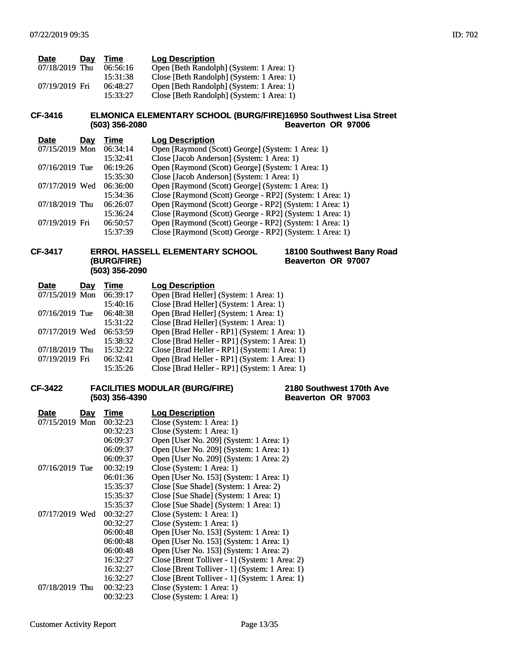| <b>Date</b>    | Dav | Time     | <b>Log Description</b>                    |
|----------------|-----|----------|-------------------------------------------|
| 07/18/2019 Thu |     | 06:56:16 | Open [Beth Randolph] (System: 1 Area: 1)  |
|                |     | 15:31:38 | Close [Beth Randolph] (System: 1 Area: 1) |
| 07/19/2019 Fri |     | 06:48:27 | Open [Beth Randolph] (System: 1 Area: 1)  |
|                |     | 15:33:27 | Close [Beth Randolph] (System: 1 Area: 1) |

#### **CF-3416 ELMONICA ELEMENTARY SCHOOL (BURG/FIRE) (503) 356-2080 16950 Southwest Lisa Street Beaverton OR 97006**

| <b>Date</b><br>Day | Time     | <b>Log Description</b>                                   |
|--------------------|----------|----------------------------------------------------------|
| $07/15/2019$ Mon   | 06:34:14 | Open [Raymond (Scott) George] (System: 1 Area: 1)        |
|                    | 15:32:41 | Close [Jacob Anderson] (System: 1 Area: 1)               |
| 07/16/2019 Tue     | 06:19:26 | Open [Raymond (Scott) George] (System: 1 Area: 1)        |
|                    | 15:35:30 | Close [Jacob Anderson] (System: 1 Area: 1)               |
| 07/17/2019 Wed     | 06:36:00 | Open [Raymond (Scott) George] (System: 1 Area: 1)        |
|                    | 15:34:36 | Close [Raymond (Scott) George - RP2] (System: 1 Area: 1) |
| 07/18/2019 Thu     | 06:26:07 | Open [Raymond (Scott) George - RP2] (System: 1 Area: 1)  |
|                    | 15:36:24 | Close [Raymond (Scott) George - RP2] (System: 1 Area: 1) |
| 07/19/2019 Fri     | 06:50:57 | Open [Raymond (Scott) George - RP2] (System: 1 Area: 1)  |
|                    | 15:37:39 | Close [Raymond (Scott) George - RP2] (System: 1 Area: 1) |

#### **CF-3417 ERROL HASSELL ELEMENTARY SCHOOL (BURG/FIRE) (503) 356-2090**

|                    | 18100 Southwest Bany Road |  |
|--------------------|---------------------------|--|
| Beaverton OR 97007 |                           |  |

| Day            | Time     | <b>Log Description</b>                        |
|----------------|----------|-----------------------------------------------|
| 07/15/2019 Mon | 06:39:17 | Open [Brad Heller] (System: 1 Area: 1)        |
|                | 15:40:16 | Close [Brad Heller] (System: 1 Area: 1)       |
| 07/16/2019 Tue | 06:48:38 | Open [Brad Heller] (System: 1 Area: 1)        |
|                | 15:31:22 | Close [Brad Heller] (System: 1 Area: 1)       |
| 07/17/2019 Wed | 06:53:59 | Open [Brad Heller - RP1] (System: 1 Area: 1)  |
|                | 15:38:32 | Close [Brad Heller - RP1] (System: 1 Area: 1) |
| 07/18/2019 Thu | 15:32:22 | Close [Brad Heller - RP1] (System: 1 Area: 1) |
| 07/19/2019 Fri | 06:32:41 | Open [Brad Heller - RP1] (System: 1 Area: 1)  |
|                | 15:35:26 | Close [Brad Heller - RP1] (System: 1 Area: 1) |
|                |          |                                               |

#### **CF-3422 FACILITIES MODULAR (BURG/FIRE) (503) 356-4390**

#### **2180 Southwest 170th Ave Beaverton OR 97003**

| Date           | Day | Time     | <b>Log Description</b>                         |
|----------------|-----|----------|------------------------------------------------|
| 07/15/2019 Mon |     | 00:32:23 | Close (System: 1 Area: 1)                      |
|                |     | 00:32:23 | Close (System: 1 Area: 1)                      |
|                |     | 06:09:37 | Open [User No. 209] (System: 1 Area: 1)        |
|                |     | 06:09:37 | Open [User No. 209] (System: 1 Area: 1)        |
|                |     | 06:09:37 | Open [User No. 209] (System: 1 Area: 2)        |
| 07/16/2019 Tue |     | 00:32:19 | Close (System: 1 Area: 1)                      |
|                |     | 06:01:36 | Open [User No. 153] (System: 1 Area: 1)        |
|                |     | 15:35:37 | Close [Sue Shade] (System: 1 Area: 2)          |
|                |     | 15:35:37 | Close [Sue Shade] (System: 1 Area: 1)          |
|                |     | 15:35:37 | Close [Sue Shade] (System: 1 Area: 1)          |
| 07/17/2019 Wed |     | 00:32:27 | Close (System: 1 Area: 1)                      |
|                |     | 00:32:27 | Close (System: 1 Area: 1)                      |
|                |     | 06:00:48 | Open [User No. 153] (System: 1 Area: 1)        |
|                |     | 06:00:48 | Open [User No. 153] (System: 1 Area: 1)        |
|                |     | 06:00:48 | Open [User No. 153] (System: 1 Area: 2)        |
|                |     | 16:32:27 | Close [Brent Tolliver - 1] (System: 1 Area: 2) |
|                |     | 16:32:27 | Close [Brent Tolliver - 1] (System: 1 Area: 1) |
|                |     | 16:32:27 | Close [Brent Tolliver - 1] (System: 1 Area: 1) |
| 07/18/2019 Thu |     | 00:32:23 | Close (System: 1 Area: 1)                      |
|                |     | 00:32:23 | Close (System: 1 Area: 1)                      |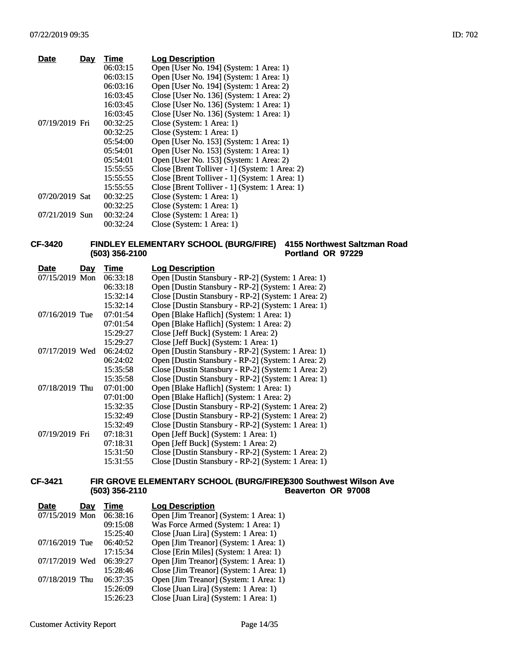| <b>Date</b>    | Day | Time     | <b>Log Description</b>                         |
|----------------|-----|----------|------------------------------------------------|
|                |     | 06:03:15 | Open [User No. 194] (System: 1 Area: 1)        |
|                |     | 06:03:15 | Open [User No. 194] (System: 1 Area: 1)        |
|                |     | 06:03:16 | Open [User No. 194] (System: 1 Area: 2)        |
|                |     | 16:03:45 | Close [User No. 136] (System: 1 Area: 2)       |
|                |     | 16:03:45 | Close [User No. 136] (System: 1 Area: 1)       |
|                |     | 16:03:45 | Close [User No. 136] (System: 1 Area: 1)       |
| 07/19/2019 Fri |     | 00:32:25 | Close (System: 1 Area: 1)                      |
|                |     | 00:32:25 | Close (System: 1 Area: 1)                      |
|                |     | 05:54:00 | Open [User No. 153] (System: 1 Area: 1)        |
|                |     | 05:54:01 | Open [User No. 153] (System: 1 Area: 1)        |
|                |     | 05:54:01 | Open [User No. 153] (System: 1 Area: 2)        |
|                |     | 15:55:55 | Close [Brent Tolliver - 1] (System: 1 Area: 2) |
|                |     | 15:55:55 | Close [Brent Tolliver - 1] (System: 1 Area: 1) |
|                |     | 15:55:55 | Close [Brent Tolliver - 1] (System: 1 Area: 1) |
| 07/20/2019 Sat |     | 00:32:25 | Close (System: 1 Area: 1)                      |
|                |     | 00:32:25 | Close (System: 1 Area: 1)                      |
| 07/21/2019 Sun |     | 00:32:24 | Close (System: 1 Area: 1)                      |
|                |     | 00:32:24 | Close (System: 1 Area: 1)                      |

#### **CF-3420 FINDLEY ELEMENTARY SCHOOL (BURG/FIRE) 4155 Northwest Saltzman Road (503) 356-2100 Portland OR 97229**

| <u>Date</u>    | <u>Day</u> | Time     | <b>Log Description</b>                              |
|----------------|------------|----------|-----------------------------------------------------|
| 07/15/2019 Mon |            | 06:33:18 | Open [Dustin Stansbury - RP-2] (System: 1 Area: 1)  |
|                |            | 06:33:18 | Open [Dustin Stansbury - RP-2] (System: 1 Area: 2)  |
|                |            | 15:32:14 | Close [Dustin Stansbury - RP-2] (System: 1 Area: 2) |
|                |            | 15:32:14 | Close [Dustin Stansbury - RP-2] (System: 1 Area: 1) |
| 07/16/2019 Tue |            | 07:01:54 | Open [Blake Haflich] (System: 1 Area: 1)            |
|                |            | 07:01:54 | Open [Blake Haflich] (System: 1 Area: 2)            |
|                |            | 15:29:27 | Close [Jeff Buck] (System: 1 Area: 2)               |
|                |            | 15:29:27 | Close [Jeff Buck] (System: 1 Area: 1)               |
| 07/17/2019 Wed |            | 06:24:02 | Open [Dustin Stansbury - RP-2] (System: 1 Area: 1)  |
|                |            | 06:24:02 | Open [Dustin Stansbury - RP-2] (System: 1 Area: 2)  |
|                |            | 15:35:58 | Close [Dustin Stansbury - RP-2] (System: 1 Area: 2) |
|                |            | 15:35:58 | Close [Dustin Stansbury - RP-2] (System: 1 Area: 1) |
| 07/18/2019 Thu |            | 07:01:00 | Open [Blake Haflich] (System: 1 Area: 1)            |
|                |            | 07:01:00 | Open [Blake Haflich] (System: 1 Area: 2)            |
|                |            | 15:32:35 | Close [Dustin Stansbury - RP-2] (System: 1 Area: 2) |
|                |            | 15:32:49 | Close [Dustin Stansbury - RP-2] (System: 1 Area: 2) |
|                |            | 15:32:49 | Close [Dustin Stansbury - RP-2] (System: 1 Area: 1) |
| 07/19/2019 Fri |            | 07:18:31 | Open [Jeff Buck] (System: 1 Area: 1)                |
|                |            | 07:18:31 | Open [Jeff Buck] (System: 1 Area: 2)                |
|                |            | 15:31:50 | Close [Dustin Stansbury - RP-2] (System: 1 Area: 2) |
|                |            | 15:31:55 | Close [Dustin Stansbury - RP-2] (System: 1 Area: 1) |

#### **CF-3421 FIR GROVE ELEMENTARY SCHOOL (BURG/FIRE) 6300 Southwest Wilson Ave (503) 356-2110 Beaverton OR 97008**

| <b>Date</b>    | <b>Day</b> | Time     | <b>Log Description</b>                  |
|----------------|------------|----------|-----------------------------------------|
| 07/15/2019 Mon |            | 06:38:16 | Open [Jim Treanor] (System: 1 Area: 1)  |
|                |            | 09:15:08 | Was Force Armed (System: 1 Area: 1)     |
|                |            | 15:25:40 | Close [Juan Lira] (System: 1 Area: 1)   |
| 07/16/2019 Tue |            | 06:40:52 | Open [Jim Treanor] (System: 1 Area: 1)  |
|                |            | 17:15:34 | Close [Erin Miles] (System: 1 Area: 1)  |
| 07/17/2019 Wed |            | 06:39:27 | Open [Jim Treanor] (System: 1 Area: 1)  |
|                |            | 15:28:46 | Close [Jim Treanor] (System: 1 Area: 1) |
| 07/18/2019 Thu |            | 06:37:35 | Open [Jim Treanor] (System: 1 Area: 1)  |
|                |            | 15:26:09 | Close [Juan Lira] (System: 1 Area: 1)   |
|                |            | 15:26:23 | Close [Juan Lira] (System: 1 Area: 1)   |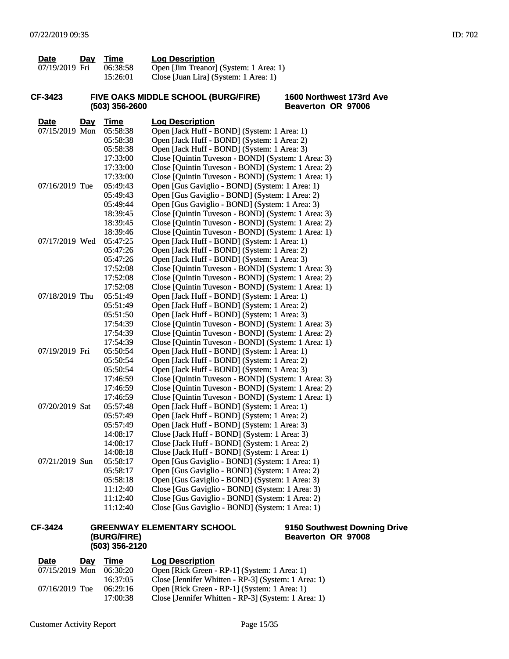| Date           | Day | Time     | <b>Log Description</b>                 |
|----------------|-----|----------|----------------------------------------|
| 07/19/2019 Fri |     | 06:38:58 | Open [Jim Treanor] (System: 1 Area: 1) |
|                |     | 15:26:01 | Close [Juan Lira] (System: 1 Area: 1)  |

#### **CF-3423 FIVE OAKS MIDDLE SCHOOL (BURG/FIRE) (503) 356-2600**

**1600 Northwest 173rd Ave Beaverton OR 97006**

| <b>Date</b>    | <u>Day</u> | <b>Time</b> | <b>Log Description</b>                             |
|----------------|------------|-------------|----------------------------------------------------|
| 07/15/2019 Mon |            | 05:58:38    | Open [Jack Huff - BOND] (System: 1 Area: 1)        |
|                |            | 05:58:38    | Open [Jack Huff - BOND] (System: 1 Area: 2)        |
|                |            | 05:58:38    | Open [Jack Huff - BOND] (System: 1 Area: 3)        |
|                |            | 17:33:00    | Close [Quintin Tuveson - BOND] (System: 1 Area: 3) |
|                |            | 17:33:00    | Close [Quintin Tuveson - BOND] (System: 1 Area: 2) |
|                |            | 17:33:00    | Close [Quintin Tuveson - BOND] (System: 1 Area: 1) |
| 07/16/2019 Tue |            | 05:49:43    | Open [Gus Gaviglio - BOND] (System: 1 Area: 1)     |
|                |            | 05:49:43    | Open [Gus Gaviglio - BOND] (System: 1 Area: 2)     |
|                |            | 05:49:44    | Open [Gus Gaviglio - BOND] (System: 1 Area: 3)     |
|                |            | 18:39:45    | Close [Quintin Tuveson - BOND] (System: 1 Area: 3) |
|                |            | 18:39:45    | Close [Quintin Tuveson - BOND] (System: 1 Area: 2) |
|                |            | 18:39:46    | Close [Quintin Tuveson - BOND] (System: 1 Area: 1) |
| 07/17/2019 Wed |            | 05:47:25    | Open [Jack Huff - BOND] (System: 1 Area: 1)        |
|                |            | 05:47:26    | Open [Jack Huff - BOND] (System: 1 Area: 2)        |
|                |            | 05:47:26    | Open [Jack Huff - BOND] (System: 1 Area: 3)        |
|                |            | 17:52:08    | Close [Quintin Tuveson - BOND] (System: 1 Area: 3) |
|                |            | 17:52:08    | Close [Quintin Tuveson - BOND] (System: 1 Area: 2) |
|                |            | 17:52:08    | Close [Quintin Tuveson - BOND] (System: 1 Area: 1) |
| 07/18/2019 Thu |            | 05:51:49    | Open [Jack Huff - BOND] (System: 1 Area: 1)        |
|                |            | 05:51:49    | Open [Jack Huff - BOND] (System: 1 Area: 2)        |
|                |            | 05:51:50    | Open [Jack Huff - BOND] (System: 1 Area: 3)        |
|                |            | 17:54:39    | Close [Quintin Tuveson - BOND] (System: 1 Area: 3) |
|                |            | 17:54:39    | Close [Quintin Tuveson - BOND] (System: 1 Area: 2) |
|                |            | 17:54:39    | Close [Quintin Tuveson - BOND] (System: 1 Area: 1) |
| 07/19/2019 Fri |            | 05:50:54    | Open [Jack Huff - BOND] (System: 1 Area: 1)        |
|                |            | 05:50:54    | Open [Jack Huff - BOND] (System: 1 Area: 2)        |
|                |            | 05:50:54    | Open [Jack Huff - BOND] (System: 1 Area: 3)        |
|                |            | 17:46:59    | Close [Quintin Tuveson - BOND] (System: 1 Area: 3) |
|                |            | 17:46:59    | Close [Quintin Tuveson - BOND] (System: 1 Area: 2) |
|                |            | 17:46:59    | Close [Quintin Tuveson - BOND] (System: 1 Area: 1) |
| 07/20/2019 Sat |            | 05:57:48    | Open [Jack Huff - BOND] (System: 1 Area: 1)        |
|                |            | 05:57:49    | Open [Jack Huff - BOND] (System: 1 Area: 2)        |
|                |            | 05:57:49    | Open [Jack Huff - BOND] (System: 1 Area: 3)        |
|                |            | 14:08:17    | Close [Jack Huff - BOND] (System: 1 Area: 3)       |
|                |            | 14:08:17    | Close [Jack Huff - BOND] (System: 1 Area: 2)       |
|                |            | 14:08:18    | Close [Jack Huff - BOND] (System: 1 Area: 1)       |
| 07/21/2019 Sun |            | 05:58:17    | Open [Gus Gaviglio - BOND] (System: 1 Area: 1)     |
|                |            | 05:58:17    | Open [Gus Gaviglio - BOND] (System: 1 Area: 2)     |
|                |            | 05:58:18    | Open [Gus Gaviglio - BOND] (System: 1 Area: 3)     |
|                |            | 11:12:40    | Close [Gus Gaviglio - BOND] (System: 1 Area: 3)    |
|                |            | 11:12:40    | Close [Gus Gaviglio - BOND] (System: 1 Area: 2)    |
|                |            | 11:12:40    | Close [Gus Gaviglio - BOND] (System: 1 Area: 1)    |

#### **CF-3424 GREENWAY ELEMENTARY SCHOOL (BURG/FIRE) (503) 356-2120**

## **9150 Southwest Downing Drive Beaverton OR 97008**

| <b>Date</b>      | Dav | Time     | <b>Log Description</b>                              |
|------------------|-----|----------|-----------------------------------------------------|
| 07/15/2019 Mon   |     | 06:30:20 | Open [Rick Green - RP-1] (System: 1 Area: 1)        |
|                  |     | 16:37:05 | Close [Jennifer Whitten - RP-3] (System: 1 Area: 1) |
| $07/16/2019$ Tue |     | 06:29:16 | Open [Rick Green - RP-1] (System: 1 Area: 1)        |
|                  |     | 17:00:38 | Close [Jennifer Whitten - RP-3] (System: 1 Area: 1) |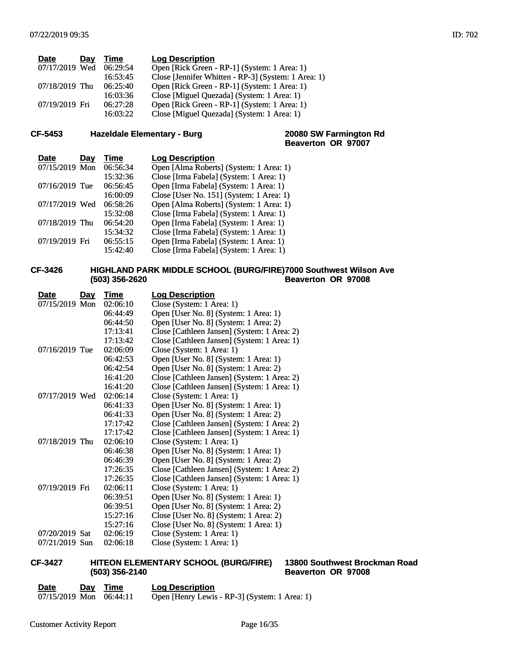| <b>Date</b><br>Day | Time     | <b>Log Description</b>                              |
|--------------------|----------|-----------------------------------------------------|
| 07/17/2019 Wed     | 06:29:54 | Open [Rick Green - RP-1] (System: 1 Area: 1)        |
|                    | 16:53:45 | Close [Jennifer Whitten - RP-3] (System: 1 Area: 1) |
| 07/18/2019 Thu     | 06:25:40 | Open [Rick Green - RP-1] (System: 1 Area: 1)        |
|                    | 16:03:36 | Close [Miguel Quezada] (System: 1 Area: 1)          |
| 07/19/2019 Fri     | 06:27:28 | Open [Rick Green - RP-1] (System: 1 Area: 1)        |
|                    | 16:03:22 | Close [Miguel Quezada] (System: 1 Area: 1)          |
|                    |          |                                                     |

## **CF-5453 Hazeldale Elementary - Burg**

**Beaverton OR 97007**

| Date           | Day | Time     | <b>Log Description</b>                   |
|----------------|-----|----------|------------------------------------------|
| 07/15/2019 Mon |     | 06:56:34 | Open [Alma Roberts] (System: 1 Area: 1)  |
|                |     | 15:32:36 | Close [Irma Fabela] (System: 1 Area: 1)  |
| 07/16/2019 Tue |     | 06:56:45 | Open [Irma Fabela] (System: 1 Area: 1)   |
|                |     | 16:00:09 | Close [User No. 151] (System: 1 Area: 1) |
| 07/17/2019 Wed |     | 06:58:26 | Open [Alma Roberts] (System: 1 Area: 1)  |
|                |     | 15:32:08 | Close [Irma Fabela] (System: 1 Area: 1)  |
| 07/18/2019 Thu |     | 06:54:20 | Open [Irma Fabela] (System: 1 Area: 1)   |
|                |     | 15:34:32 | Close [Irma Fabela] (System: 1 Area: 1)  |
| 07/19/2019 Fri |     | 06:55:15 | Open [Irma Fabela] (System: 1 Area: 1)   |
|                |     | 15:42:40 | Close [Irma Fabela] (System: 1 Area: 1)  |

#### **CF-3426 HIGHLAND PARK MIDDLE SCHOOL (BURG/FIRE) (503) 356-2620 7000 Southwest Wilson Ave Beaverton OR 97008**

| <b>Date</b>    | <u>Day</u> | Time     | <b>Log Description</b>                      |
|----------------|------------|----------|---------------------------------------------|
| 07/15/2019 Mon |            | 02:06:10 | Close (System: 1 Area: 1)                   |
|                |            | 06:44:49 | Open [User No. 8] (System: 1 Area: 1)       |
|                |            | 06:44:50 | Open [User No. 8] (System: 1 Area: 2)       |
|                |            | 17:13:41 | Close [Cathleen Jansen] (System: 1 Area: 2) |
|                |            | 17:13:42 | Close [Cathleen Jansen] (System: 1 Area: 1) |
| 07/16/2019 Tue |            | 02:06:09 | Close (System: 1 Area: 1)                   |
|                |            | 06:42:53 | Open [User No. 8] (System: 1 Area: 1)       |
|                |            | 06:42:54 | Open [User No. 8] (System: 1 Area: 2)       |
|                |            | 16:41:20 | Close [Cathleen Jansen] (System: 1 Area: 2) |
|                |            | 16:41:20 | Close [Cathleen Jansen] (System: 1 Area: 1) |
| 07/17/2019 Wed |            | 02:06:14 | Close (System: 1 Area: 1)                   |
|                |            | 06:41:33 | Open [User No. 8] (System: 1 Area: 1)       |
|                |            | 06:41:33 | Open [User No. 8] (System: 1 Area: 2)       |
|                |            | 17:17:42 | Close [Cathleen Jansen] (System: 1 Area: 2) |
|                |            | 17:17:42 | Close [Cathleen Jansen] (System: 1 Area: 1) |
| 07/18/2019 Thu |            | 02:06:10 | Close (System: 1 Area: 1)                   |
|                |            | 06:46:38 | Open [User No. 8] (System: 1 Area: 1)       |
|                |            | 06:46:39 | Open [User No. 8] (System: 1 Area: 2)       |
|                |            | 17:26:35 | Close [Cathleen Jansen] (System: 1 Area: 2) |
|                |            | 17:26:35 | Close [Cathleen Jansen] (System: 1 Area: 1) |
| 07/19/2019 Fri |            | 02:06:11 | Close (System: 1 Area: 1)                   |
|                |            | 06:39:51 | Open [User No. 8] (System: 1 Area: 1)       |
|                |            | 06:39:51 | Open [User No. 8] (System: 1 Area: 2)       |
|                |            | 15:27:16 | Close [User No. 8] (System: 1 Area: 2)      |
|                |            | 15:27:16 | Close [User No. 8] (System: 1 Area: 1)      |
| 07/20/2019 Sat |            | 02:06:19 | Close (System: 1 Area: 1)                   |
| 07/21/2019 Sun |            | 02:06:18 | Close (System: 1 Area: 1)                   |

#### **CF-3427 HITEON ELEMENTARY SCHOOL (BURG/FIRE) (503) 356-2140**

**13800 Southwest Brockman Road Beaverton OR 97008**

| <b>Date</b>             | Dav | Time | <b>Log Description</b>                        |
|-------------------------|-----|------|-----------------------------------------------|
| 07/15/2019 Mon 06:44:11 |     |      | Open [Henry Lewis - RP-3] (System: 1 Area: 1) |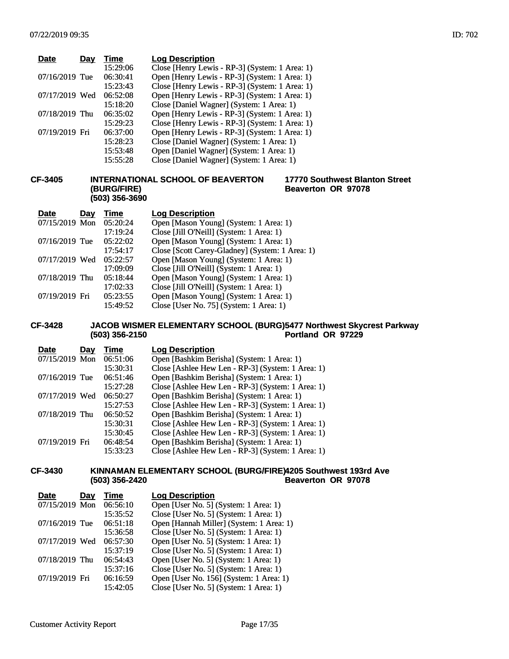| <b>Date</b>      | Day | Time     | <b>Log Description</b>                         |
|------------------|-----|----------|------------------------------------------------|
|                  |     | 15:29:06 | Close [Henry Lewis - RP-3] (System: 1 Area: 1) |
| $07/16/2019$ Tue |     | 06:30:41 | Open [Henry Lewis - RP-3] (System: 1 Area: 1)  |
|                  |     | 15:23:43 | Close [Henry Lewis - RP-3] (System: 1 Area: 1) |
| 07/17/2019 Wed   |     | 06:52:08 | Open [Henry Lewis - RP-3] (System: 1 Area: 1)  |
|                  |     | 15:18:20 | Close [Daniel Wagner] (System: 1 Area: 1)      |
| $07/18/2019$ Thu |     | 06:35:02 | Open [Henry Lewis - RP-3] (System: 1 Area: 1)  |
|                  |     | 15:29:23 | Close [Henry Lewis - RP-3] (System: 1 Area: 1) |
| 07/19/2019 Fri   |     | 06:37:00 | Open [Henry Lewis - RP-3] (System: 1 Area: 1)  |
|                  |     | 15:28:23 | Close [Daniel Wagner] (System: 1 Area: 1)      |
|                  |     | 15:53:48 | Open [Daniel Wagner] (System: 1 Area: 1)       |
|                  |     | 15:55:28 | Close [Daniel Wagner] (System: 1 Area: 1)      |

#### **CF-3405 INTERNATIONAL SCHOOL OF BEAVERTON (BURG/FIRE) (503) 356-3690**

#### **17770 Southwest Blanton Street Beaverton OR 97078**

| <b>Date</b>    | Day | Time     | <b>Log Description</b>                          |
|----------------|-----|----------|-------------------------------------------------|
| 07/15/2019 Mon |     | 05:20:24 | Open [Mason Young] (System: 1 Area: 1)          |
|                |     | 17:19:24 | Close [Jill O'Neill] (System: 1 Area: 1)        |
| 07/16/2019 Tue |     | 05:22:02 | Open [Mason Young] (System: 1 Area: 1)          |
|                |     | 17:54:17 | Close [Scott Carey-Gladney] (System: 1 Area: 1) |
| 07/17/2019 Wed |     | 05:22:57 | Open [Mason Young] (System: 1 Area: 1)          |
|                |     | 17:09:09 | Close [Jill O'Neill] (System: 1 Area: 1)        |
| 07/18/2019 Thu |     | 05:18:44 | Open [Mason Young] (System: 1 Area: 1)          |
|                |     | 17:02:33 | Close [Jill O'Neill] (System: 1 Area: 1)        |
| 07/19/2019 Fri |     | 05:23:55 | Open [Mason Young] (System: 1 Area: 1)          |
|                |     | 15:49:52 | Close [User No. 75] (System: 1 Area: 1)         |

#### **CF-3428 JACOB WISMER ELEMENTARY SCHOOL (BURG) (503) 356-2150 5477 Northwest Skycrest Parkway Portland OR 97229**

| <b>Date</b>    | Day | Time     | <b>Log Description</b>                            |
|----------------|-----|----------|---------------------------------------------------|
| 07/15/2019 Mon |     | 06:51:06 | Open [Bashkim Berisha] (System: 1 Area: 1)        |
|                |     | 15:30:31 | Close [Ashlee Hew Len - RP-3] (System: 1 Area: 1) |
| 07/16/2019 Tue |     | 06:51:46 | Open [Bashkim Berisha] (System: 1 Area: 1)        |
|                |     | 15:27:28 | Close [Ashlee Hew Len - RP-3] (System: 1 Area: 1) |
| 07/17/2019 Wed |     | 06:50:27 | Open [Bashkim Berisha] (System: 1 Area: 1)        |
|                |     | 15:27:53 | Close [Ashlee Hew Len - RP-3] (System: 1 Area: 1) |
| 07/18/2019 Thu |     | 06:50:52 | Open [Bashkim Berisha] (System: 1 Area: 1)        |
|                |     | 15:30:31 | Close [Ashlee Hew Len - RP-3] (System: 1 Area: 1) |
|                |     | 15:30:45 | Close [Ashlee Hew Len - RP-3] (System: 1 Area: 1) |
| 07/19/2019 Fri |     | 06:48:54 | Open [Bashkim Berisha] (System: 1 Area: 1)        |
|                |     | 15:33:23 | Close [Ashlee Hew Len - RP-3] (System: 1 Area: 1) |

#### **CF-3430 KINNAMAN ELEMENTARY SCHOOL (BURG/FIRE) 4205 Southwest 193rd Ave (503) 356-2420 Beaverton OR 97078**

| <b>Date</b>    | Day | Time     | <b>Log Description</b>                   |
|----------------|-----|----------|------------------------------------------|
| 07/15/2019 Mon |     | 06:56:10 | Open [User No. 5] (System: 1 Area: 1)    |
|                |     | 15:35:52 | Close [User No. 5] (System: 1 Area: 1)   |
| 07/16/2019 Tue |     | 06:51:18 | Open [Hannah Miller] (System: 1 Area: 1) |
|                |     | 15:36:58 | Close [User No. 5] (System: 1 Area: 1)   |
| 07/17/2019 Wed |     | 06:57:30 | Open [User No. 5] (System: 1 Area: 1)    |
|                |     | 15:37:19 | Close [User No. 5] (System: 1 Area: 1)   |
| 07/18/2019 Thu |     | 06:54:43 | Open [User No. 5] (System: 1 Area: 1)    |
|                |     | 15:37:16 | Close [User No. 5] (System: 1 Area: 1)   |
| 07/19/2019 Fri |     | 06:16:59 | Open [User No. 156] (System: 1 Area: 1)  |
|                |     | 15:42:05 | Close [User No. 5] (System: 1 Area: 1)   |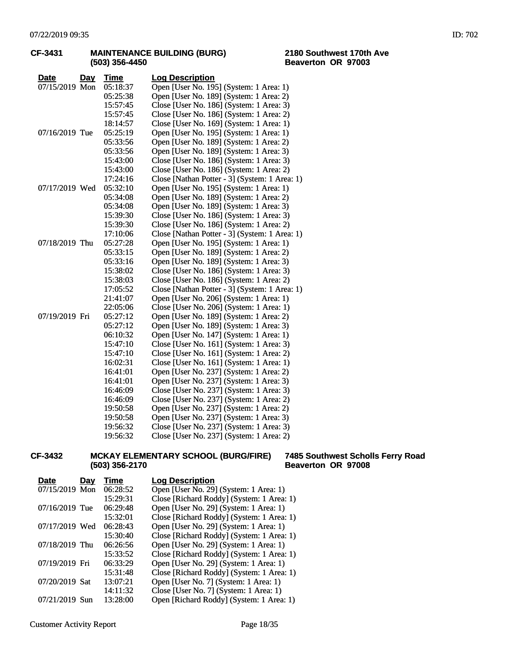|                    | (503) 356-4450 | <b>Beavertor</b>                              |
|--------------------|----------------|-----------------------------------------------|
| <b>Date</b><br>Day | Time           | <b>Log Description</b>                        |
| 07/15/2019 Mon     | 05:18:37       | Open [User No. 195] (System: 1 Area: 1)       |
|                    | 05:25:38       | Open [User No. 189] (System: 1 Area: 2)       |
|                    | 15:57:45       | Close [User No. 186] (System: 1 Area: 3)      |
|                    | 15:57:45       | Close [User No. 186] (System: 1 Area: 2)      |
|                    | 18:14:57       | Close [User No. 169] (System: 1 Area: 1)      |
| 07/16/2019 Tue     | 05:25:19       | Open [User No. 195] (System: 1 Area: 1)       |
|                    | 05:33:56       | Open [User No. 189] (System: 1 Area: 2)       |
|                    | 05:33:56       | Open [User No. 189] (System: 1 Area: 3)       |
|                    | 15:43:00       | Close [User No. 186] (System: 1 Area: 3)      |
|                    | 15:43:00       | Close [User No. 186] (System: 1 Area: 2)      |
|                    | 17:24:16       | Close [Nathan Potter - 3] (System: 1 Area: 1) |
| 07/17/2019 Wed     | 05:32:10       | Open [User No. 195] (System: 1 Area: 1)       |
|                    | 05:34:08       | Open [User No. 189] (System: 1 Area: 2)       |
|                    | 05:34:08       | Open [User No. 189] (System: 1 Area: 3)       |
|                    | 15:39:30       | Close [User No. 186] (System: 1 Area: 3)      |
|                    | 15:39:30       | Close [User No. 186] (System: 1 Area: 2)      |
|                    | 17:10:06       | Close [Nathan Potter - 3] (System: 1 Area: 1) |
| 07/18/2019 Thu     | 05:27:28       | Open [User No. 195] (System: 1 Area: 1)       |
|                    | 05:33:15       | Open [User No. 189] (System: 1 Area: 2)       |
|                    | 05:33:16       | Open [User No. 189] (System: 1 Area: 3)       |
|                    | 15:38:02       | Close [User No. 186] (System: 1 Area: 3)      |
|                    | 15:38:03       | Close [User No. 186] (System: 1 Area: 2)      |
|                    | 17:05:52       | Close [Nathan Potter - 3] (System: 1 Area: 1) |
|                    | 21:41:07       | Open [User No. 206] (System: 1 Area: 1)       |
|                    | 22:05:06       | Close [User No. 206] (System: 1 Area: 1)      |
| 07/19/2019 Fri     | 05:27:12       | Open [User No. 189] (System: 1 Area: 2)       |
|                    | 05:27:12       | Open [User No. 189] (System: 1 Area: 3)       |
|                    | 06:10:32       | Open [User No. 147] (System: 1 Area: 1)       |
|                    | 15:47:10       | Close [User No. 161] (System: 1 Area: 3)      |
|                    | 15:47:10       | Close [User No. 161] (System: 1 Area: 2)      |
|                    | 16:02:31       | Close [User No. 161] (System: 1 Area: 1)      |
|                    | 16:41:01       | Open [User No. 237] (System: 1 Area: 2)       |
|                    | 16:41:01       | Open [User No. 237] (System: 1 Area: 3)       |
|                    | 16:46:09       | Close [User No. 237] (System: 1 Area: 3)      |
|                    | 16:46:09       | Close [User No. 237] (System: 1 Area: 2)      |
|                    | 19:50:58       | Open [User No. 237] (System: 1 Area: 2)       |
|                    | 19:50:58       | Open [User No. 237] (System: 1 Area: 3)       |
|                    | 19:56:32       | Close [User No. 237] (System: 1 Area: 3)      |
|                    | 19:56:32       | Close [User No. 237] (System: 1 Area: 2)      |

# **CF-3431 MAINTENANCE BUILDING (BURG)**

#### **2180 Southwest 170th Ave Beaverton OR 97003**

# 19:56:32 Close [User No. 237] (System: 1 Area: 2)

#### **CF-3432 MCKAY ELEMENTARY SCHOOL (BURG/FIRE) (503) 356-2170**

#### **7485 Southwest Scholls Ferry Road Beaverton OR 97008**

| <b>Date</b>    | Day | Time     | <b>Log Description</b>                    |
|----------------|-----|----------|-------------------------------------------|
| 07/15/2019 Mon |     | 06:28:52 | Open [User No. 29] (System: 1 Area: 1)    |
|                |     | 15:29:31 | Close [Richard Roddy] (System: 1 Area: 1) |
| 07/16/2019 Tue |     | 06:29:48 | Open [User No. 29] (System: 1 Area: 1)    |
|                |     | 15:32:01 | Close [Richard Roddy] (System: 1 Area: 1) |
| 07/17/2019 Wed |     | 06:28:43 | Open [User No. 29] (System: 1 Area: 1)    |
|                |     | 15:30:40 | Close [Richard Roddy] (System: 1 Area: 1) |
| 07/18/2019 Thu |     | 06:26:56 | Open [User No. 29] (System: 1 Area: 1)    |
|                |     | 15:33:52 | Close [Richard Roddy] (System: 1 Area: 1) |
| 07/19/2019 Fri |     | 06:33:29 | Open [User No. 29] (System: 1 Area: 1)    |
|                |     | 15:31:48 | Close [Richard Roddy] (System: 1 Area: 1) |
| 07/20/2019 Sat |     | 13:07:21 | Open [User No. 7] (System: 1 Area: 1)     |
|                |     | 14:11:32 | Close [User No. 7] (System: 1 Area: 1)    |
| 07/21/2019 Sun |     | 13:28:00 | Open [Richard Roddy] (System: 1 Area: 1)  |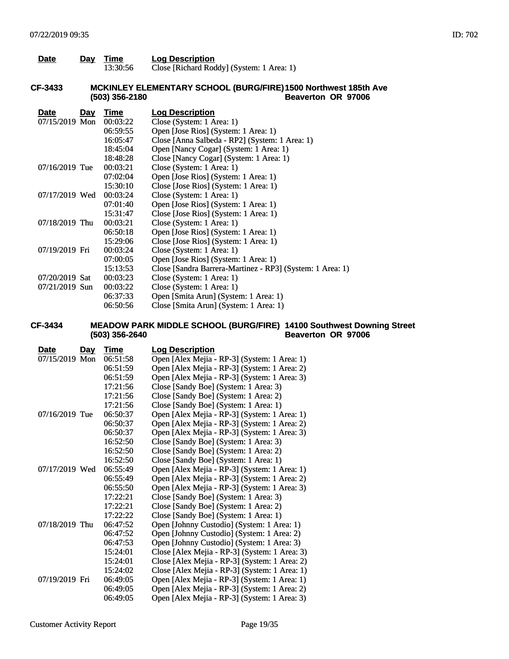| Date           | <u>Day</u> | <b>Time</b><br>13:30:56 | <b>Log Description</b><br>Close [Richard Roddy] (System: 1 Area: 1)                  |
|----------------|------------|-------------------------|--------------------------------------------------------------------------------------|
| CF-3433        |            | (503) 356-2180          | MCKINLEY ELEMENTARY SCHOOL (BURG/FIRE)1500 Northwest 185th Ave<br>Beaverton OR 97006 |
| <b>Date</b>    | Day        | Time                    | <b>Log Description</b>                                                               |
| 07/15/2019 Mon |            | 00:03:22                | Close (System: 1 Area: 1)                                                            |
|                |            | 06:59:55                | Open [Jose Rios] (System: 1 Area: 1)                                                 |
|                |            | 16:05:47                | Close [Anna Salbeda - RP2] (System: 1 Area: 1)                                       |
|                |            | 18:45:04                | Open [Nancy Cogar] (System: 1 Area: 1)                                               |
|                |            | 18:48:28                | Close [Nancy Cogar] (System: 1 Area: 1)                                              |
| 07/16/2019 Tue |            | 00:03:21                | Close (System: 1 Area: 1)                                                            |
|                |            | 07:02:04                | Open [Jose Rios] (System: 1 Area: 1)                                                 |
|                |            | 15:30:10                | Close [Jose Rios] (System: 1 Area: 1)                                                |
| 07/17/2019 Wed |            | 00:03:24                | Close (System: 1 Area: 1)                                                            |
|                |            | 07:01:40                | Open [Jose Rios] (System: 1 Area: 1)                                                 |
|                |            | 15:31:47                | Close [Jose Rios] (System: 1 Area: 1)                                                |
| 07/18/2019 Thu |            | 00:03:21                | Close (System: 1 Area: 1)                                                            |
|                |            | 06:50:18                | Open [Jose Rios] (System: 1 Area: 1)                                                 |
|                |            | 15:29:06                | Close [Jose Rios] (System: 1 Area: 1)                                                |
| 07/19/2019 Fri |            | 00:03:24                | Close (System: 1 Area: 1)                                                            |
|                |            | 07:00:05                | Open [Jose Rios] (System: 1 Area: 1)                                                 |
|                |            | 15:13:53                | Close [Sandra Barrera-Martinez - RP3] (System: 1 Area: 1)                            |
| 07/20/2019 Sat |            | 00:03:23                | Close (System: 1 Area: 1)                                                            |

07/21/2019 Sun 00:03:22 Close (System: 1 Area: 1)

| 06:37:33 | Open [Smita Arun] (System: 1 Area: 1)  |
|----------|----------------------------------------|
| 06:50:56 | Close [Smita Arun] (System: 1 Area: 1) |

#### **CF-3434 MEADOW PARK MIDDLE SCHOOL (BURG/FIRE) (503) 356-2640 14100 Southwest Downing Street Beaverton OR 97006**

| Date           | <u>Day</u> | Time     | <b>Log Description</b>                        |
|----------------|------------|----------|-----------------------------------------------|
| 07/15/2019 Mon |            | 06:51:58 | Open [Alex Mejia - RP-3] (System: 1 Area: 1)  |
|                |            | 06:51:59 | Open [Alex Mejia - RP-3] (System: 1 Area: 2)  |
|                |            | 06:51:59 | Open [Alex Mejia - RP-3] (System: 1 Area: 3)  |
|                |            | 17:21:56 | Close [Sandy Boe] (System: 1 Area: 3)         |
|                |            | 17:21:56 | Close [Sandy Boe] (System: 1 Area: 2)         |
|                |            | 17:21:56 | Close [Sandy Boe] (System: 1 Area: 1)         |
| 07/16/2019 Tue |            | 06:50:37 | Open [Alex Mejia - RP-3] (System: 1 Area: 1)  |
|                |            | 06:50:37 | Open [Alex Mejia - RP-3] (System: 1 Area: 2)  |
|                |            | 06:50:37 | Open [Alex Mejia - RP-3] (System: 1 Area: 3)  |
|                |            | 16:52:50 | Close [Sandy Boe] (System: 1 Area: 3)         |
|                |            | 16:52:50 | Close [Sandy Boe] (System: 1 Area: 2)         |
|                |            | 16:52:50 | Close [Sandy Boe] (System: 1 Area: 1)         |
| 07/17/2019 Wed |            | 06:55:49 | Open [Alex Mejia - RP-3] (System: 1 Area: 1)  |
|                |            | 06:55:49 | Open [Alex Mejia - RP-3] (System: 1 Area: 2)  |
|                |            | 06:55:50 | Open [Alex Mejia - RP-3] (System: 1 Area: 3)  |
|                |            | 17:22:21 | Close [Sandy Boe] (System: 1 Area: 3)         |
|                |            | 17:22:21 | Close [Sandy Boe] (System: 1 Area: 2)         |
|                |            | 17:22:22 | Close [Sandy Boe] (System: 1 Area: 1)         |
| 07/18/2019 Thu |            | 06:47:52 | Open [Johnny Custodio] (System: 1 Area: 1)    |
|                |            | 06:47:52 | Open [Johnny Custodio] (System: 1 Area: 2)    |
|                |            | 06:47:53 | Open [Johnny Custodio] (System: 1 Area: 3)    |
|                |            | 15:24:01 | Close [Alex Mejia - RP-3] (System: 1 Area: 3) |
|                |            | 15:24:01 | Close [Alex Mejia - RP-3] (System: 1 Area: 2) |
|                |            | 15:24:02 | Close [Alex Mejia - RP-3] (System: 1 Area: 1) |
| 07/19/2019 Fri |            | 06:49:05 | Open [Alex Mejia - RP-3] (System: 1 Area: 1)  |
|                |            | 06:49:05 | Open [Alex Mejia - RP-3] (System: 1 Area: 2)  |
|                |            | 06:49:05 | Open [Alex Mejia - RP-3] (System: 1 Area: 3)  |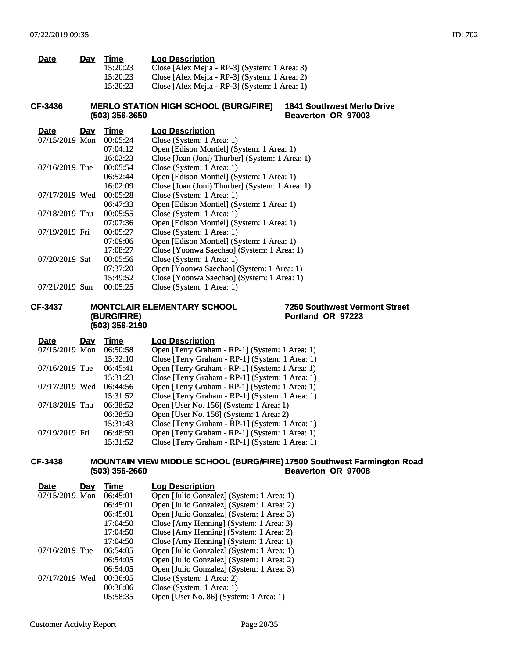| Time     | <b>Log Description</b>                        |
|----------|-----------------------------------------------|
| 15:20:23 | Close [Alex Mejia - RP-3] (System: 1 Area: 3) |
| 15:20:23 | Close [Alex Mejia - RP-3] (System: 1 Area: 2) |
| 15:20:23 | Close [Alex Mejia - RP-3] (System: 1 Area: 1) |
|          | Dav                                           |

#### **CF-3436 MERLO STATION HIGH SCHOOL (BURG/FIRE) (503) 356-3650 1841 Southwest Merlo Drive Beaverton OR 97003**

| Day            | Time     | <b>Log Description</b>                          |
|----------------|----------|-------------------------------------------------|
| 07/15/2019 Mon | 00:05:24 | Close (System: 1 Area: 1)                       |
|                | 07:04:12 | Open [Edison Montiel] (System: 1 Area: 1)       |
|                | 16:02:23 | Close [Joan (Joni) Thurber] (System: 1 Area: 1) |
| 07/16/2019 Tue | 00:05:54 | Close (System: 1 Area: 1)                       |
|                | 06:52:44 | Open [Edison Montiel] (System: 1 Area: 1)       |
|                | 16:02:09 | Close [Joan (Joni) Thurber] (System: 1 Area: 1) |
| 07/17/2019 Wed | 00:05:28 | Close (System: 1 Area: 1)                       |
|                | 06:47:33 | Open [Edison Montiel] (System: 1 Area: 1)       |
| 07/18/2019 Thu | 00:05:55 | Close (System: 1 Area: 1)                       |
|                | 07:07:36 | Open [Edison Montiel] (System: 1 Area: 1)       |
| 07/19/2019 Fri | 00:05:27 | Close (System: 1 Area: 1)                       |
|                | 07:09:06 | Open [Edison Montiel] (System: 1 Area: 1)       |
|                | 17:08:27 | Close [Yoonwa Saechao] (System: 1 Area: 1)      |
| 07/20/2019 Sat | 00:05:56 | Close (System: 1 Area: 1)                       |
|                | 07:37:20 | Open [Yoonwa Saechao] (System: 1 Area: 1)       |
|                | 15:49:52 | Close [Yoonwa Saechao] (System: 1 Area: 1)      |
| 07/21/2019 Sun | 00:05:25 | Close (System: 1 Area: 1)                       |
|                |          |                                                 |

## **CF-3437 MONTCLAIR ELEMENTARY SCHOOL**

# **(BURG/FIRE) (503) 356-2190**

**7250 Southwest Vermont Street Portland OR 97223**

| Day            | Time     | <b>Log Description</b>                                               |
|----------------|----------|----------------------------------------------------------------------|
| 07/15/2019 Mon |          | Open [Terry Graham - RP-1] (System: 1 Area: 1)                       |
|                | 15:32:10 | Close [Terry Graham - RP-1] (System: 1 Area: 1)                      |
| 07/16/2019 Tue |          | Open [Terry Graham - RP-1] (System: 1 Area: 1)                       |
|                | 15:31:23 | Close [Terry Graham - RP-1] (System: 1 Area: 1)                      |
| 07/17/2019 Wed |          | Open [Terry Graham - RP-1] (System: 1 Area: 1)                       |
|                | 15:31:52 | Close [Terry Graham - RP-1] (System: 1 Area: 1)                      |
| 07/18/2019 Thu |          | Open [User No. 156] (System: 1 Area: 1)                              |
|                |          | Open [User No. 156] (System: 1 Area: 2)                              |
|                | 15:31:43 | Close [Terry Graham - RP-1] (System: 1 Area: 1)                      |
| 07/19/2019 Fri |          | Open [Terry Graham - RP-1] (System: 1 Area: 1)                       |
|                | 15:31:52 | Close [Terry Graham - RP-1] (System: 1 Area: 1)                      |
|                |          | 06:50:58<br>06:45:41<br>06:44:56<br>06:38:52<br>06:38:53<br>06:48:59 |

#### **CF-3438 MOUNTAIN VIEW MIDDLE SCHOOL (BURG/FIRE) 17500 Southwest Farmington Road (503) 356-2660 Beaverton OR 97008**

| <b>Date</b>    | Dav | Time     | <b>Log Description</b>                    |
|----------------|-----|----------|-------------------------------------------|
| 07/15/2019 Mon |     | 06:45:01 | Open [Julio Gonzalez] (System: 1 Area: 1) |
|                |     | 06:45:01 | Open [Julio Gonzalez] (System: 1 Area: 2) |
|                |     | 06:45:01 | Open [Julio Gonzalez] (System: 1 Area: 3) |
|                |     | 17:04:50 | Close [Amy Henning] (System: 1 Area: 3)   |
|                |     | 17:04:50 | Close [Amy Henning] (System: 1 Area: 2)   |
|                |     | 17:04:50 | Close [Amy Henning] (System: 1 Area: 1)   |
| 07/16/2019 Tue |     | 06:54:05 | Open [Julio Gonzalez] (System: 1 Area: 1) |
|                |     | 06:54:05 | Open [Julio Gonzalez] (System: 1 Area: 2) |
|                |     | 06:54:05 | Open [Julio Gonzalez] (System: 1 Area: 3) |
| 07/17/2019 Wed |     | 00:36:05 | Close (System: 1 Area: 2)                 |
|                |     | 00:36:06 | Close (System: 1 Area: 1)                 |
|                |     | 05:58:35 | Open [User No. 86] (System: 1 Area: 1)    |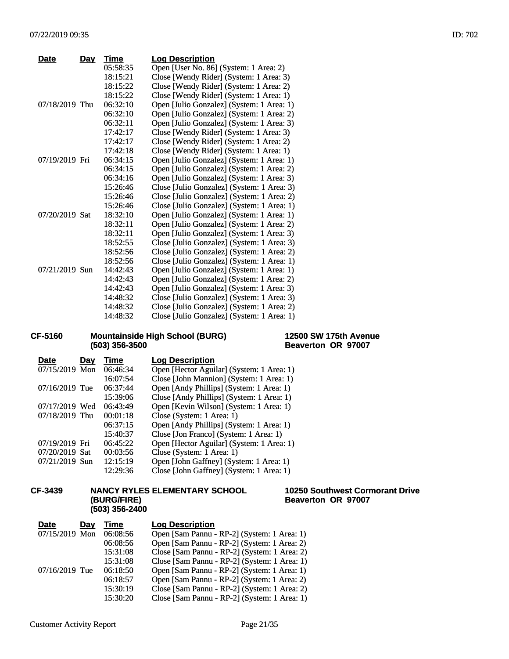| <b>Date</b>    | <u>Day</u> | Time     | <b>Log Description</b>                     |
|----------------|------------|----------|--------------------------------------------|
|                |            | 05:58:35 | Open [User No. 86] (System: 1 Area: 2)     |
|                |            | 18:15:21 | Close [Wendy Rider] (System: 1 Area: 3)    |
|                |            | 18:15:22 | Close [Wendy Rider] (System: 1 Area: 2)    |
|                |            | 18:15:22 | Close [Wendy Rider] (System: 1 Area: 1)    |
| 07/18/2019 Thu |            | 06:32:10 | Open [Julio Gonzalez] (System: 1 Area: 1)  |
|                |            | 06:32:10 | Open [Julio Gonzalez] (System: 1 Area: 2)  |
|                |            | 06:32:11 | Open [Julio Gonzalez] (System: 1 Area: 3)  |
|                |            | 17:42:17 | Close [Wendy Rider] (System: 1 Area: 3)    |
|                |            | 17:42:17 | Close [Wendy Rider] (System: 1 Area: 2)    |
|                |            | 17:42:18 | Close [Wendy Rider] (System: 1 Area: 1)    |
| 07/19/2019 Fri |            | 06:34:15 | Open [Julio Gonzalez] (System: 1 Area: 1)  |
|                |            | 06:34:15 | Open [Julio Gonzalez] (System: 1 Area: 2)  |
|                |            | 06:34:16 | Open [Julio Gonzalez] (System: 1 Area: 3)  |
|                |            | 15:26:46 | Close [Julio Gonzalez] (System: 1 Area: 3) |
|                |            | 15:26:46 | Close [Julio Gonzalez] (System: 1 Area: 2) |
|                |            | 15:26:46 | Close [Julio Gonzalez] (System: 1 Area: 1) |
| 07/20/2019 Sat |            | 18:32:10 | Open [Julio Gonzalez] (System: 1 Area: 1)  |
|                |            | 18:32:11 | Open [Julio Gonzalez] (System: 1 Area: 2)  |
|                |            | 18:32:11 | Open [Julio Gonzalez] (System: 1 Area: 3)  |
|                |            | 18:52:55 | Close [Julio Gonzalez] (System: 1 Area: 3) |
|                |            | 18:52:56 | Close [Julio Gonzalez] (System: 1 Area: 2) |
|                |            | 18:52:56 | Close [Julio Gonzalez] (System: 1 Area: 1) |
| 07/21/2019 Sun |            | 14:42:43 | Open [Julio Gonzalez] (System: 1 Area: 1)  |
|                |            | 14:42:43 | Open [Julio Gonzalez] (System: 1 Area: 2)  |
|                |            | 14:42:43 | Open [Julio Gonzalez] (System: 1 Area: 3)  |
|                |            | 14:48:32 | Close [Julio Gonzalez] (System: 1 Area: 3) |
|                |            | 14:48:32 | Close [Julio Gonzalez] (System: 1 Area: 2) |
|                |            | 14:48:32 | Close [Julio Gonzalez] (System: 1 Area: 1) |

## **CF-5160 Mountainside High School (BURG) (503) 356-3500**

## **12500 SW 175th Avenue Beaverton OR 97007**

| Date           | Day | Time     | <b>Log Description</b>                    |
|----------------|-----|----------|-------------------------------------------|
| 07/15/2019 Mon |     | 06:46:34 | Open [Hector Aguilar] (System: 1 Area: 1) |
|                |     | 16:07:54 | Close [John Mannion] (System: 1 Area: 1)  |
| 07/16/2019 Tue |     | 06:37:44 | Open [Andy Phillips] (System: 1 Area: 1)  |
|                |     | 15:39:06 | Close [Andy Phillips] (System: 1 Area: 1) |
| 07/17/2019 Wed |     | 06:43:49 | Open [Kevin Wilson] (System: 1 Area: 1)   |
| 07/18/2019 Thu |     | 00:01:18 | Close (System: 1 Area: 1)                 |
|                |     | 06:37:15 | Open [Andy Phillips] (System: 1 Area: 1)  |
|                |     | 15:40:37 | Close [Jon Franco] (System: 1 Area: 1)    |
| 07/19/2019 Fri |     | 06:45:22 | Open [Hector Aguilar] (System: 1 Area: 1) |
| 07/20/2019 Sat |     | 00:03:56 | Close (System: 1 Area: 1)                 |
| 07/21/2019 Sun |     | 12:15:19 | Open [John Gaffney] (System: 1 Area: 1)   |
|                |     | 12:29:36 | Close [John Gaffney] (System: 1 Area: 1)  |
|                |     |          |                                           |

## **CF-3439 NANCY RYLES ELEMENTARY SCHOOL (BURG/FIRE) (503) 356-2400**

**10250 Southwest Cormorant Drive Beaverton OR 97007**

| <b>Date</b>    | <b>Day</b> | Time     | <b>Log Description</b>                       |
|----------------|------------|----------|----------------------------------------------|
| 07/15/2019 Mon |            | 06:08:56 | Open [Sam Pannu - RP-2] (System: 1 Area: 1)  |
|                |            | 06:08:56 | Open [Sam Pannu - RP-2] (System: 1 Area: 2)  |
|                |            | 15:31:08 | Close [Sam Pannu - RP-2] (System: 1 Area: 2) |
|                |            | 15:31:08 | Close [Sam Pannu - RP-2] (System: 1 Area: 1) |
| 07/16/2019 Tue |            | 06:18:50 | Open [Sam Pannu - RP-2] (System: 1 Area: 1)  |
|                |            | 06:18:57 | Open [Sam Pannu - RP-2] (System: 1 Area: 2)  |
|                |            | 15:30:19 | Close [Sam Pannu - RP-2] (System: 1 Area: 2) |
|                |            | 15:30:20 | Close [Sam Pannu - RP-2] (System: 1 Area: 1) |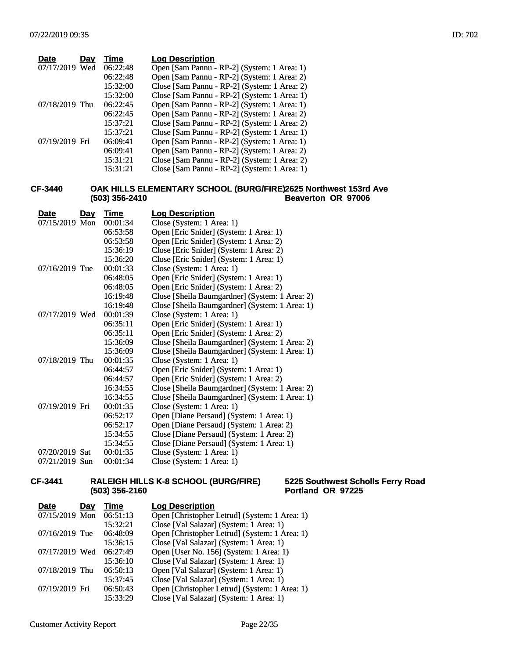| <b>Date</b>    | Day | Time     | <b>Log Description</b>                       |
|----------------|-----|----------|----------------------------------------------|
| 07/17/2019 Wed |     | 06:22:48 | Open [Sam Pannu - RP-2] (System: 1 Area: 1)  |
|                |     | 06:22:48 | Open [Sam Pannu - RP-2] (System: 1 Area: 2)  |
|                |     | 15:32:00 | Close [Sam Pannu - RP-2] (System: 1 Area: 2) |
|                |     | 15:32:00 | Close [Sam Pannu - RP-2] (System: 1 Area: 1) |
| 07/18/2019 Thu |     | 06:22:45 | Open [Sam Pannu - RP-2] (System: 1 Area: 1)  |
|                |     | 06:22:45 | Open [Sam Pannu - RP-2] (System: 1 Area: 2)  |
|                |     | 15:37:21 | Close [Sam Pannu - RP-2] (System: 1 Area: 2) |
|                |     | 15:37:21 | Close [Sam Pannu - RP-2] (System: 1 Area: 1) |
| 07/19/2019 Fri |     | 06:09:41 | Open [Sam Pannu - RP-2] (System: 1 Area: 1)  |
|                |     | 06:09:41 | Open [Sam Pannu - RP-2] (System: 1 Area: 2)  |
|                |     | 15:31:21 | Close [Sam Pannu - RP-2] (System: 1 Area: 2) |
|                |     | 15:31:21 | Close [Sam Pannu - RP-2] (System: 1 Area: 1) |

#### **CF-3440 OAK HILLS ELEMENTARY SCHOOL (BURG/FIRE) (503) 356-2410 2625 Northwest 153rd Ave Beaverton OR 97006**

| <b>Date</b>    | Day | <b>Time</b> | <b>Log Description</b>                         |
|----------------|-----|-------------|------------------------------------------------|
| 07/15/2019 Mon |     | 00:01:34    | Close (System: 1 Area: 1)                      |
|                |     | 06:53:58    | Open [Eric Snider] (System: 1 Area: 1)         |
|                |     | 06:53:58    | Open [Eric Snider] (System: 1 Area: 2)         |
|                |     | 15:36:19    | Close [Eric Snider] (System: 1 Area: 2)        |
|                |     | 15:36:20    | Close [Eric Snider] (System: 1 Area: 1)        |
| 07/16/2019 Tue |     | 00:01:33    | Close (System: 1 Area: 1)                      |
|                |     | 06:48:05    | Open [Eric Snider] (System: 1 Area: 1)         |
|                |     | 06:48:05    | Open [Eric Snider] (System: 1 Area: 2)         |
|                |     | 16:19:48    | Close [Sheila Baumgardner] (System: 1 Area: 2) |
|                |     | 16:19:48    | Close [Sheila Baumgardner] (System: 1 Area: 1) |
| 07/17/2019 Wed |     | 00:01:39    | Close (System: 1 Area: 1)                      |
|                |     | 06:35:11    | Open [Eric Snider] (System: 1 Area: 1)         |
|                |     | 06:35:11    | Open [Eric Snider] (System: 1 Area: 2)         |
|                |     | 15:36:09    | Close [Sheila Baumgardner] (System: 1 Area: 2) |
|                |     | 15:36:09    | Close [Sheila Baumgardner] (System: 1 Area: 1) |
| 07/18/2019 Thu |     | 00:01:35    | Close (System: 1 Area: 1)                      |
|                |     | 06:44:57    | Open [Eric Snider] (System: 1 Area: 1)         |
|                |     | 06:44:57    | Open [Eric Snider] (System: 1 Area: 2)         |
|                |     | 16:34:55    | Close [Sheila Baumgardner] (System: 1 Area: 2) |
|                |     | 16:34:55    | Close [Sheila Baumgardner] (System: 1 Area: 1) |
| 07/19/2019 Fri |     | 00:01:35    | Close (System: 1 Area: 1)                      |
|                |     | 06:52:17    | Open [Diane Persaud] (System: 1 Area: 1)       |
|                |     | 06:52:17    | Open [Diane Persaud] (System: 1 Area: 2)       |
|                |     | 15:34:55    | Close [Diane Persaud] (System: 1 Area: 2)      |
|                |     | 15:34:55    | Close [Diane Persaud] (System: 1 Area: 1)      |
| 07/20/2019 Sat |     | 00:01:35    | Close (System: 1 Area: 1)                      |
| 07/21/2019 Sun |     | 00:01:34    | Close (System: 1 Area: 1)                      |

## **CF-3441 RALEIGH HILLS K-8 SCHOOL (BURG/FIRE) (503) 356-2160**

**5225 Southwest Scholls Ferry Road Portland OR 97225**

| <b>Date</b>    | Day | Time     | <b>Log Description</b>                        |
|----------------|-----|----------|-----------------------------------------------|
| 07/15/2019 Mon |     | 06:51:13 | Open [Christopher Letrud] (System: 1 Area: 1) |
|                |     | 15:32:21 | Close [Val Salazar] (System: 1 Area: 1)       |
| 07/16/2019 Tue |     | 06:48:09 | Open [Christopher Letrud] (System: 1 Area: 1) |
|                |     | 15:36:15 | Close [Val Salazar] (System: 1 Area: 1)       |
| 07/17/2019 Wed |     | 06:27:49 | Open [User No. 156] (System: 1 Area: 1)       |
|                |     | 15:36:10 | Close [Val Salazar] (System: 1 Area: 1)       |
| 07/18/2019 Thu |     | 06:50:13 | Open [Val Salazar] (System: 1 Area: 1)        |
|                |     | 15:37:45 | Close [Val Salazar] (System: 1 Area: 1)       |
| 07/19/2019 Fri |     | 06:50:43 | Open [Christopher Letrud] (System: 1 Area: 1) |
|                |     | 15:33:29 | Close [Val Salazar] (System: 1 Area: 1)       |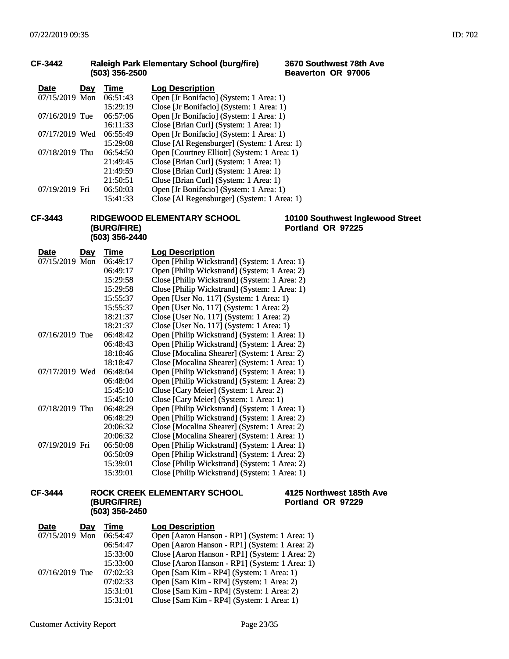#### **CF-3442 Raleigh Park Elementary School (burg/fire) (503) 356-2500**

| <b>Date</b>    | Day | Time     | <b>Log Description</b>                      |
|----------------|-----|----------|---------------------------------------------|
| 07/15/2019 Mon |     | 06:51:43 | Open [Jr Bonifacio] (System: 1 Area: 1)     |
|                |     | 15:29:19 | Close [Jr Bonifacio] (System: 1 Area: 1)    |
| 07/16/2019 Tue |     | 06:57:06 | Open [Jr Bonifacio] (System: 1 Area: 1)     |
|                |     | 16:11:33 | Close [Brian Curl] (System: 1 Area: 1)      |
| 07/17/2019 Wed |     | 06:55:49 | Open [Jr Bonifacio] (System: 1 Area: 1)     |
|                |     | 15:29:08 | Close [Al Regensburger] (System: 1 Area: 1) |
| 07/18/2019 Thu |     | 06:54:50 | Open [Courtney Elliott] (System: 1 Area: 1) |
|                |     | 21:49:45 | Close [Brian Curl] (System: 1 Area: 1)      |
|                |     | 21:49:59 | Close [Brian Curl] (System: 1 Area: 1)      |
|                |     | 21:50:51 | Close [Brian Curl] (System: 1 Area: 1)      |
| 07/19/2019 Fri |     | 06:50:03 | Open [Jr Bonifacio] (System: 1 Area: 1)     |
|                |     | 15:41:33 | Close [Al Regensburger] (System: 1 Area: 1) |

### **CF-3443 RIDGEWOOD ELEMENTARY SCHOOL (BURG/FIRE) (503) 356-2440**

**Date Day Time Log Description** 07/15/2019 Mon 06:49:17 Open [Philip Wickstrand] (System: 1 Area: 1) 06:49:17 Open [Philip Wickstrand] (System: 1 Area: 2)<br>15:29:58 Close [Philip Wickstrand] (System: 1 Area: 2) 15:29:58 Close [Philip Wickstrand] (System: 1 Area: 2)<br>15:29:58 Close [Philip Wickstrand] (System: 1 Area: 1) 15:29:58 Close [Philip Wickstrand] (System: 1 Area: 1)<br>15:55:37 Open [User No. 117] (System: 1 Area: 1) Open [User No. 117] (System: 1 Area: 1) 15:55:37 Open [User No. 117] (System: 1 Area: 2) 18:21:37 Close [User No. 117] (System: 1 Area: 2) 18:21:37 Close [User No. 117] (System: 1 Area: 1)<br>06:48:42 Open [Philip Wickstrand] (System: 1 Area 07/16/2019 Tue 06:48:42 Open [Philip Wickstrand] (System: 1 Area: 1) 06:48:43 Open [Philip Wickstrand] (System: 1 Area: 2) 18:18:46 Close [Mocalina Shearer] (System: 1 Area: 2) 18:18:47 Close [Mocalina Shearer] (System: 1 Area: 1)<br>18:18:47 Close [Mocalina Shearer] (System: 1 Area: 1)<br>19:17/2019 Wed 06:48:04 Open [Philip Wickstrand] (System: 1 Area: 1) 06:48:04 Open [Philip Wickstrand] (System: 1 Area: 1)<br>06:48:04 Open [Philip Wickstrand] (System: 1 Area: 2) Open [Philip Wickstrand] (System: 1 Area: 2) 15:45:10 Close [Cary Meier] (System: 1 Area: 2) 15:45:10 Close [Cary Meier] (System: 1 Area: 1) 07/18/2019 Thu 06:48:29 Open [Philip Wickstrand] (System: 1 Area: 1)<br>06:48:29 Open [Philip Wickstrand] (System: 1 Area: 2) 06:48:29 Open [Philip Wickstrand] (System: 1 Area: 2)<br>20:06:32 Close [Mocalina Shearer] (System: 1 Area: 2) 20:06:32 Close [Mocalina Shearer] (System: 1 Area: 2)<br>20:06:32 Close [Mocalina Shearer] (System: 1 Area: 1) Close [Mocalina Shearer] (System: 1 Area: 1) 07/19/2019 Fri 06:50:08 Open [Philip Wickstrand] (System: 1 Area: 1) 06:50:09 Open [Philip Wickstrand] (System: 1 Area: 2) 15:39:01 Close [Philip Wickstrand] (System: 1 Area: 2) 15:39:01 Close [Philip Wickstrand] (System: 1 Area: 1)

#### **CF-3444 ROCK CREEK ELEMENTARY SCHOOL (BURG/FIRE) (503) 356-2450**

**4125 Northwest 185th Ave Portland OR 97229**

**3670 Southwest 78th Ave Beaverton OR 97006**

**10100 Southwest Inglewood Street**

**Portland OR 97225**

| <b>Date</b><br>Day | Time     | <b>Log Description</b>                         |
|--------------------|----------|------------------------------------------------|
| 07/15/2019 Mon     | 06:54:47 | Open [Aaron Hanson - RP1] (System: 1 Area: 1)  |
|                    | 06:54:47 | Open [Aaron Hanson - RP1] (System: 1 Area: 2)  |
|                    | 15:33:00 | Close [Aaron Hanson - RP1] (System: 1 Area: 2) |
|                    | 15:33:00 | Close [Aaron Hanson - RP1] (System: 1 Area: 1) |
| 07/16/2019 Tue     | 07:02:33 | Open [Sam Kim - RP4] (System: 1 Area: 1)       |
|                    | 07:02:33 | Open [Sam Kim - RP4] (System: 1 Area: 2)       |
|                    | 15:31:01 | Close [Sam Kim - RP4] (System: 1 Area: 2)      |
|                    | 15:31:01 | Close [Sam Kim - RP4] (System: 1 Area: 1)      |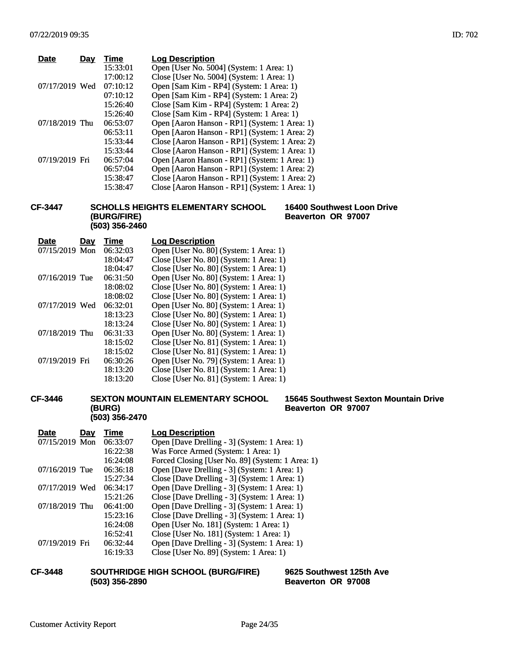| <b>Date</b>    | Dav | Time     | <b>Log Description</b>                         |
|----------------|-----|----------|------------------------------------------------|
|                |     | 15:33:01 | Open [User No. 5004] (System: 1 Area: 1)       |
|                |     | 17:00:12 | Close [User No. 5004] (System: 1 Area: 1)      |
| 07/17/2019 Wed |     | 07:10:12 | Open [Sam Kim - RP4] (System: 1 Area: 1)       |
|                |     | 07:10:12 | Open [Sam Kim - RP4] (System: 1 Area: 2)       |
|                |     | 15:26:40 | Close [Sam Kim - RP4] (System: 1 Area: 2)      |
|                |     | 15:26:40 | Close [Sam Kim - RP4] (System: 1 Area: 1)      |
| 07/18/2019 Thu |     | 06:53:07 | Open [Aaron Hanson - RP1] (System: 1 Area: 1)  |
|                |     | 06:53:11 | Open [Aaron Hanson - RP1] (System: 1 Area: 2)  |
|                |     | 15:33:44 | Close [Aaron Hanson - RP1] (System: 1 Area: 2) |
|                |     | 15:33:44 | Close [Aaron Hanson - RP1] (System: 1 Area: 1) |
| 07/19/2019 Fri |     | 06:57:04 | Open [Aaron Hanson - RP1] (System: 1 Area: 1)  |
|                |     | 06:57:04 | Open [Aaron Hanson - RP1] (System: 1 Area: 2)  |
|                |     | 15:38:47 | Close [Aaron Hanson - RP1] (System: 1 Area: 2) |
|                |     | 15:38:47 | Close [Aaron Hanson - RP1] (System: 1 Area: 1) |
|                |     |          |                                                |

### **CF-3447 SCHOLLS HEIGHTS ELEMENTARY SCHOOL (BURG/FIRE) (503) 356-2460**

**16400 Southwest Loon Drive Beaverton OR 97007**

| <b>Date</b>    | Day | Time     | <b>Log Description</b>                  |
|----------------|-----|----------|-----------------------------------------|
| 07/15/2019 Mon |     | 06:32:03 | Open [User No. 80] (System: 1 Area: 1)  |
|                |     | 18:04:47 | Close [User No. 80] (System: 1 Area: 1) |
|                |     | 18:04:47 | Close [User No. 80] (System: 1 Area: 1) |
| 07/16/2019 Tue |     | 06:31:50 | Open [User No. 80] (System: 1 Area: 1)  |
|                |     | 18:08:02 | Close [User No. 80] (System: 1 Area: 1) |
|                |     | 18:08:02 | Close [User No. 80] (System: 1 Area: 1) |
| 07/17/2019 Wed |     | 06:32:01 | Open [User No. 80] (System: 1 Area: 1)  |
|                |     | 18:13:23 | Close [User No. 80] (System: 1 Area: 1) |
|                |     | 18:13:24 | Close [User No. 80] (System: 1 Area: 1) |
| 07/18/2019 Thu |     | 06:31:33 | Open [User No. 80] (System: 1 Area: 1)  |
|                |     | 18:15:02 | Close [User No. 81] (System: 1 Area: 1) |
|                |     | 18:15:02 | Close [User No. 81] (System: 1 Area: 1) |
| 07/19/2019 Fri |     | 06:30:26 | Open [User No. 79] (System: 1 Area: 1)  |
|                |     | 18:13:20 | Close [User No. 81] (System: 1 Area: 1) |
|                |     | 18:13:20 | Close [User No. 81] (System: 1 Area: 1) |

## **CF-3446 SEXTON MOUNTAIN ELEMENTARY SCHOOL (BURG) (503) 356-2470**

## **15645 Southwest Sexton Mountain Drive Beaverton OR 97007**

| <b>Date</b><br>Day | Time     | <b>Log Description</b>                           |
|--------------------|----------|--------------------------------------------------|
| 07/15/2019 Mon     | 06:33:07 | Open [Dave Drelling - 3] (System: 1 Area: 1)     |
|                    | 16:22:38 | Was Force Armed (System: 1 Area: 1)              |
|                    | 16:24:08 | Forced Closing [User No. 89] (System: 1 Area: 1) |
| 07/16/2019 Tue     | 06:36:18 | Open [Dave Drelling - 3] (System: 1 Area: 1)     |
|                    | 15:27:34 | Close [Dave Drelling - 3] (System: 1 Area: 1)    |
| 07/17/2019 Wed     | 06:34:17 | Open [Dave Drelling - 3] (System: 1 Area: 1)     |
|                    | 15:21:26 | Close [Dave Drelling - 3] (System: 1 Area: 1)    |
| 07/18/2019 Thu     | 06:41:00 | Open [Dave Drelling - 3] (System: 1 Area: 1)     |
|                    | 15:23:16 | Close [Dave Drelling - 3] (System: 1 Area: 1)    |
|                    | 16:24:08 | Open [User No. 181] (System: 1 Area: 1)          |
|                    | 16:52:41 | Close [User No. 181] (System: 1 Area: 1)         |
| 07/19/2019 Fri     | 06:32:44 | Open [Dave Drelling - 3] (System: 1 Area: 1)     |
|                    | 16:19:33 | Close [User No. 89] (System: 1 Area: 1)          |

## **CF-3448 SOUTHRIDGE HIGH SCHOOL (BURG/FIRE) (503) 356-2890**

**9625 Southwest 125th Ave Beaverton OR 97008**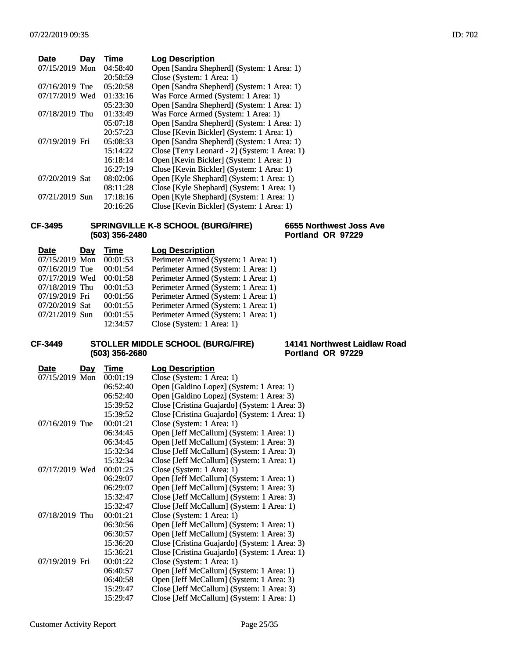| <b>Date</b>    | Day | Time     | <b>Log Description</b>                        |
|----------------|-----|----------|-----------------------------------------------|
| 07/15/2019 Mon |     | 04:58:40 | Open [Sandra Shepherd] (System: 1 Area: 1)    |
|                |     | 20:58:59 | Close (System: 1 Area: 1)                     |
| 07/16/2019 Tue |     | 05:20:58 | Open [Sandra Shepherd] (System: 1 Area: 1)    |
| 07/17/2019 Wed |     | 01:33:16 | Was Force Armed (System: 1 Area: 1)           |
|                |     | 05:23:30 | Open [Sandra Shepherd] (System: 1 Area: 1)    |
| 07/18/2019 Thu |     | 01:33:49 | Was Force Armed (System: 1 Area: 1)           |
|                |     | 05:07:18 | Open [Sandra Shepherd] (System: 1 Area: 1)    |
|                |     | 20:57:23 | Close [Kevin Bickler] (System: 1 Area: 1)     |
| 07/19/2019 Fri |     | 05:08:33 | Open [Sandra Shepherd] (System: 1 Area: 1)    |
|                |     | 15:14:22 | Close [Terry Leonard - 2] (System: 1 Area: 1) |
|                |     | 16:18:14 | Open [Kevin Bickler] (System: 1 Area: 1)      |
|                |     | 16:27:19 | Close [Kevin Bickler] (System: 1 Area: 1)     |
| 07/20/2019 Sat |     | 08:02:06 | Open [Kyle Shephard] (System: 1 Area: 1)      |
|                |     | 08:11:28 | Close [Kyle Shephard] (System: 1 Area: 1)     |
| 07/21/2019 Sun |     | 17:18:16 | Open [Kyle Shephard] (System: 1 Area: 1)      |
|                |     | 20:16:26 | Close [Kevin Bickler] (System: 1 Area: 1)     |

### **CF-3495 SPRINGVILLE K-8 SCHOOL (BURG/FIRE) (503) 356-2480**

#### **6655 Northwest Joss Ave Portland OR 97229**

| <b>Date</b>    | Day | Time     | <b>Log Description</b>              |
|----------------|-----|----------|-------------------------------------|
| 07/15/2019 Mon |     | 00:01:53 | Perimeter Armed (System: 1 Area: 1) |
| 07/16/2019 Tue |     | 00:01:54 | Perimeter Armed (System: 1 Area: 1) |
| 07/17/2019 Wed |     | 00:01:58 | Perimeter Armed (System: 1 Area: 1) |
| 07/18/2019 Thu |     | 00:01:53 | Perimeter Armed (System: 1 Area: 1) |
| 07/19/2019 Fri |     | 00:01:56 | Perimeter Armed (System: 1 Area: 1) |
| 07/20/2019 Sat |     | 00:01:55 | Perimeter Armed (System: 1 Area: 1) |
| 07/21/2019 Sun |     | 00:01:55 | Perimeter Armed (System: 1 Area: 1) |
|                |     | 12:34:57 | Close (System: 1 Area: 1)           |

## **CF-3449 STOLLER MIDDLE SCHOOL (BURG/FIRE) (503) 356-2680**

**14141 Northwest Laidlaw Road Portland OR 97229**

| <u>Date</u><br><u>Day</u> | Time     | <b>Log Description</b>                        |
|---------------------------|----------|-----------------------------------------------|
| 07/15/2019 Mon            | 00:01:19 | Close (System: 1 Area: 1)                     |
|                           | 06:52:40 | Open [Galdino Lopez] (System: 1 Area: 1)      |
|                           | 06:52:40 | Open [Galdino Lopez] (System: 1 Area: 3)      |
|                           | 15:39:52 | Close [Cristina Guajardo] (System: 1 Area: 3) |
|                           | 15:39:52 | Close [Cristina Guajardo] (System: 1 Area: 1) |
| 07/16/2019 Tue            | 00:01:21 | Close (System: 1 Area: 1)                     |
|                           | 06:34:45 | Open [Jeff McCallum] (System: 1 Area: 1)      |
|                           | 06:34:45 | Open [Jeff McCallum] (System: 1 Area: 3)      |
|                           | 15:32:34 | Close [Jeff McCallum] (System: 1 Area: 3)     |
|                           | 15:32:34 | Close [Jeff McCallum] (System: 1 Area: 1)     |
| 07/17/2019 Wed            | 00:01:25 | Close (System: 1 Area: 1)                     |
|                           | 06:29:07 | Open [Jeff McCallum] (System: 1 Area: 1)      |
|                           | 06:29:07 | Open [Jeff McCallum] (System: 1 Area: 3)      |
|                           | 15:32:47 | Close [Jeff McCallum] (System: 1 Area: 3)     |
|                           | 15:32:47 | Close [Jeff McCallum] (System: 1 Area: 1)     |
| 07/18/2019 Thu            | 00:01:21 | Close (System: 1 Area: 1)                     |
|                           | 06:30:56 | Open [Jeff McCallum] (System: 1 Area: 1)      |
|                           | 06:30:57 | Open [Jeff McCallum] (System: 1 Area: 3)      |
|                           | 15:36:20 | Close [Cristina Guajardo] (System: 1 Area: 3) |
|                           | 15:36:21 | Close [Cristina Guajardo] (System: 1 Area: 1) |
| 07/19/2019 Fri            | 00:01:22 | Close (System: 1 Area: 1)                     |
|                           | 06:40:57 | Open [Jeff McCallum] (System: 1 Area: 1)      |
|                           | 06:40:58 | Open [Jeff McCallum] (System: 1 Area: 3)      |
|                           | 15:29:47 | Close [Jeff McCallum] (System: 1 Area: 3)     |
|                           | 15:29:47 | Close [Jeff McCallum] (System: 1 Area: 1)     |
|                           |          |                                               |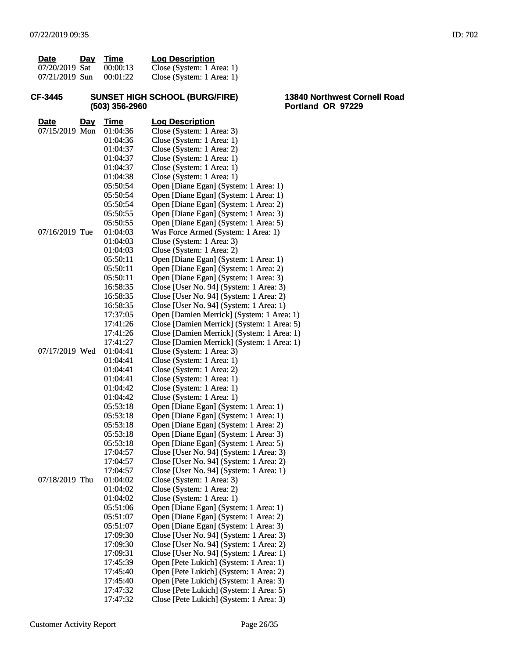| Date           | Day Time | <b>Log Description</b>    |
|----------------|----------|---------------------------|
| 07/20/2019 Sat | 00:00:13 | Close (System: 1 Area: 1) |
| 07/21/2019 Sun | 00:01:22 | Close (System: 1 Area: 1) |

### **CF-3445 SUNSET HIGH SCHOOL (BURG/FIRE) (503) 356-2960**

**13840 Northwest Cornell Road Portland OR 97229**

| <u>Date</u>    | <u>Day</u> | <b>Time</b>          | <b>Log Description</b>                                             |
|----------------|------------|----------------------|--------------------------------------------------------------------|
| 07/15/2019 Mon |            | 01:04:36             | Close (System: 1 Area: 3)                                          |
|                |            | 01:04:36             | Close (System: 1 Area: 1)                                          |
|                |            | 01:04:37             | Close (System: 1 Area: 2)                                          |
|                |            | 01:04:37             | Close (System: 1 Area: 1)                                          |
|                |            | 01:04:37             | Close (System: 1 Area: 1)                                          |
|                |            | 01:04:38             | Close (System: 1 Area: 1)                                          |
|                |            | 05:50:54             | Open [Diane Egan] (System: 1 Area: 1)                              |
|                |            | 05:50:54             | Open [Diane Egan] (System: 1 Area: 1)                              |
|                |            | 05:50:54             | Open [Diane Egan] (System: 1 Area: 2)                              |
|                |            | 05:50:55             | Open [Diane Egan] (System: 1 Area: 3)                              |
|                |            | 05:50:55             | Open [Diane Egan] (System: 1 Area: 5)                              |
| 07/16/2019 Tue |            | 01:04:03             | Was Force Armed (System: 1 Area: 1)                                |
|                |            | 01:04:03             | Close (System: 1 Area: 3)                                          |
|                |            | 01:04:03             | Close (System: 1 Area: 2)                                          |
|                |            | 05:50:11             | Open [Diane Egan] (System: 1 Area: 1)                              |
|                |            | 05:50:11             | Open [Diane Egan] (System: 1 Area: 2)                              |
|                |            | 05:50:11             | Open [Diane Egan] (System: 1 Area: 3)                              |
|                |            | 16:58:35             | Close [User No. 94] (System: 1 Area: 3)                            |
|                |            | 16:58:35             | Close [User No. 94] (System: 1 Area: 2)                            |
|                |            | 16:58:35             | Close [User No. 94] (System: 1 Area: 1)                            |
|                |            | 17:37:05             | Open [Damien Merrick] (System: 1 Area: 1)                          |
|                |            | 17:41:26             | Close [Damien Merrick] (System: 1 Area: 5)                         |
|                |            | 17:41:26             | Close [Damien Merrick] (System: 1 Area: 1)                         |
|                |            | 17:41:27             | Close [Damien Merrick] (System: 1 Area: 1)                         |
| 07/17/2019 Wed |            | 01:04:41             | Close (System: 1 Area: 3)                                          |
|                |            | 01:04:41             | Close (System: 1 Area: 1)                                          |
|                |            | 01:04:41             | Close (System: 1 Area: 2)                                          |
|                |            | 01:04:41             | Close (System: 1 Area: 1)                                          |
|                |            | 01:04:42             | Close (System: 1 Area: 1)                                          |
|                |            | 01:04:42             | Close (System: 1 Area: 1)<br>Open [Diane Egan] (System: 1 Area: 1) |
|                |            | 05:53:18<br>05:53:18 | Open [Diane Egan] (System: 1 Area: 1)                              |
|                |            | 05:53:18             | Open [Diane Egan] (System: 1 Area: 2)                              |
|                |            | 05:53:18             | Open [Diane Egan] (System: 1 Area: 3)                              |
|                |            | 05:53:18             | Open [Diane Egan] (System: 1 Area: 5)                              |
|                |            | 17:04:57             | Close [User No. 94] (System: 1 Area: 3)                            |
|                |            | 17:04:57             | Close [User No. 94] (System: 1 Area: 2)                            |
|                |            | 17:04:57             | Close [User No. 94] (System: 1 Area: 1)                            |
| 07/18/2019 Thu |            | 01:04:02             | Close (System: 1 Area: 3)                                          |
|                |            | 01:04:02             | Close (System: 1 Area: 2)                                          |
|                |            | 01:04:02             | Close (System: 1 Area: 1)                                          |
|                |            | 05:51:06             | Open [Diane Egan] (System: 1 Area: 1)                              |
|                |            | 05:51:07             | Open [Diane Egan] (System: 1 Area: 2)                              |
|                |            | 05:51:07             | Open [Diane Egan] (System: 1 Area: 3)                              |
|                |            | 17:09:30             | Close [User No. 94] (System: 1 Area: 3)                            |
|                |            | 17:09:30             | Close [User No. 94] (System: 1 Area: 2)                            |
|                |            | 17:09:31             | Close [User No. 94] (System: 1 Area: 1)                            |
|                |            | 17:45:39             | Open [Pete Lukich] (System: 1 Area: 1)                             |
|                |            | 17:45:40             | Open [Pete Lukich] (System: 1 Area: 2)                             |
|                |            | 17:45:40             | Open [Pete Lukich] (System: 1 Area: 3)                             |
|                |            | 17:47:32             | Close [Pete Lukich] (System: 1 Area: 5)                            |
|                |            | 17:47:32             | Close [Pete Lukich] (System: 1 Area: 3)                            |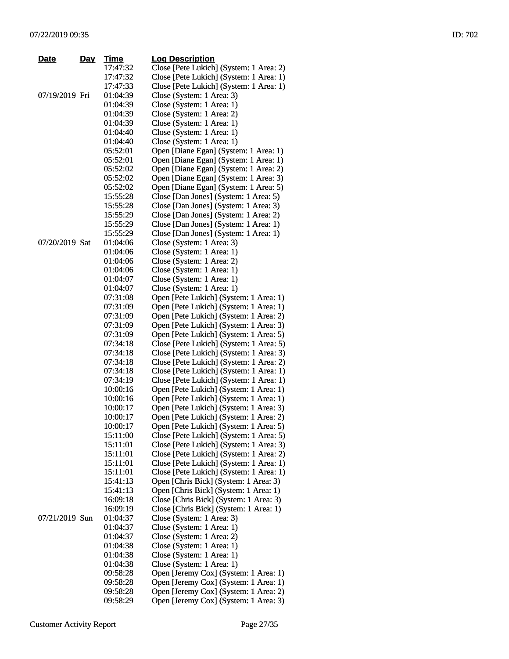| Date           | <u>Day</u> | Time     | <b>Log Description</b>                  |
|----------------|------------|----------|-----------------------------------------|
|                |            | 17:47:32 | Close [Pete Lukich] (System: 1 Area: 2) |
|                |            | 17:47:32 | Close [Pete Lukich] (System: 1 Area: 1) |
|                |            | 17:47:33 | Close [Pete Lukich] (System: 1 Area: 1) |
| 07/19/2019 Fri |            | 01:04:39 | Close (System: 1 Area: 3)               |
|                |            | 01:04:39 | Close (System: 1 Area: 1)               |
|                |            | 01:04:39 | Close (System: 1 Area: 2)               |
|                |            | 01:04:39 | Close (System: 1 Area: 1)               |
|                |            | 01:04:40 | Close (System: 1 Area: 1)               |
|                |            | 01:04:40 | Close (System: 1 Area: 1)               |
|                |            | 05:52:01 | Open [Diane Egan] (System: 1 Area: 1)   |
|                |            | 05:52:01 | Open [Diane Egan] (System: 1 Area: 1)   |
|                |            | 05:52:02 | Open [Diane Egan] (System: 1 Area: 2)   |
|                |            | 05:52:02 | Open [Diane Egan] (System: 1 Area: 3)   |
|                |            | 05:52:02 | Open [Diane Egan] (System: 1 Area: 5)   |
|                |            | 15:55:28 | Close [Dan Jones] (System: 1 Area: 5)   |
|                |            | 15:55:28 | Close [Dan Jones] (System: 1 Area: 3)   |
|                |            | 15:55:29 | Close [Dan Jones] (System: 1 Area: 2)   |
|                |            | 15:55:29 | Close [Dan Jones] (System: 1 Area: 1)   |
|                |            | 15:55:29 | Close [Dan Jones] (System: 1 Area: 1)   |
| 07/20/2019 Sat |            | 01:04:06 | Close (System: 1 Area: 3)               |
|                |            | 01:04:06 | Close (System: 1 Area: 1)               |
|                |            | 01:04:06 | Close (System: 1 Area: 2)               |
|                |            | 01:04:06 | Close (System: 1 Area: 1)               |
|                |            | 01:04:07 | Close (System: 1 Area: 1)               |
|                |            | 01:04:07 | Close (System: 1 Area: 1)               |
|                |            | 07:31:08 | Open [Pete Lukich] (System: 1 Area: 1)  |
|                |            | 07:31:09 | Open [Pete Lukich] (System: 1 Area: 1)  |
|                |            | 07:31:09 | Open [Pete Lukich] (System: 1 Area: 2)  |
|                |            | 07:31:09 | Open [Pete Lukich] (System: 1 Area: 3)  |
|                |            | 07:31:09 | Open [Pete Lukich] (System: 1 Area: 5)  |
|                |            | 07:34:18 | Close [Pete Lukich] (System: 1 Area: 5) |
|                |            | 07:34:18 | Close [Pete Lukich] (System: 1 Area: 3) |
|                |            | 07:34:18 | Close [Pete Lukich] (System: 1 Area: 2) |
|                |            | 07:34:18 | Close [Pete Lukich] (System: 1 Area: 1) |
|                |            | 07:34:19 | Close [Pete Lukich] (System: 1 Area: 1) |
|                |            | 10:00:16 | Open [Pete Lukich] (System: 1 Area: 1)  |
|                |            | 10:00:16 | Open [Pete Lukich] (System: 1 Area: 1)  |
|                |            | 10:00:17 | Open [Pete Lukich] (System: 1 Area: 3)  |
|                |            | 10:00:17 | Open [Pete Lukich] (System: 1 Area: 2)  |
|                |            | 10:00:17 | Open [Pete Lukich] (System: 1 Area: 5)  |
|                |            | 15:11:00 | Close [Pete Lukich] (System: 1 Area: 5) |
|                |            | 15:11:01 | Close [Pete Lukich] (System: 1 Area: 3) |
|                |            | 15:11:01 | Close [Pete Lukich] (System: 1 Area: 2) |
|                |            | 15:11:01 | Close [Pete Lukich] (System: 1 Area: 1) |
|                |            | 15:11:01 | Close [Pete Lukich] (System: 1 Area: 1) |
|                |            | 15:41:13 | Open [Chris Bick] (System: 1 Area: 3)   |
|                |            | 15:41:13 | Open [Chris Bick] (System: 1 Area: 1)   |
|                |            | 16:09:18 | Close [Chris Bick] (System: 1 Area: 3)  |
|                |            | 16:09:19 | Close [Chris Bick] (System: 1 Area: 1)  |
| 07/21/2019 Sun |            | 01:04:37 | Close (System: 1 Area: 3)               |
|                |            | 01:04:37 | Close (System: 1 Area: 1)               |
|                |            | 01:04:37 | Close (System: 1 Area: 2)               |
|                |            | 01:04:38 | Close (System: 1 Area: 1)               |
|                |            | 01:04:38 | Close (System: 1 Area: 1)               |
|                |            | 01:04:38 | Close (System: 1 Area: 1)               |
|                |            | 09:58:28 | Open [Jeremy Cox] (System: 1 Area: 1)   |
|                |            | 09:58:28 | Open [Jeremy Cox] (System: 1 Area: 1)   |
|                |            | 09:58:28 | Open [Jeremy Cox] (System: 1 Area: 2)   |
|                |            | 09:58:29 | Open [Jeremy Cox] (System: 1 Area: 3)   |
|                |            |          |                                         |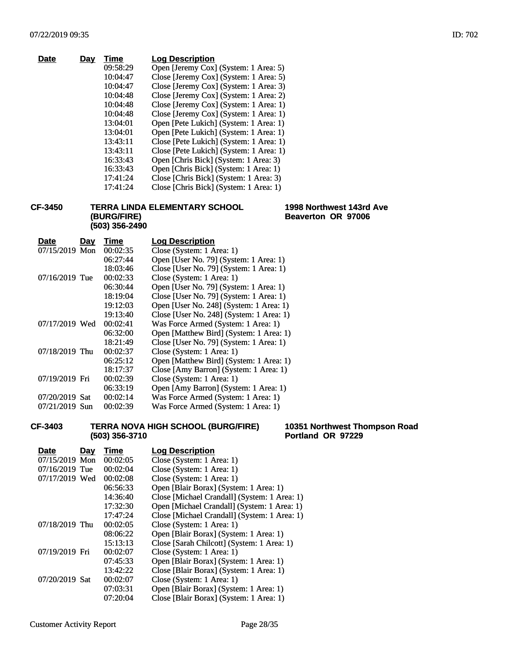| Day | Time     | <b>Log Description</b>                  |
|-----|----------|-----------------------------------------|
|     | 09:58:29 | Open [Jeremy Cox] (System: 1 Area: 5)   |
|     | 10:04:47 | Close [Jeremy Cox] (System: 1 Area: 5)  |
|     | 10:04:47 | Close [Jeremy Cox] (System: 1 Area: 3)  |
|     | 10:04:48 | Close [Jeremy Cox] (System: 1 Area: 2)  |
|     | 10:04:48 | Close [Jeremy Cox] (System: 1 Area: 1)  |
|     | 10:04:48 | Close [Jeremy Cox] (System: 1 Area: 1)  |
|     | 13:04:01 | Open [Pete Lukich] (System: 1 Area: 1)  |
|     | 13:04:01 | Open [Pete Lukich] (System: 1 Area: 1)  |
|     | 13:43:11 | Close [Pete Lukich] (System: 1 Area: 1) |
|     | 13:43:11 | Close [Pete Lukich] (System: 1 Area: 1) |
|     | 16:33:43 | Open [Chris Bick] (System: 1 Area: 3)   |
|     | 16:33:43 | Open [Chris Bick] (System: 1 Area: 1)   |
|     | 17:41:24 | Close [Chris Bick] (System: 1 Area: 3)  |
|     | 17:41:24 | Close [Chris Bick] (System: 1 Area: 1)  |
|     |          |                                         |

**CF-3450 TERRA LINDA ELEMENTARY SCHOOL (BURG/FIRE) (503) 356-2490**

**1998 Northwest 143rd Ave Beaverton OR 97006**

| <b>Date</b>    | Day | Time     | <b>Log Description</b>                   |
|----------------|-----|----------|------------------------------------------|
| 07/15/2019 Mon |     | 00:02:35 | Close (System: 1 Area: 1)                |
|                |     | 06:27:44 | Open [User No. 79] (System: 1 Area: 1)   |
|                |     | 18:03:46 | Close [User No. 79] (System: 1 Area: 1)  |
| 07/16/2019 Tue |     | 00:02:33 | Close (System: 1 Area: 1)                |
|                |     | 06:30:44 | Open [User No. 79] (System: 1 Area: 1)   |
|                |     | 18:19:04 | Close [User No. 79] (System: 1 Area: 1)  |
|                |     | 19:12:03 | Open [User No. 248] (System: 1 Area: 1)  |
|                |     | 19:13:40 | Close [User No. 248] (System: 1 Area: 1) |
| 07/17/2019 Wed |     | 00:02:41 | Was Force Armed (System: 1 Area: 1)      |
|                |     | 06:32:00 | Open [Matthew Bird] (System: 1 Area: 1)  |
|                |     | 18:21:49 | Close [User No. 79] (System: 1 Area: 1)  |
| 07/18/2019 Thu |     | 00:02:37 | Close (System: 1 Area: 1)                |
|                |     | 06:25:12 | Open [Matthew Bird] (System: 1 Area: 1)  |
|                |     | 18:17:37 | Close [Amy Barron] (System: 1 Area: 1)   |
| 07/19/2019 Fri |     | 00:02:39 | Close (System: 1 Area: 1)                |
|                |     | 06:33:19 | Open [Amy Barron] (System: 1 Area: 1)    |
| 07/20/2019 Sat |     | 00:02:14 | Was Force Armed (System: 1 Area: 1)      |
| 07/21/2019 Sun |     | 00:02:39 | Was Force Armed (System: 1 Area: 1)      |

**CF-3403 TERRA NOVA HIGH SCHOOL (BURG/FIRE) (503) 356-3710**

**10351 Northwest Thompson Road Portland OR 97229**

| <b>Date</b>    | Day | Time     | <b>Log Description</b>                       |
|----------------|-----|----------|----------------------------------------------|
| 07/15/2019 Mon |     | 00:02:05 | Close (System: 1 Area: 1)                    |
| 07/16/2019 Tue |     | 00:02:04 | Close (System: 1 Area: 1)                    |
| 07/17/2019 Wed |     | 00:02:08 | Close (System: 1 Area: 1)                    |
|                |     | 06:56:33 | Open [Blair Borax] (System: 1 Area: 1)       |
|                |     | 14:36:40 | Close [Michael Crandall] (System: 1 Area: 1) |
|                |     | 17:32:30 | Open [Michael Crandall] (System: 1 Area: 1)  |
|                |     | 17:47:24 | Close [Michael Crandall] (System: 1 Area: 1) |
| 07/18/2019 Thu |     | 00:02:05 | Close (System: 1 Area: 1)                    |
|                |     | 08:06:22 | Open [Blair Borax] (System: 1 Area: 1)       |
|                |     | 15:13:13 | Close [Sarah Chilcott] (System: 1 Area: 1)   |
| 07/19/2019 Fri |     | 00:02:07 | Close (System: 1 Area: 1)                    |
|                |     | 07:45:33 | Open [Blair Borax] (System: 1 Area: 1)       |
|                |     | 13:42:22 | Close [Blair Borax] (System: 1 Area: 1)      |
| 07/20/2019 Sat |     | 00:02:07 | Close (System: 1 Area: 1)                    |
|                |     | 07:03:31 | Open [Blair Borax] (System: 1 Area: 1)       |
|                |     | 07:20:04 | Close [Blair Borax] (System: 1 Area: 1)      |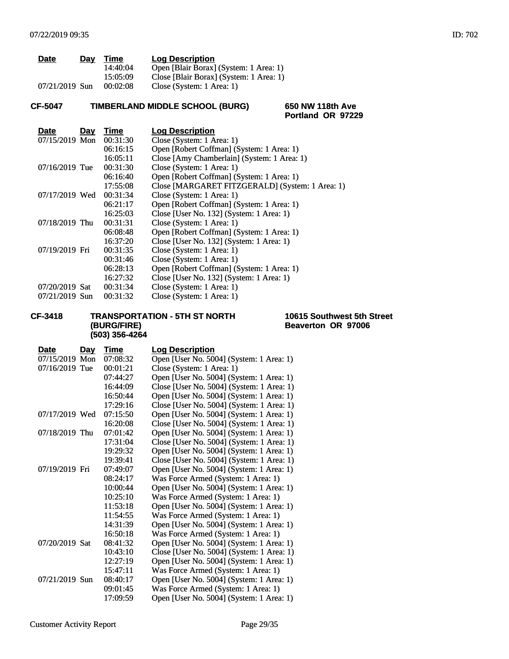| <b>Date</b>    | Day | Time     | <b>Log Description</b>                  |
|----------------|-----|----------|-----------------------------------------|
|                |     | 14:40:04 | Open [Blair Borax] (System: 1 Area: 1)  |
|                |     | 15:05:09 | Close [Blair Borax] (System: 1 Area: 1) |
| 07/21/2019 Sun |     | 00:02:08 | Close (System: 1 Area: 1)               |

# **CF-5047 TIMBERLAND MIDDLE SCHOOL (BURG) 650 NW 118th Ave**

**Portland OR 97229**

| <b>Date</b>    | <u>Day</u> | Time     | <b>Log Description</b>                          |
|----------------|------------|----------|-------------------------------------------------|
| 07/15/2019 Mon |            | 00:31:30 | Close (System: 1 Area: 1)                       |
|                |            | 06:16:15 | Open [Robert Coffman] (System: 1 Area: 1)       |
|                |            | 16:05:11 | Close [Amy Chamberlain] (System: 1 Area: 1)     |
| 07/16/2019 Tue |            | 00:31:30 | Close (System: 1 Area: 1)                       |
|                |            | 06:16:40 | Open [Robert Coffman] (System: 1 Area: 1)       |
|                |            | 17:55:08 | Close [MARGARET FITZGERALD] (System: 1 Area: 1) |
| 07/17/2019 Wed |            | 00:31:34 | Close (System: 1 Area: 1)                       |
|                |            | 06:21:17 | Open [Robert Coffman] (System: 1 Area: 1)       |
|                |            | 16:25:03 | Close [User No. 132] (System: 1 Area: 1)        |
| 07/18/2019 Thu |            | 00:31:31 | Close (System: 1 Area: 1)                       |
|                |            | 06:08:48 | Open [Robert Coffman] (System: 1 Area: 1)       |
|                |            | 16:37:20 | Close [User No. 132] (System: 1 Area: 1)        |
| 07/19/2019 Fri |            | 00:31:35 | Close (System: 1 Area: 1)                       |
|                |            | 00:31:46 | Close (System: 1 Area: 1)                       |
|                |            | 06:28:13 | Open [Robert Coffman] (System: 1 Area: 1)       |
|                |            | 16:27:32 | Close [User No. 132] (System: 1 Area: 1)        |
| 07/20/2019 Sat |            | 00:31:34 | Close (System: 1 Area: 1)                       |
| 07/21/2019 Sun |            | 00:31:32 | Close (System: 1 Area: 1)                       |
|                |            |          |                                                 |

## **CF-3418 TRANSPORTATION - 5TH ST NORTH (BURG/FIRE) (503) 356-4264**

**10615 Southwest 5th Street Beaverton OR 97006**

| <b>Date</b>    | <u>Day</u> | Time     | <b>Log Description</b>                    |
|----------------|------------|----------|-------------------------------------------|
| 07/15/2019 Mon |            | 07:08:32 | Open [User No. 5004] (System: 1 Area: 1)  |
| 07/16/2019 Tue |            | 00:01:21 | Close (System: 1 Area: 1)                 |
|                |            | 07:44:27 | Open [User No. 5004] (System: 1 Area: 1)  |
|                |            | 16:44:09 | Close [User No. 5004] (System: 1 Area: 1) |
|                |            | 16:50:44 | Open [User No. 5004] (System: 1 Area: 1)  |
|                |            | 17:29:16 | Close [User No. 5004] (System: 1 Area: 1) |
| 07/17/2019 Wed |            | 07:15:50 | Open [User No. 5004] (System: 1 Area: 1)  |
|                |            | 16:20:08 | Close [User No. 5004] (System: 1 Area: 1) |
| 07/18/2019 Thu |            | 07:01:42 | Open [User No. 5004] (System: 1 Area: 1)  |
|                |            | 17:31:04 | Close [User No. 5004] (System: 1 Area: 1) |
|                |            | 19:29:32 | Open [User No. 5004] (System: 1 Area: 1)  |
|                |            | 19:39:41 | Close [User No. 5004] (System: 1 Area: 1) |
| 07/19/2019 Fri |            | 07:49:07 | Open [User No. 5004] (System: 1 Area: 1)  |
|                |            | 08:24:17 | Was Force Armed (System: 1 Area: 1)       |
|                |            | 10:00:44 | Open [User No. 5004] (System: 1 Area: 1)  |
|                |            | 10:25:10 | Was Force Armed (System: 1 Area: 1)       |
|                |            | 11:53:18 | Open [User No. 5004] (System: 1 Area: 1)  |
|                |            | 11:54:55 | Was Force Armed (System: 1 Area: 1)       |
|                |            | 14:31:39 | Open [User No. 5004] (System: 1 Area: 1)  |
|                |            | 16:50:18 | Was Force Armed (System: 1 Area: 1)       |
| 07/20/2019 Sat |            | 08:41:32 | Open [User No. 5004] (System: 1 Area: 1)  |
|                |            | 10:43:10 | Close [User No. 5004] (System: 1 Area: 1) |
|                |            | 12:27:19 | Open [User No. 5004] (System: 1 Area: 1)  |
|                |            | 15:47:11 | Was Force Armed (System: 1 Area: 1)       |
| 07/21/2019 Sun |            | 08:40:17 | Open [User No. 5004] (System: 1 Area: 1)  |
|                |            | 09:01:45 | Was Force Armed (System: 1 Area: 1)       |
|                |            | 17:09:59 | Open [User No. 5004] (System: 1 Area: 1)  |
|                |            |          |                                           |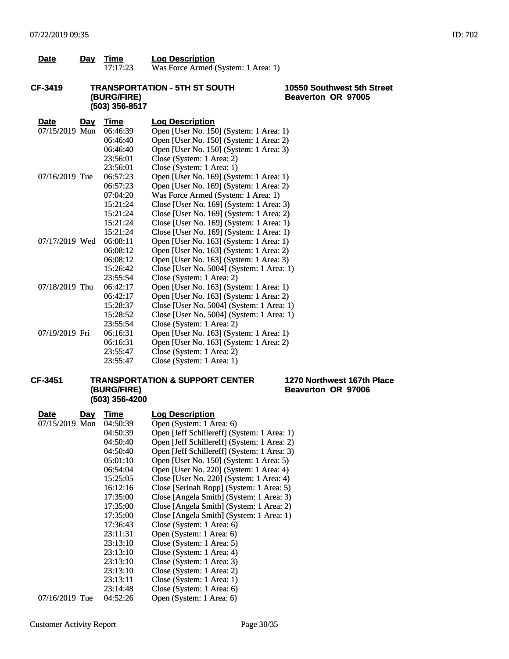| <b>Date</b> | Day | Time     | <b>Log Description</b>              |
|-------------|-----|----------|-------------------------------------|
|             |     | 17:17:23 | Was Force Armed (System: 1 Area: 1) |

## **CF-3419 TRANSPORTATION - 5TH ST SOUTH (BURG/FIRE) (503) 356-8517**

## **10550 Southwest 5th Street Beaverton OR 97005**

| <b>Date</b>    | <u>Day</u> | <b>Time</b> | <b>Log Description</b>                    |
|----------------|------------|-------------|-------------------------------------------|
| 07/15/2019 Mon |            | 06:46:39    | Open [User No. 150] (System: 1 Area: 1)   |
|                |            | 06:46:40    | Open [User No. 150] (System: 1 Area: 2)   |
|                |            | 06:46:40    | Open [User No. 150] (System: 1 Area: 3)   |
|                |            | 23:56:01    | Close (System: 1 Area: 2)                 |
|                |            | 23:56:01    | Close (System: 1 Area: 1)                 |
| 07/16/2019 Tue |            | 06:57:23    | Open [User No. 169] (System: 1 Area: 1)   |
|                |            | 06:57:23    | Open [User No. 169] (System: 1 Area: 2)   |
|                |            | 07:04:20    | Was Force Armed (System: 1 Area: 1)       |
|                |            | 15:21:24    | Close [User No. 169] (System: 1 Area: 3)  |
|                |            | 15:21:24    | Close [User No. 169] (System: 1 Area: 2)  |
|                |            | 15:21:24    | Close [User No. 169] (System: 1 Area: 1)  |
|                |            | 15:21:24    | Close [User No. 169] (System: 1 Area: 1)  |
| 07/17/2019 Wed |            | 06:08:11    | Open [User No. 163] (System: 1 Area: 1)   |
|                |            | 06:08:12    | Open [User No. 163] (System: 1 Area: 2)   |
|                |            | 06:08:12    | Open [User No. 163] (System: 1 Area: 3)   |
|                |            | 15:26:42    | Close [User No. 5004] (System: 1 Area: 1) |
|                |            | 23:55:54    | Close (System: 1 Area: 2)                 |
| 07/18/2019 Thu |            | 06:42:17    | Open [User No. 163] (System: 1 Area: 1)   |
|                |            | 06:42:17    | Open [User No. 163] (System: 1 Area: 2)   |
|                |            | 15:28:37    | Close [User No. 5004] (System: 1 Area: 1) |
|                |            | 15:28:52    | Close [User No. 5004] (System: 1 Area: 1) |
|                |            | 23:55:54    | Close (System: 1 Area: 2)                 |
| 07/19/2019 Fri |            | 06:16:31    | Open [User No. 163] (System: 1 Area: 1)   |
|                |            | 06:16:31    | Open [User No. 163] (System: 1 Area: 2)   |
|                |            | 23:55:47    | Close (System: 1 Area: 2)                 |
|                |            | 23:55:47    | Close (System: 1 Area: 1)                 |

## **CF-3451 TRANSPORTATION & SUPPORT CENTER (BURG/FIRE) (503) 356-4200**

### **1270 Northwest 167th Place Beaverton OR 97006**

| Date<br><u>Day</u> | Time     | <b>Log Description</b>                      |
|--------------------|----------|---------------------------------------------|
| 07/15/2019 Mon     | 04:50:39 | Open (System: 1 Area: 6)                    |
|                    | 04:50:39 | Open [Jeff Schillereff] (System: 1 Area: 1) |
|                    | 04:50:40 | Open [Jeff Schillereff] (System: 1 Area: 2) |
|                    | 04:50:40 | Open [Jeff Schillereff] (System: 1 Area: 3) |
|                    | 05:01:10 | Open [User No. 150] (System: 1 Area: 5)     |
|                    | 06:54:04 | Open [User No. 220] (System: 1 Area: 4)     |
|                    | 15:25:05 | Close [User No. 220] (System: 1 Area: 4)    |
|                    | 16:12:16 | Close [Serinah Ropp] (System: 1 Area: 5)    |
|                    | 17:35:00 | Close [Angela Smith] (System: 1 Area: 3)    |
|                    | 17:35:00 | Close [Angela Smith] (System: 1 Area: 2)    |
|                    | 17:35:00 | Close [Angela Smith] (System: 1 Area: 1)    |
|                    | 17:36:43 | Close (System: 1 Area: 6)                   |
|                    | 23:11:31 | Open (System: 1 Area: 6)                    |
|                    | 23:13:10 | Close (System: 1 Area: 5)                   |
|                    | 23:13:10 | Close (System: 1 Area: 4)                   |
|                    | 23:13:10 | Close (System: 1 Area: 3)                   |
|                    | 23:13:10 | Close (System: 1 Area: 2)                   |
|                    | 23:13:11 | Close (System: 1 Area: 1)                   |
|                    | 23:14:48 | Close (System: 1 Area: 6)                   |
| 07/16/2019 Tue     | 04:52:26 | Open (System: 1 Area: 6)                    |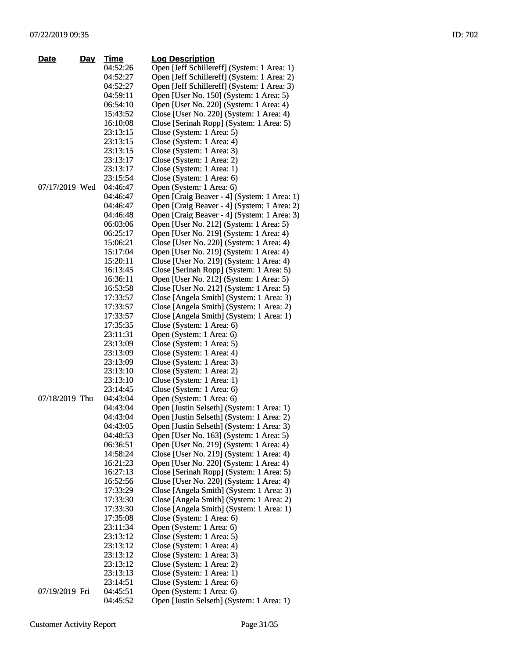| Date           | Day | <u>Time</u> | <b>Log Description</b>                      |
|----------------|-----|-------------|---------------------------------------------|
|                |     | 04:52:26    | Open [Jeff Schillereff] (System: 1 Area: 1) |
|                |     | 04:52:27    | Open [Jeff Schillereff] (System: 1 Area: 2) |
|                |     | 04:52:27    | Open [Jeff Schillereff] (System: 1 Area: 3) |
|                |     | 04:59:11    | Open [User No. 150] (System: 1 Area: 5)     |
|                |     | 06:54:10    | Open [User No. 220] (System: 1 Area: 4)     |
|                |     | 15:43:52    | Close [User No. 220] (System: 1 Area: 4)    |
|                |     | 16:10:08    | Close [Serinah Ropp] (System: 1 Area: 5)    |
|                |     | 23:13:15    | Close (System: 1 Area: 5)                   |
|                |     | 23:13:15    | Close (System: 1 Area: 4)                   |
|                |     | 23:13:15    | Close (System: 1 Area: 3)                   |
|                |     | 23:13:17    | Close (System: 1 Area: 2)                   |
|                |     | 23:13:17    | Close (System: 1 Area: 1)                   |
|                |     | 23:15:54    | Close (System: 1 Area: 6)                   |
| 07/17/2019 Wed |     | 04:46:47    | Open (System: 1 Area: 6)                    |
|                |     | 04:46:47    | Open [Craig Beaver - 4] (System: 1 Area: 1) |
|                |     | 04:46:47    | Open [Craig Beaver - 4] (System: 1 Area: 2) |
|                |     | 04:46:48    | Open [Craig Beaver - 4] (System: 1 Area: 3) |
|                |     | 06:03:06    | Open [User No. 212] (System: 1 Area: 5)     |
|                |     | 06:25:17    | Open [User No. 219] (System: 1 Area: 4)     |
|                |     | 15:06:21    | Close [User No. 220] (System: 1 Area: 4)    |
|                |     | 15:17:04    | Open [User No. 219] (System: 1 Area: 4)     |
|                |     | 15:20:11    | Close [User No. 219] (System: 1 Area: 4)    |
|                |     | 16:13:45    | Close [Serinah Ropp] (System: 1 Area: 5)    |
|                |     | 16:36:11    | Open [User No. 212] (System: 1 Area: 5)     |
|                |     | 16:53:58    | Close [User No. 212] (System: 1 Area: 5)    |
|                |     | 17:33:57    | Close [Angela Smith] (System: 1 Area: 3)    |
|                |     | 17:33:57    | Close [Angela Smith] (System: 1 Area: 2)    |
|                |     | 17:33:57    | Close [Angela Smith] (System: 1 Area: 1)    |
|                |     | 17:35:35    | Close (System: 1 Area: 6)                   |
|                |     | 23:11:31    | Open (System: 1 Area: 6)                    |
|                |     | 23:13:09    | Close (System: 1 Area: 5)                   |
|                |     | 23:13:09    | Close (System: 1 Area: 4)                   |
|                |     | 23:13:09    | Close (System: 1 Area: 3)                   |
|                |     | 23:13:10    | Close (System: 1 Area: 2)                   |
|                |     | 23:13:10    | Close (System: 1 Area: 1)                   |
|                |     | 23:14:45    | Close (System: 1 Area: 6)                   |
| 07/18/2019 Thu |     | 04:43:04    | Open (System: 1 Area: 6)                    |
|                |     | 04:43:04    | Open [Justin Selseth] (System: 1 Area: 1)   |
|                |     | 04:43:04    | Open [Justin Selseth] (System: 1 Area: 2)   |
|                |     | 04:43:05    | Open [Justin Selseth] (System: 1 Area: 3)   |
|                |     | 04:48:53    | Open [User No. 163] (System: 1 Area: 5)     |
|                |     | 06:36:51    | Open [User No. 219] (System: 1 Area: 4)     |
|                |     | 14:58:24    | Close [User No. 219] (System: 1 Area: 4)    |
|                |     | 16:21:23    | Open [User No. 220] (System: 1 Area: 4)     |
|                |     | 16:27:13    | Close [Serinah Ropp] (System: 1 Area: 5)    |
|                |     | 16:52:56    | Close [User No. 220] (System: 1 Area: 4)    |
|                |     | 17:33:29    | Close [Angela Smith] (System: 1 Area: 3)    |
|                |     | 17:33:30    | Close [Angela Smith] (System: 1 Area: 2)    |
|                |     | 17:33:30    | Close [Angela Smith] (System: 1 Area: 1)    |
|                |     | 17:35:08    | Close (System: 1 Area: 6)                   |
|                |     | 23:11:34    | Open (System: 1 Area: 6)                    |
|                |     | 23:13:12    | Close (System: 1 Area: 5)                   |
|                |     | 23:13:12    | Close (System: 1 Area: 4)                   |
|                |     | 23:13:12    | Close (System: 1 Area: 3)                   |
|                |     | 23:13:12    | Close (System: 1 Area: 2)                   |

23:13:13 Close (System: 1 Area: 1)<br>23:14:51 Close (System: 1 Area: 6) 23:14:51 Close (System: 1 Area: 6)<br>04:45:51 Open (System: 1 Area: 6) 07/19/2019 Fri 04:45:51 Open (System: 1 Area: 6)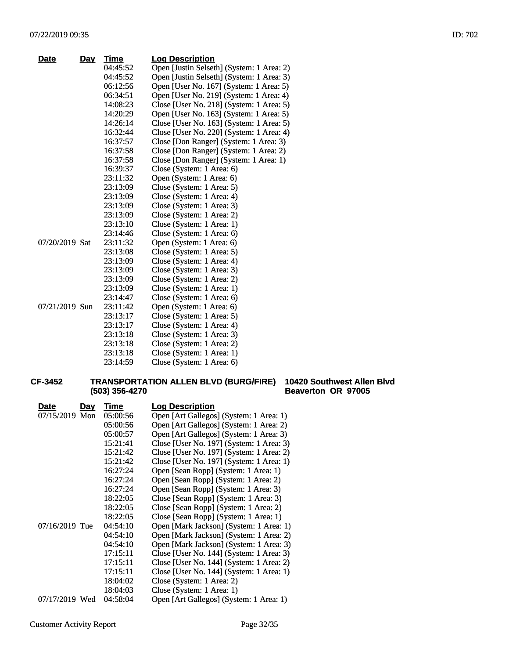| <b>Date</b>    | <u>Day</u> | Time     | <b>Log Description</b>                    |
|----------------|------------|----------|-------------------------------------------|
|                |            | 04:45:52 | Open [Justin Selseth] (System: 1 Area: 2) |
|                |            | 04:45:52 | Open [Justin Selseth] (System: 1 Area: 3) |
|                |            | 06:12:56 | Open [User No. 167] (System: 1 Area: 5)   |
|                |            | 06:34:51 | Open [User No. 219] (System: 1 Area: 4)   |
|                |            | 14:08:23 | Close [User No. 218] (System: 1 Area: 5)  |
|                |            | 14:20:29 | Open [User No. 163] (System: 1 Area: 5)   |
|                |            | 14:26:14 | Close [User No. 163] (System: 1 Area: 5)  |
|                |            | 16:32:44 | Close [User No. 220] (System: 1 Area: 4)  |
|                |            | 16:37:57 | Close [Don Ranger] (System: 1 Area: 3)    |
|                |            | 16:37:58 | Close [Don Ranger] (System: 1 Area: 2)    |
|                |            | 16:37:58 | Close [Don Ranger] (System: 1 Area: 1)    |
|                |            | 16:39:37 | Close (System: 1 Area: 6)                 |
|                |            | 23:11:32 | Open (System: 1 Area: 6)                  |
|                |            | 23:13:09 | Close (System: 1 Area: 5)                 |
|                |            | 23:13:09 | Close (System: 1 Area: 4)                 |
|                |            | 23:13:09 | Close (System: 1 Area: 3)                 |
|                |            | 23:13:09 | Close (System: 1 Area: 2)                 |
|                |            | 23:13:10 | Close (System: 1 Area: 1)                 |
|                |            | 23:14:46 | Close (System: 1 Area: 6)                 |
| 07/20/2019 Sat |            | 23:11:32 | Open (System: 1 Area: 6)                  |
|                |            | 23:13:08 | Close (System: 1 Area: 5)                 |
|                |            | 23:13:09 | Close (System: 1 Area: 4)                 |
|                |            | 23:13:09 | Close (System: 1 Area: 3)                 |
|                |            | 23:13:09 | Close (System: 1 Area: 2)                 |
|                |            | 23:13:09 | Close (System: 1 Area: 1)                 |
|                |            | 23:14:47 | Close (System: 1 Area: 6)                 |
| 07/21/2019 Sun |            | 23:11:42 | Open (System: 1 Area: 6)                  |
|                |            | 23:13:17 | Close (System: 1 Area: 5)                 |
|                |            | 23:13:17 | Close (System: 1 Area: 4)                 |
|                |            | 23:13:18 | Close (System: 1 Area: 3)                 |
|                |            | 23:13:18 | Close (System: 1 Area: 2)                 |
|                |            | 23:13:18 | Close (System: 1 Area: 1)                 |
|                |            | 23:14:59 | Close (System: 1 Area: 6)                 |

#### **CF-3452 TRANSPORTATION ALLEN BLVD (BURG/FIRE) 10420 Southwest Allen Blvd (503) 356-4270 Beaverton OR 97005**

| Date<br>Day    | Time     | <b>Log Description</b>                   |
|----------------|----------|------------------------------------------|
| 07/15/2019 Mon | 05:00:56 | Open [Art Gallegos] (System: 1 Area: 1)  |
|                | 05:00:56 | Open [Art Gallegos] (System: 1 Area: 2)  |
|                | 05:00:57 | Open [Art Gallegos] (System: 1 Area: 3)  |
|                | 15:21:41 | Close [User No. 197] (System: 1 Area: 3) |
|                | 15:21:42 | Close [User No. 197] (System: 1 Area: 2) |
|                | 15:21:42 | Close [User No. 197] (System: 1 Area: 1) |
|                | 16:27:24 | Open [Sean Ropp] (System: 1 Area: 1)     |
|                | 16:27:24 | Open [Sean Ropp] (System: 1 Area: 2)     |
|                | 16:27:24 | Open [Sean Ropp] (System: 1 Area: 3)     |
|                | 18:22:05 | Close [Sean Ropp] (System: 1 Area: 3)    |
|                | 18:22:05 | Close [Sean Ropp] (System: 1 Area: 2)    |
|                | 18:22:05 | Close [Sean Ropp] (System: 1 Area: 1)    |
| 07/16/2019 Tue | 04:54:10 | Open [Mark Jackson] (System: 1 Area: 1)  |
|                | 04:54:10 | Open [Mark Jackson] (System: 1 Area: 2)  |
|                | 04:54:10 | Open [Mark Jackson] (System: 1 Area: 3)  |
|                | 17:15:11 | Close [User No. 144] (System: 1 Area: 3) |
|                | 17:15:11 | Close [User No. 144] (System: 1 Area: 2) |
|                | 17:15:11 | Close [User No. 144] (System: 1 Area: 1) |
|                | 18:04:02 | Close (System: 1 Area: 2)                |
|                | 18:04:03 | Close (System: 1 Area: 1)                |
| 07/17/2019 Wed | 04:58:04 | Open [Art Gallegos] (System: 1 Area: 1)  |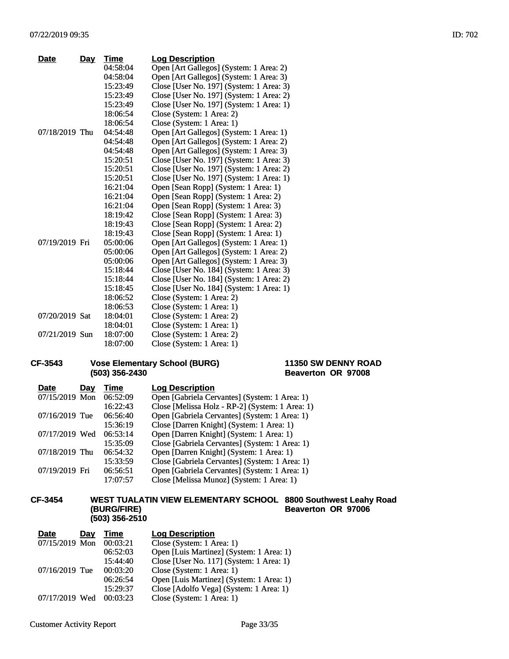| Date           | <u>Day</u> | Time     | <b>Log Description</b>                   |
|----------------|------------|----------|------------------------------------------|
|                |            | 04:58:04 | Open [Art Gallegos] (System: 1 Area: 2)  |
|                |            | 04:58:04 | Open [Art Gallegos] (System: 1 Area: 3)  |
|                |            | 15:23:49 | Close [User No. 197] (System: 1 Area: 3) |
|                |            | 15:23:49 | Close [User No. 197] (System: 1 Area: 2) |
|                |            | 15:23:49 | Close [User No. 197] (System: 1 Area: 1) |
|                |            | 18:06:54 | Close (System: 1 Area: 2)                |
|                |            | 18:06:54 | Close (System: 1 Area: 1)                |
| 07/18/2019 Thu |            | 04:54:48 | Open [Art Gallegos] (System: 1 Area: 1)  |
|                |            | 04:54:48 | Open [Art Gallegos] (System: 1 Area: 2)  |
|                |            | 04:54:48 | Open [Art Gallegos] (System: 1 Area: 3)  |
|                |            | 15:20:51 | Close [User No. 197] (System: 1 Area: 3) |
|                |            | 15:20:51 | Close [User No. 197] (System: 1 Area: 2) |
|                |            | 15:20:51 | Close [User No. 197] (System: 1 Area: 1) |
|                |            | 16:21:04 | Open [Sean Ropp] (System: 1 Area: 1)     |
|                |            | 16:21:04 | Open [Sean Ropp] (System: 1 Area: 2)     |
|                |            | 16:21:04 | Open [Sean Ropp] (System: 1 Area: 3)     |
|                |            | 18:19:42 | Close [Sean Ropp] (System: 1 Area: 3)    |
|                |            | 18:19:43 | Close [Sean Ropp] (System: 1 Area: 2)    |
|                |            | 18:19:43 | Close [Sean Ropp] (System: 1 Area: 1)    |
| 07/19/2019 Fri |            | 05:00:06 | Open [Art Gallegos] (System: 1 Area: 1)  |
|                |            | 05:00:06 | Open [Art Gallegos] (System: 1 Area: 2)  |
|                |            | 05:00:06 | Open [Art Gallegos] (System: 1 Area: 3)  |
|                |            | 15:18:44 | Close [User No. 184] (System: 1 Area: 3) |
|                |            | 15:18:44 | Close [User No. 184] (System: 1 Area: 2) |
|                |            | 15:18:45 | Close [User No. 184] (System: 1 Area: 1) |
|                |            | 18:06:52 | Close (System: 1 Area: 2)                |
|                |            | 18:06:53 | Close (System: 1 Area: 1)                |
| 07/20/2019 Sat |            | 18:04:01 | Close (System: 1 Area: 2)                |
|                |            | 18:04:01 | Close (System: 1 Area: 1)                |
| 07/21/2019 Sun |            | 18:07:00 | Close (System: 1 Area: 2)                |
|                |            | 18:07:00 | Close (System: 1 Area: 1)                |

## **CF-3543 Vose Elementary School (BURG) (503) 356-2430**

## **11350 SW DENNY ROAD Beaverton OR 97008**

| <b>Date</b>    | Day | Time     | <b>Log Description</b>                          |
|----------------|-----|----------|-------------------------------------------------|
| 07/15/2019 Mon |     | 06:52:09 | Open [Gabriela Cervantes] (System: 1 Area: 1)   |
|                |     | 16:22:43 | Close [Melissa Holz - RP-2] (System: 1 Area: 1) |
| 07/16/2019 Tue |     | 06:56:40 | Open [Gabriela Cervantes] (System: 1 Area: 1)   |
|                |     | 15:36:19 | Close [Darren Knight] (System: 1 Area: 1)       |
| 07/17/2019 Wed |     | 06:53:14 | Open [Darren Knight] (System: 1 Area: 1)        |
|                |     | 15:35:09 | Close [Gabriela Cervantes] (System: 1 Area: 1)  |
| 07/18/2019 Thu |     | 06:54:32 | Open [Darren Knight] (System: 1 Area: 1)        |
|                |     | 15:33:59 | Close [Gabriela Cervantes] (System: 1 Area: 1)  |
| 07/19/2019 Fri |     | 06:56:51 | Open [Gabriela Cervantes] (System: 1 Area: 1)   |
|                |     | 17:07:57 | Close [Melissa Munoz] (System: 1 Area: 1)       |

#### **CF-3454 WEST TUALATIN VIEW ELEMENTARY SCHOOL (BURG/FIRE) (503) 356-2510 8800 Southwest Leahy Road Beaverton OR 97006**

| <b>Date</b>    | Day | Time     | <b>Log Description</b>                   |
|----------------|-----|----------|------------------------------------------|
| 07/15/2019 Mon |     | 00:03:21 | Close (System: 1 Area: 1)                |
|                |     | 06:52:03 | Open [Luis Martinez] (System: 1 Area: 1) |
|                |     | 15:44:40 | Close [User No. 117] (System: 1 Area: 1) |
| 07/16/2019 Tue |     | 00:03:20 | Close (System: 1 Area: 1)                |
|                |     | 06:26:54 | Open [Luis Martinez] (System: 1 Area: 1) |
|                |     | 15:29:37 | Close [Adolfo Vega] (System: 1 Area: 1)  |
| 07/17/2019 Wed |     | 00:03:23 | Close (System: 1 Area: 1)                |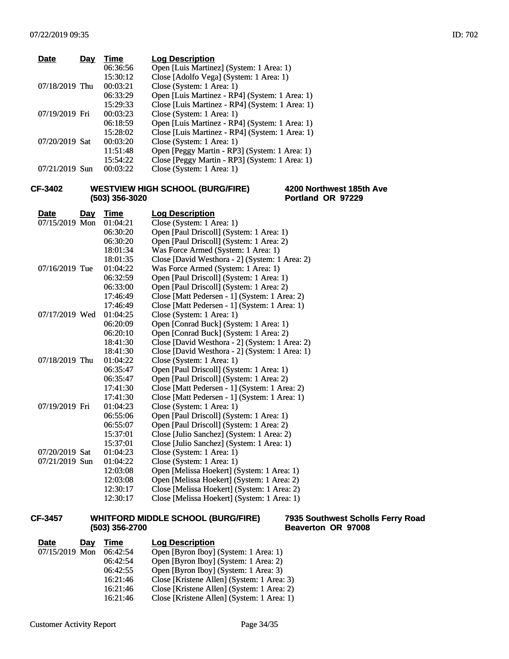| <b>Date</b>    | Day | Time     | <b>Log Description</b>                          |
|----------------|-----|----------|-------------------------------------------------|
|                |     | 06:36:56 | Open [Luis Martinez] (System: 1 Area: 1)        |
|                |     | 15:30:12 | Close [Adolfo Vega] (System: 1 Area: 1)         |
| 07/18/2019 Thu |     | 00:03:21 | Close (System: 1 Area: 1)                       |
|                |     | 06:33:29 | Open [Luis Martinez - RP4] (System: 1 Area: 1)  |
|                |     | 15:29:33 | Close [Luis Martinez - RP4] (System: 1 Area: 1) |
| 07/19/2019 Fri |     | 00:03:23 | Close (System: 1 Area: 1)                       |
|                |     | 06:18:59 | Open [Luis Martinez - RP4] (System: 1 Area: 1)  |
|                |     | 15:28:02 | Close [Luis Martinez - RP4] (System: 1 Area: 1) |
| 07/20/2019 Sat |     | 00:03:20 | Close (System: 1 Area: 1)                       |
|                |     | 11:51:48 | Open [Peggy Martin - RP3] (System: 1 Area: 1)   |
|                |     | 15:54:22 | Close [Peggy Martin - RP3] (System: 1 Area: 1)  |
| 07/21/2019 Sun |     | 00:03:22 | Close (System: 1 Area: 1)                       |
|                |     |          |                                                 |

## **CF-3402 WESTVIEW HIGH SCHOOL (BURG/FIRE) (503) 356-3020**

## **4200 Northwest 185th Ave Portland OR 97229**

| <b>Date</b>    | <u>Day</u> | <b>Time</b> | <b>Log Description</b>                         |
|----------------|------------|-------------|------------------------------------------------|
| 07/15/2019 Mon |            | 01:04:21    | Close (System: 1 Area: 1)                      |
|                |            | 06:30:20    | Open [Paul Driscoll] (System: 1 Area: 1)       |
|                |            | 06:30:20    | Open [Paul Driscoll] (System: 1 Area: 2)       |
|                |            | 18:01:34    | Was Force Armed (System: 1 Area: 1)            |
|                |            | 18:01:35    | Close [David Westhora - 2] (System: 1 Area: 2) |
| 07/16/2019 Tue |            | 01:04:22    | Was Force Armed (System: 1 Area: 1)            |
|                |            | 06:32:59    | Open [Paul Driscoll] (System: 1 Area: 1)       |
|                |            | 06:33:00    | Open [Paul Driscoll] (System: 1 Area: 2)       |
|                |            | 17:46:49    | Close [Matt Pedersen - 1] (System: 1 Area: 2)  |
|                |            | 17:46:49    | Close [Matt Pedersen - 1] (System: 1 Area: 1)  |
| 07/17/2019 Wed |            | 01:04:25    | Close (System: 1 Area: 1)                      |
|                |            | 06:20:09    | Open [Conrad Buck] (System: 1 Area: 1)         |
|                |            | 06:20:10    | Open [Conrad Buck] (System: 1 Area: 2)         |
|                |            | 18:41:30    | Close [David Westhora - 2] (System: 1 Area: 2) |
|                |            | 18:41:30    | Close [David Westhora - 2] (System: 1 Area: 1) |
| 07/18/2019 Thu |            | 01:04:22    | Close (System: 1 Area: 1)                      |
|                |            | 06:35:47    | Open [Paul Driscoll] (System: 1 Area: 1)       |
|                |            | 06:35:47    | Open [Paul Driscoll] (System: 1 Area: 2)       |
|                |            | 17:41:30    | Close [Matt Pedersen - 1] (System: 1 Area: 2)  |
|                |            | 17:41:30    | Close [Matt Pedersen - 1] (System: 1 Area: 1)  |
| 07/19/2019 Fri |            | 01:04:23    | Close (System: 1 Area: 1)                      |
|                |            | 06:55:06    | Open [Paul Driscoll] (System: 1 Area: 1)       |
|                |            | 06:55:07    | Open [Paul Driscoll] (System: 1 Area: 2)       |
|                |            | 15:37:01    | Close [Julio Sanchez] (System: 1 Area: 2)      |
|                |            | 15:37:01    | Close [Julio Sanchez] (System: 1 Area: 1)      |
| 07/20/2019 Sat |            | 01:04:23    | Close (System: 1 Area: 1)                      |
| 07/21/2019 Sun |            | 01:04:22    | Close (System: 1 Area: 1)                      |
|                |            | 12:03:08    | Open [Melissa Hoekert] (System: 1 Area: 1)     |
|                |            | 12:03:08    | Open [Melissa Hoekert] (System: 1 Area: 2)     |
|                |            | 12:30:17    | Close [Melissa Hoekert] (System: 1 Area: 2)    |
|                |            | 12:30:17    | Close [Melissa Hoekert] (System: 1 Area: 1)    |

## **CF-3457 WHITFORD MIDDLE SCHOOL (BURG/FIRE) (503) 356-2700**

| <b>Date</b>    | Day | Time     | <b>Log Description</b>                     |
|----------------|-----|----------|--------------------------------------------|
| 07/15/2019 Mon |     | 06:42:54 | Open [Byron Iboy] (System: 1 Area: 1)      |
|                |     | 06:42:54 | Open [Byron Iboy] (System: 1 Area: 2)      |
|                |     | 06:42:55 | Open [Byron Iboy] (System: 1 Area: 3)      |
|                |     | 16:21:46 | Close [Kristene Allen] (System: 1 Area: 3) |
|                |     | 16:21:46 | Close [Kristene Allen] (System: 1 Area: 2) |
|                |     | 16:21:46 | Close [Kristene Allen] (System: 1 Area: 1) |

## **7935 Southwest Scholls Ferry Road Beaverton OR 97008**